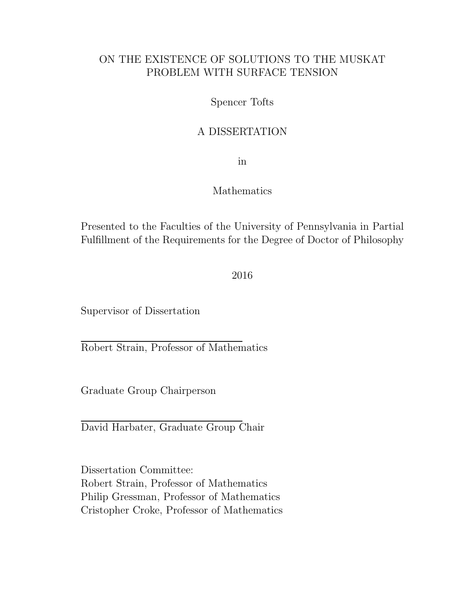### ON THE EXISTENCE OF SOLUTIONS TO THE MUSKAT PROBLEM WITH SURFACE TENSION

Spencer Tofts

### A DISSERTATION

in

### Mathematics

Presented to the Faculties of the University of Pennsylvania in Partial Fulfillment of the Requirements for the Degree of Doctor of Philosophy

2016

Supervisor of Dissertation

Robert Strain, Professor of Mathematics

Graduate Group Chairperson

David Harbater, Graduate Group Chair

Dissertation Committee: Robert Strain, Professor of Mathematics Philip Gressman, Professor of Mathematics Cristopher Croke, Professor of Mathematics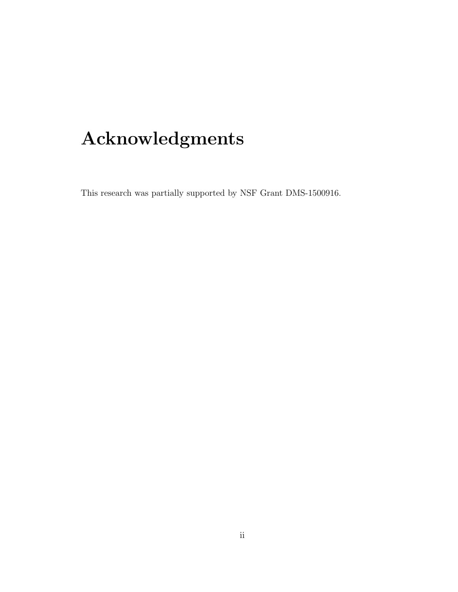# Acknowledgments

This research was partially supported by NSF Grant DMS-1500916.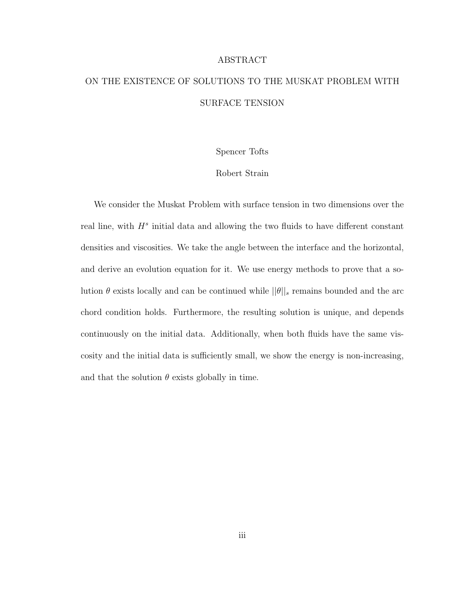#### ABSTRACT

### ON THE EXISTENCE OF SOLUTIONS TO THE MUSKAT PROBLEM WITH SURFACE TENSION

Spencer Tofts

#### Robert Strain

We consider the Muskat Problem with surface tension in two dimensions over the real line, with  $H^s$  initial data and allowing the two fluids to have different constant densities and viscosities. We take the angle between the interface and the horizontal, and derive an evolution equation for it. We use energy methods to prove that a solution  $\theta$  exists locally and can be continued while  $||\theta||_s$  remains bounded and the arc chord condition holds. Furthermore, the resulting solution is unique, and depends continuously on the initial data. Additionally, when both fluids have the same viscosity and the initial data is sufficiently small, we show the energy is non-increasing, and that the solution  $\theta$  exists globally in time.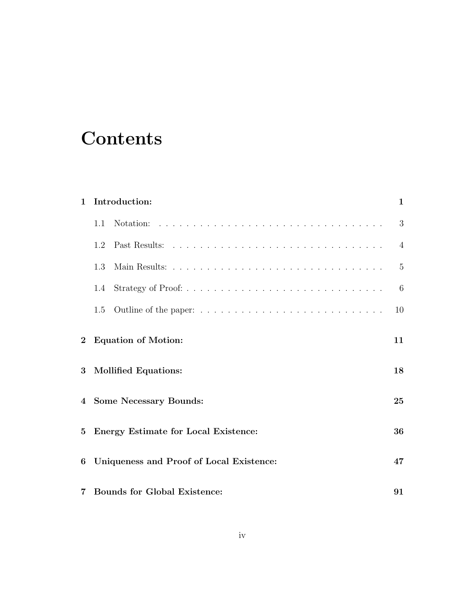# **Contents**

| $\mathbf{1}$    |                                             | Introduction:                       | $\mathbf{1}$   |
|-----------------|---------------------------------------------|-------------------------------------|----------------|
|                 | 1.1                                         |                                     | 3              |
|                 | 1.2                                         |                                     | $\overline{4}$ |
|                 | 1.3                                         |                                     | $\overline{5}$ |
|                 | 1.4                                         |                                     | 6              |
|                 | 1.5                                         |                                     | 10             |
| $\bf{2}$        | <b>Equation of Motion:</b>                  |                                     | 11             |
| 3               |                                             | <b>Mollified Equations:</b><br>18   |                |
|                 | 4 Some Necessary Bounds:                    |                                     | 25             |
| $5\overline{)}$ | <b>Energy Estimate for Local Existence:</b> |                                     | 36             |
| 6               | Uniqueness and Proof of Local Existence:    |                                     | 47             |
| 7               |                                             | <b>Bounds for Global Existence:</b> | 91             |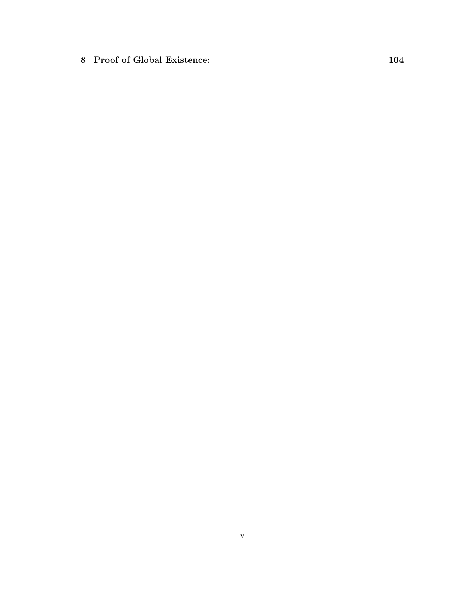8 Proof of Global Existence: 104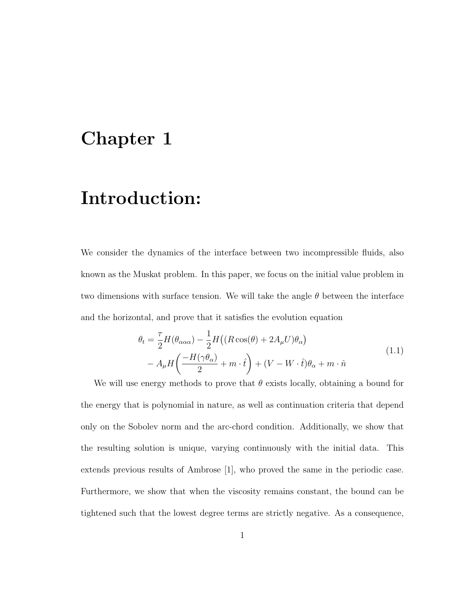## Chapter 1

### Introduction:

We consider the dynamics of the interface between two incompressible fluids, also known as the Muskat problem. In this paper, we focus on the initial value problem in two dimensions with surface tension. We will take the angle  $\theta$  between the interface and the horizontal, and prove that it satisfies the evolution equation

$$
\theta_t = \frac{\tau}{2} H(\theta_{\alpha\alpha\alpha}) - \frac{1}{2} H((R\cos(\theta) + 2A_\mu U)\theta_\alpha) \n- A_\mu H\left(\frac{-H(\gamma\theta_\alpha)}{2} + m \cdot \hat{t}\right) + (V - W \cdot \hat{t})\theta_\alpha + m \cdot \hat{n}
$$
\n(1.1)

We will use energy methods to prove that  $\theta$  exists locally, obtaining a bound for the energy that is polynomial in nature, as well as continuation criteria that depend only on the Sobolev norm and the arc-chord condition. Additionally, we show that the resulting solution is unique, varying continuously with the initial data. This extends previous results of Ambrose [1], who proved the same in the periodic case. Furthermore, we show that when the viscosity remains constant, the bound can be tightened such that the lowest degree terms are strictly negative. As a consequence,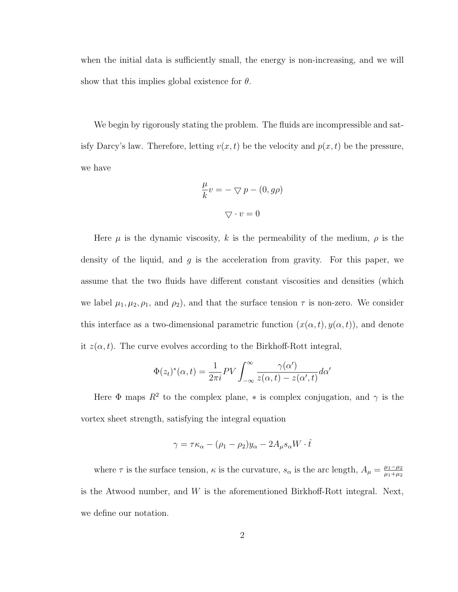when the initial data is sufficiently small, the energy is non-increasing, and we will show that this implies global existence for  $\theta$ .

We begin by rigorously stating the problem. The fluids are incompressible and satisfy Darcy's law. Therefore, letting  $v(x, t)$  be the velocity and  $p(x, t)$  be the pressure, we have

$$
\frac{\mu}{k}v = -\nabla p - (0, g\rho)
$$

$$
\nabla \cdot v = 0
$$

Here  $\mu$  is the dynamic viscosity, k is the permeability of the medium,  $\rho$  is the density of the liquid, and q is the acceleration from gravity. For this paper, we assume that the two fluids have different constant viscosities and densities (which we label  $\mu_1, \mu_2, \rho_1$ , and  $\rho_2$ ), and that the surface tension  $\tau$  is non-zero. We consider this interface as a two-dimensional parametric function  $(x(\alpha, t), y(\alpha, t))$ , and denote it  $z(\alpha, t)$ . The curve evolves according to the Birkhoff-Rott integral,

$$
\Phi(z_t)^*(\alpha, t) = \frac{1}{2\pi i} PV \int_{-\infty}^{\infty} \frac{\gamma(\alpha')}{z(\alpha, t) - z(\alpha', t)} d\alpha'
$$

Here  $\Phi$  maps  $R^2$  to the complex plane,  $*$  is complex conjugation, and  $\gamma$  is the vortex sheet strength, satisfying the integral equation

$$
\gamma = \tau \kappa_{\alpha} - (\rho_1 - \rho_2) y_{\alpha} - 2A_{\mu} s_{\alpha} W \cdot \hat{t}
$$

where  $\tau$  is the surface tension,  $\kappa$  is the curvature,  $s_{\alpha}$  is the arc length,  $A_{\mu} = \frac{\mu_1 - \mu_2}{\mu_1 + \mu_2}$  $\mu_1 + \mu_2$ is the Atwood number, and W is the aforementioned Birkhoff-Rott integral. Next, we define our notation.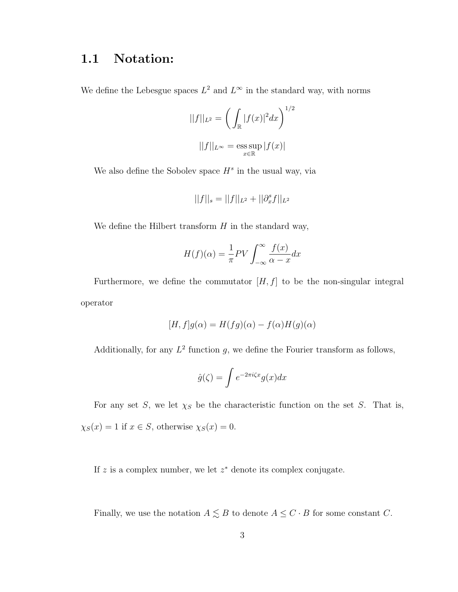### 1.1 Notation:

We define the Lebesgue spaces  $L^2$  and  $L^{\infty}$  in the standard way, with norms

$$
||f||_{L^2} = \left(\int_{\mathbb{R}} |f(x)|^2 dx\right)^{1/2}
$$

$$
||f||_{L^{\infty}} = \operatorname*{ess\,sup}_{x \in \mathbb{R}} |f(x)|
$$

We also define the Sobolev space  $H^s$  in the usual way, via

$$
||f||_s = ||f||_{L^2} + ||\partial_x^s f||_{L^2}
$$

We define the Hilbert transform  $H$  in the standard way,

$$
H(f)(\alpha) = \frac{1}{\pi}PV \int_{-\infty}^{\infty} \frac{f(x)}{\alpha - x} dx
$$

Furthermore, we define the commutator  $[H, f]$  to be the non-singular integral operator

$$
[H, f]g(\alpha) = H(fg)(\alpha) - f(\alpha)H(g)(\alpha)
$$

Additionally, for any  $L^2$  function g, we define the Fourier transform as follows,

$$
\hat{g}(\zeta) = \int e^{-2\pi i \zeta x} g(x) dx
$$

For any set S, we let  $\chi_S$  be the characteristic function on the set S. That is,  $\chi_S(x) = 1$  if  $x \in S$ , otherwise  $\chi_S(x) = 0$ .

If  $z$  is a complex number, we let  $z^*$  denote its complex conjugate.

Finally, we use the notation  $A \leq B$  to denote  $A \leq C \cdot B$  for some constant C.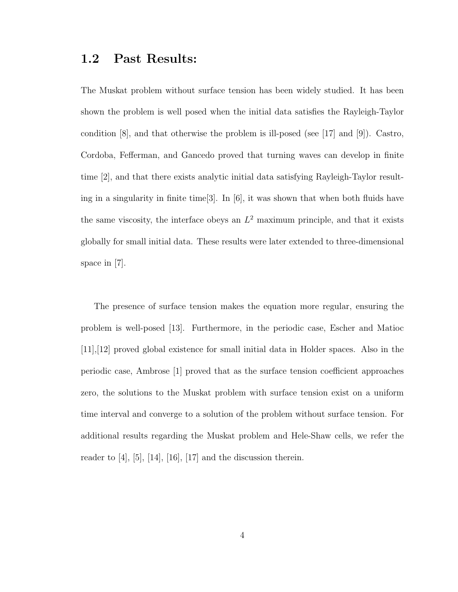### 1.2 Past Results:

The Muskat problem without surface tension has been widely studied. It has been shown the problem is well posed when the initial data satisfies the Rayleigh-Taylor condition  $[8]$ , and that otherwise the problem is ill-posed (see [17] and [9]). Castro, Cordoba, Fefferman, and Gancedo proved that turning waves can develop in finite time [2], and that there exists analytic initial data satisfying Rayleigh-Taylor resulting in a singularity in finite time  $[3]$ . In  $[6]$ , it was shown that when both fluids have the same viscosity, the interface obeys an  $L^2$  maximum principle, and that it exists globally for small initial data. These results were later extended to three-dimensional space in [7].

The presence of surface tension makes the equation more regular, ensuring the problem is well-posed [13]. Furthermore, in the periodic case, Escher and Matioc [11],[12] proved global existence for small initial data in Holder spaces. Also in the periodic case, Ambrose [1] proved that as the surface tension coefficient approaches zero, the solutions to the Muskat problem with surface tension exist on a uniform time interval and converge to a solution of the problem without surface tension. For additional results regarding the Muskat problem and Hele-Shaw cells, we refer the reader to  $\vert 4 \vert$ ,  $\vert 5 \vert$ ,  $\vert 14 \vert$ ,  $\vert 16 \vert$ ,  $\vert 17 \vert$  and the discussion therein.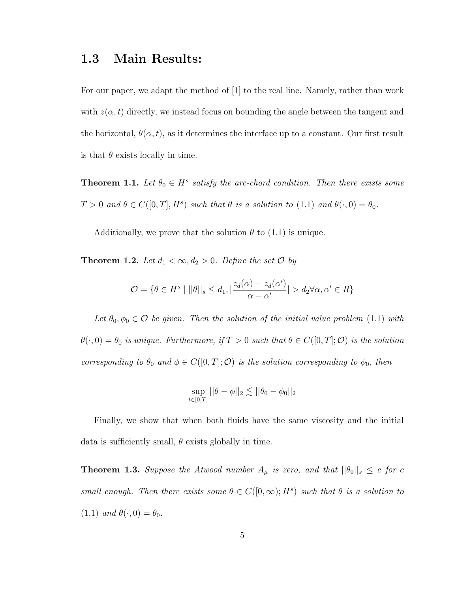### 1.3 Main Results:

For our paper, we adapt the method of [1] to the real line. Namely, rather than work with  $z(\alpha, t)$  directly, we instead focus on bounding the angle between the tangent and the horizontal,  $\theta(\alpha, t)$ , as it determines the interface up to a constant. Our first result is that  $\theta$  exists locally in time.

**Theorem 1.1.** Let  $\theta_0 \in H^s$  satisfy the arc-chord condition. Then there exists some  $T > 0$  and  $\theta \in C([0, T], H^s)$  such that  $\theta$  is a solution to  $(1.1)$  and  $\theta(\cdot, 0) = \theta_0$ .

Additionally, we prove that the solution  $\theta$  to (1.1) is unique.

**Theorem 1.2.** Let  $d_1 < \infty, d_2 > 0$ . Define the set  $\mathcal{O}$  by

$$
\mathcal{O} = \{ \theta \in H^s \mid ||\theta||_s \le d_1, \left| \frac{z_d(\alpha) - z_d(\alpha')}{\alpha - \alpha'} \right| > d_2 \forall \alpha, \alpha' \in R \}
$$

Let  $\theta_0, \phi_0 \in \mathcal{O}$  be given. Then the solution of the initial value problem (1.1) with  $\theta(\cdot, 0) = \theta_0$  is unique. Furthermore, if  $T > 0$  such that  $\theta \in C([0, T]; \mathcal{O})$  is the solution corresponding to  $\theta_0$  and  $\phi \in C([0,T];\mathcal{O})$  is the solution corresponding to  $\phi_0$ , then

$$
\sup_{t\in[0,T]}||\theta-\phi||_2 \lesssim ||\theta_0-\phi_0||_2
$$

Finally, we show that when both fluids have the same viscosity and the initial data is sufficiently small,  $\theta$  exists globally in time.

**Theorem 1.3.** Suppose the Atwood number  $A_{\mu}$  is zero, and that  $||\theta_0||_{s} \leq c$  for c small enough. Then there exists some  $\theta \in C([0,\infty); H^s)$  such that  $\theta$  is a solution to  $(1.1)$  and  $\theta(\cdot, 0) = \theta_0$ .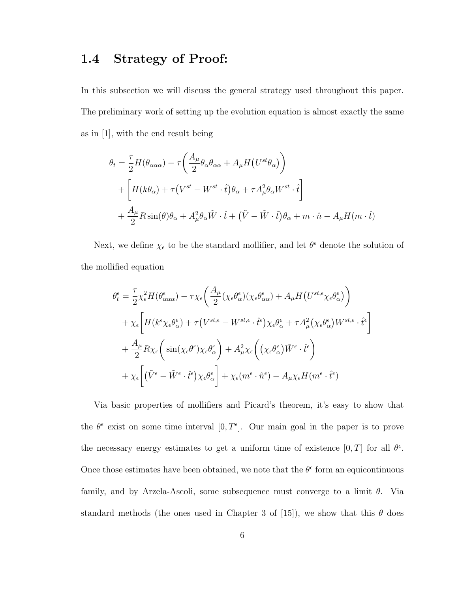### 1.4 Strategy of Proof:

In this subsection we will discuss the general strategy used throughout this paper. The preliminary work of setting up the evolution equation is almost exactly the same as in [1], with the end result being

$$
\theta_t = \frac{\tau}{2} H(\theta_{\alpha\alpha\alpha}) - \tau \left( \frac{A_\mu}{2} \theta_\alpha \theta_{\alpha\alpha} + A_\mu H(U^{st}\theta_\alpha) \right)
$$
  
+ 
$$
\left[ H(k\theta_\alpha) + \tau (V^{st} - W^{st} \cdot \hat{t}) \theta_\alpha + \tau A_\mu^2 \theta_\alpha W^{st} \cdot \hat{t} \right]
$$
  
+ 
$$
\frac{A_\mu}{2} R \sin(\theta) \theta_\alpha + A_\mu^2 \theta_\alpha \tilde{W} \cdot \hat{t} + (\tilde{V} - \tilde{W} \cdot \hat{t}) \theta_\alpha + m \cdot \hat{n} - A_\mu H(m \cdot \hat{t})
$$

Next, we define  $\chi_{\epsilon}$  to be the standard mollifier, and let  $\theta^{\epsilon}$  denote the solution of the mollified equation

$$
\theta_t^{\epsilon} = \frac{\tau}{2} \chi_{\epsilon}^2 H(\theta_{\alpha\alpha\alpha}^{\epsilon}) - \tau \chi_{\epsilon} \left( \frac{A_{\mu}}{2} (\chi_{\epsilon} \theta_{\alpha}^{\epsilon}) (\chi_{\epsilon} \theta_{\alpha\alpha}^{\epsilon}) + A_{\mu} H(U^{st,\epsilon} \chi_{\epsilon} \theta_{\alpha}^{\epsilon}) \right) \n+ \chi_{\epsilon} \left[ H(k^{\epsilon} \chi_{\epsilon} \theta_{\alpha}^{\epsilon}) + \tau (V^{st,\epsilon} - W^{st,\epsilon} \cdot \hat{t}^{\epsilon}) \chi_{\epsilon} \theta_{\alpha}^{\epsilon} + \tau A_{\mu}^2 (\chi_{\epsilon} \theta_{\alpha}^{\epsilon}) W^{st,\epsilon} \cdot \hat{t}^{\epsilon} \right] \n+ \frac{A_{\mu}}{2} R \chi_{\epsilon} \left( \sin(\chi_{\epsilon} \theta^{\epsilon}) \chi_{\epsilon} \theta_{\alpha}^{\epsilon} \right) + A_{\mu}^2 \chi_{\epsilon} \left( (\chi_{\epsilon} \theta_{\alpha}^{\epsilon}) \tilde{W}^{\epsilon} \cdot \hat{t}^{\epsilon} \right) \n+ \chi_{\epsilon} \left[ (\tilde{V}^{\epsilon} - \tilde{W}^{\epsilon} \cdot \hat{t}^{\epsilon}) \chi_{\epsilon} \theta_{\alpha}^{\epsilon} \right] + \chi_{\epsilon} (m^{\epsilon} \cdot \hat{n}^{\epsilon}) - A_{\mu} \chi_{\epsilon} H(m^{\epsilon} \cdot \hat{t}^{\epsilon})
$$

Via basic properties of mollifiers and Picard's theorem, it's easy to show that the  $\theta^{\epsilon}$  exist on some time interval  $[0, T^{\epsilon}]$ . Our main goal in the paper is to prove the necessary energy estimates to get a uniform time of existence  $[0, T]$  for all  $\theta^{\epsilon}$ . Once those estimates have been obtained, we note that the  $\theta^{\epsilon}$  form an equicontinuous family, and by Arzela-Ascoli, some subsequence must converge to a limit  $\theta$ . Via standard methods (the ones used in Chapter 3 of [15]), we show that this  $\theta$  does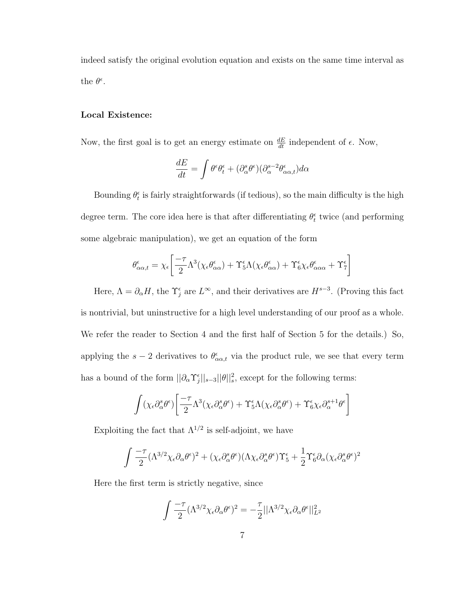indeed satisfy the original evolution equation and exists on the same time interval as the  $\theta^{\epsilon}$ .

#### Local Existence:

Now, the first goal is to get an energy estimate on  $\frac{dE}{dt}$  independent of  $\epsilon$ . Now,

$$
\frac{dE}{dt} = \int \theta^{\epsilon} \theta^{\epsilon}_t + (\partial^s_{\alpha} \theta^{\epsilon}) (\partial^{s-2}_{\alpha} \theta^{\epsilon}_{\alpha \alpha, t}) d\alpha
$$

Bounding  $\theta_t^{\epsilon}$  is fairly straightforwards (if tedious), so the main difficulty is the high degree term. The core idea here is that after differentiating  $\theta_t^{\epsilon}$  twice (and performing some algebraic manipulation), we get an equation of the form

$$
\theta^\epsilon_{\alpha\alpha,t} = \chi_\epsilon \bigg[\frac{-\tau}{2} \Lambda^3(\chi_\epsilon \theta^\epsilon_{\alpha\alpha}) + \Upsilon^\epsilon_5 \Lambda(\chi_\epsilon \theta^\epsilon_{\alpha\alpha}) + \Upsilon^\epsilon_6 \chi_\epsilon \theta^\epsilon_{\alpha\alpha\alpha} + \Upsilon^\epsilon_7 \bigg]
$$

Here,  $\Lambda = \partial_{\alpha}H$ , the  $\Upsilon_j^{\epsilon}$  are  $L^{\infty}$ , and their derivatives are  $H^{s-3}$ . (Proving this fact is nontrivial, but uninstructive for a high level understanding of our proof as a whole. We refer the reader to Section 4 and the first half of Section 5 for the details.) So, applying the s – 2 derivatives to  $\theta_{\alpha\alpha,t}^{\epsilon}$  via the product rule, we see that every term has a bound of the form  $||\partial_{\alpha} \Upsilon_j^{\epsilon}||_{s-3} ||\theta||_s^2$ , except for the following terms:

$$
\int (\chi_\epsilon \partial_\alpha^s \theta^\epsilon) \left[ \frac{-\tau}{2} \Lambda^3 (\chi_\epsilon \partial_\alpha^s \theta^\epsilon) + \Upsilon_5^\epsilon \Lambda (\chi_\epsilon \partial_\alpha^s \theta^\epsilon) + \Upsilon_6^\epsilon \chi_\epsilon \partial_\alpha^{s+1} \theta^\epsilon \right]
$$

Exploiting the fact that  $\Lambda^{1/2}$  is self-adjoint, we have

$$
\int \frac{-\tau}{2} (\Lambda^{3/2} \chi_{\epsilon} \partial_{\alpha} \theta^{\epsilon})^2 + (\chi_{\epsilon} \partial_{\alpha}^s \theta^{\epsilon}) (\Lambda \chi_{\epsilon} \partial_{\alpha}^s \theta^{\epsilon}) \Upsilon_5^{\epsilon} + \frac{1}{2} \Upsilon_6^{\epsilon} \partial_{\alpha} (\chi_{\epsilon} \partial_{\alpha}^s \theta^{\epsilon})^2
$$

Here the first term is strictly negative, since

$$
\int \frac{-\tau}{2} (\Lambda^{3/2} \chi_{\epsilon} \partial_{\alpha} \theta^{\epsilon})^2 = -\frac{\tau}{2} ||\Lambda^{3/2} \chi_{\epsilon} \partial_{\alpha} \theta^{\epsilon}||_{L^2}^2
$$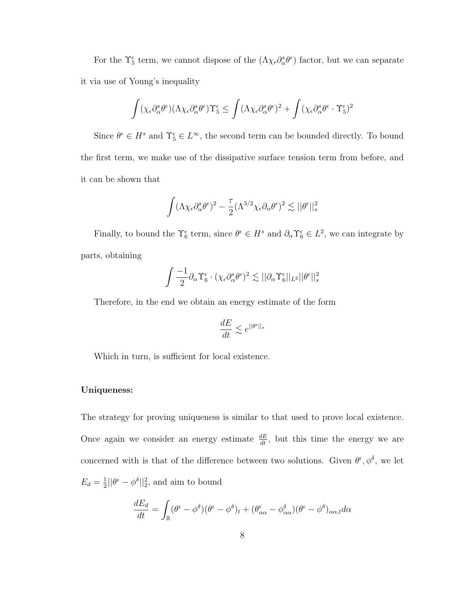For the  $\Upsilon_5^{\epsilon}$  term, we cannot dispose of the  $(\Lambda \chi_{\epsilon} \partial_{\alpha}^s \theta^{\epsilon})$  factor, but we can separate it via use of Young's inequality

$$
\int (\chi_\epsilon \partial_\alpha^s \theta^\epsilon) (\Lambda \chi_\epsilon \partial_\alpha^s \theta^\epsilon) \Upsilon_5^\epsilon \leq \int (\Lambda \chi_\epsilon \partial_\alpha^s \theta^\epsilon)^2 + \int (\chi_\epsilon \partial_\alpha^s \theta^\epsilon \cdot \Upsilon_5^\epsilon)^2
$$

Since  $\theta^{\epsilon} \in H^s$  and  $\Upsilon_5^{\epsilon} \in L^{\infty}$ , the second term can be bounded directly. To bound the first term, we make use of the dissipative surface tension term from before, and it can be shown that

$$
\int (\Lambda \chi_\epsilon \partial_\alpha^s \theta^\epsilon)^2 - \frac{\tau}{2} (\Lambda^{3/2} \chi_\epsilon \partial_\alpha \theta^\epsilon)^2 \lesssim ||\theta^\epsilon||_s^2
$$

Finally, to bound the  $\Upsilon_6^{\epsilon}$  term, since  $\theta^{\epsilon} \in H^s$  and  $\partial_{\alpha} \Upsilon_6^{\epsilon} \in L^2$ , we can integrate by parts, obtaining

$$
\int \frac{-1}{2} \partial_{\alpha} \Upsilon_6^{\epsilon} \cdot (\chi_{\epsilon} \partial_{\alpha}^s \theta^{\epsilon})^2 \lesssim ||\partial_{\alpha} \Upsilon_6^{\epsilon}||_{L^2} ||\theta^{\epsilon}||_s^2
$$

Therefore, in the end we obtain an energy estimate of the form

$$
\frac{dE}{dt}\lesssim e^{||\theta^\epsilon||_s}
$$

Which in turn, is sufficient for local existence.

#### Uniqueness:

The strategy for proving uniqueness is similar to that used to prove local existence. Once again we consider an energy estimate  $\frac{dE}{dt}$ , but this time the energy we are concerned with is that of the difference between two solutions. Given  $\theta^{\epsilon}, \phi^{\delta}$ , we let  $E_d=\frac{1}{2}$  $\frac{1}{2} ||\theta^{\epsilon} - \phi^{\delta}||_2^2$ , and aim to bound

$$
\frac{dE_d}{dt} = \int_{\mathbb{R}} (\theta^{\epsilon} - \phi^{\delta})(\theta^{\epsilon} - \phi^{\delta})_t + (\theta^{\epsilon}_{\alpha\alpha} - \phi^{\delta}_{\alpha\alpha})(\theta^{\epsilon} - \phi^{\delta})_{\alpha\alpha,t} d\alpha
$$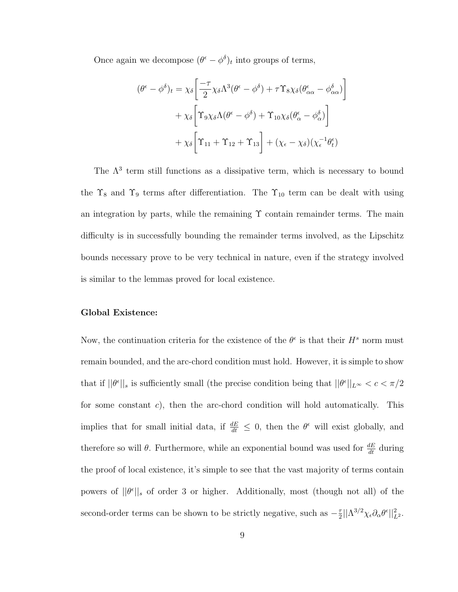Once again we decompose  $(\theta^{\epsilon} - \phi^{\delta})_t$  into groups of terms,

$$
(\theta^{\epsilon} - \phi^{\delta})_{t} = \chi_{\delta} \left[ \frac{-\tau}{2} \chi_{\delta} \Lambda^{3} (\theta^{\epsilon} - \phi^{\delta}) + \tau \Upsilon_{8} \chi_{\delta} (\theta^{\epsilon}_{\alpha \alpha} - \phi^{\delta}_{\alpha \alpha}) \right] + \chi_{\delta} \left[ \Upsilon_{9} \chi_{\delta} \Lambda (\theta^{\epsilon} - \phi^{\delta}) + \Upsilon_{10} \chi_{\delta} (\theta^{\epsilon}_{\alpha} - \phi^{\delta}_{\alpha}) \right] + \chi_{\delta} \left[ \Upsilon_{11} + \Upsilon_{12} + \Upsilon_{13} \right] + (\chi_{\epsilon} - \chi_{\delta}) (\chi_{\epsilon}^{-1} \theta^{\epsilon}_{t})
$$

The  $\Lambda^3$  term still functions as a dissipative term, which is necessary to bound the  $\Upsilon_8$  and  $\Upsilon_9$  terms after differentiation. The  $\Upsilon_{10}$  term can be dealt with using an integration by parts, while the remaining  $\Upsilon$  contain remainder terms. The main difficulty is in successfully bounding the remainder terms involved, as the Lipschitz bounds necessary prove to be very technical in nature, even if the strategy involved is similar to the lemmas proved for local existence.

#### Global Existence:

Now, the continuation criteria for the existence of the  $\theta^{\epsilon}$  is that their  $H^{s}$  norm must remain bounded, and the arc-chord condition must hold. However, it is simple to show that if  $||\theta^{\epsilon}||_{s}$  is sufficiently small (the precise condition being that  $||\theta^{\epsilon}||_{L^{\infty}} < c < \pi/2$ for some constant c), then the arc-chord condition will hold automatically. This implies that for small initial data, if  $\frac{dE}{dt} \leq 0$ , then the  $\theta^{\epsilon}$  will exist globally, and therefore so will  $\theta$ . Furthermore, while an exponential bound was used for  $\frac{dE}{dt}$  during the proof of local existence, it's simple to see that the vast majority of terms contain powers of  $||\theta^{\epsilon}||_{s}$  of order 3 or higher. Additionally, most (though not all) of the second-order terms can be shown to be strictly negative, such as  $-\frac{7}{9}$  $\frac{\tau}{2}||\Lambda^{3/2}\chi_\epsilon\partial_\alpha\theta^\epsilon||^2_{L^2}.$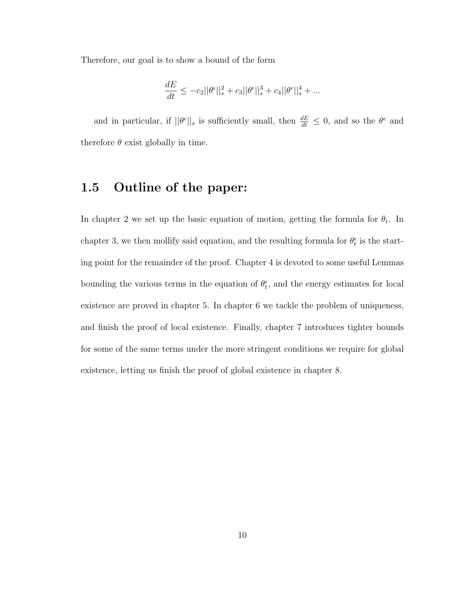Therefore, our goal is to show a bound of the form

$$
\frac{dE}{dt} \le -c_2||\theta^{\epsilon}||_s^2 + c_3||\theta^{\epsilon}||_s^3 + c_4||\theta^{\epsilon}||_s^4 + \dots
$$

and in particular, if  $||\theta^{\epsilon}||_s$  is sufficiently small, then  $\frac{dE}{dt} \leq 0$ , and so the  $\theta^{\epsilon}$  and therefore  $\theta$  exist globally in time.

### 1.5 Outline of the paper:

In chapter 2 we set up the basic equation of motion, getting the formula for  $\theta_t$ . In chapter 3, we then mollify said equation, and the resulting formula for  $\theta_t^{\epsilon}$  is the starting point for the remainder of the proof. Chapter 4 is devoted to some useful Lemmas bounding the various terms in the equation of  $\theta_t^{\epsilon}$ , and the energy estimates for local existence are proved in chapter 5. In chapter 6 we tackle the problem of uniqueness, and finish the proof of local existence. Finally, chapter 7 introduces tighter bounds for some of the same terms under the more stringent conditions we require for global existence, letting us finish the proof of global existence in chapter 8.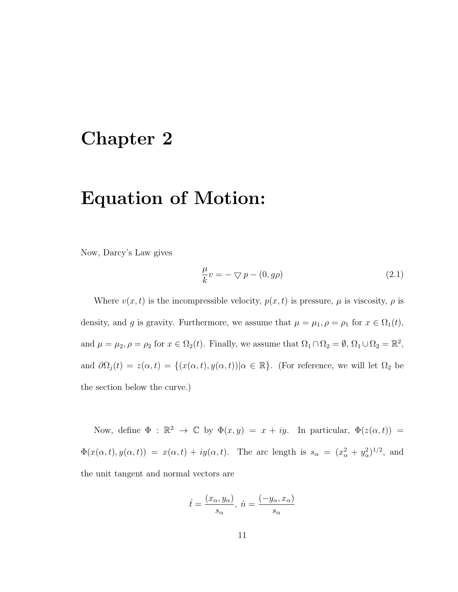## Chapter 2

## Equation of Motion:

Now, Darcy's Law gives

$$
\frac{\mu}{k}v = -\nabla p - (0, g\rho) \tag{2.1}
$$

Where  $v(x, t)$  is the incompressible velocity,  $p(x, t)$  is pressure,  $\mu$  is viscosity,  $\rho$  is density, and g is gravity. Furthermore, we assume that  $\mu = \mu_1, \rho = \rho_1$  for  $x \in \Omega_1(t)$ , and  $\mu = \mu_2, \rho = \rho_2$  for  $x \in \Omega_2(t)$ . Finally, we assume that  $\Omega_1 \cap \Omega_2 = \emptyset$ ,  $\Omega_1 \cup \Omega_2 = \mathbb{R}^2$ , and  $\partial\Omega_j(t) = z(\alpha, t) = \{(x(\alpha, t), y(\alpha, t)) | \alpha \in \mathbb{R}\}.$  (For reference, we will let  $\Omega_2$  be the section below the curve.)

Now, define  $\Phi : \mathbb{R}^2 \to \mathbb{C}$  by  $\Phi(x, y) = x + iy$ . In particular,  $\Phi(z(\alpha, t)) =$  $\Phi(x(\alpha, t), y(\alpha, t)) = x(\alpha, t) + iy(\alpha, t)$ . The arc length is  $s_{\alpha} = (x_{\alpha}^2 + y_{\alpha}^2)^{1/2}$ , and the unit tangent and normal vectors are

$$
\hat{t} = \frac{(x_{\alpha}, y_{\alpha})}{s_{\alpha}}, \ \hat{n} = \frac{(-y_{\alpha}, x_{\alpha})}{s_{\alpha}}
$$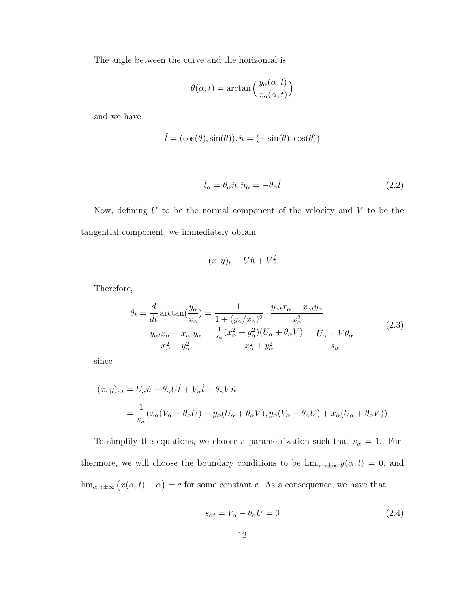The angle between the curve and the horizontal is

$$
\theta(\alpha, t) = \arctan\left(\frac{y_{\alpha}(\alpha, t)}{x_{\alpha}(\alpha, t)}\right)
$$

and we have

$$
\hat{t} = (\cos(\theta), \sin(\theta)), \hat{n} = (-\sin(\theta), \cos(\theta))
$$

$$
\hat{t}_{\alpha} = \theta_{\alpha}\hat{n}, \hat{n}_{\alpha} = -\theta_{\alpha}\hat{t}
$$
\n(2.2)

Now, defining  $U$  to be the normal component of the velocity and  $V$  to be the tangential component, we immediately obtain

$$
(x, y)_t = U\hat{n} + V\hat{t}
$$

Therefore,

$$
\theta_t = \frac{d}{dt} \arctan(\frac{y_\alpha}{x_\alpha}) = \frac{1}{1 + (y_\alpha/x_\alpha)^2} \cdot \frac{y_{\alpha t} x_\alpha - x_{\alpha t} y_\alpha}{x_\alpha^2}
$$
\n
$$
= \frac{y_{\alpha t} x_\alpha - x_{\alpha t} y_\alpha}{x_\alpha^2 + y_\alpha^2} = \frac{\frac{1}{s_\alpha} (x_\alpha^2 + y_\alpha^2)(U_\alpha + \theta_\alpha V)}{x_\alpha^2 + y_\alpha^2} = \frac{U_\alpha + V\theta_\alpha}{s_\alpha} \tag{2.3}
$$

since

$$
(x, y)_{\alpha t} = U_{\alpha} \hat{n} - \theta_{\alpha} U \hat{t} + V_{\alpha} \hat{t} + \theta_{\alpha} V \hat{n}
$$
  
= 
$$
\frac{1}{s_{\alpha}} (x_{\alpha} (V_{\alpha} - \theta_{\alpha} U) - y_{\alpha} (U_{\alpha} + \theta_{\alpha} V), y_{\alpha} (V_{\alpha} - \theta_{\alpha} U) + x_{\alpha} (U_{\alpha} + \theta_{\alpha} V))
$$

To simplify the equations, we choose a parametrization such that  $s_{\alpha} = 1$ . Furthermore, we will choose the boundary conditions to be  $\lim_{\alpha \to \pm \infty} y(\alpha, t) = 0$ , and  $\lim_{\alpha \to \pm \infty} (x(\alpha, t) - \alpha) = c$  for some constant c. As a consequence, we have that

$$
s_{\alpha t} = V_{\alpha} - \theta_{\alpha} U = 0 \tag{2.4}
$$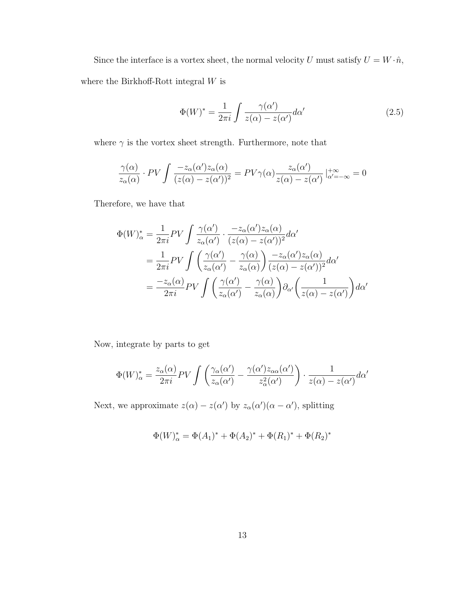Since the interface is a vortex sheet, the normal velocity  $U$  must satisfy  $U=W\cdot \hat{n},$ where the Birkhoff-Rott integral W is

$$
\Phi(W)^* = \frac{1}{2\pi i} \int \frac{\gamma(\alpha')}{z(\alpha) - z(\alpha')} d\alpha'
$$
 (2.5)

where  $\gamma$  is the vortex sheet strength. Furthermore, note that

$$
\frac{\gamma(\alpha)}{z_{\alpha}(\alpha)} \cdot PV \int \frac{-z_{\alpha}(\alpha')z_{\alpha}(\alpha)}{(z(\alpha)-z(\alpha'))^2} = PV \gamma(\alpha) \frac{z_{\alpha}(\alpha')}{z(\alpha)-z(\alpha')} \Big|_{\alpha'=-\infty}^{+\infty} = 0
$$

Therefore, we have that

$$
\Phi(W)_{\alpha}^{*} = \frac{1}{2\pi i} PV \int \frac{\gamma(\alpha')}{z_{\alpha}(\alpha')} \cdot \frac{-z_{\alpha}(\alpha')z_{\alpha}(\alpha)}{(z(\alpha) - z(\alpha'))^{2}} d\alpha'
$$
  
\n
$$
= \frac{1}{2\pi i} PV \int \left(\frac{\gamma(\alpha')}{z_{\alpha}(\alpha')} - \frac{\gamma(\alpha)}{z_{\alpha}(\alpha)}\right) \frac{-z_{\alpha}(\alpha')z_{\alpha}(\alpha)}{(z(\alpha) - z(\alpha'))^{2}} d\alpha'
$$
  
\n
$$
= \frac{-z_{\alpha}(\alpha)}{2\pi i} PV \int \left(\frac{\gamma(\alpha')}{z_{\alpha}(\alpha')} - \frac{\gamma(\alpha)}{z_{\alpha}(\alpha)}\right) \partial_{\alpha'} \left(\frac{1}{z(\alpha) - z(\alpha')}\right) d\alpha'
$$

Now, integrate by parts to get

$$
\Phi(W)_{\alpha}^{*} = \frac{z_{\alpha}(\alpha)}{2\pi i} PV \int \left( \frac{\gamma_{\alpha}(\alpha')}{z_{\alpha}(\alpha')} - \frac{\gamma(\alpha')z_{\alpha\alpha}(\alpha')}{z_{\alpha}^{2}(\alpha')} \right) \cdot \frac{1}{z(\alpha) - z(\alpha')} d\alpha'
$$

Next, we approximate  $z(\alpha) - z(\alpha')$  by  $z_{\alpha}(\alpha')(\alpha - \alpha')$ , splitting

$$
\Phi(W)_{\alpha}^* = \Phi(A_1)^* + \Phi(A_2)^* + \Phi(R_1)^* + \Phi(R_2)^*
$$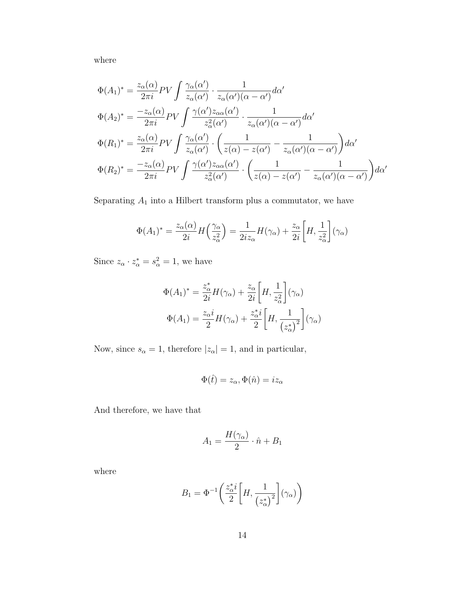where

$$
\Phi(A_1)^* = \frac{z_{\alpha}(\alpha)}{2\pi i} PV \int \frac{\gamma_{\alpha}(\alpha')}{z_{\alpha}(\alpha')} \cdot \frac{1}{z_{\alpha}(\alpha')(\alpha - \alpha')} d\alpha'
$$
  
\n
$$
\Phi(A_2)^* = \frac{-z_{\alpha}(\alpha)}{2\pi i} PV \int \frac{\gamma(\alpha') z_{\alpha\alpha}(\alpha')}{z_{\alpha}^2(\alpha')} \cdot \frac{1}{z_{\alpha}(\alpha')(\alpha - \alpha')} d\alpha'
$$
  
\n
$$
\Phi(R_1)^* = \frac{z_{\alpha}(\alpha)}{2\pi i} PV \int \frac{\gamma_{\alpha}(\alpha')}{z_{\alpha}(\alpha')} \cdot \left(\frac{1}{z(\alpha) - z(\alpha')} - \frac{1}{z_{\alpha}(\alpha')(\alpha - \alpha')}\right) d\alpha'
$$
  
\n
$$
\Phi(R_2)^* = \frac{-z_{\alpha}(\alpha)}{2\pi i} PV \int \frac{\gamma(\alpha') z_{\alpha\alpha}(\alpha')}{z_{\alpha}^2(\alpha')} \cdot \left(\frac{1}{z(\alpha) - z(\alpha')} - \frac{1}{z_{\alpha}(\alpha')(\alpha - \alpha')}\right) d\alpha'
$$

Separating  ${\cal A}_1$  into a Hilbert transform plus a commutator, we have

$$
\Phi(A_1)^* = \frac{z_\alpha(\alpha)}{2i} H\left(\frac{\gamma_\alpha}{z_\alpha^2}\right) = \frac{1}{2i z_\alpha} H(\gamma_\alpha) + \frac{z_\alpha}{2i} \left[H, \frac{1}{z_\alpha^2}\right](\gamma_\alpha)
$$

Since  $z_{\alpha} \cdot z_{\alpha}^* = s_{\alpha}^2 = 1$ , we have

$$
\Phi(A_1)^* = \frac{z_\alpha^*}{2i} H(\gamma_\alpha) + \frac{z_\alpha}{2i} \left[ H, \frac{1}{z_\alpha^2} \right] (\gamma_\alpha)
$$

$$
\Phi(A_1) = \frac{z_\alpha i}{2} H(\gamma_\alpha) + \frac{z_\alpha^* i}{2} \left[ H, \frac{1}{\left( z_\alpha^* \right)^2} \right] (\gamma_\alpha)
$$

Now, since  $s_{\alpha} = 1$ , therefore  $|z_{\alpha}| = 1$ , and in particular,

$$
\Phi(\hat{t}) = z_{\alpha}, \Phi(\hat{n}) = iz_{\alpha}
$$

And therefore, we have that

$$
A_1 = \frac{H(\gamma_\alpha)}{2} \cdot \hat{n} + B_1
$$

where

$$
B_1 = \Phi^{-1}\bigg(\frac{z^*_\alpha i}{2}\bigg[H, \frac{1}{\big(z^*_\alpha\big)^2}\bigg](\gamma_\alpha)\bigg)
$$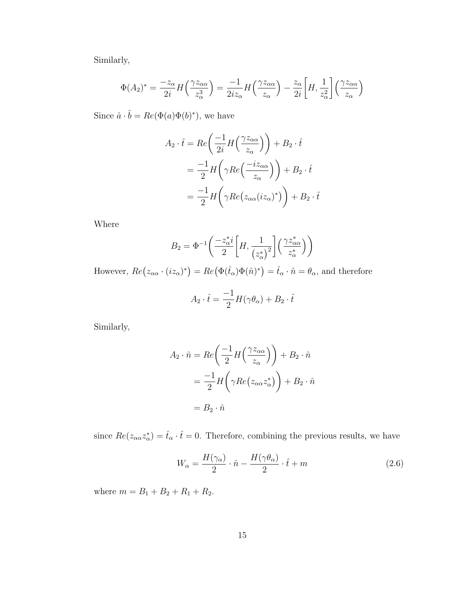Similarly,

$$
\Phi(A_2)^* = \frac{-z_\alpha}{2i} H\left(\frac{\gamma z_{\alpha\alpha}}{z_\alpha^3}\right) = \frac{-1}{2iz_\alpha} H\left(\frac{\gamma z_{\alpha\alpha}}{z_\alpha}\right) - \frac{z_\alpha}{2i} \left[H, \frac{1}{z_\alpha^2}\right] \left(\frac{\gamma z_{\alpha\alpha}}{z_\alpha}\right)
$$

Since  $\hat{a} \cdot \hat{b} = Re(\Phi(a)\Phi(b)^*)$ , we have

$$
A_2 \cdot \hat{t} = Re\left(\frac{-1}{2i}H\left(\frac{\gamma z_{\alpha \alpha}}{z_{\alpha}}\right)\right) + B_2 \cdot \hat{t}
$$
  
= 
$$
\frac{-1}{2}H\left(\gamma Re\left(\frac{-iz_{\alpha \alpha}}{z_{\alpha}}\right)\right) + B_2 \cdot \hat{t}
$$
  
= 
$$
\frac{-1}{2}H\left(\gamma Re(z_{\alpha \alpha}(iz_{\alpha})^*)\right) + B_2 \cdot \hat{t}
$$

Where

$$
B_2 = \Phi^{-1}\left(\frac{-z^*_{\alpha}i}{2}\left[H, \frac{1}{\left(z^*_{\alpha}\right)^2}\right]\left(\frac{\gamma z^*_{\alpha\alpha}}{z^*_{\alpha}}\right)\right)
$$

However,  $Re(z_{\alpha\alpha} \cdot (iz_{\alpha})^*) = Re(\Phi(\hat{t}_{\alpha})\Phi(\hat{n})^*) = \hat{t}_{\alpha} \cdot \hat{n} = \theta_{\alpha}$ , and therefore

$$
A_2 \cdot \hat{t} = \frac{-1}{2} H(\gamma \theta_\alpha) + B_2 \cdot \hat{t}
$$

Similarly,

$$
A_2 \cdot \hat{n} = Re\left(\frac{-1}{2}H\left(\frac{\gamma z_{\alpha \alpha}}{z_{\alpha}}\right)\right) + B_2 \cdot \hat{n}
$$

$$
= \frac{-1}{2}H\left(\gamma Re(z_{\alpha \alpha} z_{\alpha}^*)\right) + B_2 \cdot \hat{n}
$$

$$
= B_2 \cdot \hat{n}
$$

since  $Re(z_{\alpha\alpha}z_{\alpha}^*)=\hat{t}_{\alpha}\cdot\hat{t}=0$ . Therefore, combining the previous results, we have

$$
W_{\alpha} = \frac{H(\gamma_{\alpha})}{2} \cdot \hat{n} - \frac{H(\gamma \theta_{\alpha})}{2} \cdot \hat{t} + m \tag{2.6}
$$

where  $m = B_1 + B_2 + R_1 + R_2$ .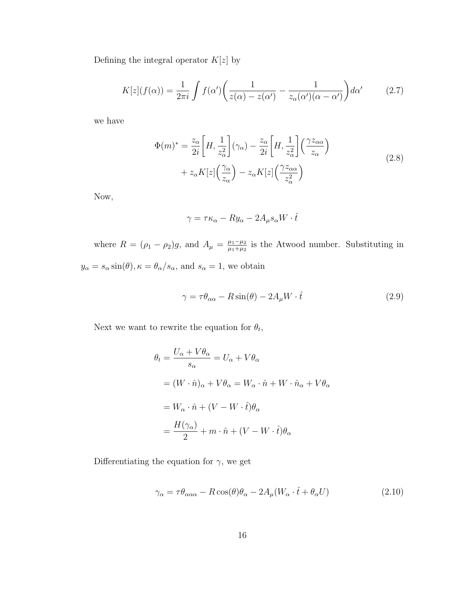Defining the integral operator  $K[z]$  by

$$
K[z](f(\alpha)) = \frac{1}{2\pi i} \int f(\alpha') \left( \frac{1}{z(\alpha) - z(\alpha')} - \frac{1}{z_{\alpha}(\alpha')(\alpha - \alpha')} \right) d\alpha' \tag{2.7}
$$

we have

$$
\Phi(m)^{*} = \frac{z_{\alpha}}{2i} \left[ H, \frac{1}{z_{\alpha}^{2}} \right] (\gamma_{\alpha}) - \frac{z_{\alpha}}{2i} \left[ H, \frac{1}{z_{\alpha}^{2}} \right] \left( \frac{\gamma z_{\alpha \alpha}}{z_{\alpha}} \right)
$$

$$
+ z_{\alpha} K[z] \left( \frac{\gamma_{\alpha}}{z_{\alpha}} \right) - z_{\alpha} K[z] \left( \frac{\gamma z_{\alpha \alpha}}{z_{\alpha}^{2}} \right)
$$
(2.8)

Now,

$$
\gamma = \tau \kappa_{\alpha} - R y_{\alpha} - 2A_{\mu} s_{\alpha} W \cdot \hat{t}
$$

where  $R = (\rho_1 - \rho_2)g$ , and  $A_{\mu} = \frac{\mu_1 - \mu_2}{\mu_1 + \mu_2}$  $\frac{\mu_1 - \mu_2}{\mu_1 + \mu_2}$  is the Atwood number. Substituting in  $y_{\alpha} = s_{\alpha} \sin(\theta), \kappa = \theta_{\alpha}/s_{\alpha}$ , and  $s_{\alpha} = 1$ , we obtain

$$
\gamma = \tau \theta_{\alpha\alpha} - R\sin(\theta) - 2A_{\mu}W \cdot \hat{t}
$$
\n(2.9)

Next we want to rewrite the equation for  $\theta_t$ ,

$$
\theta_t = \frac{U_\alpha + V\theta_\alpha}{s_\alpha} = U_\alpha + V\theta_\alpha
$$
  
=  $(W \cdot \hat{n})_\alpha + V\theta_\alpha = W_\alpha \cdot \hat{n} + W \cdot \hat{n}_\alpha + V\theta_\alpha$   
=  $W_\alpha \cdot \hat{n} + (V - W \cdot \hat{t})\theta_\alpha$   
=  $\frac{H(\gamma_\alpha)}{2} + m \cdot \hat{n} + (V - W \cdot \hat{t})\theta_\alpha$ 

Differentiating the equation for  $\gamma,$  we get

$$
\gamma_{\alpha} = \tau \theta_{\alpha \alpha \alpha} - R \cos(\theta) \theta_{\alpha} - 2A_{\mu} (W_{\alpha} \cdot \hat{t} + \theta_{\alpha} U) \tag{2.10}
$$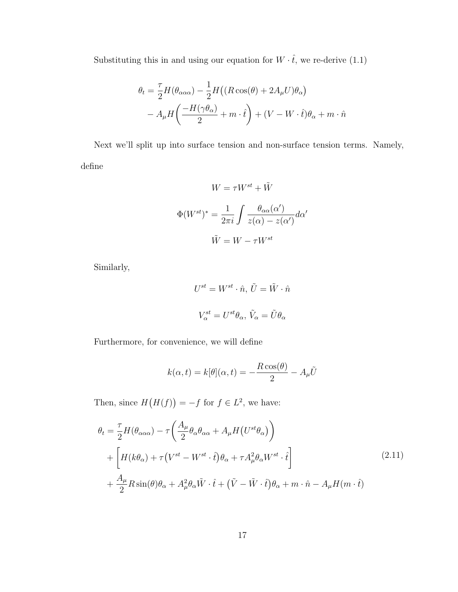Substituting this in and using our equation for  $W \cdot \hat{t}$ , we re-derive (1.1)

$$
\theta_t = \frac{\tau}{2} H(\theta_{\alpha\alpha\alpha}) - \frac{1}{2} H((R \cos(\theta) + 2A_\mu U)\theta_\alpha)
$$

$$
- A_\mu H\left(\frac{-H(\gamma\theta_\alpha)}{2} + m \cdot \hat{t}\right) + (V - W \cdot \hat{t})\theta_\alpha + m \cdot \hat{n}
$$

Next we'll split up into surface tension and non-surface tension terms. Namely, define

$$
W = \tau W^{st} + \tilde{W}
$$

$$
\Phi(W^{st})^* = \frac{1}{2\pi i} \int \frac{\theta_{\alpha\alpha}(\alpha')}{z(\alpha) - z(\alpha')} d\alpha'
$$

$$
\tilde{W} = W - \tau W^{st}
$$

Similarly,

$$
U^{st} = W^{st} \cdot \hat{n}, \tilde{U} = \tilde{W} \cdot \hat{n}
$$

$$
V_{\alpha}^{st} = U^{st} \theta_{\alpha}, \tilde{V}_{\alpha} = \tilde{U} \theta_{\alpha}
$$

Furthermore, for convenience, we will define

$$
k(\alpha, t) = k[\theta](\alpha, t) = -\frac{R\cos(\theta)}{2} - A_{\mu}\tilde{U}
$$

Then, since  $H(H(f)) = -f$  for  $f \in L^2$ , we have:

$$
\theta_t = \frac{\tau}{2} H(\theta_{\alpha\alpha\alpha}) - \tau \left( \frac{A_\mu}{2} \theta_\alpha \theta_{\alpha\alpha} + A_\mu H(U^{st}\theta_\alpha) \right)
$$
  
+ 
$$
\left[ H(k\theta_\alpha) + \tau (V^{st} - W^{st} \cdot \hat{t}) \theta_\alpha + \tau A_\mu^2 \theta_\alpha W^{st} \cdot \hat{t} \right]
$$
  
+ 
$$
\frac{A_\mu}{2} R \sin(\theta) \theta_\alpha + A_\mu^2 \theta_\alpha \tilde{W} \cdot \hat{t} + (\tilde{V} - \tilde{W} \cdot \hat{t}) \theta_\alpha + m \cdot \hat{n} - A_\mu H(m \cdot \hat{t})
$$
 (2.11)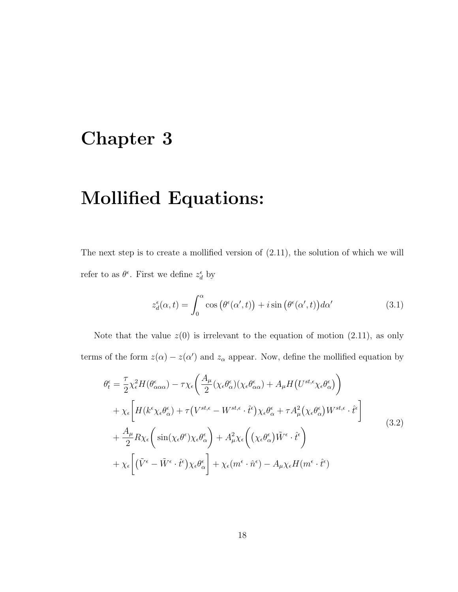## Chapter 3

# Mollified Equations:

The next step is to create a mollified version of (2.11), the solution of which we will refer to as  $\theta^{\epsilon}$ . First we define  $z_d^{\epsilon}$  by

$$
z_d^{\epsilon}(\alpha, t) = \int_0^{\alpha} \cos \left(\theta^{\epsilon}(\alpha', t)\right) + i \sin \left(\theta^{\epsilon}(\alpha', t)\right) d\alpha' \tag{3.1}
$$

Note that the value  $z(0)$  is irrelevant to the equation of motion  $(2.11)$ , as only terms of the form  $z(\alpha) - z(\alpha')$  and  $z_\alpha$  appear. Now, define the mollified equation by

$$
\theta_{t}^{\epsilon} = \frac{\tau}{2} \chi_{\epsilon}^{2} H(\theta_{\alpha\alpha\alpha}^{\epsilon}) - \tau \chi_{\epsilon} \left( \frac{A_{\mu}}{2} (\chi_{\epsilon} \theta_{\alpha}^{\epsilon}) (\chi_{\epsilon} \theta_{\alpha\alpha}^{\epsilon}) + A_{\mu} H(U^{st,\epsilon} \chi_{\epsilon} \theta_{\alpha}^{\epsilon}) \right) \n+ \chi_{\epsilon} \left[ H(k^{\epsilon} \chi_{\epsilon} \theta_{\alpha}^{\epsilon}) + \tau (V^{st,\epsilon} - W^{st,\epsilon} \cdot \hat{t}^{\epsilon}) \chi_{\epsilon} \theta_{\alpha}^{\epsilon} + \tau A_{\mu}^{2} (\chi_{\epsilon} \theta_{\alpha}^{\epsilon}) W^{st,\epsilon} \cdot \hat{t}^{\epsilon} \right] \n+ \frac{A_{\mu}}{2} R \chi_{\epsilon} \left( \sin(\chi_{\epsilon} \theta^{\epsilon}) \chi_{\epsilon} \theta_{\alpha}^{\epsilon} \right) + A_{\mu}^{2} \chi_{\epsilon} \left( (\chi_{\epsilon} \theta_{\alpha}^{\epsilon}) \tilde{W}^{\epsilon} \cdot \hat{t}^{\epsilon} \right) \n+ \chi_{\epsilon} \left[ (\tilde{V}^{\epsilon} - \tilde{W}^{\epsilon} \cdot \hat{t}^{\epsilon}) \chi_{\epsilon} \theta_{\alpha}^{\epsilon} \right] + \chi_{\epsilon} (m^{\epsilon} \cdot \hat{n}^{\epsilon}) - A_{\mu} \chi_{\epsilon} H(m^{\epsilon} \cdot \hat{t}^{\epsilon})
$$
\n(3.2)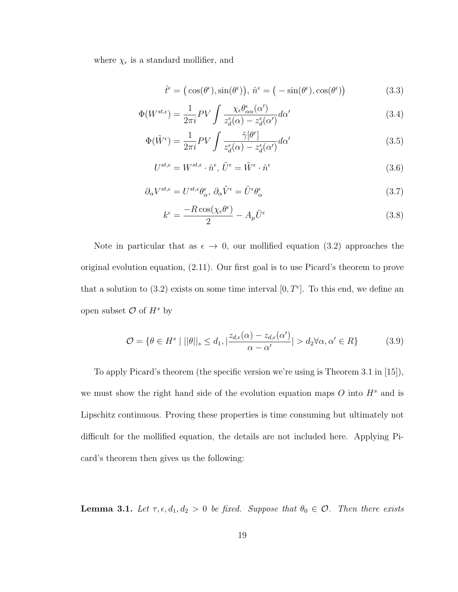where  $\chi_{\epsilon}$  is a standard mollifier, and

$$
\hat{t}^{\epsilon} = (\cos(\theta^{\epsilon}), \sin(\theta^{\epsilon})), \quad \hat{n}^{\epsilon} = (-\sin(\theta^{\epsilon}), \cos(\theta^{\epsilon}))
$$
\n(3.3)

$$
\Phi(W^{st,\epsilon}) = \frac{1}{2\pi i} PV \int \frac{\chi_{\epsilon} \theta_{\alpha\alpha}^{\epsilon}(\alpha')}{z_d^{\epsilon}(\alpha) - z_d^{\epsilon}(\alpha')} d\alpha' \tag{3.4}
$$

$$
\Phi(\tilde{W}^{\epsilon}) = \frac{1}{2\pi i} PV \int \frac{\tilde{\gamma}[\theta^{\epsilon}]}{z_d^{\epsilon}(\alpha) - z_d^{\epsilon}(\alpha')} d\alpha'
$$
\n(3.5)

$$
U^{st,\epsilon} = W^{st,\epsilon} \cdot \hat{n}^{\epsilon}, \, \tilde{U}^{\epsilon} = \tilde{W}^{\epsilon} \cdot \hat{n}^{\epsilon}
$$
\n
$$
(3.6)
$$

$$
\partial_{\alpha} V^{st,\epsilon} = U^{st,\epsilon} \theta_{\alpha}^{\epsilon}, \ \partial_{\alpha} \tilde{V}^{\epsilon} = \tilde{U}^{\epsilon} \theta_{\alpha}^{\epsilon}
$$
\n
$$
(3.7)
$$

$$
k^{\epsilon} = \frac{-R\cos(\chi_{\epsilon}\theta^{\epsilon})}{2} - A_{\mu}\tilde{U}^{\epsilon}
$$
\n(3.8)

Note in particular that as  $\epsilon \to 0$ , our mollified equation (3.2) approaches the original evolution equation, (2.11). Our first goal is to use Picard's theorem to prove that a solution to (3.2) exists on some time interval  $[0, T^{\epsilon}]$ . To this end, we define an open subset  $\mathcal O$  of  $H^s$  by

$$
\mathcal{O} = \{ \theta \in H^s \mid ||\theta||_s \le d_1, \left| \frac{z_{d,\epsilon}(\alpha) - z_{d,\epsilon}(\alpha')}{\alpha - \alpha'}\right| > d_2 \forall \alpha, \alpha' \in R \}
$$
(3.9)

To apply Picard's theorem (the specific version we're using is Theorem 3.1 in [15]), we must show the right hand side of the evolution equation maps  $O$  into  $H<sup>s</sup>$  and is Lipschitz continuous. Proving these properties is time consuming but ultimately not difficult for the mollified equation, the details are not included here. Applying Picard's theorem then gives us the following:

**Lemma 3.1.** Let  $\tau, \epsilon, d_1, d_2 > 0$  be fixed. Suppose that  $\theta_0 \in \mathcal{O}$ . Then there exists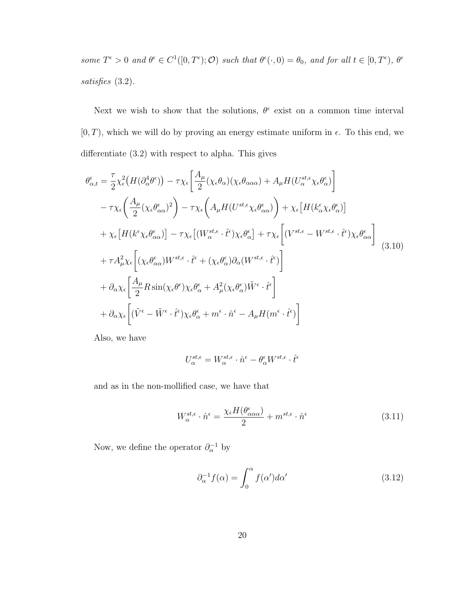some  $T^{\epsilon} > 0$  and  $\theta^{\epsilon} \in C^{1}([0, T^{\epsilon}); \mathcal{O})$  such that  $\theta^{\epsilon}(\cdot, 0) = \theta_0$ , and for all  $t \in [0, T^{\epsilon})$ ,  $\theta^{\epsilon}$ satisfies (3.2).

Next we wish to show that the solutions,  $\theta^{\epsilon}$  exist on a common time interval  $[0, T)$ , which we will do by proving an energy estimate uniform in  $\epsilon$ . To this end, we differentiate (3.2) with respect to alpha. This gives

$$
\theta_{\alpha,t}^{\epsilon} = \frac{\tau}{2} \chi_{\epsilon}^{2} \left( H(\partial_{\alpha}^{4} \theta^{\epsilon}) \right) - \tau \chi_{\epsilon} \left[ \frac{A_{\mu}}{2} (\chi_{\epsilon} \theta_{\alpha}) (\chi_{\epsilon} \theta_{\alpha \alpha \alpha}) + A_{\mu} H(U_{\alpha}^{st,\epsilon} \chi_{\epsilon} \theta_{\alpha}^{\epsilon}) \right] \n- \tau \chi_{\epsilon} \left( \frac{A_{\mu}}{2} (\chi_{\epsilon} \theta_{\alpha \alpha}^{\epsilon})^{2} \right) - \tau \chi_{\epsilon} \left( A_{\mu} H(U^{st,\epsilon} \chi_{\epsilon} \theta_{\alpha \alpha}^{\epsilon}) \right) + \chi_{\epsilon} \left[ H(k_{\alpha}^{\epsilon} \chi_{\epsilon} \theta_{\alpha}^{\epsilon}) \right] \n+ \chi_{\epsilon} \left[ H(k^{\epsilon} \chi_{\epsilon} \theta_{\alpha \alpha}^{\epsilon}) \right] - \tau \chi_{\epsilon} \left[ (W_{\alpha}^{st,\epsilon} \cdot \hat{t}^{\epsilon}) \chi_{\epsilon} \theta_{\alpha}^{\epsilon} \right] + \tau \chi_{\epsilon} \left[ (V^{st,\epsilon} - W^{st,\epsilon} \cdot \hat{t}^{\epsilon}) \chi_{\epsilon} \theta_{\alpha \alpha}^{\epsilon} \right] \n+ \tau A_{\mu}^{2} \chi_{\epsilon} \left[ (\chi_{\epsilon} \theta_{\alpha \alpha}^{\epsilon}) W^{st,\epsilon} \cdot \hat{t}^{\epsilon} + (\chi_{\epsilon} \theta_{\alpha}^{\epsilon}) \partial_{\alpha} (W^{st,\epsilon} \cdot \hat{t}^{\epsilon}) \right] \n+ \partial_{\alpha} \chi_{\epsilon} \left[ \frac{A_{\mu}}{2} R \sin(\chi_{\epsilon} \theta^{\epsilon}) \chi_{\epsilon} \theta_{\alpha}^{\epsilon} + A_{\mu}^{2} (\chi_{\epsilon} \theta_{\alpha}^{\epsilon}) \tilde{W}^{\epsilon} \cdot \hat{t}^{\epsilon} \right] \n+ \partial_{\alpha} \chi_{\epsilon} \left[ (\tilde{V}^{\epsilon} - \tilde{W}^{\epsilon} \cdot \hat{t}^{\epsilon}) \chi_{\epsilon} \theta_{\alpha}^{\epsilon} + m^{\epsilon} \cdot \hat{n}^{\epsilon} - A_{\mu} H(m^{\epsilon} \cdot \hat{t}^{\epsilon}) \right]
$$
\n(3.10)

Also, we have

$$
U^{st,\epsilon}_{\alpha}=W^{st,\epsilon}_{\alpha}\cdot\hat{n}^{\epsilon}-\theta^{\epsilon}_{\alpha}W^{st,\epsilon}\cdot\hat{t}^{\epsilon}
$$

and as in the non-mollified case, we have that

$$
W_{\alpha}^{st,\epsilon} \cdot \hat{n}^{\epsilon} = \frac{\chi_{\epsilon} H(\theta_{\alpha\alpha\alpha}^{\epsilon})}{2} + m^{st,\epsilon} \cdot \hat{n}^{\epsilon}
$$
 (3.11)

Now, we define the operator  $\partial_{\alpha}^{-1}$  by

$$
\partial_{\alpha}^{-1} f(\alpha) = \int_0^{\alpha} f(\alpha') d\alpha' \tag{3.12}
$$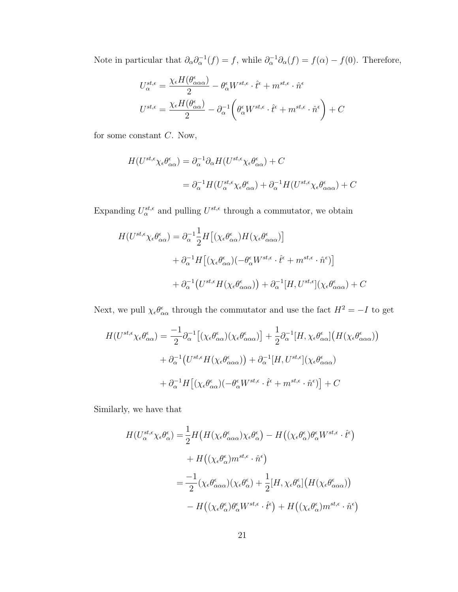Note in particular that  $\partial_{\alpha}\partial_{\alpha}^{-1}(f) = f$ , while  $\partial_{\alpha}^{-1}\partial_{\alpha}(f) = f(\alpha) - f(0)$ . Therefore,

$$
U_{\alpha}^{st,\epsilon} = \frac{\chi_{\epsilon}H(\theta_{\alpha\alpha\alpha}^{\epsilon})}{2} - \theta_{\alpha}^{\epsilon}W^{st,\epsilon} \cdot \hat{t}^{\epsilon} + m^{st,\epsilon} \cdot \hat{n}^{\epsilon}
$$

$$
U^{st,\epsilon} = \frac{\chi_{\epsilon}H(\theta_{\alpha\alpha}^{\epsilon})}{2} - \partial_{\alpha}^{-1}\left(\theta_{\alpha}^{\epsilon}W^{st,\epsilon} \cdot \hat{t}^{\epsilon} + m^{st,\epsilon} \cdot \hat{n}^{\epsilon}\right) + C
$$

for some constant  $C$ . Now,

$$
H(U^{st,\epsilon}\chi_{\epsilon}\theta_{\alpha\alpha}^{\epsilon}) = \partial_{\alpha}^{-1}\partial_{\alpha}H(U^{st,\epsilon}\chi_{\epsilon}\theta_{\alpha\alpha}^{\epsilon}) + C
$$

$$
= \partial_{\alpha}^{-1}H(U^{st,\epsilon}_{\alpha}\chi_{\epsilon}\theta_{\alpha\alpha}^{\epsilon}) + \partial_{\alpha}^{-1}H(U^{st,\epsilon}\chi_{\epsilon}\theta_{\alpha\alpha\alpha}^{\epsilon}) + C
$$

Expanding  $U_{\alpha}^{st,\epsilon}$  and pulling  $U^{st,\epsilon}$  through a commutator, we obtain

$$
H(U^{st,\epsilon}\chi_{\epsilon}\theta^{\epsilon}_{\alpha\alpha}) = \partial_{\alpha}^{-1}\frac{1}{2}H\left[\left(\chi_{\epsilon}\theta^{\epsilon}_{\alpha\alpha}\right)H(\chi_{\epsilon}\theta^{\epsilon}_{\alpha\alpha\alpha})\right] + \partial_{\alpha}^{-1}H\left[\left(\chi_{\epsilon}\theta^{\epsilon}_{\alpha\alpha}\right)\left(-\theta^{\epsilon}_{\alpha}W^{st,\epsilon}\cdot\hat{t}^{\epsilon} + m^{st,\epsilon}\cdot\hat{n}^{\epsilon}\right)\right] + \partial_{\alpha}^{-1}\left(U^{st,\epsilon}H(\chi_{\epsilon}\theta^{\epsilon}_{\alpha\alpha\alpha})\right) + \partial_{\alpha}^{-1}[H, U^{st,\epsilon}](\chi_{\epsilon}\theta^{\epsilon}_{\alpha\alpha\alpha}) + C
$$

Next, we pull  $\chi_{\epsilon} \theta_{\alpha \alpha}^{\epsilon}$  through the commutator and use the fact  $H^2 = -I$  to get

$$
H(U^{st,\epsilon}\chi_{\epsilon}\theta^{\epsilon}_{\alpha\alpha}) = \frac{-1}{2}\partial_{\alpha}^{-1}\big[ (\chi_{\epsilon}\theta^{\epsilon}_{\alpha\alpha})(\chi_{\epsilon}\theta^{\epsilon}_{\alpha\alpha\alpha})\big] + \frac{1}{2}\partial_{\alpha}^{-1}[H, \chi_{\epsilon}\theta^{\epsilon}_{\alpha\alpha}](H(\chi_{\epsilon}\theta^{\epsilon}_{\alpha\alpha\alpha}))
$$
  
+  $\partial_{\alpha}^{-1}\big(U^{st,\epsilon}H(\chi_{\epsilon}\theta^{\epsilon}_{\alpha\alpha\alpha})\big) + \partial_{\alpha}^{-1}[H, U^{st,\epsilon}](\chi_{\epsilon}\theta^{\epsilon}_{\alpha\alpha\alpha})$   
+  $\partial_{\alpha}^{-1}H\big[ (\chi_{\epsilon}\theta^{\epsilon}_{\alpha\alpha})(-\theta^{\epsilon}_{\alpha}W^{st,\epsilon} \cdot \hat{t}^{\epsilon} + m^{st,\epsilon} \cdot \hat{n}^{\epsilon})\big] + C$ 

Similarly, we have that

$$
H(U_{\alpha}^{st,\epsilon}\chi_{\epsilon}\theta_{\alpha}^{\epsilon}) = \frac{1}{2}H\left(H(\chi_{\epsilon}\theta_{\alpha\alpha\alpha}^{\epsilon})\chi_{\epsilon}\theta_{\alpha}^{\epsilon}\right) - H\left((\chi_{\epsilon}\theta_{\alpha}^{\epsilon})\theta_{\alpha}^{\epsilon}W^{st,\epsilon} \cdot \hat{t}^{\epsilon}\right)
$$

$$
+ H\left((\chi_{\epsilon}\theta_{\alpha}^{\epsilon})m^{st,\epsilon} \cdot \hat{n}^{\epsilon}\right)
$$

$$
= \frac{-1}{2}(\chi_{\epsilon}\theta_{\alpha\alpha\alpha}^{\epsilon})(\chi_{\epsilon}\theta_{\alpha}^{\epsilon}) + \frac{1}{2}[H, \chi_{\epsilon}\theta_{\alpha}^{\epsilon}]\left(H(\chi_{\epsilon}\theta_{\alpha\alpha\alpha}^{\epsilon})\right)
$$

$$
- H\left((\chi_{\epsilon}\theta_{\alpha}^{\epsilon})\theta_{\alpha}^{\epsilon}W^{st,\epsilon} \cdot \hat{t}^{\epsilon}\right) + H\left((\chi_{\epsilon}\theta_{\alpha}^{\epsilon})m^{st,\epsilon} \cdot \hat{n}^{\epsilon}\right)
$$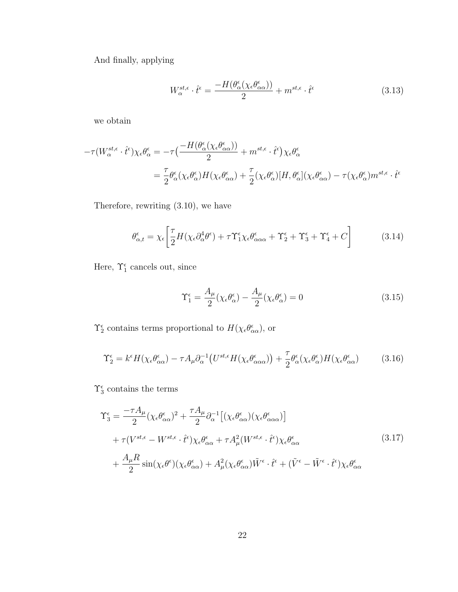And finally, applying

$$
W_{\alpha}^{st,\epsilon} \cdot \hat{t}^{\epsilon} = \frac{-H(\theta_{\alpha}^{\epsilon}(\chi_{\epsilon}\theta_{\alpha\alpha}^{\epsilon}))}{2} + m^{st,\epsilon} \cdot \hat{t}^{\epsilon}
$$
(3.13)

we obtain

$$
-\tau(W_{\alpha}^{st,\epsilon} \cdot \hat{t}^{\epsilon}) \chi_{\epsilon} \theta_{\alpha}^{\epsilon} = -\tau \Big( \frac{-H(\theta_{\alpha}^{\epsilon}(\chi_{\epsilon} \theta_{\alpha \alpha}^{\epsilon}))}{2} + m^{st,\epsilon} \cdot \hat{t}^{\epsilon}) \chi_{\epsilon} \theta_{\alpha}^{\epsilon}
$$

$$
= \frac{\tau}{2} \theta_{\alpha}^{\epsilon}(\chi_{\epsilon} \theta_{\alpha}^{\epsilon}) H(\chi_{\epsilon} \theta_{\alpha \alpha}^{\epsilon}) + \frac{\tau}{2}(\chi_{\epsilon} \theta_{\alpha}^{\epsilon}) [H, \theta_{\alpha}^{\epsilon}] (\chi_{\epsilon} \theta_{\alpha \alpha}^{\epsilon}) - \tau (\chi_{\epsilon} \theta_{\alpha}^{\epsilon}) m^{st,\epsilon} \cdot \hat{t}^{\epsilon}
$$

Therefore, rewriting (3.10), we have

$$
\theta_{\alpha,t}^{\epsilon} = \chi_{\epsilon} \left[ \frac{\tau}{2} H(\chi_{\epsilon} \partial_{\alpha}^4 \theta^{\epsilon}) + \tau \Upsilon_1^{\epsilon} \chi_{\epsilon} \theta_{\alpha \alpha \alpha}^{\epsilon} + \Upsilon_2^{\epsilon} + \Upsilon_3^{\epsilon} + \Upsilon_4^{\epsilon} + C \right]
$$
(3.14)

Here,  $\Upsilon_1^{\epsilon}$  cancels out, since

$$
\Upsilon_1^{\epsilon} = \frac{A_{\mu}}{2} (\chi_{\epsilon} \theta_{\alpha}^{\epsilon}) - \frac{A_{\mu}}{2} (\chi_{\epsilon} \theta_{\alpha}^{\epsilon}) = 0
$$
\n(3.15)

 $\Upsilon_2^{\epsilon}$  contains terms proportional to  $H(\chi_{\epsilon} \theta_{\alpha\alpha}^{\epsilon})$ , or

$$
\Upsilon_2^{\epsilon} = k^{\epsilon} H(\chi_{\epsilon} \theta_{\alpha \alpha}^{\epsilon}) - \tau A_{\mu} \partial_{\alpha}^{-1} \left( U^{st,\epsilon} H(\chi_{\epsilon} \theta_{\alpha \alpha \alpha}^{\epsilon}) \right) + \frac{\tau}{2} \theta_{\alpha}^{\epsilon} (\chi_{\epsilon} \theta_{\alpha}^{\epsilon}) H(\chi_{\epsilon} \theta_{\alpha \alpha}^{\epsilon}) \tag{3.16}
$$

 $\Upsilon_3^\epsilon$  contains the terms

$$
\begin{split} \Upsilon_{3}^{\epsilon} &= \frac{-\tau A_{\mu}}{2} (\chi_{\epsilon} \theta_{\alpha\alpha}^{\epsilon})^{2} + \frac{\tau A_{\mu}}{2} \partial_{\alpha}^{-1} \left[ (\chi_{\epsilon} \theta_{\alpha\alpha}^{\epsilon}) (\chi_{\epsilon} \theta_{\alpha\alpha\alpha}^{\epsilon}) \right] \\ &+ \tau (V^{st,\epsilon} - W^{st,\epsilon} \cdot \hat{t}^{\epsilon}) \chi_{\epsilon} \theta_{\alpha\alpha}^{\epsilon} + \tau A_{\mu}^{2} (W^{st,\epsilon} \cdot \hat{t}^{\epsilon}) \chi_{\epsilon} \theta_{\alpha\alpha}^{\epsilon} \\ &+ \frac{A_{\mu} R}{2} \sin(\chi_{\epsilon} \theta^{\epsilon}) (\chi_{\epsilon} \theta_{\alpha\alpha}^{\epsilon}) + A_{\mu}^{2} (\chi_{\epsilon} \theta_{\alpha\alpha}^{\epsilon}) \tilde{W}^{\epsilon} \cdot \hat{t}^{\epsilon} + (\tilde{V}^{\epsilon} - \tilde{W}^{\epsilon} \cdot \hat{t}^{\epsilon}) \chi_{\epsilon} \theta_{\alpha\alpha}^{\epsilon} \end{split} \tag{3.17}
$$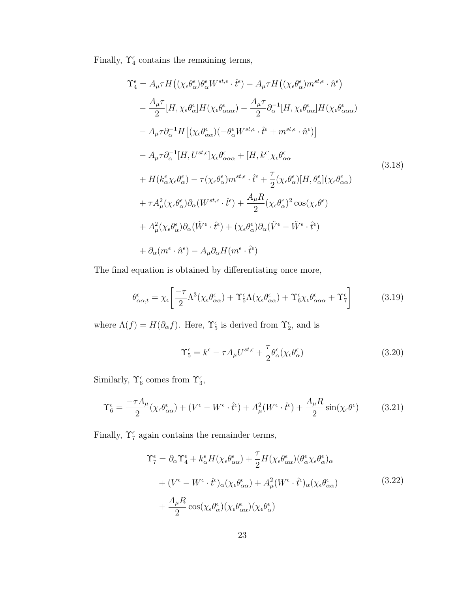Finally,  $\Upsilon_4^{\epsilon}$  contains the remaining terms,

$$
\begin{split}\n\Upsilon_{4}^{\epsilon} &= A_{\mu}\tau H \big( (\chi_{\epsilon}\theta_{\alpha}^{\epsilon})\theta_{\alpha}^{\epsilon}W^{st,\epsilon}\cdot\hat{t}^{\epsilon} \big) - A_{\mu}\tau H \big( (\chi_{\epsilon}\theta_{\alpha}^{\epsilon})m^{st,\epsilon}\cdot\hat{n}^{\epsilon} \big) \\
&\quad - \frac{A_{\mu}\tau}{2} [H, \chi_{\epsilon}\theta_{\alpha}^{\epsilon}]H(\chi_{\epsilon}\theta_{\alpha\alpha}^{\epsilon}) - \frac{A_{\mu}\tau}{2}\partial_{\alpha}^{-1}[H, \chi_{\epsilon}\theta_{\alpha\alpha}^{\epsilon}]H(\chi_{\epsilon}\theta_{\alpha\alpha}^{\epsilon}) \\
&\quad - A_{\mu}\tau\partial_{\alpha}^{-1}H \big[ (\chi_{\epsilon}\theta_{\alpha\alpha}^{\epsilon}) (-\theta_{\alpha}^{\epsilon}W^{st,\epsilon}\cdot\hat{t}^{\epsilon} + m^{st,\epsilon}\cdot\hat{n}^{\epsilon}) \big] \\
&\quad - A_{\mu}\tau\partial_{\alpha}^{-1}[H, U^{st,\epsilon}] \chi_{\epsilon}\theta_{\alpha\alpha}^{\epsilon} + [H, k^{\epsilon}] \chi_{\epsilon}\theta_{\alpha\alpha}^{\epsilon} \\
&\quad + H(k^{\epsilon}_{\alpha}\chi_{\epsilon}\theta_{\alpha}^{\epsilon}) - \tau(\chi_{\epsilon}\theta_{\alpha}^{\epsilon})m^{st,\epsilon}\cdot\hat{t}^{\epsilon} + \frac{\tau}{2} (\chi_{\epsilon}\theta_{\alpha}^{\epsilon})[H, \theta_{\alpha}^{\epsilon}] (\chi_{\epsilon}\theta_{\alpha\alpha}^{\epsilon}) \\
&\quad + \tau A_{\mu}^{2}(\chi_{\epsilon}\theta_{\alpha}^{\epsilon})\partial_{\alpha}(W^{st,\epsilon}\cdot\hat{t}^{\epsilon}) + \frac{A_{\mu}R}{2} (\chi_{\epsilon}\theta_{\alpha}^{\epsilon})^{2} \cos(\chi_{\epsilon}\theta^{\epsilon}) \\
&\quad + A_{\mu}^{2}(\chi_{\epsilon}\theta_{\alpha}^{\epsilon})\partial_{\alpha}(\tilde{W}^{\epsilon}\cdot\hat{t}^{\epsilon}) + (\chi_{\epsilon}\theta_{\alpha}^{\epsilon})\partial_{\alpha}(\tilde{V}^{\epsilon} - \tilde{W}^{\epsilon}\cdot\hat{t}^{\epsilon}) \\
&\quad + \partial_{\alpha}(m^{\epsilon}\cdot\hat{n}^{\epsilon}) - A_{\mu}\partial_{\alpha}H(m^{\epsilon}\cdot\hat{t}^{\epsilon})\n\end{split
$$

The final equation is obtained by differentiating once more,

$$
\theta^{\epsilon}_{\alpha\alpha,t} = \chi_{\epsilon} \left[ \frac{-\tau}{2} \Lambda^3 (\chi_{\epsilon} \theta^{\epsilon}_{\alpha\alpha}) + \Upsilon^{\epsilon}_{5} \Lambda (\chi_{\epsilon} \theta^{\epsilon}_{\alpha\alpha}) + \Upsilon^{\epsilon}_{6} \chi_{\epsilon} \theta^{\epsilon}_{\alpha\alpha\alpha} + \Upsilon^{\epsilon}_{7} \right]
$$
(3.19)

where  $\Lambda(f) = H(\partial_{\alpha} f)$ . Here,  $\Upsilon_5^{\epsilon}$  is derived from  $\Upsilon_2^{\epsilon}$ , and is

$$
\Upsilon_5^{\epsilon} = k^{\epsilon} - \tau A_{\mu} U^{st,\epsilon} + \frac{\tau}{2} \theta_{\alpha}^{\epsilon} (\chi_{\epsilon} \theta_{\alpha}^{\epsilon})
$$
\n(3.20)

Similarly,  $\Upsilon_6^{\epsilon}$  comes from  $\Upsilon_3^{\epsilon}$ ,

$$
\Upsilon_6^{\epsilon} = \frac{-\tau A_{\mu}}{2} (\chi_{\epsilon} \theta_{\alpha \alpha}^{\epsilon}) + (V^{\epsilon} - W^{\epsilon} \cdot \hat{t}^{\epsilon}) + A_{\mu}^2 (W^{\epsilon} \cdot \hat{t}^{\epsilon}) + \frac{A_{\mu} R}{2} \sin(\chi_{\epsilon} \theta^{\epsilon}) \tag{3.21}
$$

Finally,  $\Upsilon_7^{\epsilon}$  again contains the remainder terms,

$$
\begin{split} \Upsilon_{7}^{\epsilon} &= \partial_{\alpha} \Upsilon_{4}^{\epsilon} + k_{\alpha}^{\epsilon} H(\chi_{\epsilon} \theta_{\alpha \alpha}^{\epsilon}) + \frac{\tau}{2} H(\chi_{\epsilon} \theta_{\alpha \alpha}^{\epsilon}) (\theta_{\alpha}^{\epsilon} \chi_{\epsilon} \theta_{\alpha}^{\epsilon})_{\alpha} \\ &+ (V^{\epsilon} - W^{\epsilon} \cdot \hat{t}^{\epsilon})_{\alpha} (\chi_{\epsilon} \theta_{\alpha \alpha}^{\epsilon}) + A_{\mu}^{2} (W^{\epsilon} \cdot \hat{t}^{\epsilon})_{\alpha} (\chi_{\epsilon} \theta_{\alpha \alpha}^{\epsilon}) \\ &+ \frac{A_{\mu} R}{2} \cos(\chi_{\epsilon} \theta_{\alpha}^{\epsilon}) (\chi_{\epsilon} \theta_{\alpha \alpha}^{\epsilon}) (\chi_{\epsilon} \theta_{\alpha}^{\epsilon}) \end{split} \tag{3.22}
$$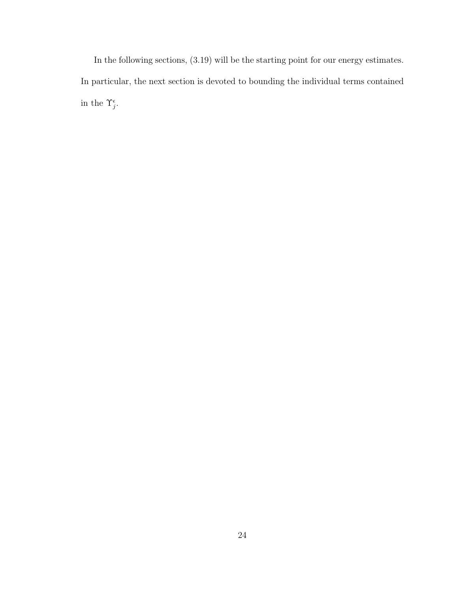In the following sections, (3.19) will be the starting point for our energy estimates. In particular, the next section is devoted to bounding the individual terms contained in the  $\Upsilon_j^{\epsilon}$ .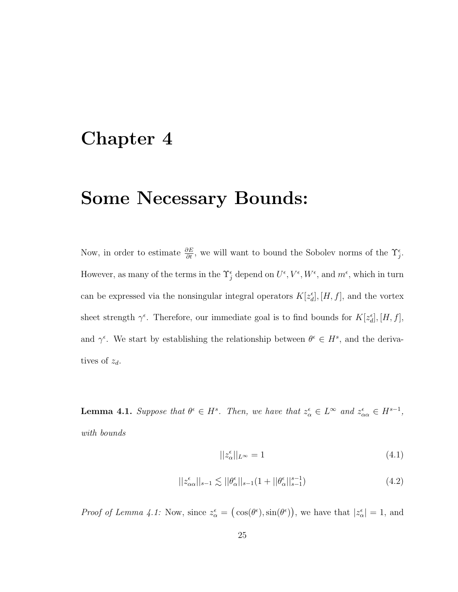### Chapter 4

## Some Necessary Bounds:

Now, in order to estimate  $\frac{\partial E}{\partial t}$ , we will want to bound the Sobolev norms of the  $\Upsilon_j^{\epsilon}$ . However, as many of the terms in the  $\Upsilon_j^{\epsilon}$  depend on  $U^{\epsilon}, V^{\epsilon}, W^{\epsilon}$ , and  $m^{\epsilon}$ , which in turn can be expressed via the nonsingular integral operators  $K[z_d^{\epsilon}], [H, f]$ , and the vortex sheet strength  $\gamma^{\epsilon}$ . Therefore, our immediate goal is to find bounds for  $K[z_d^{\epsilon}], [H, f]$ , and  $\gamma^{\epsilon}$ . We start by establishing the relationship between  $\theta^{\epsilon} \in H^{s}$ , and the derivatives of  $z_d$ .

**Lemma 4.1.** Suppose that  $\theta^{\epsilon} \in H^s$ . Then, we have that  $z^{\epsilon}_{\alpha} \in L^{\infty}$  and  $z^{\epsilon}_{\alpha \alpha} \in H^{s-1}$ , with bounds

$$
||z_{\alpha}^{\epsilon}||_{L^{\infty}} = 1 \tag{4.1}
$$

$$
||z_{\alpha\alpha}^{\epsilon}||_{s-1} \lesssim ||\theta_{\alpha}^{\epsilon}||_{s-1}(1+||\theta_{\alpha}^{\epsilon}||_{s-1}^{s-1})
$$
\n(4.2)

*Proof of Lemma 4.1:* Now, since  $z^{\epsilon}_{\alpha} = (\cos(\theta^{\epsilon}), \sin(\theta^{\epsilon}))$ , we have that  $|z^{\epsilon}_{\alpha}| = 1$ , and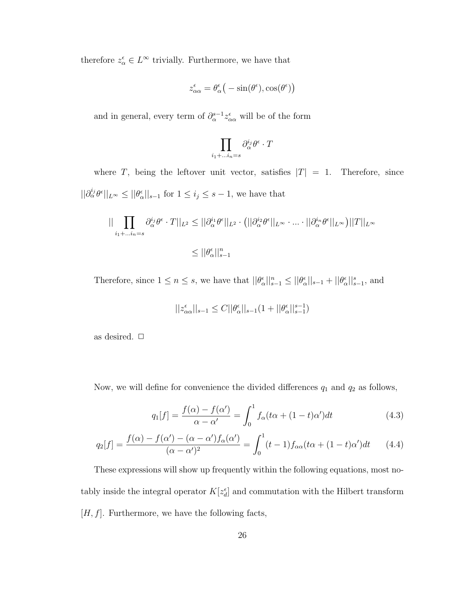therefore  $z^{\epsilon}_{\alpha} \in L^{\infty}$  trivially. Furthermore, we have that

$$
z_{\alpha\alpha}^\epsilon = \theta_\alpha^\epsilon \big(-\sin(\theta^\epsilon),\cos(\theta^\epsilon)\big)
$$

and in general, every term of  $\partial_{\alpha}^{s-1} z_{\alpha\alpha}^{\epsilon}$  will be of the form

$$
\prod_{i_1+\dots i_n=s}\partial_{\alpha}^{i_j}\theta^{\epsilon}\cdot T
$$

where T, being the leftover unit vector, satisfies  $|T| = 1$ . Therefore, since  $||\partial_{\alpha}^{i_j} \theta^{\epsilon}||_{L^{\infty}} \leq ||\theta_{\alpha}^{\epsilon}||_{s-1}$  for  $1 \leq i_j \leq s-1$ , we have that

$$
\|\prod_{i_1+\dots+i_n=s}\partial_{\alpha}^{i_j}\theta^{\epsilon}\cdot T\|_{L^2}\leq ||\partial_{\alpha}^{i_1}\theta^{\epsilon}\|_{L^2}\cdot \left(||\partial_{\alpha}^{i_2}\theta^{\epsilon}\|_{L^{\infty}}\cdot...\cdot||\partial_{\alpha}^{i_n}\theta^{\epsilon}\|_{L^{\infty}}\right)||T||_{L^{\infty}}
$$

$$
\leq ||\theta_{\alpha}^{\epsilon}||_{s-1}^{n}
$$

Therefore, since  $1 \leq n \leq s$ , we have that  $||\theta_{\alpha}^{\epsilon}||_{s-1}^{n} \leq ||\theta_{\alpha}^{\epsilon}||_{s-1}^{s} + ||\theta_{\alpha}^{\epsilon}||_{s-1}^{s}$ , and

$$
||z_{\alpha\alpha}^{\epsilon}||_{s-1}\leq C||\theta_\alpha^{\epsilon}||_{s-1}(1+||\theta_\alpha^{\epsilon}||_{s-1}^{s-1})
$$

as desired.  $\Box$ 

Now, we will define for convenience the divided differences  $q_1$  and  $q_2$  as follows,

$$
q_1[f] = \frac{f(\alpha) - f(\alpha')}{\alpha - \alpha'} = \int_0^1 f_\alpha(t\alpha + (1 - t)\alpha')dt
$$
\n(4.3)

$$
q_2[f] = \frac{f(\alpha) - f(\alpha') - (\alpha - \alpha')f_\alpha(\alpha')}{(\alpha - \alpha')^2} = \int_0^1 (t - 1)f_{\alpha\alpha}(t\alpha + (1 - t)\alpha')dt \qquad (4.4)
$$

These expressions will show up frequently within the following equations, most notably inside the integral operator  $K[z_d^{\epsilon}]$  and commutation with the Hilbert transform  $[H, f]$ . Furthermore, we have the following facts,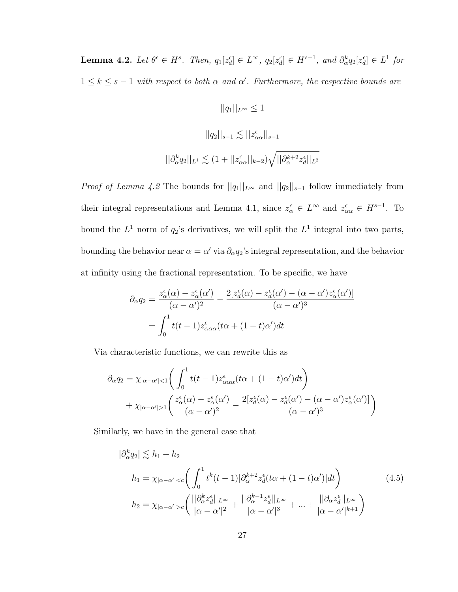**Lemma 4.2.** Let  $\theta^{\epsilon} \in H^s$ . Then,  $q_1[z_d^{\epsilon}] \in L^{\infty}$ ,  $q_2[z_d^{\epsilon}] \in H^{s-1}$ , and  $\partial_{\alpha}^k q_2[z_d^{\epsilon}] \in L^1$  for  $1 \leq k \leq s-1$  with respect to both  $\alpha$  and  $\alpha'$ . Furthermore, the respective bounds are

$$
||q_1||_{L^{\infty}} \le 1
$$
  

$$
||q_2||_{s-1} \lesssim ||z_{\alpha\alpha}^{\epsilon}||_{s-1}
$$
  

$$
||\partial_{\alpha}^k q_2||_{L^1} \lesssim (1 + ||z_{\alpha\alpha}^{\epsilon}||_{k-2})\sqrt{||\partial_{\alpha}^{k+2}z_{\alpha}^{\epsilon}||_{L^2}}
$$

*Proof of Lemma 4.2* The bounds for  $||q_1||_{L^{\infty}}$  and  $||q_2||_{s-1}$  follow immediately from their integral representations and Lemma 4.1, since  $z_{\alpha}^{\epsilon} \in L^{\infty}$  and  $z_{\alpha\alpha}^{\epsilon} \in H^{s-1}$ . To bound the  $L^1$  norm of  $q_2$ 's derivatives, we will split the  $L^1$  integral into two parts, bounding the behavior near  $\alpha = \alpha'$  via  $\partial_{\alpha} q_2$ 's integral representation, and the behavior at infinity using the fractional representation. To be specific, we have

$$
\partial_{\alpha}q_2 = \frac{z_{\alpha}^{\epsilon}(\alpha) - z_{\alpha}^{\epsilon}(\alpha')}{(\alpha - \alpha')^2} - \frac{2[z_d^{\epsilon}(\alpha) - z_d^{\epsilon}(\alpha') - (\alpha - \alpha')z_{\alpha}^{\epsilon}(\alpha')]}{(\alpha - \alpha')^3}
$$

$$
= \int_0^1 t(t-1)z_{\alpha\alpha\alpha}^{\epsilon}(t\alpha + (1-t)\alpha')dt
$$

Via characteristic functions, we can rewrite this as

$$
\partial_{\alpha}q_2 = \chi_{|\alpha-\alpha'|<1} \bigg( \int_0^1 t(t-1) z^{\epsilon}_{\alpha\alpha\alpha}(t\alpha + (1-t)\alpha')dt \bigg) \n+ \chi_{|\alpha-\alpha'|>1} \bigg( \frac{z^{\epsilon}_{\alpha}(\alpha) - z^{\epsilon}_{\alpha}(\alpha')}{(\alpha-\alpha')^2} - \frac{2[z^{\epsilon}_{d}(\alpha) - z^{\epsilon}_{d}(\alpha') - (\alpha-\alpha')z^{\epsilon}_{\alpha}(\alpha')]}{(\alpha-\alpha')^3} \bigg)
$$

Similarly, we have in the general case that

$$
|\partial_{\alpha}^{k}q_{2}| \lesssim h_{1} + h_{2}
$$
\n
$$
h_{1} = \chi_{|\alpha-\alpha'|\n
$$
h_{2} = \chi_{|\alpha-\alpha'|>c} \bigg( \frac{||\partial_{\alpha}^{k} z_{d}^{{\epsilon}}||_{L^{\infty}}}{|\alpha-\alpha'|^{2}} + \frac{||\partial_{\alpha}^{k-1} z_{d}^{\epsilon}||_{L^{\infty}}}{|\alpha-\alpha'|^{3}} + \dots + \frac{||\partial_{\alpha} z_{d}^{\epsilon}||_{L^{\infty}}}{|\alpha-\alpha'|^{k+1}} \bigg)
$$
\n
$$
(4.5)
$$
$$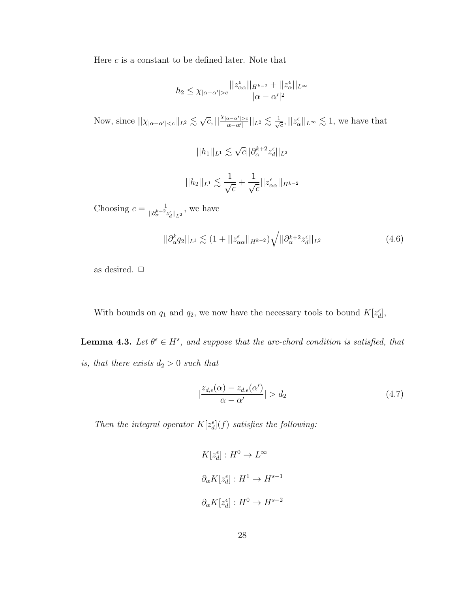Here  $c$  is a constant to be defined later. Note that

$$
h_2 \leq \chi_{|\alpha-\alpha'|>c} \frac{||z_{\alpha\alpha}^{\epsilon}||_{H^{k-2}} + ||z_{\alpha}^{\epsilon}||_{L^{\infty}}}{|\alpha-\alpha'|^2}
$$

Now, since  $||\chi_{|\alpha-\alpha'|,  $||\frac{\chi_{|\alpha-\alpha'|>c}}{|\alpha-\alpha'|}||_{L^2}\lesssim \frac{1}{\sqrt{c}}$$  $\frac{1}{c},$   $||z^{\epsilon}_{\alpha}||_{L^{\infty}} \lesssim 1$ , we have that

$$
||h_1||_{L^1} \lesssim \sqrt{c}||\partial_{\alpha}^{k+2}z_d^{\epsilon}||_{L^2}
$$

$$
||h_2||_{L^1} \lesssim \frac{1}{\sqrt{c}} + \frac{1}{\sqrt{c}}||z_{\alpha\alpha}^{\epsilon}||_{H^{k-2}}
$$

Choosing  $c = \frac{1}{\ln 2^{k+2}}$  $\frac{1}{\|\partial_{\alpha}^{k+2}z_d^{\epsilon}\|_{L^2}},$  we have

$$
||\partial_{\alpha}^{k}q_{2}||_{L^{1}} \lesssim (1+||z_{\alpha\alpha}^{\epsilon}||_{H^{k-2}})\sqrt{||\partial_{\alpha}^{k+2}z_{d}^{\epsilon}||_{L^{2}}}
$$
\n(4.6)

as desired.  $\Box$ 

With bounds on  $q_1$  and  $q_2$ , we now have the necessary tools to bound  $K[z_d^{\epsilon}]$ ,

**Lemma 4.3.** Let  $\theta^{\epsilon} \in H^s$ , and suppose that the arc-chord condition is satisfied, that is, that there exists  $d_2 > 0$  such that

$$
\left|\frac{z_{d,\epsilon}(\alpha)-z_{d,\epsilon}(\alpha')}{\alpha-\alpha'}\right|>d_2\tag{4.7}
$$

Then the integral operator  $K[z_d^{\epsilon}](f)$  satisfies the following:

$$
K[z_d^{\epsilon}] : H^0 \to L^{\infty}
$$
  

$$
\partial_{\alpha} K[z_d^{\epsilon}] : H^1 \to H^{s-1}
$$
  

$$
\partial_{\alpha} K[z_d^{\epsilon}] : H^0 \to H^{s-2}
$$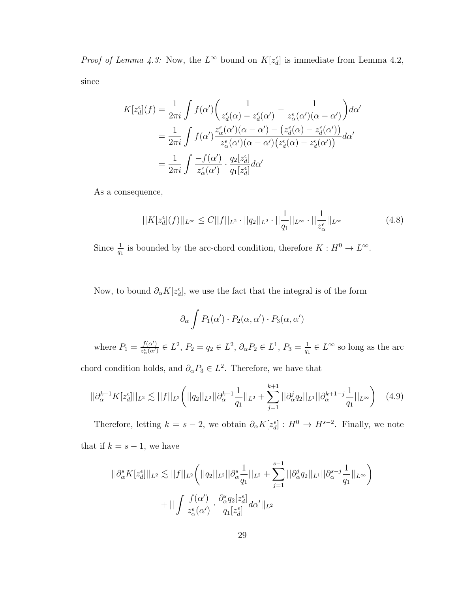*Proof of Lemma 4.3:* Now, the  $L^{\infty}$  bound on  $K[z_d^{\epsilon}]$  is immediate from Lemma 4.2, since

$$
K[z_d^{\epsilon}](f) = \frac{1}{2\pi i} \int f(\alpha') \left( \frac{1}{z_d^{\epsilon}(\alpha) - z_d^{\epsilon}(\alpha')} - \frac{1}{z_\alpha^{\epsilon}(\alpha')(\alpha - \alpha')} \right) d\alpha'
$$
  
= 
$$
\frac{1}{2\pi i} \int f(\alpha') \frac{z_\alpha^{\epsilon}(\alpha')(\alpha - \alpha') - (z_d^{\epsilon}(\alpha) - z_d^{\epsilon}(\alpha'))}{z_\alpha^{\epsilon}(\alpha')(\alpha - \alpha') (z_d^{\epsilon}(\alpha) - z_d^{\epsilon}(\alpha'))} d\alpha'
$$
  
= 
$$
\frac{1}{2\pi i} \int \frac{-f(\alpha')}{z_\alpha^{\epsilon}(\alpha')} \cdot \frac{q_2[z_d^{\epsilon}]}{q_1[z_d^{\epsilon}]} d\alpha'
$$

As a consequence,

$$
||K[z_d^{\epsilon}](f)||_{L^{\infty}} \le C||f||_{L^2} \cdot ||q_2||_{L^2} \cdot ||\frac{1}{q_1}||_{L^{\infty}} \cdot ||\frac{1}{z_\alpha^{\epsilon}}||_{L^{\infty}}
$$
(4.8)

Since  $\frac{1}{q_1}$  is bounded by the arc-chord condition, therefore  $K : H^0 \to L^{\infty}$ .

Now, to bound  $\partial_{\alpha} K[z_{d}^{\epsilon}]$ , we use the fact that the integral is of the form

$$
\partial_{\alpha} \int P_1(\alpha') \cdot P_2(\alpha, \alpha') \cdot P_3(\alpha, \alpha')
$$

where  $P_1 = \frac{f(\alpha')}{z^{\epsilon}(\alpha')}$  $\frac{f(\alpha')}{z_{\alpha}^{\epsilon}(\alpha')} \in L^2$ ,  $P_2 = q_2 \in L^2$ ,  $\partial_{\alpha} P_2 \in L^1$ ,  $P_3 = \frac{1}{q_1}$  $\frac{1}{q_1} \in L^{\infty}$  so long as the arc

chord condition holds, and  $\partial_{\alpha} P_3 \in L^2$ . Therefore, we have that

$$
||\partial_{\alpha}^{k+1} K[z_d^{\epsilon}]||_{L^2} \lesssim ||f||_{L^2} \left( ||q_2||_{L^2} ||\partial_{\alpha}^{k+1} \frac{1}{q_1}||_{L^2} + \sum_{j=1}^{k+1} ||\partial_{\alpha}^j q_2||_{L^1} ||\partial_{\alpha}^{k+1-j} \frac{1}{q_1}||_{L^{\infty}} \right) \tag{4.9}
$$

Therefore, letting  $k = s - 2$ , we obtain  $\partial_{\alpha} K[z_d^{\epsilon}] : H^0 \to H^{s-2}$ . Finally, we note that if  $k = s - 1$ , we have

$$
||\partial_{\alpha}^s K[z_d^{\epsilon}]||_{L^2} \lesssim ||f||_{L^2} \left( ||q_2||_{L^2} ||\partial_{\alpha}^s \frac{1}{q_1}||_{L^2} + \sum_{j=1}^{s-1} ||\partial_{\alpha}^j q_2||_{L^1} ||\partial_{\alpha}^{s-j} \frac{1}{q_1}||_{L^{\infty}} \right)
$$
  
+ 
$$
|| \int \frac{f(\alpha')}{z_{\alpha}^{\epsilon}(\alpha')} \cdot \frac{\partial_{\alpha}^s q_2[z_d^{\epsilon}]}{q_1[z_d^{\epsilon}]} d\alpha'||_{L^2}
$$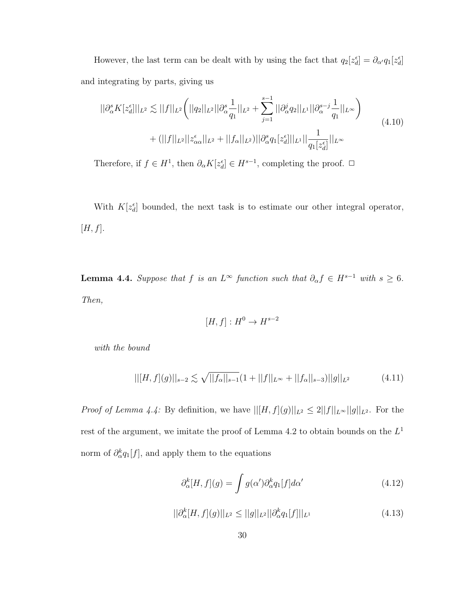However, the last term can be dealt with by using the fact that  $q_2[z_d^{\epsilon}] = \partial_{\alpha'} q_1[z_d^{\epsilon}]$ and integrating by parts, giving us

$$
||\partial_{\alpha}^{s} K[z_{d}^{\epsilon}|||_{L^{2}} \lesssim ||f||_{L^{2}} \left( ||q_{2}||_{L^{2}} ||\partial_{\alpha}^{s} \frac{1}{q_{1}}||_{L^{2}} + \sum_{j=1}^{s-1} ||\partial_{\alpha}^{j} q_{2}||_{L^{1}} ||\partial_{\alpha}^{s-j} \frac{1}{q_{1}}||_{L^{\infty}} \right) + (||f||_{L^{2}} ||z_{\alpha\alpha}^{\epsilon}||_{L^{2}} + ||f_{\alpha}||_{L^{2}}) ||\partial_{\alpha}^{s} q_{1}[z_{d}^{\epsilon}|||_{L^{1}} ||\frac{1}{q_{1}[z_{d}^{\epsilon}]} ||_{L^{\infty}}
$$
\n(4.10)

Therefore, if  $f \in H^1$ , then  $\partial_{\alpha} K[z_d^{\epsilon}] \in H^{s-1}$ , completing the proof.  $\Box$ 

With  $K[z_d^{\epsilon}]$  bounded, the next task is to estimate our other integral operator,  $[H, f].$ 

**Lemma 4.4.** Suppose that f is an  $L^{\infty}$  function such that  $\partial_{\alpha} f \in H^{s-1}$  with  $s \geq 6$ . Then,

$$
[H, f] : H^0 \to H^{s-2}
$$

with the bound

$$
||[H,f](g)||_{s-2} \lesssim \sqrt{||f_{\alpha}||_{s-1}}(1+||f||_{L^{\infty}} + ||f_{\alpha}||_{s-3})||g||_{L^{2}}
$$
(4.11)

*Proof of Lemma 4.4:* By definition, we have  $||[H, f](g)||_{L^2} \leq 2||f||_{L^{\infty}}||g||_{L^2}$ . For the rest of the argument, we imitate the proof of Lemma 4.2 to obtain bounds on the  $L^1$ norm of  $\partial_{\alpha}^{k}q_{1}[f]$ , and apply them to the equations

$$
\partial_{\alpha}^{k}[H,f](g) = \int g(\alpha') \partial_{\alpha}^{k} q_{1}[f] d\alpha' \qquad (4.12)
$$

$$
||\partial_{\alpha}^{k}[H,f](g)||_{L^{2}} \leq ||g||_{L^{2}}||\partial_{\alpha}^{k}q_{1}[f]||_{L^{1}}
$$
\n(4.13)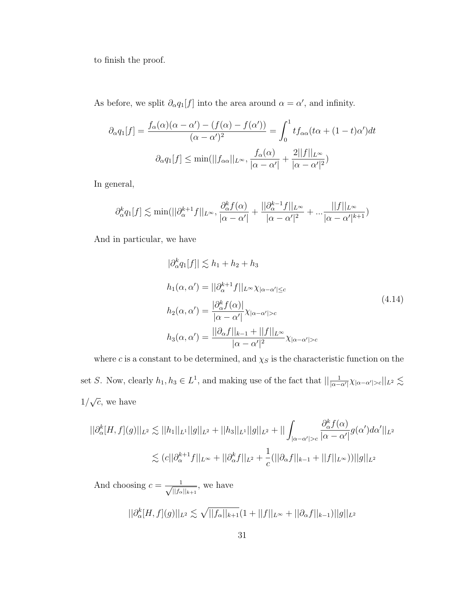to finish the proof.

As before, we split  $\partial_{\alpha}q_1[f]$  into the area around  $\alpha = \alpha'$ , and infinity.

$$
\partial_{\alpha}q_{1}[f] = \frac{f_{\alpha}(\alpha)(\alpha - \alpha') - (f(\alpha) - f(\alpha'))}{(\alpha - \alpha')^{2}} = \int_{0}^{1} tf_{\alpha\alpha}(t\alpha + (1 - t)\alpha')dt
$$

$$
\partial_{\alpha}q_{1}[f] \leq \min(||f_{\alpha\alpha}||_{L^{\infty}}, \frac{f_{\alpha}(\alpha)}{|\alpha - \alpha'|} + \frac{2||f||_{L^{\infty}}}{|\alpha - \alpha'|^{2}})
$$

In general,

$$
\partial_{\alpha}^{k}q_{1}[f] \lesssim \min(||\partial_{\alpha}^{k+1}f||_{L^{\infty}},\frac{\partial_{\alpha}^{k}f(\alpha)}{|\alpha-\alpha'|}+\frac{||\partial_{\alpha}^{k-1}f||_{L^{\infty}}}{|\alpha-\alpha'|^{2}}+\dots\frac{||f||_{L^{\infty}}}{|\alpha-\alpha'|^{k+1}})
$$

And in particular, we have

$$
|\partial_{\alpha}^{k}q_{1}[f]| \lesssim h_{1} + h_{2} + h_{3}
$$
  
\n
$$
h_{1}(\alpha, \alpha') = ||\partial_{\alpha}^{k+1}f||_{L^{\infty}}\chi_{|\alpha-\alpha'| \leq c}
$$
  
\n
$$
h_{2}(\alpha, \alpha') = \frac{|\partial_{\alpha}^{k}f(\alpha)|}{|\alpha-\alpha'|}\chi_{|\alpha-\alpha'| > c}
$$
  
\n
$$
h_{3}(\alpha, \alpha') = \frac{||\partial_{\alpha}f||_{k-1} + ||f||_{L^{\infty}}}{|\alpha-\alpha'|^{2}}\chi_{|\alpha-\alpha'| > c}
$$
\n(4.14)

where  $c$  is a constant to be determined, and  $\chi_S$  is the characteristic function on the set S. Now, clearly  $h_1, h_3 \in L^1$ , and making use of the fact that  $||\frac{1}{|\alpha-\alpha'|}\chi_{|\alpha-\alpha'|>c}||_{L^2} \lesssim$ 1/ √  $\overline{c}$ , we have

$$
||\partial_{\alpha}^{k}[H,f](g)||_{L^{2}} \lesssim ||h_{1}||_{L^{1}}||g||_{L^{2}} + ||h_{3}||_{L^{1}}||g||_{L^{2}} + ||\int_{|\alpha-\alpha'|>c} \frac{\partial_{\alpha}^{k}f(\alpha)}{|\alpha-\alpha'|}g(\alpha')d\alpha'||_{L^{2}}
$$
  

$$
\lesssim (c||\partial_{\alpha}^{k+1}f||_{L^{\infty}} + ||\partial_{\alpha}^{k}f||_{L^{2}} + \frac{1}{c}(||\partial_{\alpha}f||_{k-1} + ||f||_{L^{\infty}})||g||_{L^{2}}
$$

And choosing  $c = \frac{1}{\sqrt{16}}$  $\frac{1}{\left\vert \left\vert f_{\alpha}\right\vert \right\vert k+1},$  we have

$$
||\partial_{\alpha}^{k}[H,f](g)||_{L^{2}} \lesssim \sqrt{||f_{\alpha}||_{k+1}}(1+||f||_{L^{\infty}}+||\partial_{\alpha}f||_{k-1})||g||_{L^{2}}
$$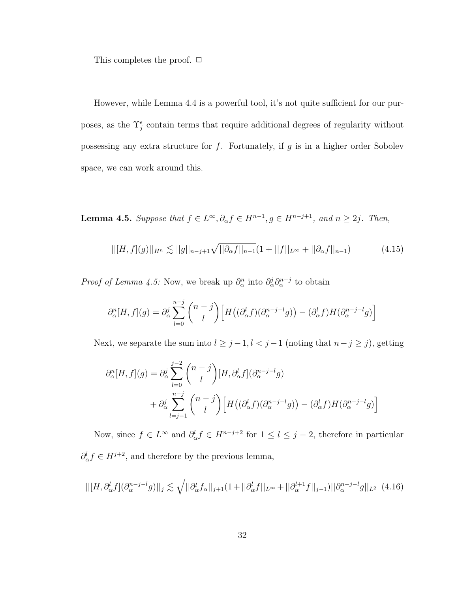This completes the proof.  $\Box$ 

However, while Lemma 4.4 is a powerful tool, it's not quite sufficient for our purposes, as the  $\Upsilon_j^{\epsilon}$  contain terms that require additional degrees of regularity without possessing any extra structure for  $f$ . Fortunately, if  $g$  is in a higher order Sobolev space, we can work around this.

**Lemma 4.5.** Suppose that  $f \in L^{\infty}$ ,  $\partial_{\alpha} f \in H^{n-1}$ ,  $g \in H^{n-j+1}$ , and  $n \ge 2j$ . Then,

$$
||[H,f](g)||_{H^n} \lesssim ||g||_{n-j+1} \sqrt{||\partial_{\alpha} f||_{n-1}} (1+||f||_{L^{\infty}} + ||\partial_{\alpha} f||_{n-1})
$$
\n(4.15)

*Proof of Lemma 4.5:* Now, we break up  $\partial_{\alpha}^{n}$  into  $\partial_{\alpha}^{j} \partial_{\alpha}^{n-j}$  to obtain

$$
\partial_{\alpha}^{n}[H,f](g) = \partial_{\alpha}^{j} \sum_{l=0}^{n-j} {n-j \choose l} \Big[ H\big((\partial_{\alpha}^{l} f)(\partial_{\alpha}^{n-j-l} g)\big) - (\partial_{\alpha}^{l} f) H(\partial_{\alpha}^{n-j-l} g)\Big]
$$

Next, we separate the sum into  $l \geq j-1, l < j-1$  (noting that  $n-j \geq j$ ), getting

$$
\partial_{\alpha}^{n}[H,f](g) = \partial_{\alpha}^{j} \sum_{l=0}^{j-2} {n-j \choose l} [H, \partial_{\alpha}^{l} f] (\partial_{\alpha}^{n-j-l} g)
$$
  
+ 
$$
\partial_{\alpha}^{j} \sum_{l=j-1}^{n-j} {n-j \choose l} \Big[ H((\partial_{\alpha}^{l} f)(\partial_{\alpha}^{n-j-l} g)) - (\partial_{\alpha}^{l} f) H(\partial_{\alpha}^{n-j-l} g) \Big]
$$

Now, since  $f \in L^{\infty}$  and  $\partial_{\alpha}^{l} f \in H^{n-j+2}$  for  $1 \leq l \leq j-2$ , therefore in particular  $\partial_{\alpha}^{l} f \in H^{j+2}$ , and therefore by the previous lemma,

$$
||[H, \partial_{\alpha}^{l} f](\partial_{\alpha}^{n-j-l} g)||_{j} \lesssim \sqrt{||\partial_{\alpha}^{l} f_{\alpha}||_{j+1}} (1+||\partial_{\alpha}^{l} f||_{L^{\infty}} + ||\partial_{\alpha}^{l+1} f||_{j-1}) ||\partial_{\alpha}^{n-j-l} g||_{L^{2}} \tag{4.16}
$$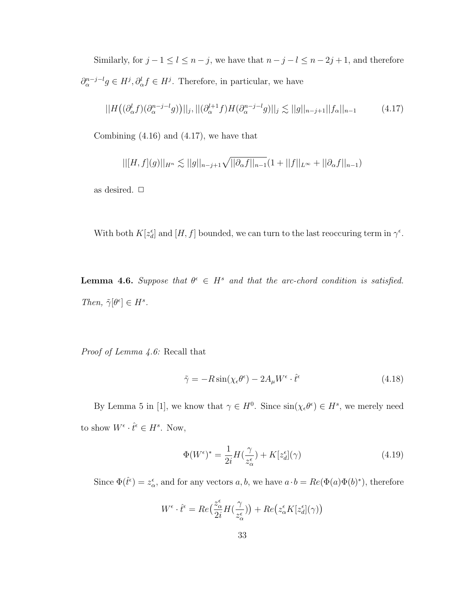Similarly, for  $j - 1 \leq l \leq n - j$ , we have that  $n - j - l \leq n - 2j + 1$ , and therefore  $\partial_{\alpha}^{n-j-l}g \in H^j$ ,  $\partial_{\alpha}^l f \in H^j$ . Therefore, in particular, we have

$$
||H((\partial_{\alpha}^{l}f)(\partial_{\alpha}^{n-j-l}g))||_{j},||(\partial_{\alpha}^{l+1}f)H(\partial_{\alpha}^{n-j-l}g)||_{j} \lesssim ||g||_{n-j+1}||f_{\alpha}||_{n-1}
$$
\n(4.17)

Combining (4.16) and (4.17), we have that

$$
||[H,f](g)||_{H^n} \lesssim ||g||_{n-j+1} \sqrt{||\partial_{\alpha} f||_{n-1}} (1+||f||_{L^{\infty}} + ||\partial_{\alpha} f||_{n-1})
$$

as desired.  $\Box$ 

With both  $K[z_d^{\epsilon}]$  and  $[H, f]$  bounded, we can turn to the last reoccuring term in  $\gamma^{\epsilon}$ .

**Lemma 4.6.** Suppose that  $\theta^{\epsilon} \in H^s$  and that the arc-chord condition is satisfied. Then,  $\tilde{\gamma}[\theta^{\epsilon}] \in H^s$ .

Proof of Lemma 4.6: Recall that

$$
\tilde{\gamma} = -R\sin(\chi_{\epsilon}\theta^{\epsilon}) - 2A_{\mu}W^{\epsilon} \cdot \hat{t}^{\epsilon}
$$
\n(4.18)

By Lemma 5 in [1], we know that  $\gamma \in H^0$ . Since  $\sin(\chi_{\epsilon} \theta^{\epsilon}) \in H^s$ , we merely need to show  $W^{\epsilon} \cdot \hat{t}^{\epsilon} \in H^s$ . Now,

$$
\Phi(W^{\epsilon})^* = \frac{1}{2i} H(\frac{\gamma}{z_{\alpha}^{\epsilon}}) + K[z_{d}^{\epsilon}](\gamma)
$$
\n(4.19)

Since  $\Phi(\hat{t}^{\epsilon}) = z_{\alpha}^{\epsilon}$ , and for any vectors a, b, we have  $a \cdot b = Re(\Phi(a)\Phi(b)^*)$ , therefore

$$
W^{\epsilon} \cdot \hat{t}^{\epsilon} = Re\left(\frac{z_{\alpha}^{\epsilon}}{2i}H\left(\frac{\gamma}{z_{\alpha}^{\epsilon}}\right)\right) + Re\left(z_{\alpha}^{\epsilon}K[z_{d}^{\epsilon}](\gamma)\right)
$$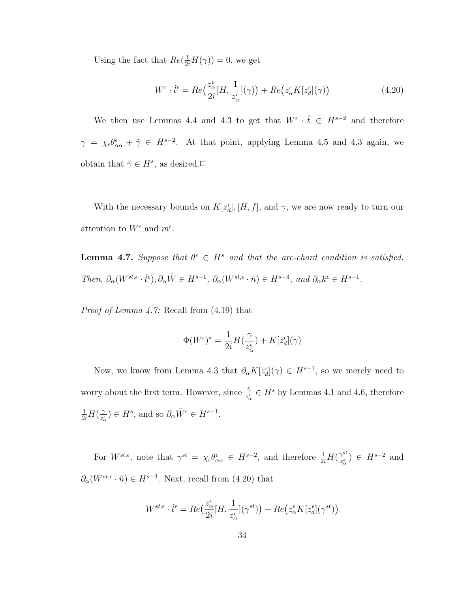Using the fact that  $Re(\frac{1}{2i}H(\gamma))=0$ , we get

$$
W^{\epsilon} \cdot \hat{t}^{\epsilon} = Re\left(\frac{z^{\epsilon}_{\alpha}}{2i}[H, \frac{1}{z^{\epsilon}_{\alpha}}](\gamma)\right) + Re\left(z^{\epsilon}_{\alpha}K[z^{\epsilon}_{d}](\gamma)\right)
$$
(4.20)

We then use Lemmas 4.4 and 4.3 to get that  $W^{\epsilon} \cdot \hat{t} \in H^{s-2}$  and therefore  $\gamma = \chi_{\epsilon} \theta_{\alpha\alpha}^{\epsilon} + \tilde{\gamma} \in H^{s-2}$ . At that point, applying Lemma 4.5 and 4.3 again, we obtain that  $\tilde{\gamma} \in H^s$ , as desired.

With the necessary bounds on  $K[z_d^{\epsilon}], [H, f]$ , and  $\gamma$ , we are now ready to turn our attention to  $W^{\epsilon}$  and  $m^{\epsilon}$ .

**Lemma 4.7.** Suppose that  $\theta^{\epsilon} \in H^s$  and that the arc-chord condition is satisfied. Then,  $\partial_{\alpha}(W^{st,\epsilon}\cdot \hat{t}^{\epsilon}), \partial_{\alpha}\tilde{W} \in H^{s-1}, \ \partial_{\alpha}(W^{st,\epsilon}\cdot \hat{n}) \in H^{s-3}, \text{ and } \partial_{\alpha}k^{\epsilon} \in H^{s-1}.$ 

Proof of Lemma 4.7: Recall from  $(4.19)$  that

$$
\Phi(W^\epsilon)^* = \frac{1}{2i} H(\frac{\gamma}{z_\alpha^\epsilon}) + K[z_d^\epsilon](\gamma)
$$

Now, we know from Lemma 4.3 that  $\partial_{\alpha} K[z_d^{\epsilon}](\gamma) \in H^{s-1}$ , so we merely need to worry about the first term. However, since  $\frac{\tilde{\gamma}}{z_{\alpha}^{\epsilon}} \in H^s$  by Lemmas 4.1 and 4.6, therefore  $\frac{1}{2i}H(\frac{\gamma}{z_c^{\epsilon}}$  $(\frac{\gamma}{z_{\alpha}^{\epsilon}}) \in H^s$ , and so  $\partial_{\alpha} \tilde{W}^{\epsilon} \in H^{s-1}$ .

For  $W^{st,\epsilon}$ , note that  $\gamma^{st} = \chi_{\epsilon} \theta_{\alpha\alpha}^{\epsilon} \in H^{s-2}$ , and therefore  $\frac{1}{2i} H(\frac{\gamma^{st}}{z_{\alpha}^{\epsilon}})$  $\frac{\gamma^{st}}{z_\alpha^{\epsilon}}$ )  $\in H^{s-2}$  and  $\partial_{\alpha}(W^{st,\epsilon} \cdot \hat{n}) \in H^{s-3}$ . Next, recall from (4.20) that

$$
W^{st,\epsilon}\cdot\widehat{t}^{\epsilon} = Re\big(\frac{z_{\alpha}^{\epsilon}}{2i}[H,\frac{1}{z_{\alpha}^{\epsilon}}](\gamma^{st})\big) + Re\big(z_{\alpha}^{\epsilon}K[z_{d}^{\epsilon}](\gamma^{st})\big)
$$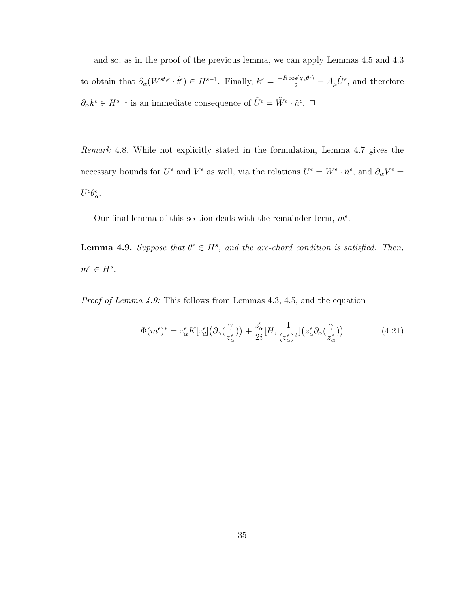and so, as in the proof of the previous lemma, we can apply Lemmas 4.5 and 4.3 to obtain that  $\partial_{\alpha}(W^{st,\epsilon} \cdot \hat{t}^{\epsilon}) \in H^{s-1}$ . Finally,  $k^{\epsilon} = \frac{-R \cos(\chi_{\epsilon} \theta^{\epsilon})}{2} - A_{\mu} \tilde{U}^{\epsilon}$ , and therefore  $\partial_{\alpha}k^{\epsilon} \in H^{s-1}$  is an immediate consequence of  $\tilde{U}^{\epsilon} = \tilde{W}^{\epsilon} \cdot \hat{n}^{\epsilon}$ .  $\Box$ 

Remark 4.8. While not explicitly stated in the formulation, Lemma 4.7 gives the necessary bounds for  $U^{\epsilon}$  and  $V^{\epsilon}$  as well, via the relations  $U^{\epsilon} = W^{\epsilon} \cdot \hat{n}^{\epsilon}$ , and  $\partial_{\alpha} V^{\epsilon} =$  $U^{\epsilon} \theta^{\epsilon}_{\alpha}$ .

Our final lemma of this section deals with the remainder term,  $m^{\epsilon}$ .

**Lemma 4.9.** Suppose that  $\theta^{\epsilon} \in H^s$ , and the arc-chord condition is satisfied. Then,  $m^{\epsilon} \in H^s$ .

Proof of Lemma 4.9: This follows from Lemmas 4.3, 4.5, and the equation

$$
\Phi(m^{\epsilon})^* = z^{\epsilon}_{\alpha} K[z^{\epsilon}_{d}](\partial_{\alpha}(\frac{\gamma}{z^{\epsilon}_{\alpha}})) + \frac{z^{\epsilon}_{\alpha}}{2i} [H, \frac{1}{(z^{\epsilon}_{\alpha})^2}](z^{\epsilon}_{\alpha}\partial_{\alpha}(\frac{\gamma}{z^{\epsilon}_{\alpha}}))
$$
(4.21)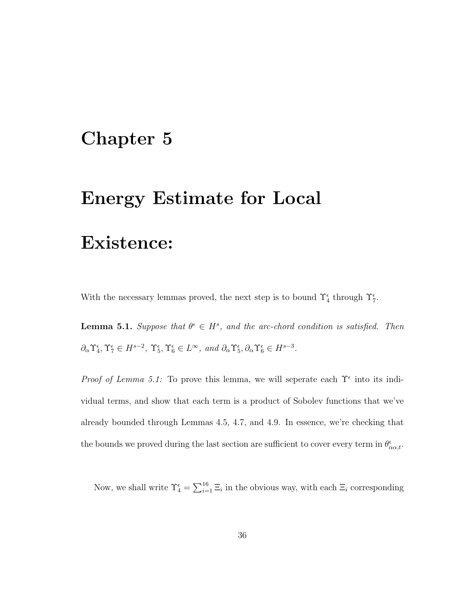### Chapter 5

## Energy Estimate for Local

#### Existence:

With the necessary lemmas proved, the next step is to bound  $\Upsilon_4^{\epsilon}$  through  $\Upsilon_7^{\epsilon}$ .

**Lemma 5.1.** Suppose that  $\theta^{\epsilon} \in H^s$ , and the arc-chord condition is satisfied. Then  $\partial_{\alpha} \Upsilon_{4}^{\epsilon}, \Upsilon_{7}^{\epsilon} \in H^{s-2}, \ \Upsilon_{5}^{\epsilon}, \Upsilon_{6}^{\epsilon} \in L^{\infty}, \ and \ \partial_{\alpha} \Upsilon_{5}^{\epsilon}, \partial_{\alpha} \Upsilon_{6}^{\epsilon} \in H^{s-3}.$ 

Proof of Lemma 5.1: To prove this lemma, we will seperate each  $\Upsilon^{\epsilon}$  into its individual terms, and show that each term is a product of Sobolev functions that we've already bounded through Lemmas 4.5, 4.7, and 4.9. In essence, we're checking that the bounds we proved during the last section are sufficient to cover every term in  $\theta_{\alpha\alpha,t}^{\epsilon}$ .

Now, we shall write  $\Upsilon_4^{\epsilon} = \sum_{i=1}^{16} \Xi_i$  in the obvious way, with each  $\Xi_i$  corresponding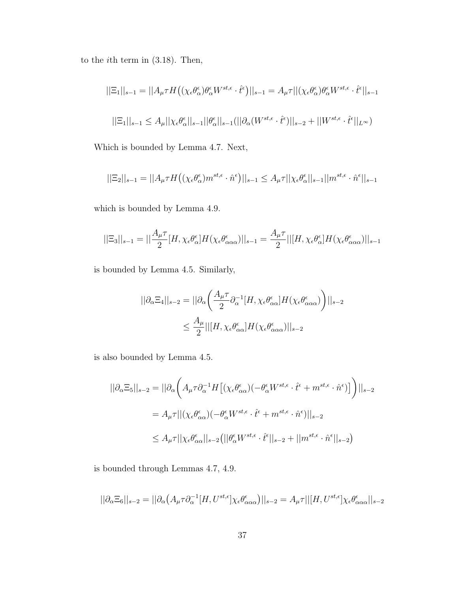to the ith term in (3.18). Then,

$$
||\Xi_1||_{s-1} = ||A_{\mu}\tau H((\chi_{\epsilon}\theta_{\alpha}^{\epsilon})\theta_{\alpha}^{\epsilon}W^{st,\epsilon} \cdot \hat{t}^{\epsilon})||_{s-1} = A_{\mu}\tau ||(\chi_{\epsilon}\theta_{\alpha}^{\epsilon})\theta_{\alpha}^{\epsilon}W^{st,\epsilon} \cdot \hat{t}^{\epsilon}||_{s-1}
$$

$$
||\Xi_1||_{s-1} \leq A_{\mu}||\chi_{\epsilon}\theta_{\alpha}^{\epsilon}||_{s-1}||\theta_{\alpha}^{\epsilon}||_{s-1}(||\partial_{\alpha}(W^{st,\epsilon} \cdot \hat{t}^{\epsilon})||_{s-2} + ||W^{st,\epsilon} \cdot \hat{t}^{\epsilon}||_{L^{\infty}})
$$

Which is bounded by Lemma 4.7. Next,

$$
||\Xi_2||_{s-1} = ||A_{\mu}\tau H((\chi_{\epsilon}\theta_{\alpha}^{\epsilon})m^{st,\epsilon} \cdot \hat{n}^{\epsilon})||_{s-1} \leq A_{\mu}\tau ||\chi_{\epsilon}\theta_{\alpha}^{\epsilon}||_{s-1}||m^{st,\epsilon} \cdot \hat{n}^{\epsilon}||_{s-1}
$$

which is bounded by Lemma 4.9.

$$
||\Xi_3||_{s-1} = ||\frac{A_\mu \tau}{2}[H, \chi_\epsilon \theta_\alpha^\epsilon] H(\chi_\epsilon \theta_{\alpha\alpha\alpha}^\epsilon)||_{s-1} = \frac{A_\mu \tau}{2} ||[H, \chi_\epsilon \theta_\alpha^\epsilon] H(\chi_\epsilon \theta_{\alpha\alpha\alpha}^\epsilon)||_{s-1}
$$

is bounded by Lemma 4.5. Similarly,

$$
||\partial_{\alpha}\Xi_{4}||_{s-2} = ||\partial_{\alpha}\left(\frac{A_{\mu}\tau}{2}\partial_{\alpha}^{-1}[H, \chi_{\epsilon}\theta_{\alpha\alpha}^{\epsilon}]H(\chi_{\epsilon}\theta_{\alpha\alpha\alpha}^{\epsilon})\right)||_{s-2}
$$
  

$$
\leq \frac{A_{\mu}}{2}||[H, \chi_{\epsilon}\theta_{\alpha\alpha}^{\epsilon}]H(\chi_{\epsilon}\theta_{\alpha\alpha\alpha}^{\epsilon})||_{s-2}
$$

is also bounded by Lemma 4.5.

$$
\begin{split} ||\partial_{\alpha}\Xi_{5}||_{s-2} &= ||\partial_{\alpha}\bigg(A_{\mu}\tau\partial_{\alpha}^{-1}H\big[(\chi_{\epsilon}\theta_{\alpha\alpha}^{\epsilon})(-\theta_{\alpha}^{\epsilon}W^{st,\epsilon}\cdot\hat{t}^{\epsilon}+m^{st,\epsilon}\cdot\hat{n}^{\epsilon})\big]\bigg)||_{s-2} \\ &= A_{\mu}\tau||(\chi_{\epsilon}\theta_{\alpha\alpha}^{\epsilon})(-\theta_{\alpha}^{\epsilon}W^{st,\epsilon}\cdot\hat{t}^{\epsilon}+m^{st,\epsilon}\cdot\hat{n}^{\epsilon})||_{s-2} \\ &\leq A_{\mu}\tau||\chi_{\epsilon}\theta_{\alpha\alpha}^{\epsilon}||_{s-2}\big(||\theta_{\alpha}^{\epsilon}W^{st,\epsilon}\cdot\hat{t}^{\epsilon}||_{s-2}+||m^{st,\epsilon}\cdot\hat{n}^{\epsilon}||_{s-2}\big) \end{split}
$$

is bounded through Lemmas 4.7, 4.9.

$$
||\partial_{\alpha}\Xi_{6}||_{s-2}=||\partial_{\alpha}(A_{\mu}\tau\partial_{\alpha}^{-1}[H,U^{st,\epsilon}]\chi_{\epsilon}\theta_{\alpha\alpha\alpha}^{\epsilon})||_{s-2}=A_{\mu}\tau||(H,U^{st,\epsilon}]\chi_{\epsilon}\theta_{\alpha\alpha\alpha}^{\epsilon}||_{s-2}
$$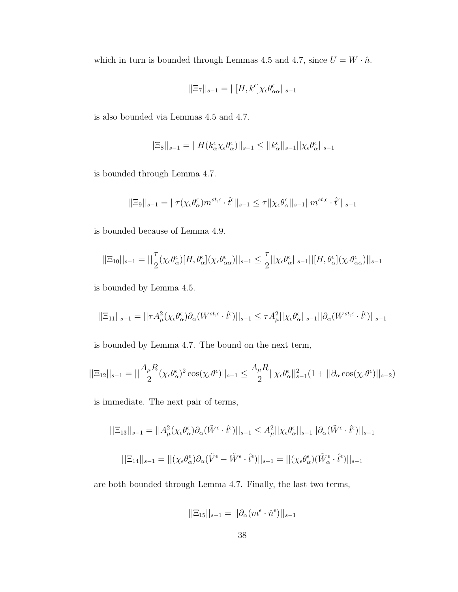which in turn is bounded through Lemmas 4.5 and 4.7, since  $U = W \cdot \hat{n}$ .

$$
||\Xi_7||_{s-1} = ||[H, k^{\epsilon}]\chi_{\epsilon} \theta_{\alpha \alpha}^{\epsilon}||_{s-1}
$$

is also bounded via Lemmas 4.5 and 4.7.

$$
||\Xi_8||_{s-1}=||H(k_\alpha^\epsilon\chi_\epsilon\theta_\alpha^\epsilon)||_{s-1}\leq ||k_\alpha^\epsilon||_{s-1}||\chi_\epsilon\theta_\alpha^\epsilon||_{s-1}
$$

is bounded through Lemma 4.7.

$$
||\Xi_9||_{s-1} = ||\tau(\chi_\epsilon \theta_\alpha^\epsilon) m^{st,\epsilon} \cdot \hat{t}^\epsilon||_{s-1} \leq \tau ||\chi_\epsilon \theta_\alpha^\epsilon||_{s-1} ||m^{st,\epsilon} \cdot \hat{t}^\epsilon||_{s-1}
$$

is bounded because of Lemma 4.9.

$$
||\Xi_{10}||_{s-1}=||\frac{\tau}{2}(\chi_\epsilon\theta_\alpha^\epsilon)[H,\theta_\alpha^\epsilon](\chi_\epsilon\theta_{\alpha\alpha}^\epsilon)||_{s-1}\leq \frac{\tau}{2}||\chi_\epsilon\theta_\alpha^\epsilon||_{s-1}||[H,\theta_\alpha^\epsilon](\chi_\epsilon\theta_{\alpha\alpha}^\epsilon)||_{s-1}
$$

is bounded by Lemma 4.5.

$$
||\Xi_{11}||_{s-1} = ||\tau A^2_{\mu}(\chi_{\epsilon}\theta^{\epsilon}_{\alpha})\partial_{\alpha}(W^{st,\epsilon}\cdot\hat{t}^{\epsilon})||_{s-1} \leq \tau A^2_{\mu}||\chi_{\epsilon}\theta^{\epsilon}_{\alpha}||_{s-1}||\partial_{\alpha}(W^{st,\epsilon}\cdot\hat{t}^{\epsilon})||_{s-1}
$$

is bounded by Lemma 4.7. The bound on the next term,

$$
||\Xi_{12}||_{s-1} = ||\frac{A_{\mu}R}{2}(\chi_{\epsilon}\theta_{\alpha}^{\epsilon})^{2}\cos(\chi_{\epsilon}\theta^{\epsilon})||_{s-1} \leq \frac{A_{\mu}R}{2}||\chi_{\epsilon}\theta_{\alpha}^{\epsilon}||_{s-1}^{2}(1+||\partial_{\alpha}\cos(\chi_{\epsilon}\theta^{\epsilon})||_{s-2})
$$

is immediate. The next pair of terms,

$$
||\Xi_{13}||_{s-1} = ||A^2_{\mu}(\chi_{\epsilon}\theta^{\epsilon}_{\alpha})\partial_{\alpha}(\tilde{W}^{\epsilon}\cdot\hat{t}^{\epsilon})||_{s-1} \leq A^2_{\mu}||\chi_{\epsilon}\theta^{\epsilon}_{\alpha}||_{s-1}||\partial_{\alpha}(\tilde{W}^{\epsilon}\cdot\hat{t}^{\epsilon})||_{s-1}
$$

$$
||\Xi_{14}||_{s-1} = ||(\chi_{\epsilon}\theta^{\epsilon}_{\alpha})\partial_{\alpha}(\tilde{V}^{\epsilon} - \tilde{W}^{\epsilon}\cdot\hat{t}^{\epsilon})||_{s-1} = ||(\chi_{\epsilon}\theta^{\epsilon}_{\alpha})(\tilde{W}^{\epsilon}_{\alpha}\cdot\hat{t}^{\epsilon})||_{s-1}
$$

are both bounded through Lemma 4.7. Finally, the last two terms,

$$
||\Xi_{15}||_{s-1}=||\partial_{\alpha}(m^{\epsilon}\cdot\hat{n}^{\epsilon})||_{s-1}
$$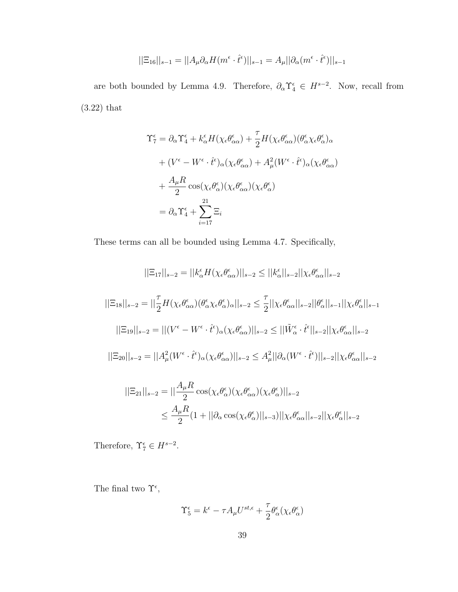$$
||\Xi_{16}||_{s-1} = ||A_{\mu}\partial_{\alpha}H(m^{\epsilon}\cdot\hat{t}^{\epsilon})||_{s-1} = A_{\mu}||\partial_{\alpha}(m^{\epsilon}\cdot\hat{t}^{\epsilon})||_{s-1}
$$

are both bounded by Lemma 4.9. Therefore,  $\partial_{\alpha} \Upsilon_{4}^{\epsilon} \in H^{s-2}$ . Now, recall from (3.22) that

$$
\begin{split} \Upsilon_{7}^{\epsilon} &= \partial_{\alpha} \Upsilon_{4}^{\epsilon} + k_{\alpha}^{\epsilon} H(\chi_{\epsilon} \theta_{\alpha \alpha}^{\epsilon}) + \frac{\tau}{2} H(\chi_{\epsilon} \theta_{\alpha \alpha}^{\epsilon}) (\theta_{\alpha}^{\epsilon} \chi_{\epsilon} \theta_{\alpha}^{\epsilon})_{\alpha} \\ &+ (V^{\epsilon} - W^{\epsilon} \cdot \hat{t}^{\epsilon})_{\alpha} (\chi_{\epsilon} \theta_{\alpha \alpha}^{\epsilon}) + A_{\mu}^{2} (W^{\epsilon} \cdot \hat{t}^{\epsilon})_{\alpha} (\chi_{\epsilon} \theta_{\alpha \alpha}^{\epsilon}) \\ &+ \frac{A_{\mu} R}{2} \cos(\chi_{\epsilon} \theta_{\alpha}^{\epsilon}) (\chi_{\epsilon} \theta_{\alpha \alpha}^{\epsilon}) (\chi_{\epsilon} \theta_{\alpha}^{\epsilon}) \\ &= \partial_{\alpha} \Upsilon_{4}^{\epsilon} + \sum_{i=17}^{21} \Xi_{i} \end{split}
$$

These terms can all be bounded using Lemma 4.7. Specifically,

$$
||\Xi_{17}||_{s-2} = ||k_{\alpha}^{\epsilon}H(\chi_{\epsilon}\theta_{\alpha\alpha}^{\epsilon})||_{s-2} \le ||k_{\alpha}^{\epsilon}||_{s-2}||\chi_{\epsilon}\theta_{\alpha\alpha}^{\epsilon}||_{s-2}
$$
  

$$
||\Xi_{18}||_{s-2} = ||\frac{\tau}{2}H(\chi_{\epsilon}\theta_{\alpha\alpha}^{\epsilon})(\theta_{\alpha}^{\epsilon}\chi_{\epsilon}\theta_{\alpha}^{\epsilon})_{\alpha}||_{s-2} \le \frac{\tau}{2}||\chi_{\epsilon}\theta_{\alpha\alpha}^{\epsilon}||_{s-2}||\theta_{\alpha}^{\epsilon}||_{s-1}||\chi_{\epsilon}\theta_{\alpha}^{\epsilon}||_{s-1}
$$
  

$$
||\Xi_{19}||_{s-2} = ||(V^{\epsilon} - W^{\epsilon} \cdot \hat{t}^{\epsilon})_{\alpha}(\chi_{\epsilon}\theta_{\alpha\alpha}^{\epsilon})||_{s-2} \le ||\tilde{W}_{\alpha}^{\epsilon} \cdot \hat{t}^{\epsilon}||_{s-2}||\chi_{\epsilon}\theta_{\alpha\alpha}^{\epsilon}||_{s-2}
$$
  

$$
||\Xi_{20}||_{s-2} = ||A_{\mu}^{2}(W^{\epsilon} \cdot \hat{t}^{\epsilon})_{\alpha}(\chi_{\epsilon}\theta_{\alpha\alpha}^{\epsilon})||_{s-2} \le A_{\mu}^{2}||\partial_{\alpha}(W^{\epsilon} \cdot \hat{t}^{\epsilon})||_{s-2}||\chi_{\epsilon}\theta_{\alpha\alpha}^{\epsilon}||_{s-2}
$$
  

$$
\dots \dots A_{\mu}R
$$

$$
||\Xi_{21}||_{s-2} = ||\frac{A_{\mu}R}{2}\cos(\chi_{\epsilon}\theta_{\alpha}^{\epsilon})(\chi_{\epsilon}\theta_{\alpha\alpha}^{\epsilon})(\chi_{\epsilon}\theta_{\alpha}^{\epsilon})||_{s-2}
$$
  

$$
\leq \frac{A_{\mu}R}{2}(1+||\partial_{\alpha}\cos(\chi_{\epsilon}\theta_{\alpha}^{\epsilon})||_{s-3})||\chi_{\epsilon}\theta_{\alpha\alpha}^{\epsilon}||_{s-2}||\chi_{\epsilon}\theta_{\alpha}^{\epsilon}||_{s-2}
$$

Therefore,  $\Upsilon_7^{\epsilon} \in H^{s-2}$ .

The final two  $\Upsilon^{\epsilon}$ ,

$$
\Upsilon^{\epsilon}_5 = k^{\epsilon} - \tau A_{\mu} U^{st,\epsilon} + \frac{\tau}{2} \theta^{\epsilon}_{\alpha} (\chi_{\epsilon} \theta^{\epsilon}_{\alpha})
$$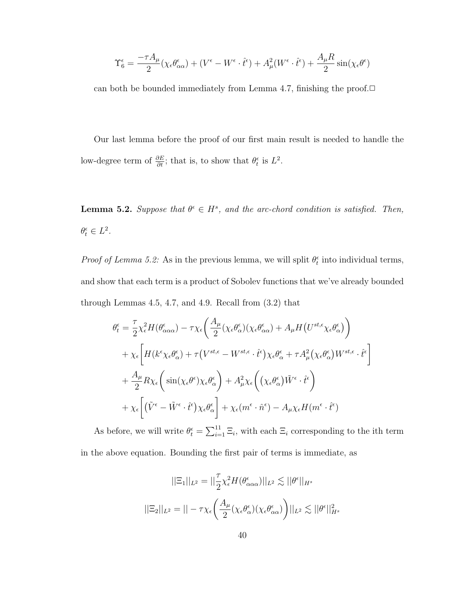$$
\Upsilon_6^{\epsilon} = \frac{-\tau A_{\mu}}{2} (\chi_{\epsilon} \theta_{\alpha \alpha}^{\epsilon}) + (V^{\epsilon} - W^{\epsilon} \cdot \hat{t}^{\epsilon}) + A_{\mu}^2 (W^{\epsilon} \cdot \hat{t}^{\epsilon}) + \frac{A_{\mu} R}{2} \sin(\chi_{\epsilon} \theta^{\epsilon})
$$

can both be bounded immediately from Lemma 4.7, finishing the proof. $\Box$ 

Our last lemma before the proof of our first main result is needed to handle the low-degree term of  $\frac{\partial E}{\partial t}$ ; that is, to show that  $\theta_t^{\epsilon}$  is  $L^2$ .

**Lemma 5.2.** Suppose that  $\theta^{\epsilon} \in H^s$ , and the arc-chord condition is satisfied. Then,  $\theta_t^{\epsilon} \in L^2$ .

*Proof of Lemma 5.2:* As in the previous lemma, we will split  $\theta_t^{\epsilon}$  into individual terms, and show that each term is a product of Sobolev functions that we've already bounded through Lemmas 4.5, 4.7, and 4.9. Recall from (3.2) that

$$
\theta_t^{\epsilon} = \frac{\tau}{2} \chi_{\epsilon}^2 H(\theta_{\alpha\alpha\alpha}^{\epsilon}) - \tau \chi_{\epsilon} \left( \frac{A_{\mu}}{2} (\chi_{\epsilon} \theta_{\alpha}^{\epsilon}) (\chi_{\epsilon} \theta_{\alpha\alpha}^{\epsilon}) + A_{\mu} H(U^{st,\epsilon} \chi_{\epsilon} \theta_{\alpha}^{\epsilon}) \right) \n+ \chi_{\epsilon} \left[ H(k^{\epsilon} \chi_{\epsilon} \theta_{\alpha}^{\epsilon}) + \tau (V^{st,\epsilon} - W^{st,\epsilon} \cdot \hat{t}^{\epsilon}) \chi_{\epsilon} \theta_{\alpha}^{\epsilon} + \tau A_{\mu}^2 (\chi_{\epsilon} \theta_{\alpha}^{\epsilon}) W^{st,\epsilon} \cdot \hat{t}^{\epsilon} \right] \n+ \frac{A_{\mu}}{2} R \chi_{\epsilon} \left( \sin(\chi_{\epsilon} \theta^{\epsilon}) \chi_{\epsilon} \theta_{\alpha}^{\epsilon} \right) + A_{\mu}^2 \chi_{\epsilon} \left( (\chi_{\epsilon} \theta_{\alpha}^{\epsilon}) \tilde{W}^{\epsilon} \cdot \hat{t}^{\epsilon} \right) \n+ \chi_{\epsilon} \left[ (\tilde{V}^{\epsilon} - \tilde{W}^{\epsilon} \cdot \hat{t}^{\epsilon}) \chi_{\epsilon} \theta_{\alpha}^{\epsilon} \right] + \chi_{\epsilon} (m^{\epsilon} \cdot \hat{n}^{\epsilon}) - A_{\mu} \chi_{\epsilon} H(m^{\epsilon} \cdot \hat{t}^{\epsilon})
$$

As before, we will write  $\theta_t^{\epsilon} = \sum_{i=1}^{11} \Xi_i$ , with each  $\Xi_i$  corresponding to the ith term in the above equation. Bounding the first pair of terms is immediate, as

$$
||\Xi_1||_{L^2} = ||\frac{\tau}{2} \chi_\epsilon^2 H(\theta_{\alpha\alpha\alpha}^\epsilon)||_{L^2} \lesssim ||\theta^\epsilon||_{H^s}
$$

$$
||\Xi_2||_{L^2} = ||-\tau \chi_\epsilon \left(\frac{A_\mu}{2} (\chi_\epsilon \theta_\alpha^\epsilon)(\chi_\epsilon \theta_{\alpha\alpha}^\epsilon)\right)||_{L^2} \lesssim ||\theta^\epsilon||_{H^s}^2
$$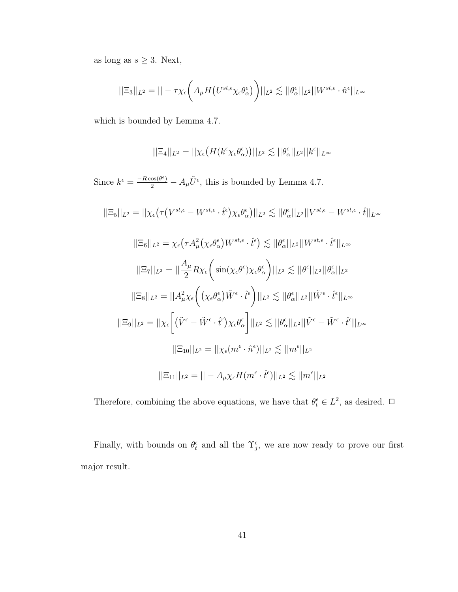as long as  $s \geq 3$ . Next,

$$
||\Xi_3||_{L^2} = ||-\tau \chi_{\epsilon} \bigg(A_{\mu} H\big(U^{st,\epsilon} \chi_{\epsilon} \theta_{\alpha}^{\epsilon}\big)\bigg) ||_{L^2} \lesssim ||\theta_{\alpha}^{\epsilon}||_{L^2} ||W^{st,\epsilon} \cdot \hat{n}^{\epsilon}||_{L^{\infty}}
$$

which is bounded by Lemma 4.7.

$$
||\Xi_4||_{L^2}=||\chi_\epsilon\big(H(k^\epsilon\chi_\epsilon\theta_\alpha^\epsilon)\big)||_{L^2}\lesssim ||\theta_\alpha^\epsilon||_{L^2}||k^\epsilon||_{L^\infty}
$$

Since  $k^{\epsilon} = \frac{-R\cos(\theta^{\epsilon})}{2} - A_{\mu}\tilde{U}^{\epsilon}$ , this is bounded by Lemma 4.7.

$$
||\Xi_{5}||_{L^{2}} = ||\chi_{\epsilon}(\tau(V^{st,\epsilon} - W^{st,\epsilon} \cdot \hat{t}^{\epsilon})\chi_{\epsilon}\theta_{\alpha}^{\epsilon})||_{L^{2}} \lesssim ||\theta_{\alpha}^{\epsilon}||_{L^{2}}||V^{st,\epsilon} - W^{st,\epsilon} \cdot \hat{t}||_{L^{\infty}}
$$
  

$$
||\Xi_{6}||_{L^{2}} = \chi_{\epsilon}(\tau A_{\mu}^{2}(\chi_{\epsilon}\theta_{\alpha}^{\epsilon})W^{st,\epsilon} \cdot \hat{t}^{\epsilon}) \lesssim ||\theta_{\alpha}^{\epsilon}||_{L^{2}}||W^{st,\epsilon} \cdot \hat{t}^{\epsilon}||_{L^{\infty}}
$$
  

$$
||\Xi_{7}||_{L^{2}} = ||\frac{A_{\mu}}{2}R\chi_{\epsilon}\left(\sin(\chi_{\epsilon}\theta^{\epsilon})\chi_{\epsilon}\theta_{\alpha}^{\epsilon}\right)||_{L^{2}} \lesssim ||\theta_{\alpha}^{\epsilon}||_{L^{2}}||\theta_{\alpha}^{\epsilon}||_{L^{2}}
$$
  

$$
||\Xi_{8}||_{L^{2}} = ||\mathcal{X}_{\epsilon}\left(\left(\chi_{\epsilon}\theta_{\alpha}^{\epsilon}\right)\tilde{W}^{\epsilon} \cdot \hat{t}^{\epsilon}\right)||_{L^{2}} \lesssim ||\theta_{\alpha}^{\epsilon}||_{L^{2}}||\tilde{W}^{\epsilon} \cdot \hat{t}^{\epsilon}||_{L^{\infty}}
$$
  

$$
||\Xi_{9}||_{L^{2}} = ||\chi_{\epsilon}\left[\left(\tilde{V}^{\epsilon} - \tilde{W}^{\epsilon} \cdot \hat{t}^{\epsilon}\right)\chi_{\epsilon}\theta_{\alpha}^{\epsilon}\right]||_{L^{2}} \lesssim ||\theta_{\alpha}^{\epsilon}||_{L^{2}}||\tilde{V}^{\epsilon} - \tilde{W}^{\epsilon} \cdot \hat{t}^{\epsilon}||_{L^{\infty}}
$$
  

$$
||\Xi_{10}||_{L^{2}} = ||\chi_{\epsilon}(m^{\epsilon} \cdot \hat{n}^{\epsilon})||_{L^{2}} \lesssim ||m^{\epsilon}||_{L^{2}}
$$
  

$$
||\Xi_{11}||_{L^{2}} = ||-A_{\mu}\chi_{\epsilon}H(m^{\epsilon} \cdot \hat{t}^{\epsilon})||_{L^{2}} \lesssim ||
$$

Therefore, combining the above equations, we have that  $\theta_t^{\epsilon} \in L^2$ , as desired.  $\Box$ 

Finally, with bounds on  $\theta_t^{\epsilon}$  and all the  $\Upsilon_j^{\epsilon}$ , we are now ready to prove our first major result.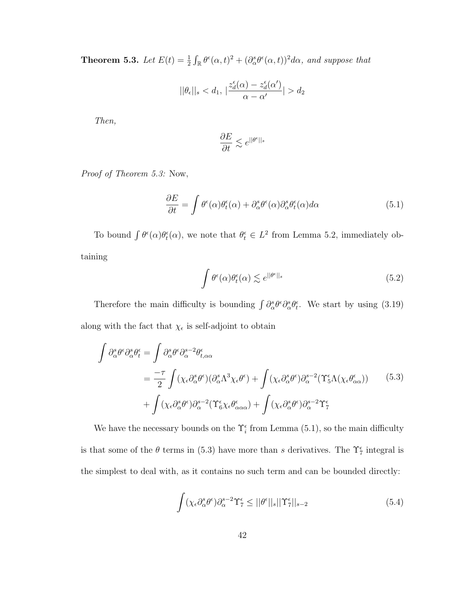**Theorem 5.3.** Let  $E(t) = \frac{1}{2} \int_{\mathbb{R}} \theta^{\epsilon}(\alpha, t)^2 + (\partial_{\alpha}^s \theta^{\epsilon}(\alpha, t))^2 d\alpha$ , and suppose that

$$
||\theta_\epsilon||_s < d_1, \, |\frac{z_d^\epsilon(\alpha)-z_d^\epsilon(\alpha')}{\alpha-\alpha'}| > d_2
$$

Then,

$$
\frac{\partial E}{\partial t} \lesssim e^{||\theta^\epsilon||s}
$$

Proof of Theorem 5.3: Now,

$$
\frac{\partial E}{\partial t} = \int \theta^{\epsilon}(\alpha)\theta_t^{\epsilon}(\alpha) + \partial_{\alpha}^s \theta^{\epsilon}(\alpha)\partial_{\alpha}^s \theta_t^{\epsilon}(\alpha)d\alpha \tag{5.1}
$$

To bound  $\int \theta^{\epsilon}(\alpha) \theta^{\epsilon}_t(\alpha)$ , we note that  $\theta^{\epsilon}_t \in L^2$  from Lemma 5.2, immediately obtaining

$$
\int \theta^{\epsilon}(\alpha)\theta_t^{\epsilon}(\alpha) \lesssim e^{||\theta^{\epsilon}||_s} \tag{5.2}
$$

Therefore the main difficulty is bounding  $\int \partial_{\alpha}^{s} \theta^{\epsilon} \partial_{\alpha}^{s} \theta_{t}^{\epsilon}$ . We start by using (3.19) along with the fact that  $\chi_{\epsilon}$  is self-adjoint to obtain

$$
\int \partial_{\alpha}^{s} \theta^{\epsilon} \partial_{\alpha}^{s} \theta^{\epsilon} = \int \partial_{\alpha}^{s} \theta^{\epsilon} \partial_{\alpha}^{s-2} \theta^{\epsilon}_{t,\alpha\alpha} \n= \frac{-\tau}{2} \int (\chi_{\epsilon} \partial_{\alpha}^{s} \theta^{\epsilon}) (\partial_{\alpha}^{s} \Lambda^{3} \chi_{\epsilon} \theta^{\epsilon}) + \int (\chi_{\epsilon} \partial_{\alpha}^{s} \theta^{\epsilon}) \partial_{\alpha}^{s-2} (\Upsilon_{5}^{\epsilon} \Lambda(\chi_{\epsilon} \theta^{\epsilon}_{\alpha\alpha})) \n+ \int (\chi_{\epsilon} \partial_{\alpha}^{s} \theta^{\epsilon}) \partial_{\alpha}^{s-2} (\Upsilon_{6}^{\epsilon} \chi_{\epsilon} \theta^{\epsilon}_{\alpha\alpha\alpha}) + \int (\chi_{\epsilon} \partial_{\alpha}^{s} \theta^{\epsilon}) \partial_{\alpha}^{s-2} \Upsilon_{7}^{\epsilon}
$$
\n(5.3)

We have the necessary bounds on the  $\Upsilon_i^{\epsilon}$  from Lemma (5.1), so the main difficulty is that some of the  $\theta$  terms in (5.3) have more than s derivatives. The  $\Upsilon_7^{\epsilon}$  integral is the simplest to deal with, as it contains no such term and can be bounded directly:

$$
\int (\chi_{\epsilon} \partial_{\alpha}^{s} \theta^{\epsilon}) \partial_{\alpha}^{s-2} \Upsilon_{7}^{\epsilon} \le ||\theta^{\epsilon}||_{s} ||\Upsilon_{7}^{\epsilon}||_{s-2}
$$
\n(5.4)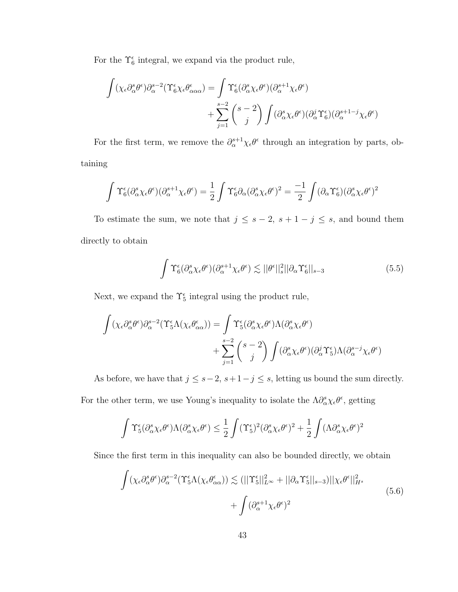For the  $\Upsilon_6^\epsilon$  integral, we expand via the product rule,

$$
\begin{aligned} \int (\chi_\epsilon \partial_\alpha^s \theta^\epsilon) \partial_\alpha^{s-2} (\Upsilon^\epsilon_6 \chi_\epsilon \theta^\epsilon_{\alpha \alpha \alpha}) &= \int \Upsilon^\epsilon_6 (\partial_\alpha^s \chi_\epsilon \theta^\epsilon) (\partial_\alpha^{s+1} \chi_\epsilon \theta^\epsilon) \\ &+ \sum_{j=1}^{s-2} \binom{s-2}{j} \int (\partial_\alpha^s \chi_\epsilon \theta^\epsilon) (\partial_\alpha^j \Upsilon^\epsilon_6) (\partial_\alpha^{s+1-j} \chi_\epsilon \theta^\epsilon) \end{aligned}
$$

For the first term, we remove the  $\partial_{\alpha}^{s+1}\chi_{\epsilon}\theta^{\epsilon}$  through an integration by parts, obtaining

$$
\int \Upsilon_6^{\epsilon} (\partial_{\alpha}^s \chi_{\epsilon} \theta^{\epsilon}) (\partial_{\alpha}^{s+1} \chi_{\epsilon} \theta^{\epsilon}) = \frac{1}{2} \int \Upsilon_6^{\epsilon} \partial_{\alpha} (\partial_{\alpha}^s \chi_{\epsilon} \theta^{\epsilon})^2 = \frac{-1}{2} \int (\partial_{\alpha} \Upsilon_6^{\epsilon}) (\partial_{\alpha}^s \chi_{\epsilon} \theta^{\epsilon})^2
$$

To estimate the sum, we note that  $j \leq s - 2$ ,  $s + 1 - j \leq s$ , and bound them directly to obtain

$$
\int \Upsilon_6^{\epsilon} (\partial_{\alpha}^s \chi_{\epsilon} \theta^{\epsilon}) (\partial_{\alpha}^{s+1} \chi_{\epsilon} \theta^{\epsilon}) \lesssim ||\theta^{\epsilon}||_s^2 ||\partial_{\alpha} \Upsilon_6^{\epsilon}||_{s-3}
$$
\n(5.5)

Next, we expand the  $\Upsilon_5^{\epsilon}$  integral using the product rule,

$$
\begin{split} \int (\chi_\epsilon \partial_\alpha^s \theta^\epsilon) \partial_\alpha^{s-2} (\Upsilon_5^\epsilon \Lambda(\chi_\epsilon \theta_{\alpha \alpha}^\epsilon)) &= \int \Upsilon_5^\epsilon (\partial_\alpha^s \chi_\epsilon \theta^\epsilon) \Lambda(\partial_\alpha^s \chi_\epsilon \theta^\epsilon) \\ &+ \sum_{j=1}^{s-2} \binom{s-2}{j} \int (\partial_\alpha^s \chi_\epsilon \theta^\epsilon) (\partial_\alpha^j \Upsilon_5^\epsilon) \Lambda(\partial_\alpha^{s-j} \chi_\epsilon \theta^\epsilon) \end{split}
$$

As before, we have that  $j \leq s-2$ ,  $s+1-j \leq s$ , letting us bound the sum directly. For the other term, we use Young's inequality to isolate the  $\Lambda \partial_{\alpha}^s \chi_{\epsilon} \theta^{\epsilon}$ , getting

$$
\int \Upsilon_5^{\epsilon}(\partial_{\alpha}^s\chi_{\epsilon} \theta^{\epsilon})\Lambda(\partial_{\alpha}^s\chi_{\epsilon} \theta^{\epsilon}) \leq \frac{1}{2}\int (\Upsilon_5^{\epsilon})^2(\partial_{\alpha}^s\chi_{\epsilon} \theta^{\epsilon})^2 + \frac{1}{2}\int (\Lambda \partial_{\alpha}^s\chi_{\epsilon} \theta^{\epsilon})^2
$$

Since the first term in this inequality can also be bounded directly, we obtain

$$
\int (\chi_{\epsilon} \partial_{\alpha}^{s} \theta^{\epsilon}) \partial_{\alpha}^{s-2} (\Upsilon_{5}^{\epsilon} \Lambda(\chi_{\epsilon} \theta_{\alpha \alpha}^{\epsilon})) \lesssim (||\Upsilon_{5}^{\epsilon}||_{L^{\infty}}^{2} + ||\partial_{\alpha} \Upsilon_{5}^{\epsilon}||_{s-3}) ||\chi_{\epsilon} \theta^{\epsilon}||_{H^{s}}^{2} + \int (\partial_{\alpha}^{s+1} \chi_{\epsilon} \theta^{\epsilon})^{2}
$$
\n
$$
(5.6)
$$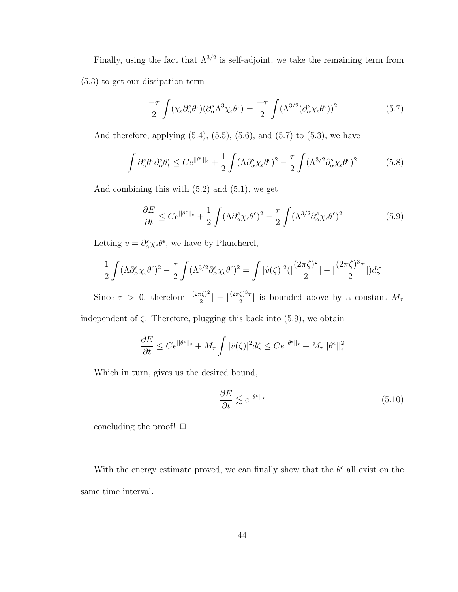Finally, using the fact that  $\Lambda^{3/2}$  is self-adjoint, we take the remaining term from (5.3) to get our dissipation term

$$
\frac{-\tau}{2} \int (\chi_{\epsilon} \partial_{\alpha}^{s} \theta^{\epsilon}) (\partial_{\alpha}^{s} \Lambda^{3} \chi_{\epsilon} \theta^{\epsilon}) = \frac{-\tau}{2} \int (\Lambda^{3/2} (\partial_{\alpha}^{s} \chi_{\epsilon} \theta^{\epsilon}))^{2}
$$
(5.7)

And therefore, applying  $(5.4)$ ,  $(5.5)$ ,  $(5.6)$ , and  $(5.7)$  to  $(5.3)$ , we have

$$
\int \partial_{\alpha}^{s} \theta^{\epsilon} \partial_{\alpha}^{s} \theta^{\epsilon} \leq C e^{||\theta^{\epsilon}||_{s}} + \frac{1}{2} \int (\Lambda \partial_{\alpha}^{s} \chi_{\epsilon} \theta^{\epsilon})^{2} - \frac{\tau}{2} \int (\Lambda^{3/2} \partial_{\alpha}^{s} \chi_{\epsilon} \theta^{\epsilon})^{2} \tag{5.8}
$$

And combining this with (5.2) and (5.1), we get

$$
\frac{\partial E}{\partial t} \le Ce^{\|\theta^{\epsilon}\|_{s}} + \frac{1}{2} \int (\Lambda \partial_{\alpha}^{s} \chi_{\epsilon} \theta^{\epsilon})^{2} - \frac{\tau}{2} \int (\Lambda^{3/2} \partial_{\alpha}^{s} \chi_{\epsilon} \theta^{\epsilon})^{2} \tag{5.9}
$$

Letting  $v = \partial_{\alpha}^s \chi_{\epsilon} \theta^{\epsilon}$ , we have by Plancherel,

$$
\frac{1}{2}\int (\Lambda \partial_{\alpha}^{s} \chi_{\epsilon} \theta^{\epsilon})^2 - \frac{\tau}{2} \int (\Lambda^{3/2} \partial_{\alpha}^{s} \chi_{\epsilon} \theta^{\epsilon})^2 = \int |\hat{v}(\zeta)|^2 (|\frac{(2\pi\zeta)^2}{2}| - |\frac{(2\pi\zeta)^3 \tau}{2}|) d\zeta
$$

Since  $\tau > 0$ , therefore  $\frac{(2\pi\zeta)^2}{2}$  $\frac{(\pi \zeta)^2}{2}$  |  $\frac{(2\pi \zeta)^3 \tau}{2}$  $\frac{\zeta^{9}}{2}$  is bounded above by a constant  $M_{\tau}$ 

independent of  $\zeta$ . Therefore, plugging this back into (5.9), we obtain

$$
\frac{\partial E}{\partial t} \le Ce^{\|\theta^{\epsilon}\|_{s}} + M_{\tau} \int |\hat{v}(\zeta)|^{2} d\zeta \le Ce^{\|\theta^{\epsilon}\|_{s}} + M_{\tau} ||\theta^{\epsilon}||_{s}^{2}
$$

Which in turn, gives us the desired bound,

$$
\frac{\partial E}{\partial t} \lesssim e^{||\theta^{\epsilon}||s} \tag{5.10}
$$

concluding the proof!  $\Box$ 

With the energy estimate proved, we can finally show that the  $\theta^{\epsilon}$  all exist on the same time interval.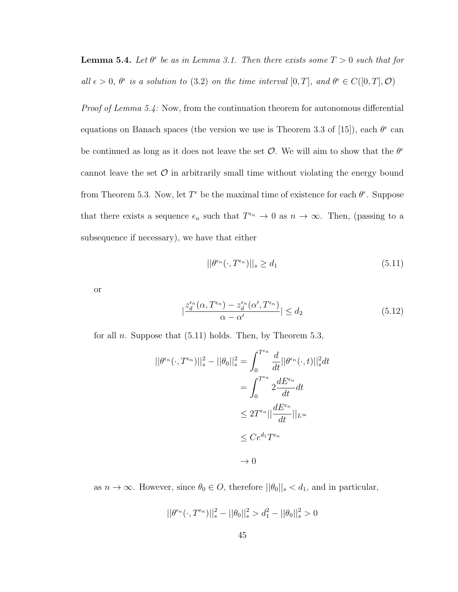**Lemma 5.4.** Let  $\theta^{\epsilon}$  be as in Lemma 3.1. Then there exists some  $T > 0$  such that for all  $\epsilon > 0$ ,  $\theta^{\epsilon}$  is a solution to (3.2) on the time interval  $[0, T]$ , and  $\theta^{\epsilon} \in C([0, T], \mathcal{O})$ 

Proof of Lemma 5.4: Now, from the continuation theorem for autonomous differential equations on Banach spaces (the version we use is Theorem 3.3 of [15]), each  $\theta^{\epsilon}$  can be continued as long as it does not leave the set  $\mathcal{O}$ . We will aim to show that the  $\theta^{\epsilon}$ cannot leave the set  $\mathcal O$  in arbitrarily small time without violating the energy bound from Theorem 5.3. Now, let  $T^{\epsilon}$  be the maximal time of existence for each  $\theta^{\epsilon}$ . Suppose that there exists a sequence  $\epsilon_n$  such that  $T^{\epsilon_n} \to 0$  as  $n \to \infty$ . Then, (passing to a subsequence if necessary), we have that either

$$
||\theta^{\epsilon_n}(\cdot, T^{\epsilon_n})||_s \ge d_1 \tag{5.11}
$$

or

$$
\left|\frac{z_d^{\epsilon_n}(\alpha, T^{\epsilon_n}) - z_d^{\epsilon_n}(\alpha', T^{\epsilon_n})}{\alpha - \alpha'}\right| \le d_2\tag{5.12}
$$

for all *n*. Suppose that  $(5.11)$  holds. Then, by Theorem 5.3,

$$
||\theta^{\epsilon_n}(\cdot, T^{\epsilon_n})||_s^2 - ||\theta_0||_s^2 = \int_0^{T^{\epsilon_n}} \frac{d}{dt} ||\theta^{\epsilon_n}(\cdot, t)||_s^2 dt
$$
  
= 
$$
\int_0^{T^{\epsilon_n}} 2\frac{dE^{\epsilon_n}}{dt} dt
$$
  

$$
\leq 2T^{\epsilon_n} ||\frac{dE^{\epsilon_n}}{dt}||_{L^{\infty}}
$$
  

$$
\leq Ce^{d_1}T^{\epsilon_n}
$$
  

$$
\to 0
$$

as  $n \to \infty$ . However, since  $\theta_0 \in O$ , therefore  $||\theta_0||_s < d_1$ , and in particular,

$$
||\theta^{\epsilon_n}(\cdot, T^{\epsilon_n})||_s^2 - ||\theta_0||_s^2 > d_1^2 - ||\theta_0||_s^2 > 0
$$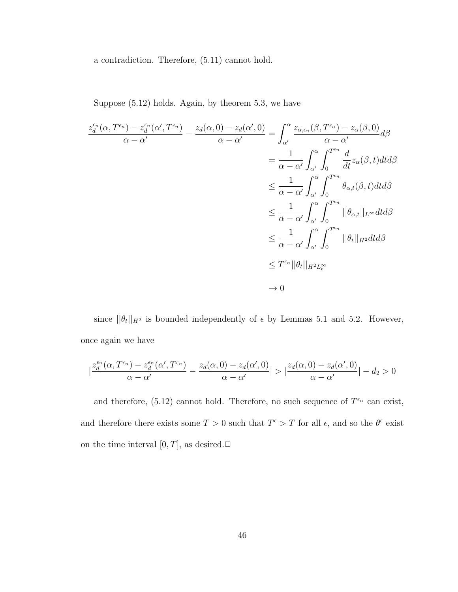a contradiction. Therefore, (5.11) cannot hold.

Suppose (5.12) holds. Again, by theorem 5.3, we have

$$
\frac{z_{d}^{\epsilon_{n}}(\alpha, T^{\epsilon_{n}}) - z_{d}^{\epsilon_{n}}(\alpha', T^{\epsilon_{n}})}{\alpha - \alpha'} - \frac{z_{d}(\alpha, 0) - z_{d}(\alpha', 0)}{\alpha - \alpha'} = \int_{\alpha'}^{\alpha} \frac{z_{\alpha, \epsilon_{n}}(\beta, T^{\epsilon_{n}}) - z_{\alpha}(\beta, 0)}{\alpha - \alpha'} d\beta
$$
  
\n
$$
= \frac{1}{\alpha - \alpha'} \int_{\alpha'}^{\alpha} \int_{0}^{T^{\epsilon_{n}}} \frac{d}{dt} z_{\alpha}(\beta, t) dt d\beta
$$
  
\n
$$
\leq \frac{1}{\alpha - \alpha'} \int_{\alpha'}^{\alpha} \int_{0}^{T^{\epsilon_{n}}} \theta_{\alpha, t}(\beta, t) dt d\beta
$$
  
\n
$$
\leq \frac{1}{\alpha - \alpha'} \int_{\alpha'}^{\alpha} \int_{0}^{T^{\epsilon_{n}}} ||\theta_{\alpha, t}||_{L^{\infty}} dt d\beta
$$
  
\n
$$
\leq \frac{1}{\alpha - \alpha'} \int_{\alpha'}^{\alpha} \int_{0}^{T^{\epsilon_{n}}} ||\theta_{t}||_{H^{2}} dt d\beta
$$
  
\n
$$
\leq T^{\epsilon_{n}} ||\theta_{t}||_{H^{2} L^{\infty}_{t}}
$$
  
\n
$$
\to 0
$$

since  $||\theta_t||_{H^2}$  is bounded independently of  $\epsilon$  by Lemmas 5.1 and 5.2. However, once again we have

$$
\left|\frac{z_d^{\epsilon_n}(\alpha,T^{\epsilon_n})-z_d^{\epsilon_n}(\alpha',T^{\epsilon_n})}{\alpha-\alpha'}-\frac{z_d(\alpha,0)-z_d(\alpha',0)}{\alpha-\alpha'}\right|>\left|\frac{z_d(\alpha,0)-z_d(\alpha',0)}{\alpha-\alpha'}\right|-d_2>0
$$

and therefore, (5.12) cannot hold. Therefore, no such sequence of  $T^{\epsilon_n}$  can exist, and therefore there exists some  $T > 0$  such that  $T^{\epsilon} > T$  for all  $\epsilon$ , and so the  $\theta^{\epsilon}$  exist on the time interval  $[0, T]$ , as desired. $\Box$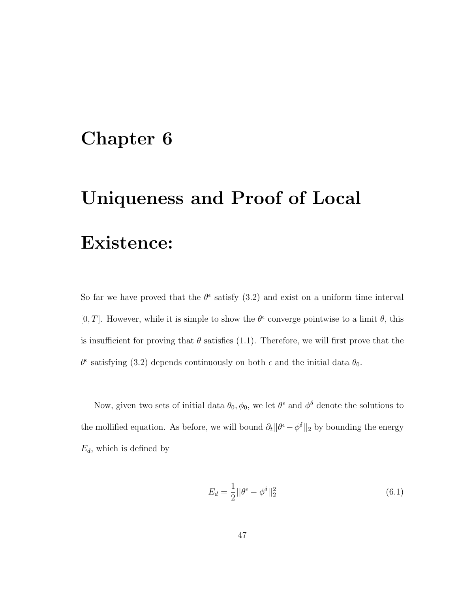### Chapter 6

# Uniqueness and Proof of Local Existence:

So far we have proved that the  $\theta^{\epsilon}$  satisfy (3.2) and exist on a uniform time interval [0, T]. However, while it is simple to show the  $\theta^{\epsilon}$  converge pointwise to a limit  $\theta$ , this is insufficient for proving that  $\theta$  satisfies (1.1). Therefore, we will first prove that the  $\theta^{\epsilon}$  satisfying (3.2) depends continuously on both  $\epsilon$  and the initial data  $\theta_0$ .

Now, given two sets of initial data  $\theta_0, \phi_0$ , we let  $\theta^{\epsilon}$  and  $\phi^{\delta}$  denote the solutions to the mollified equation. As before, we will bound  $\partial_t ||\theta^{\epsilon} - \phi^{\delta}||_2$  by bounding the energy  $E_d$ , which is defined by

$$
E_d = \frac{1}{2} ||\theta^{\epsilon} - \phi^{\delta}||_2^2
$$
 (6.1)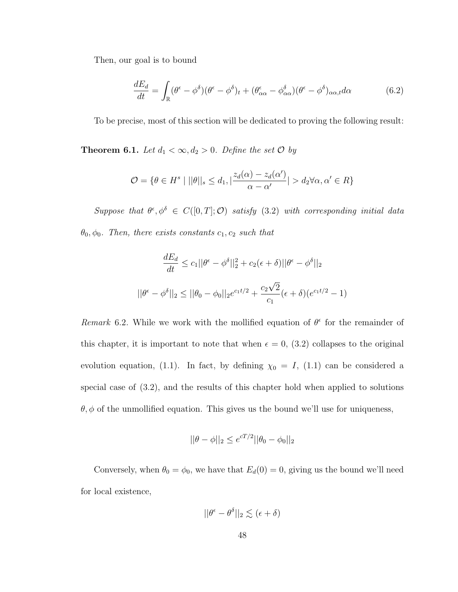Then, our goal is to bound

$$
\frac{dE_d}{dt} = \int_{\mathbb{R}} (\theta^{\epsilon} - \phi^{\delta})(\theta^{\epsilon} - \phi^{\delta})_t + (\theta^{\epsilon}_{\alpha\alpha} - \phi^{\delta}_{\alpha\alpha})(\theta^{\epsilon} - \phi^{\delta})_{\alpha\alpha,t} d\alpha \tag{6.2}
$$

To be precise, most of this section will be dedicated to proving the following result:

**Theorem 6.1.** Let  $d_1 < \infty, d_2 > 0$ . Define the set  $\mathcal{O}$  by

$$
\mathcal{O} = \{ \theta \in H^s \mid ||\theta||_s \le d_1, \left| \frac{z_d(\alpha) - z_d(\alpha')}{\alpha - \alpha'} \right| > d_2 \forall \alpha, \alpha' \in R \}
$$

Suppose that  $\theta^{\epsilon}, \phi^{\delta} \in C([0,T]; \mathcal{O})$  satisfy (3.2) with corresponding initial data  $\theta_0, \phi_0$ . Then, there exists constants  $c_1, c_2$  such that

$$
\frac{dE_d}{dt} \le c_1 ||\theta^{\epsilon} - \phi^{\delta}||_2^2 + c_2(\epsilon + \delta) ||\theta^{\epsilon} - \phi^{\delta}||_2
$$
  

$$
||\theta^{\epsilon} - \phi^{\delta}||_2 \le ||\theta_0 - \phi_0||_2 e^{c_1 t/2} + \frac{c_2 \sqrt{2}}{c_1} (\epsilon + \delta) (e^{c_1 t/2} - 1)
$$

Remark 6.2. While we work with the mollified equation of  $\theta^{\epsilon}$  for the remainder of this chapter, it is important to note that when  $\epsilon = 0$ , (3.2) collapses to the original evolution equation, (1.1). In fact, by defining  $\chi_0 = I$ , (1.1) can be considered a special case of (3.2), and the results of this chapter hold when applied to solutions  $\theta$ ,  $\phi$  of the unmollified equation. This gives us the bound we'll use for uniqueness,

$$
||\theta - \phi||_2 \le e^{cT/2} ||\theta_0 - \phi_0||_2
$$

Conversely, when  $\theta_0 = \phi_0$ , we have that  $E_d(0) = 0$ , giving us the bound we'll need for local existence,

$$
||\theta^{\epsilon} - \theta^{\delta}||_2 \lesssim (\epsilon + \delta)
$$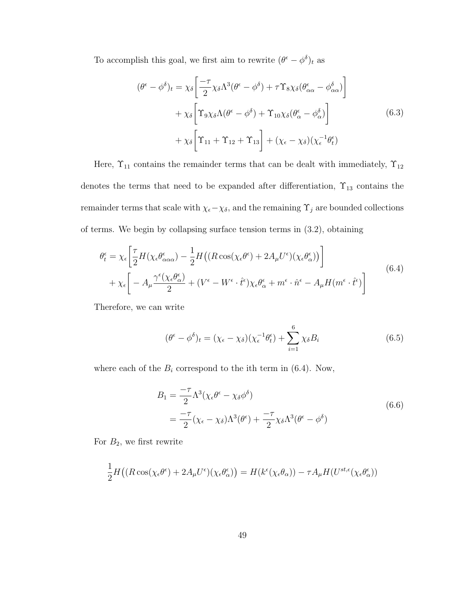To accomplish this goal, we first aim to rewrite  $(\theta^{\epsilon} - \phi^{\delta})_t$  as

$$
(\theta^{\epsilon} - \phi^{\delta})_{t} = \chi_{\delta} \left[ \frac{-\tau}{2} \chi_{\delta} \Lambda^{3} (\theta^{\epsilon} - \phi^{\delta}) + \tau \Upsilon_{8} \chi_{\delta} (\theta^{\epsilon}_{\alpha \alpha} - \phi^{\delta}_{\alpha \alpha}) \right] + \chi_{\delta} \left[ \Upsilon_{9} \chi_{\delta} \Lambda (\theta^{\epsilon} - \phi^{\delta}) + \Upsilon_{10} \chi_{\delta} (\theta^{\epsilon}_{\alpha} - \phi^{\delta}_{\alpha}) \right] + \chi_{\delta} \left[ \Upsilon_{11} + \Upsilon_{12} + \Upsilon_{13} \right] + (\chi_{\epsilon} - \chi_{\delta}) (\chi_{\epsilon}^{-1} \theta^{\epsilon}_{t})
$$
\n(6.3)

Here,  $\Upsilon_{11}$  contains the remainder terms that can be dealt with immediately,  $\Upsilon_{12}$ denotes the terms that need to be expanded after differentiation,  $\Upsilon_{13}$  contains the remainder terms that scale with  $\chi_{\epsilon} - \chi_{\delta}$ , and the remaining  $\Upsilon_j$  are bounded collections of terms. We begin by collapsing surface tension terms in (3.2), obtaining

$$
\theta_t^{\epsilon} = \chi_{\epsilon} \left[ \frac{\tau}{2} H(\chi_{\epsilon} \theta_{\alpha \alpha \alpha}^{\epsilon}) - \frac{1}{2} H((R \cos(\chi_{\epsilon} \theta^{\epsilon}) + 2A_{\mu} U^{\epsilon})(\chi_{\epsilon} \theta_{\alpha}^{\epsilon})) \right] + \chi_{\epsilon} \left[ -A_{\mu} \frac{\gamma^{\epsilon}(\chi_{\epsilon} \theta_{\alpha}^{\epsilon})}{2} + (V^{\epsilon} - W^{\epsilon} \cdot \hat{t}^{\epsilon}) \chi_{\epsilon} \theta_{\alpha}^{\epsilon} + m^{\epsilon} \cdot \hat{n}^{\epsilon} - A_{\mu} H(m^{\epsilon} \cdot \hat{t}^{\epsilon}) \right]
$$
(6.4)

Therefore, we can write

$$
(\theta^{\epsilon} - \phi^{\delta})_t = (\chi_{\epsilon} - \chi_{\delta})(\chi_{\epsilon}^{-1}\theta_t^{\epsilon}) + \sum_{i=1}^{6} \chi_{\delta}B_i
$$
 (6.5)

where each of the  $B_i$  correspond to the ith term in (6.4). Now,

$$
B_1 = \frac{-\tau}{2} \Lambda^3 (\chi_\epsilon \theta^\epsilon - \chi_\delta \phi^\delta)
$$
  
= 
$$
\frac{-\tau}{2} (\chi_\epsilon - \chi_\delta) \Lambda^3 (\theta^\epsilon) + \frac{-\tau}{2} \chi_\delta \Lambda^3 (\theta^\epsilon - \phi^\delta)
$$
 (6.6)

For  $B_2$ , we first rewrite

$$
\frac{1}{2}H\big((R\cos(\chi_\epsilon\theta^\epsilon)+2A_\mu U^\epsilon)(\chi_\epsilon\theta^\epsilon_\alpha)\big)=H(k^\epsilon(\chi_\epsilon\theta_\alpha))-\tau A_\mu H(U^{st,\epsilon}(\chi_\epsilon\theta^\epsilon_\alpha))
$$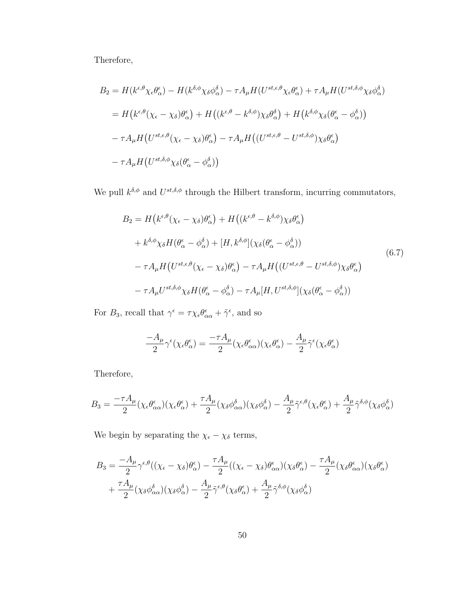Therefore,

$$
B_2 = H(k^{\epsilon,\theta}\chi_{\epsilon}\theta^{\epsilon}_{\alpha}) - H(k^{\delta,\phi}\chi_{\delta}\phi^{\delta}_{\alpha}) - \tau A_{\mu}H(U^{st,\epsilon,\theta}\chi_{\epsilon}\theta^{\epsilon}_{\alpha}) + \tau A_{\mu}H(U^{st,\delta,\phi}\chi_{\delta}\phi^{\delta}_{\alpha})
$$
  
\n
$$
= H(k^{\epsilon,\theta}(\chi_{\epsilon} - \chi_{\delta})\theta^{\epsilon}_{\alpha}) + H((k^{\epsilon,\theta} - k^{\delta,\phi})\chi_{\delta}\theta^{\delta}_{\alpha}) + H(k^{\delta,\phi}\chi_{\delta}(\theta^{\epsilon}_{\alpha} - \phi^{\delta}_{\alpha}))
$$
  
\n
$$
- \tau A_{\mu}H(U^{st,\epsilon,\theta}(\chi_{\epsilon} - \chi_{\delta})\theta^{\epsilon}_{\alpha}) - \tau A_{\mu}H((U^{st,\epsilon,\theta} - U^{st,\delta,\phi})\chi_{\delta}\theta^{\epsilon}_{\alpha})
$$
  
\n
$$
- \tau A_{\mu}H(U^{st,\delta,\phi}\chi_{\delta}(\theta^{\epsilon}_{\alpha} - \phi^{\delta}_{\alpha}))
$$

We pull  $k^{\delta,\phi}$  and  $U^{st,\delta,\phi}$  through the Hilbert transform, incurring commutators,

$$
B_2 = H\left(k^{\epsilon,\theta}(\chi_{\epsilon} - \chi_{\delta})\theta_{\alpha}^{\epsilon}\right) + H\left((k^{\epsilon,\theta} - k^{\delta,\phi})\chi_{\delta}\theta_{\alpha}^{\epsilon}\right)
$$
  
+  $k^{\delta,\phi}\chi_{\delta}H(\theta_{\alpha}^{\epsilon} - \phi_{\alpha}^{\delta}) + [H, k^{\delta,\phi}](\chi_{\delta}(\theta_{\alpha}^{\epsilon} - \phi_{\alpha}^{\delta}))$   
-  $\tau A_{\mu}H(U^{st,\epsilon,\theta}(\chi_{\epsilon} - \chi_{\delta})\theta_{\alpha}^{\epsilon}) - \tau A_{\mu}H((U^{st,\epsilon,\theta} - U^{st,\delta,\phi})\chi_{\delta}\theta_{\alpha}^{\epsilon})$   
-  $\tau A_{\mu}U^{st,\delta,\phi}\chi_{\delta}H(\theta_{\alpha}^{\epsilon} - \phi_{\alpha}^{\delta}) - \tau A_{\mu}[H, U^{st,\delta,\phi}](\chi_{\delta}(\theta_{\alpha}^{\epsilon} - \phi_{\alpha}^{\delta}))$  (6.7)

For  $B_3$ , recall that  $\gamma^{\epsilon} = \tau \chi_{\epsilon} \theta^{\epsilon}_{\alpha \alpha} + \tilde{\gamma}^{\epsilon}$ , and so

$$
\frac{-A_\mu}{2}\gamma^\epsilon(\chi_\epsilon\theta_\alpha^\epsilon)=\frac{-\tau A_\mu}{2}(\chi_\epsilon\theta_{\alpha\alpha}^\epsilon)(\chi_\epsilon\theta_\alpha^\epsilon)-\frac{A_\mu}{2}\tilde{\gamma}^\epsilon(\chi_\epsilon\theta_\alpha^\epsilon)
$$

Therefore,

$$
B_3 = \frac{-\tau A_\mu}{2} (\chi_\epsilon \theta^\epsilon_{\alpha\alpha}) (\chi_\epsilon \theta^\epsilon_\alpha) + \frac{\tau A_\mu}{2} (\chi_\delta \phi^\delta_{\alpha\alpha}) (\chi_\delta \phi^\delta_\alpha) - \frac{A_\mu}{2} \tilde{\gamma}^{\epsilon,\theta} (\chi_\epsilon \theta^\epsilon_\alpha) + \frac{A_\mu}{2} \tilde{\gamma}^{\delta,\phi} (\chi_\delta \phi^\delta_\alpha)
$$

We begin by separating the  $\chi_{\epsilon}-\chi_{\delta}$  terms,

$$
B_3 = \frac{-A_\mu}{2} \gamma^{\epsilon,\theta} ((\chi_\epsilon - \chi_\delta) \theta_\alpha^\epsilon) - \frac{\tau A_\mu}{2} ((\chi_\epsilon - \chi_\delta) \theta_{\alpha\alpha}^\epsilon) (\chi_\delta \theta_\alpha^\epsilon) - \frac{\tau A_\mu}{2} (\chi_\delta \theta_{\alpha\alpha}^\epsilon) (\chi_\delta \theta_\alpha^\epsilon) + \frac{\tau A_\mu}{2} (\chi_\delta \phi_{\alpha\alpha}^\delta) (\chi_\delta \phi_\alpha^\delta) - \frac{A_\mu}{2} \tilde{\gamma}^{\epsilon,\theta} (\chi_\delta \theta_\alpha^\epsilon) + \frac{A_\mu}{2} \tilde{\gamma}^{\delta,\phi} (\chi_\delta \phi_\alpha^\delta)
$$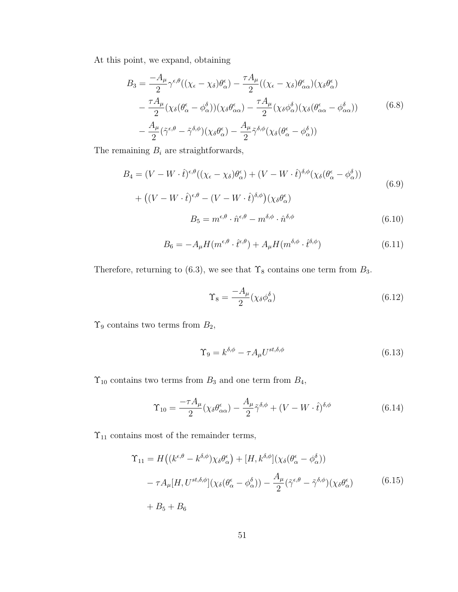At this point, we expand, obtaining

$$
B_3 = \frac{-A_\mu}{2} \gamma^{\epsilon,\theta} ((\chi_\epsilon - \chi_\delta) \theta_\alpha^\epsilon) - \frac{\tau A_\mu}{2} ((\chi_\epsilon - \chi_\delta) \theta_{\alpha\alpha}^\epsilon) (\chi_\delta \theta_\alpha^\epsilon) - \frac{\tau A_\mu}{2} (\chi_\delta (\theta_\alpha^\epsilon - \phi_\alpha^\delta)) (\chi_\delta \theta_{\alpha\alpha}^\epsilon) - \frac{\tau A_\mu}{2} (\chi_\delta \phi_\alpha^\delta) (\chi_\delta (\theta_{\alpha\alpha}^\epsilon - \phi_{\alpha\alpha}^\delta)) - \frac{A_\mu}{2} (\tilde{\gamma}^{\epsilon,\theta} - \tilde{\gamma}^{\delta,\phi}) (\chi_\delta \theta_\alpha^\epsilon) - \frac{A_\mu}{2} \tilde{\gamma}^{\delta,\phi} (\chi_\delta (\theta_\alpha^\epsilon - \phi_\alpha^\delta))
$$
(6.8)

The remaining  $B_i$  are straightforwards,

$$
B_4 = (V - W \cdot \hat{t})^{\epsilon, \theta} ((\chi_{\epsilon} - \chi_{\delta}) \theta_{\alpha}^{\epsilon}) + (V - W \cdot \hat{t})^{\delta, \phi} (\chi_{\delta} (\theta_{\alpha}^{\epsilon} - \phi_{\alpha}^{\delta}))
$$
  
+ 
$$
((V - W \cdot \hat{t})^{\epsilon, \theta} - (V - W \cdot \hat{t})^{\delta, \phi}) (\chi_{\delta} \theta_{\alpha}^{\epsilon})
$$
  

$$
B_5 = m^{\epsilon, \theta} \cdot \hat{n}^{\epsilon, \theta} - m^{\delta, \phi} \cdot \hat{n}^{\delta, \phi}
$$
 (6.10)

$$
B_6 = -A_{\mu}H(m^{\epsilon,\theta} \cdot \hat{t}^{\epsilon,\theta}) + A_{\mu}H(m^{\delta,\phi} \cdot \hat{t}^{\delta,\phi})
$$
(6.11)

Therefore, returning to (6.3), we see that  $\Upsilon_8$  contains one term from  $B_3$ .

$$
\Upsilon_8 = \frac{-A_\mu}{2} (\chi_\delta \phi_\alpha^\delta) \tag{6.12}
$$

 $\Upsilon_9$  contains two terms from  $B_2$ ,

$$
\Upsilon_9 = k^{\delta,\phi} - \tau A_\mu U^{st,\delta,\phi} \tag{6.13}
$$

 $\Upsilon_{10}$  contains two terms from  $B_3$  and one term from  $B_4,$ 

$$
\Upsilon_{10} = \frac{-\tau A_{\mu}}{2} (\chi_{\delta} \theta_{\alpha \alpha}^{\epsilon}) - \frac{A_{\mu}}{2} \tilde{\gamma}^{\delta, \phi} + (V - W \cdot \hat{t})^{\delta, \phi}
$$
(6.14)

 $\Upsilon_{11}$  contains most of the remainder terms,

$$
\begin{split} \Upsilon_{11} &= H\big((k^{\epsilon,\theta} - k^{\delta,\phi})\chi_{\delta}\theta_{\alpha}^{\epsilon}\big) + [H, k^{\delta,\phi}](\chi_{\delta}(\theta_{\alpha}^{\epsilon} - \phi_{\alpha}^{\delta})) \\ &- \tau A_{\mu}[H, U^{st,\delta,\phi}](\chi_{\delta}(\theta_{\alpha}^{\epsilon} - \phi_{\alpha}^{\delta})) - \frac{A_{\mu}}{2}(\tilde{\gamma}^{\epsilon,\theta} - \tilde{\gamma}^{\delta,\phi})(\chi_{\delta}\theta_{\alpha}^{\epsilon}) \\ &+ B_{5} + B_{6} \end{split} \tag{6.15}
$$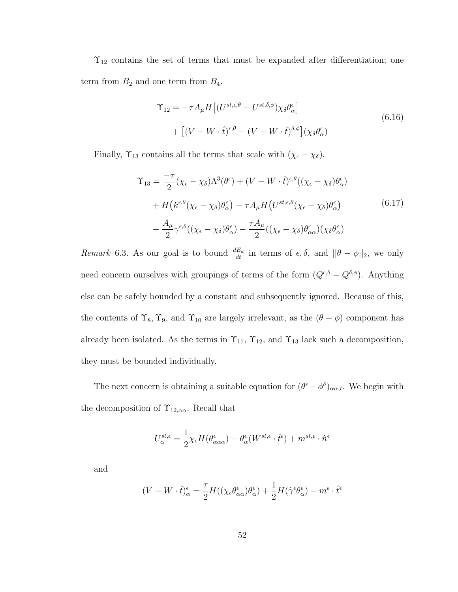$\Upsilon_{12}$  contains the set of terms that must be expanded after differentiation; one term from  $B_2$  and one term from  $B_4$ .

$$
\begin{split} \Upsilon_{12} &= -\tau A_{\mu} H \left[ (U^{st,\epsilon,\theta} - U^{st,\delta,\phi}) \chi_{\delta} \theta_{\alpha}^{\epsilon} \right] \\ &+ \left[ (V - W \cdot \hat{t})^{\epsilon,\theta} - (V - W \cdot \hat{t})^{\delta,\phi} \right] (\chi_{\delta} \theta_{\alpha}^{\epsilon}) \end{split} \tag{6.16}
$$

Finally,  $\Upsilon_{13}$  contains all the terms that scale with  $(\chi_{\epsilon} - \chi_{\delta})$ .

$$
\begin{split} \Upsilon_{13} &= \frac{-\tau}{2} (\chi_{\epsilon} - \chi_{\delta}) \Lambda^{3}(\theta^{\epsilon}) + (V - W \cdot \hat{t})^{\epsilon, \theta} ((\chi_{\epsilon} - \chi_{\delta}) \theta^{\epsilon}_{\alpha}) \\ &+ H \big( k^{\epsilon, \theta} (\chi_{\epsilon} - \chi_{\delta}) \theta^{\epsilon}_{\alpha} \big) - \tau A_{\mu} H \big( U^{st, \epsilon, \theta} (\chi_{\epsilon} - \chi_{\delta}) \theta^{\epsilon}_{\alpha} \big) \\ &- \frac{A_{\mu}}{2} \gamma^{\epsilon, \theta} ((\chi_{\epsilon} - \chi_{\delta}) \theta^{\epsilon}_{\alpha}) - \frac{\tau A_{\mu}}{2} ((\chi_{\epsilon} - \chi_{\delta}) \theta^{\epsilon}_{\alpha \alpha}) (\chi_{\delta} \theta^{\epsilon}_{\alpha}) \end{split} \tag{6.17}
$$

Remark 6.3. As our goal is to bound  $\frac{dE_d}{dt}$  in terms of  $\epsilon, \delta$ , and  $||\theta - \phi||_2$ , we only need concern ourselves with groupings of terms of the form  $(Q^{\epsilon,\theta} - Q^{\delta,\phi})$ . Anything else can be safely bounded by a constant and subsequently ignored. Because of this, the contents of  $\Upsilon_8$ ,  $\Upsilon_9$ , and  $\Upsilon_{10}$  are largely irrelevant, as the  $(\theta - \phi)$  component has already been isolated. As the terms in  $\Upsilon_{11}$ ,  $\Upsilon_{12}$ , and  $\Upsilon_{13}$  lack such a decomposition, they must be bounded individually.

The next concern is obtaining a suitable equation for  $(\theta^{\epsilon} - \phi^{\delta})_{\alpha \alpha, t}$ . We begin with the decomposition of  $\Upsilon_{12,\alpha\alpha}$ . Recall that

$$
U_{\alpha}^{st,\epsilon} = \frac{1}{2} \chi_{\epsilon} H(\theta_{\alpha\alpha\alpha}^{\epsilon}) - \theta_{\alpha}^{\epsilon} (W^{st,\epsilon} \cdot \hat{t}^{\epsilon}) + m^{st,\epsilon} \cdot \hat{n}^{\epsilon}
$$

and

$$
(V - W \cdot \hat{t})^{\epsilon}_{\alpha} = \frac{\tau}{2} H((\chi_{\epsilon} \theta^{\epsilon}_{\alpha \alpha}) \theta^{\epsilon}_{\alpha}) + \frac{1}{2} H(\tilde{\gamma}^{\epsilon} \theta^{\epsilon}_{\alpha}) - m^{\epsilon} \cdot \hat{t}^{\epsilon}
$$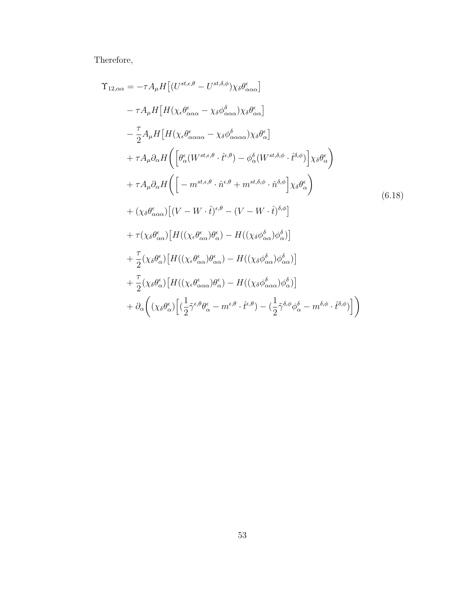Therefore,

$$
\begin{split}\n\Upsilon_{12,\alpha\alpha} &= -\tau A_{\mu} H \left[ (U^{st,\epsilon,\theta} - U^{st,\delta,\phi}) \chi_{\delta} \theta_{\alpha\alpha\alpha}^{\epsilon} \right] \\
&- \tau A_{\mu} H \left[ H (\chi_{\epsilon} \theta_{\alpha\alpha\alpha}^{\epsilon} - \chi_{\delta} \phi_{\alpha\alpha\alpha}^{\delta}) \chi_{\delta} \theta_{\alpha\alpha}^{\epsilon} \right] \\
&- \frac{\tau}{2} A_{\mu} H \left[ H (\chi_{\epsilon} \theta_{\alpha\alpha\alpha\alpha}^{\epsilon} - \chi_{\delta} \phi_{\alpha\alpha\alpha\alpha}^{\delta}) \chi_{\delta} \theta_{\alpha}^{\epsilon} \right] \\
&+ \tau A_{\mu} \partial_{\alpha} H \left( \left[ \theta_{\alpha}^{\epsilon} (W^{st,\epsilon,\theta} \cdot \hat{t}^{\epsilon,\theta}) - \phi_{\alpha}^{\delta} (W^{st,\delta,\phi} \cdot \hat{t}^{\delta,\phi}) \right] \chi_{\delta} \theta_{\alpha}^{\epsilon} \right) \\
&+ \tau A_{\mu} \partial_{\alpha} H \left( \left[ -m^{st,\epsilon,\theta} \cdot \hat{n}^{\epsilon,\theta} + m^{st,\delta,\phi} \cdot \hat{n}^{\delta,\phi} \right] \chi_{\delta} \theta_{\alpha}^{\epsilon} \right) \\
&+ (\chi_{\delta} \theta_{\alpha\alpha\alpha}^{\epsilon}) \left[ (V - W \cdot \hat{t})^{\epsilon,\theta} - (V - W \cdot \hat{t})^{\delta,\phi} \right] \\
&+ \tau (\chi_{\delta} \theta_{\alpha\alpha}^{\epsilon}) \left[ H ((\chi_{\epsilon} \theta_{\alpha\alpha}^{\epsilon}) \theta_{\alpha}^{\epsilon}) - H ((\chi_{\delta} \phi_{\alpha\alpha}^{\delta}) \phi_{\alpha}^{\delta}) \right] \\
&+ \frac{\tau}{2} (\chi_{\delta} \theta_{\alpha}^{\epsilon}) \left[ H ((\chi_{\epsilon} \theta_{\alpha\alpha}^{\epsilon}) \theta_{\alpha\alpha}^{\epsilon}) - H ((\chi_{\delta} \phi_{\alpha\alpha}^{\delta}) \phi_{\alpha\alpha}^{\delta}) \right] \\
&+ \frac{\tau}{2} (\chi_{\delta} \theta_{\alpha}^{\epsilon}) \left[ H ((\chi_{\epsilon} \theta_{\alpha\alpha}^{\epsilon}) \theta_{\alpha}^{\epsilon}) - H ((\chi_{\delta} \phi_{\alpha\alpha}^{\delta})
$$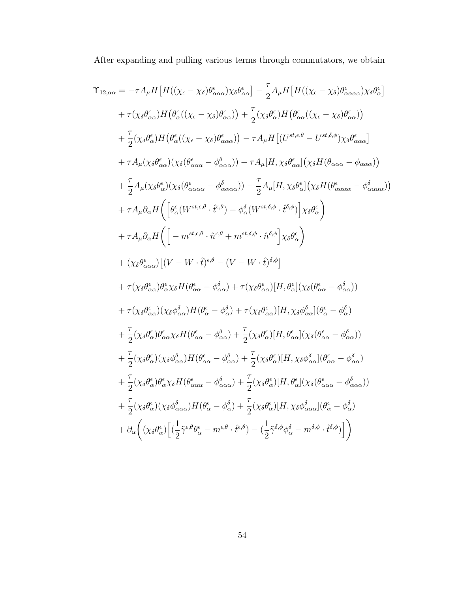After expanding and pulling various terms through commutators, we obtain

$$
\begin{split} \Upsilon_{12,\alpha\alpha} & = -\tau A_{\mu}H\big[H((\chi_{\epsilon}-\chi_{\delta})\theta^{\epsilon}_{\alpha\alpha\alpha})\chi_{\delta}\theta^{\epsilon}_{\alpha\alpha}\big]-\frac{\tau}{2}A_{\mu}H\big[H((\chi_{\epsilon}-\chi_{\delta})\theta^{\epsilon}_{\alpha\alpha\alpha})\chi_{\delta}\theta^{\epsilon}_{\alpha}\big] \\ & +\tau(\chi_{\delta}\theta^{\epsilon}_{\alpha\alpha})H\left(\theta^{\epsilon}_{\alpha}((\chi_{\epsilon}-\chi_{\delta})\theta^{\epsilon}_{\alpha\alpha})\right)+\frac{\tau}{2}(\chi_{\delta}\theta^{\epsilon}_{\alpha})H\left(\theta^{\epsilon}_{\alpha\alpha}((\chi_{\epsilon}-\chi_{\delta})\theta^{\epsilon}_{\alpha\alpha})\right) \\ & +\frac{\tau}{2}(\chi_{\delta}\theta^{\epsilon}_{\alpha})H\left(\theta^{\epsilon}_{\alpha}((\chi_{\epsilon}-\chi_{\delta})\theta^{\epsilon}_{\alpha\alpha\alpha})\right)-\tau A_{\mu}H\big[(U^{st,\epsilon,\theta}-U^{st,\delta,\phi})\chi_{\delta}\theta^{\epsilon}_{\alpha\alpha\alpha}\big] \\ & +\tau A_{\mu}(\chi_{\delta}\theta^{\epsilon}_{\alpha\alpha})(\chi_{\delta}(\theta^{\epsilon}_{\alpha\alpha\alpha}-\phi^{\delta}_{\alpha\alpha\alpha}))-\tau A_{\mu}[H,\chi_{\delta}\theta^{\epsilon}_{\alpha\alpha}](\chi_{\delta}H(\theta_{\alpha\alpha\alpha}-\phi_{\alpha\alpha\alpha}^{\delta})) \\ & +\frac{\tau}{2}A_{\mu}(\chi_{\delta}\theta^{\epsilon}_{\alpha})(\chi_{\delta}(\theta^{\epsilon}_{\alpha\alpha\alpha}-\phi^{\delta}_{\alpha\alpha\alpha\alpha}))-\frac{\tau}{2}A_{\mu}[H,\chi_{\delta}\theta^{\epsilon}_{\alpha}](\chi_{\delta}H(\theta^{\epsilon}_{\alpha\alpha\alpha}-\phi^{\delta}_{\alpha\alpha\alpha})) \\ & +\tau A_{\mu}\partial_{\alpha}H\bigg(\bigg[\theta^{\epsilon}_{\alpha}(W^{st,\epsilon,\theta}\cdot\hat{t}^{\epsilon,\theta})-\phi^{\delta}_{\alpha}(W^{st,\delta,\epsilon}\cdot\hat{t}^{\delta,\phi})\bigg]\chi_{\delta}\theta^{\epsilon}_{\alpha}\bigg) \\ & +(\chi_{\delta}\theta^{\epsilon}_{\alpha\alpha})\big[(V-W\cdot\hat{t})^{\epsilon,\theta}-(V-W\cdot\hat{t})^{\delta,\phi}\bigg]\
$$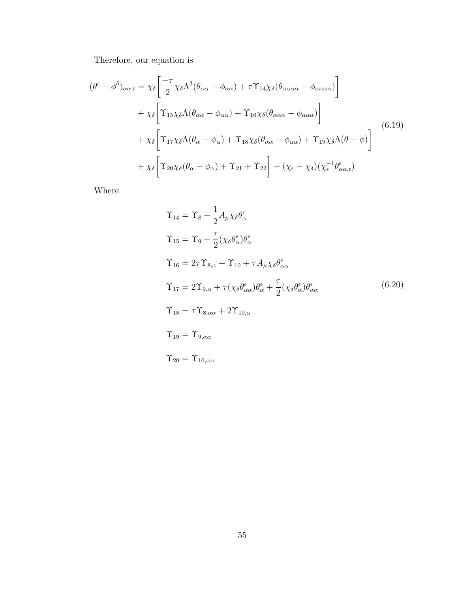Therefore, our equation is

$$
(\theta^{\epsilon} - \phi^{\delta})_{\alpha\alpha,t} = \chi_{\delta} \left[ \frac{-\tau}{2} \chi_{\delta} \Lambda^{3} (\theta_{\alpha\alpha} - \phi_{\alpha\alpha}) + \tau \Upsilon_{14} \chi_{\delta} (\theta_{\alpha\alpha\alpha} - \phi_{\alpha\alpha\alpha}) \right] + \chi_{\delta} \left[ \Upsilon_{15} \chi_{\delta} \Lambda (\theta_{\alpha\alpha} - \phi_{\alpha\alpha}) + \Upsilon_{16} \chi_{\delta} (\theta_{\alpha\alpha\alpha} - \phi_{\alpha\alpha\alpha}) \right] + \chi_{\delta} \left[ \Upsilon_{17} \chi_{\delta} \Lambda (\theta_{\alpha} - \phi_{\alpha}) + \Upsilon_{18} \chi_{\delta} (\theta_{\alpha\alpha} - \phi_{\alpha\alpha}) + \Upsilon_{19} \chi_{\delta} \Lambda (\theta - \phi) \right] + \chi_{\delta} \left[ \Upsilon_{20} \chi_{\delta} (\theta_{\alpha} - \phi_{\alpha}) + \Upsilon_{21} + \Upsilon_{22} \right] + (\chi_{\epsilon} - \chi_{\delta}) (\chi_{\epsilon}^{-1} \theta_{\alpha\alpha,t}^{\epsilon})
$$
(6.19)

Where

$$
\begin{aligned}\n\Upsilon_{14} &= \Upsilon_8 + \frac{1}{2} A_\mu \chi_\delta \theta_\alpha^\epsilon \\
\Upsilon_{15} &= \Upsilon_9 + \frac{\tau}{2} (\chi_\delta \theta_\alpha^\epsilon) \theta_\alpha^\epsilon \\
\Upsilon_{16} &= 2\tau \Upsilon_{8,\alpha} + \Upsilon_{10} + \tau A_\mu \chi_\delta \theta_{\alpha\alpha}^\epsilon \\
\Upsilon_{17} &= 2 \Upsilon_{9,\alpha} + \tau (\chi_\delta \theta_{\alpha\alpha}^\epsilon) \theta_\alpha^\epsilon + \frac{\tau}{2} (\chi_\delta \theta_\alpha^\epsilon) \theta_{\alpha\alpha}^\epsilon \\
\Upsilon_{18} &= \tau \Upsilon_{8,\alpha\alpha} + 2 \Upsilon_{10,\alpha} \\
\Upsilon_{19} &= \Upsilon_{9,\alpha\alpha} \\
\Upsilon_{20} &= \Upsilon_{10,\alpha\alpha}\n\end{aligned}
$$
\n(6.20)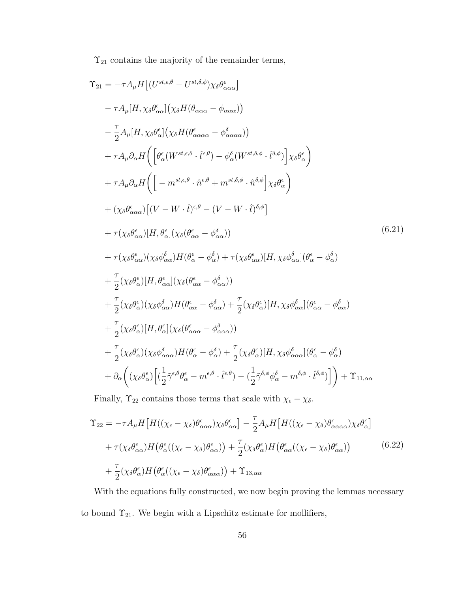$\Upsilon_{21}$  contains the majority of the remainder terms,

$$
\begin{split}\n\Upsilon_{21} &= -\tau A_{\mu} H \left[ (U^{st,c,\theta} - U^{st,\delta,\phi}) \chi_{\delta} \theta_{\alpha\alpha}^{e} \right] \\
&- \tau A_{\mu}[H, \chi_{\delta} \theta_{\alpha\alpha}^{e}] \left( \chi_{\delta} H(\theta_{\alpha\alpha\alpha} - \phi_{\alpha\alpha\alpha}^{e}) \right) \\
&- \frac{\tau}{2} A_{\mu}[H, \chi_{\delta} \theta_{\alpha}^{e}] \left( \chi_{\delta} H(\theta_{\alpha\alpha\alpha}^{e} - \phi_{\alpha\alpha\alpha}^{e}) \right) \\
&+ \tau A_{\mu} \partial_{\alpha} H \left( \left[ \theta_{\alpha}^{e} (W^{st,c,\theta} \cdot \hat{t}^{c,\theta}) - \phi_{\alpha}^{b} (W^{st,\delta,\phi} \cdot \hat{t}^{\delta,\phi}) \right] \chi_{\delta} \theta_{\alpha}^{e} \right) \\
&+ \tau A_{\mu} \partial_{\alpha} H \left( \left[ -m^{st,c,\theta} \cdot \hat{n}^{c,\theta} + m^{st,\delta,\phi} \cdot \hat{n}^{\delta,\phi} \right] \chi_{\delta} \theta_{\alpha}^{e} \right) \\
&+ \left( \chi_{\delta} \theta_{\alpha\alpha\alpha}^{e} \right) \left[ (V - W \cdot \hat{t})^{c,\theta} - (V - W \cdot \hat{t})^{\delta,\phi} \right] \\
&+ \tau \left( \chi_{\delta} \theta_{\alpha\alpha}^{e} \right) \left[ H, \theta_{\alpha}^{e} \right] \left( \chi_{\delta} (\theta_{\alpha\alpha}^{e} - \phi_{\alpha\alpha}^{b}) \right) \\
&+ \tau \left( \chi_{\delta} \theta_{\alpha\alpha}^{e} \right) \left( \chi_{\delta} \phi_{\alpha\alpha}^{b} \right) H (\theta_{\alpha}^{e} - \phi_{\alpha\alpha}^{b}) + \tau \left( \chi_{\delta} \theta_{\alpha\alpha}^{e} \right) \left[ H, \chi_{\delta} \phi_{\alpha\alpha}^{\delta} \right] \left( \theta_{\alpha}^{e} - \phi_{\alpha}^{b} \right) \\
&+ \frac{\tau}{2} \left( \chi_{\delta} \theta_{\alpha}^{e} \right) \left[ H, \theta_{\alpha\alpha}^{e} \right] \left( \chi_{\delta} (\theta_{\alpha\alpha}^{e} - \
$$

Finally,  $\Upsilon_{22}$  contains those terms that scale with  $\chi_{\epsilon} - \chi_{\delta}$ .

$$
\begin{split} \Upsilon_{22} &= -\tau A_{\mu} H \left[ H((\chi_{\epsilon} - \chi_{\delta}) \theta_{\alpha\alpha\alpha}^{\epsilon}) \chi_{\delta} \theta_{\alpha\alpha}^{\epsilon} \right] - \frac{\tau}{2} A_{\mu} H \left[ H((\chi_{\epsilon} - \chi_{\delta}) \theta_{\alpha\alpha\alpha\alpha}^{\epsilon}) \chi_{\delta} \theta_{\alpha}^{\epsilon} \right] \\ &+ \tau (\chi_{\delta} \theta_{\alpha\alpha}^{\epsilon}) H \left( \theta_{\alpha}^{\epsilon} ((\chi_{\epsilon} - \chi_{\delta}) \theta_{\alpha\alpha}^{\epsilon}) \right) + \frac{\tau}{2} (\chi_{\delta} \theta_{\alpha}^{\epsilon}) H \left( \theta_{\alpha\alpha}^{\epsilon} ((\chi_{\epsilon} - \chi_{\delta}) \theta_{\alpha\alpha}^{\epsilon}) \right) \\ &+ \frac{\tau}{2} (\chi_{\delta} \theta_{\alpha}^{\epsilon}) H \left( \theta_{\alpha}^{\epsilon} ((\chi_{\epsilon} - \chi_{\delta}) \theta_{\alpha\alpha\alpha}^{\epsilon}) \right) + \Upsilon_{13,\alpha\alpha} \end{split} \tag{6.22}
$$

With the equations fully constructed, we now begin proving the lemmas necessary to bound  $\Upsilon_{21}.$  We begin with a Lipschitz estimate for mollifiers,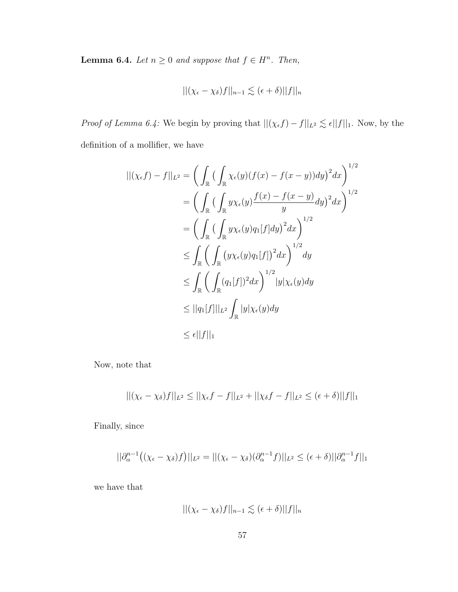**Lemma 6.4.** Let  $n \geq 0$  and suppose that  $f \in H^n$ . Then,

$$
||(\chi_{\epsilon} - \chi_{\delta})f||_{n-1} \lesssim (\epsilon + \delta) ||f||_{n}
$$

*Proof of Lemma 6.4:* We begin by proving that  $||(\chi_{\epsilon}f) - f||_{L^2} \lesssim \epsilon ||f||_1$ . Now, by the definition of a mollifier, we have

$$
\begin{aligned}\n||(\chi_{\epsilon}f) - f||_{L^2} &= \left( \int_{\mathbb{R}} \left( \int_{\mathbb{R}} \chi_{\epsilon}(y) (f(x) - f(x - y)) dy \right)^2 dx \right)^{1/2} \\
&= \left( \int_{\mathbb{R}} \left( \int_{\mathbb{R}} y \chi_{\epsilon}(y) \frac{f(x) - f(x - y)}{y} dy \right)^2 dx \right)^{1/2} \\
&= \left( \int_{\mathbb{R}} \left( \int_{\mathbb{R}} y \chi_{\epsilon}(y) q_1 [f] dy \right)^2 dx \right)^{1/2} \\
&\leq \int_{\mathbb{R}} \left( \int_{\mathbb{R}} \left( y \chi_{\epsilon}(y) q_1 [f] \right)^2 dx \right)^{1/2} dy \\
&\leq \int_{\mathbb{R}} \left( \int_{\mathbb{R}} (q_1 [f])^2 dx \right)^{1/2} |y| \chi_{\epsilon}(y) dy \\
&\leq ||q_1 [f]||_{L^2} \int_{\mathbb{R}} |y| \chi_{\epsilon}(y) dy \\
&\leq \epsilon ||f||_1\n\end{aligned}
$$

Now, note that

$$
||(\chi_{\epsilon} - \chi_{\delta})f||_{L^2} \le ||\chi_{\epsilon}f - f||_{L^2} + ||\chi_{\delta}f - f||_{L^2} \le (\epsilon + \delta) ||f||_1
$$

Finally, since

$$
||\partial_{\alpha}^{n-1}((\chi_{\epsilon}-\chi_{\delta})f)||_{L^{2}}=||(\chi_{\epsilon}-\chi_{\delta})(\partial_{\alpha}^{n-1}f)||_{L^{2}}\leq (\epsilon+\delta)||\partial_{\alpha}^{n-1}f||_{1}
$$

we have that

$$
||(\chi_{\epsilon} - \chi_{\delta})f||_{n-1} \lesssim (\epsilon + \delta) ||f||_{n}
$$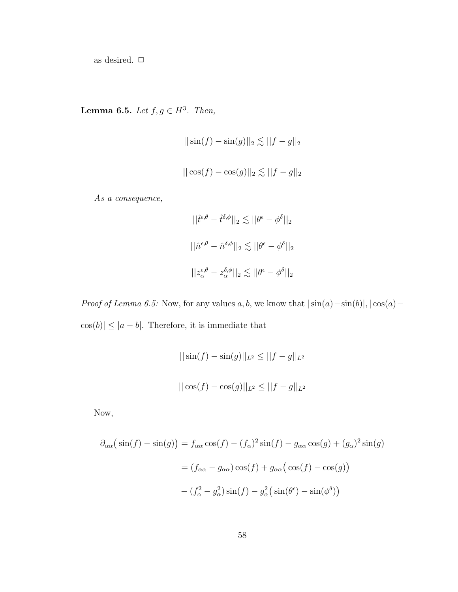as desired.  $\Box$ 

**Lemma 6.5.** Let  $f, g \in H^3$ . Then,

$$
||\sin(f) - \sin(g)||_2 \lesssim ||f - g||_2
$$
  

$$
||\cos(f) - \cos(g)||_2 \lesssim ||f - g||_2
$$

As a consequence,

$$
||\hat{t}^{\epsilon,\theta} - \hat{t}^{\delta,\phi}||_2 \lesssim ||\theta^{\epsilon} - \phi^{\delta}||_2
$$
  

$$
||\hat{n}^{\epsilon,\theta} - \hat{n}^{\delta,\phi}||_2 \lesssim ||\theta^{\epsilon} - \phi^{\delta}||_2
$$
  

$$
||z^{\epsilon,\theta}_{\alpha} - z^{\delta,\phi}_{\alpha}||_2 \lesssim ||\theta^{\epsilon} - \phi^{\delta}||_2
$$

*Proof of Lemma 6.5:* Now, for any values a, b, we know that  $|\sin(a)-\sin(b)|, |\cos(a)-\sin(b)|$  $|\cos(b)| \leq |a - b|$ . Therefore, it is immediate that

$$
||\sin(f) - \sin(g)||_{L^2} \le ||f - g||_{L^2}
$$
  

$$
||\cos(f) - \cos(g)||_{L^2} \le ||f - g||_{L^2}
$$

Now,

$$
\partial_{\alpha\alpha} \left( \sin(f) - \sin(g) \right) = f_{\alpha\alpha} \cos(f) - (f_{\alpha})^2 \sin(f) - g_{\alpha\alpha} \cos(g) + (g_{\alpha})^2 \sin(g)
$$

$$
= (f_{\alpha\alpha} - g_{\alpha\alpha}) \cos(f) + g_{\alpha\alpha} \left( \cos(f) - \cos(g) \right)
$$

$$
- (f_{\alpha}^2 - g_{\alpha}^2) \sin(f) - g_{\alpha}^2 \left( \sin(\theta^{\epsilon}) - \sin(\phi^{\delta}) \right)
$$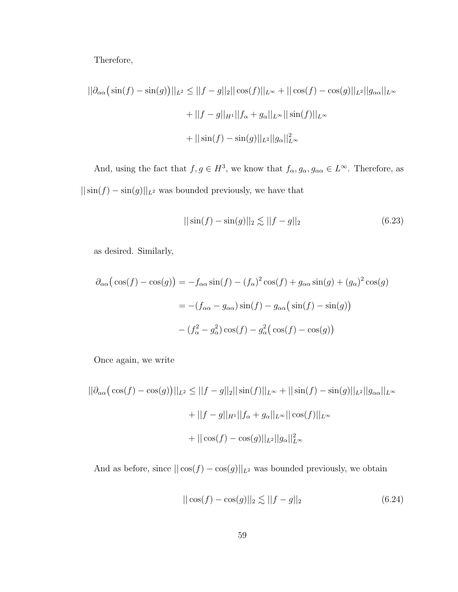Therefore,

$$
||\partial_{\alpha\alpha}(\sin(f) - \sin(g))||_{L^{2}} \le ||f - g||_{2}||\cos(f)||_{L^{\infty}} + ||\cos(f) - \cos(g)||_{L^{2}}||g_{\alpha\alpha}||_{L^{\infty}}
$$

$$
+ ||f - g||_{H^{1}}||f_{\alpha} + g_{\alpha}||_{L^{\infty}}||\sin(f)||_{L^{\infty}}
$$

$$
+ ||\sin(f) - \sin(g)||_{L^{2}}||g_{\alpha}||_{L^{\infty}}^{2}
$$

And, using the fact that  $f, g \in H^3$ , we know that  $f_{\alpha}, g_{\alpha}, g_{\alpha\alpha} \in L^{\infty}$ . Therefore, as  $||\sin(f) - \sin(g)||_{L^2}$  was bounded previously, we have that

$$
||\sin(f) - \sin(g)||_2 \lesssim ||f - g||_2 \tag{6.23}
$$

as desired. Similarly,

$$
\partial_{\alpha\alpha} \left( \cos(f) - \cos(g) \right) = -f_{\alpha\alpha} \sin(f) - (f_{\alpha})^2 \cos(f) + g_{\alpha\alpha} \sin(g) + (g_{\alpha})^2 \cos(g)
$$

$$
= -(f_{\alpha\alpha} - g_{\alpha\alpha}) \sin(f) - g_{\alpha\alpha} \left( \sin(f) - \sin(g) \right)
$$

$$
- (f_{\alpha}^2 - g_{\alpha}^2) \cos(f) - g_{\alpha}^2 \left( \cos(f) - \cos(g) \right)
$$

Once again, we write

$$
||\partial_{\alpha\alpha} (\cos(f) - \cos(g))||_{L^2} \le ||f - g||_2 ||\sin(f)||_{L^{\infty}} + ||\sin(f) - \sin(g)||_{L^2} ||g_{\alpha\alpha}||_{L^{\infty}}
$$

$$
+ ||f - g||_{H^1} ||f_{\alpha} + g_{\alpha}||_{L^{\infty}} ||\cos(f)||_{L^{\infty}}
$$

$$
+ ||\cos(f) - \cos(g)||_{L^2} ||g_{\alpha}||_{L^{\infty}}^2
$$

And as before, since  $||\cos(f) - \cos(g)||_{L^2}$  was bounded previously, we obtain

$$
||\cos(f) - \cos(g)||_2 \lesssim ||f - g||_2 \tag{6.24}
$$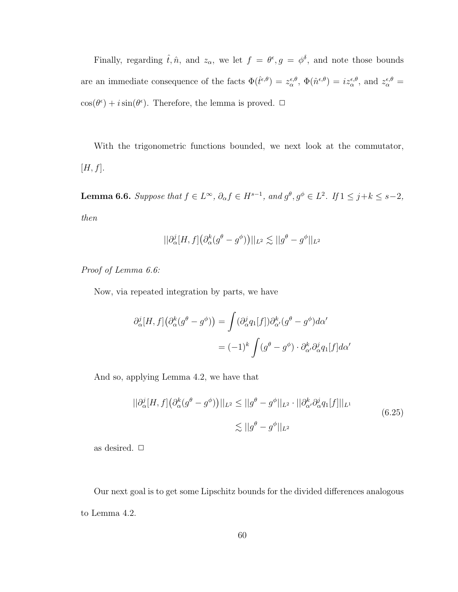Finally, regarding  $\hat{t}, \hat{n}$ , and  $z_{\alpha}$ , we let  $f = \theta^{\epsilon}, g = \phi^{\delta}$ , and note those bounds are an immediate consequence of the facts  $\Phi(\hat{t}^{\epsilon,\theta}) = z^{\epsilon,\theta}_{\alpha}, \ \Phi(\hat{n}^{\epsilon,\theta}) = iz^{\epsilon,\theta}_{\alpha}, \text{ and } z^{\epsilon,\theta}_{\alpha} =$  $cos(\theta^{\epsilon}) + i sin(\theta^{\epsilon})$ . Therefore, the lemma is proved.  $\Box$ 

With the trigonometric functions bounded, we next look at the commutator,  $[H, f].$ 

**Lemma 6.6.** Suppose that  $f \in L^{\infty}$ ,  $\partial_{\alpha} f \in H^{s-1}$ , and  $g^{\theta}, g^{\phi} \in L^2$ . If  $1 \leq j+k \leq s-2$ , then

$$
||\partial_{\alpha}^{j}[H,f]\big(\partial_{\alpha}^{k}(g^{\theta}-g^{\phi})\big)||_{L^{2}}\lesssim ||g^{\theta}-g^{\phi}||_{L^{2}}
$$

Proof of Lemma 6.6:

Now, via repeated integration by parts, we have

$$
\partial_{\alpha}^{j}[H,f](\partial_{\alpha}^{k}(g^{\theta}-g^{\phi})) = \int (\partial_{\alpha}^{j}q_{1}[f])\partial_{\alpha'}^{k}(g^{\theta}-g^{\phi})d\alpha'
$$

$$
= (-1)^{k} \int (g^{\theta}-g^{\phi}) \cdot \partial_{\alpha'}^{k} \partial_{\alpha}^{j}q_{1}[f]d\alpha'
$$

And so, applying Lemma 4.2, we have that

$$
||\partial_{\alpha}^{j}[H,f](\partial_{\alpha}^{k}(g^{\theta}-g^{\phi}))||_{L^{2}} \leq ||g^{\theta}-g^{\phi}||_{L^{2}} \cdot ||\partial_{\alpha}^{k} \partial_{\alpha}^{j} q_{1}[f]||_{L^{1}}
$$
  

$$
\lesssim ||g^{\theta}-g^{\phi}||_{L^{2}}
$$
(6.25)

as desired.  $\Box$ 

Our next goal is to get some Lipschitz bounds for the divided differences analogous to Lemma 4.2.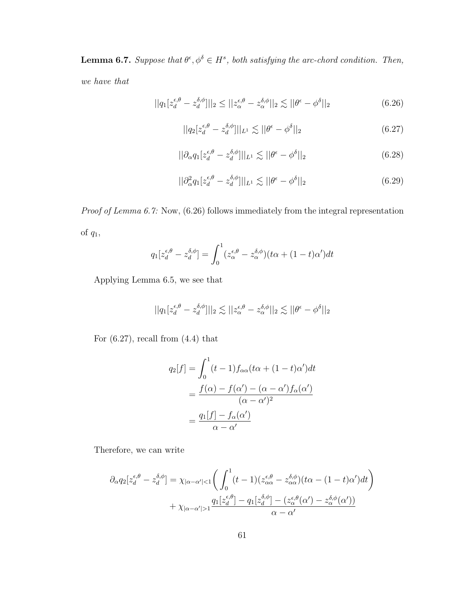**Lemma 6.7.** Suppose that  $\theta^{\epsilon}, \phi^{\delta} \in H^s$ , both satisfying the arc-chord condition. Then, we have that

$$
||q_1[z_d^{\epsilon,\theta} - z_d^{\delta,\phi}]||_2 \le ||z_\alpha^{\epsilon,\theta} - z_\alpha^{\delta,\phi}||_2 \lesssim ||\theta^\epsilon - \phi^\delta||_2
$$
\n(6.26)

$$
||q_2[z_d^{\epsilon,\theta} - z_d^{\delta,\phi}]||_{L^1} \lesssim ||\theta^{\epsilon} - \phi^{\delta}||_2
$$
\n(6.27)

$$
||\partial_{\alpha}q_{1}[z_{d}^{\epsilon,\theta}-z_{d}^{\delta,\phi}]||_{L^{1}} \lesssim ||\theta^{\epsilon}-\phi^{\delta}||_{2}
$$
\n(6.28)

$$
||\partial_{\alpha}^{2}q_{1}[z_{d}^{\epsilon,\theta}-z_{d}^{\delta,\phi}]||_{L^{1}} \lesssim ||\theta^{\epsilon}-\phi^{\delta}||_{2}
$$
\n(6.29)

Proof of Lemma 6.7: Now, (6.26) follows immediately from the integral representation of  $q_1$ ,

$$
q_1[z_d^{\epsilon,\theta} - z_d^{\delta,\phi}] = \int_0^1 (z_\alpha^{\epsilon,\theta} - z_\alpha^{\delta,\phi})(t\alpha + (1-t)\alpha')dt
$$

Applying Lemma 6.5, we see that

$$
||q_1[z_d^{\epsilon,\theta}-z_d^{\delta,\phi}]||_2 \lesssim ||z_\alpha^{\epsilon,\theta}-z_\alpha^{\delta,\phi}||_2 \lesssim ||\theta^\epsilon-\phi^\delta||_2
$$

For  $(6.27)$ , recall from  $(4.4)$  that

$$
q_2[f] = \int_0^1 (t - 1) f_{\alpha\alpha} (t\alpha + (1 - t)\alpha') dt
$$

$$
= \frac{f(\alpha) - f(\alpha') - (\alpha - \alpha') f_{\alpha}(\alpha')}{(\alpha - \alpha')^2}
$$

$$
= \frac{q_1[f] - f_{\alpha}(\alpha')}{\alpha - \alpha'}
$$

Therefore, we can write

$$
\partial_{\alpha}q_{2}[z_{d}^{\epsilon,\theta}-z_{d}^{\delta,\phi}]=\chi_{|\alpha-\alpha'|<1}\bigg(\int_{0}^{1}(t-1)(z_{\alpha\alpha}^{\epsilon,\theta}-z_{\alpha\alpha}^{\delta,\phi})(t\alpha-(1-t)\alpha')dt\bigg) +\chi_{|\alpha-\alpha'|>1}\frac{q_{1}[z_{d}^{\epsilon,\theta}]-q_{1}[z_{d}^{\delta,\phi}]-(z_{\alpha}^{\epsilon,\theta}(\alpha')-z_{\alpha}^{\delta,\phi}(\alpha'))}{\alpha-\alpha'}
$$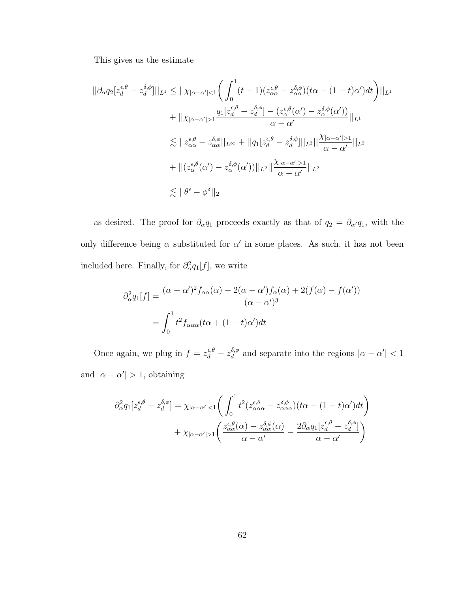This gives us the estimate

$$
||\partial_{\alpha}q_{2}[z_{d}^{\epsilon,\theta}-z_{d}^{\delta,\phi}]||_{L^{1}} \leq ||\chi_{|\alpha-\alpha'|<1}\left(\int_{0}^{1}(t-1)(z_{\alpha\alpha}^{\epsilon,\theta}-z_{\alpha\alpha}^{\delta,\phi})(t\alpha-(1-t)\alpha')dt\right)||_{L^{1}}+\ ||\chi_{|\alpha-\alpha'|>1}\frac{q_{1}[z_{d}^{\epsilon,\theta}-z_{d}^{\delta,\phi}]-(z_{\alpha}^{\epsilon,\theta}(\alpha')-z_{\alpha}^{\delta,\phi}(\alpha'))}{\alpha-\alpha'}||_{L^{1}}\leq ||z_{\alpha\alpha}^{\epsilon,\theta}-z_{\alpha\alpha}^{\delta,\phi}||_{L^{\infty}}+||q_{1}[z_{d}^{\epsilon,\theta}-z_{d}^{\delta,\phi}]||_{L^{2}}||\frac{\chi_{|\alpha-\alpha'|>1}}{\alpha-\alpha'}||_{L^{2}}+\ ||(z_{\alpha}^{\epsilon,\theta}(\alpha')-z_{\alpha}^{\delta,\phi}(\alpha'))||_{L^{2}}||\frac{\chi_{|\alpha-\alpha'|>1}}{\alpha-\alpha'}||_{L^{2}}\leq ||\theta^{\epsilon}-\phi^{\delta}||_{2}
$$

as desired. The proof for  $\partial_{\alpha}q_1$  proceeds exactly as that of  $q_2 = \partial_{\alpha'}q_1$ , with the only difference being  $\alpha$  substituted for  $\alpha'$  in some places. As such, it has not been included here. Finally, for  $\partial_{\alpha}^{2}q_{1}[f]$ , we write

$$
\partial_{\alpha}^{2}q_{1}[f] = \frac{(\alpha - \alpha')^{2} f_{\alpha\alpha}(\alpha) - 2(\alpha - \alpha') f_{\alpha}(\alpha) + 2(f(\alpha) - f(\alpha'))}{(\alpha - \alpha')^{3}}
$$

$$
= \int_{0}^{1} t^{2} f_{\alpha\alpha\alpha}(t\alpha + (1 - t)\alpha')dt
$$

Once again, we plug in  $f = z_d^{\epsilon,\theta} - z_d^{\delta,\phi}$  $\frac{\delta \phi}{d}$  and separate into the regions  $|\alpha - \alpha'| < 1$ and  $|\alpha - \alpha'| > 1$ , obtaining

$$
\partial_{\alpha}^{2}q_{1}[z_{d}^{\epsilon,\theta}-z_{d}^{\delta,\phi}]=\chi_{|\alpha-\alpha'|<1}\bigg(\int_{0}^{1}t^{2}(z_{\alpha\alpha\alpha}^{\epsilon,\theta}-z_{\alpha\alpha\alpha}^{\delta,\phi})(t\alpha-(1-t)\alpha')dt\bigg) +\chi_{|\alpha-\alpha'|>1}\bigg(\frac{z_{\alpha\alpha}^{\epsilon,\theta}(\alpha)-z_{\alpha\alpha}^{\delta,\phi}(\alpha)}{\alpha-\alpha'}-\frac{2\partial_{\alpha}q_{1}[z_{d}^{\epsilon,\theta}-z_{d}^{\delta,\phi}]}{\alpha-\alpha'}\bigg)
$$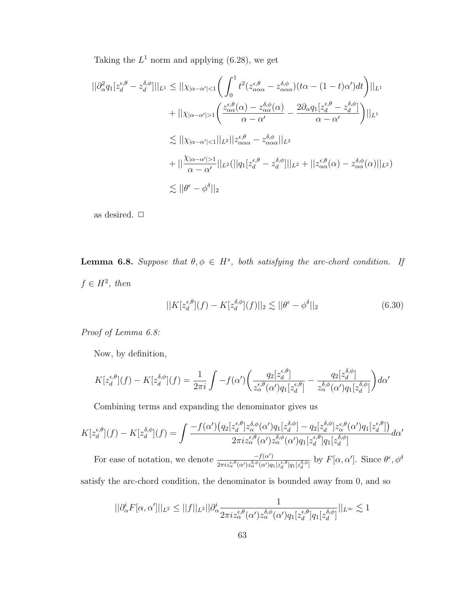Taking the  $L^1$  norm and applying (6.28), we get

$$
||\partial_{\alpha}^{2}q_{1}[z_{d}^{\epsilon,\theta}-z_{d}^{\delta,\phi}]||_{L^{1}} \leq ||\chi_{|\alpha-\alpha'|<1}\left(\int_{0}^{1}t^{2}(z_{\alpha\alpha\alpha}^{\epsilon,\theta}-z_{\alpha\alpha\alpha}^{\delta,\phi})(t\alpha-(1-t)\alpha')dt\right)||_{L^{1}}+\||\chi_{|\alpha-\alpha'|>1}\left(\frac{z_{\alpha\alpha}^{\epsilon,\theta}(\alpha)-z_{\alpha\alpha}^{\delta,\phi}(\alpha)}{\alpha-\alpha'}-\frac{2\partial_{\alpha}q_{1}[z_{d}^{\epsilon,\theta}-z_{d}^{\delta,\phi}]}{\alpha-\alpha'}\right)||_{L^{1}}\leq ||\chi_{|\alpha-\alpha'|<1}||_{L^{2}}||z_{\alpha\alpha\alpha}^{\epsilon,\theta}-z_{\alpha\alpha\alpha}^{\delta,\phi}||_{L^{2}}+\||\frac{\chi_{|\alpha-\alpha'|>1}}{\alpha-\alpha'}||_{L^{2}}(||q_{1}[z_{d}^{\epsilon,\theta}-z_{d}^{\delta,\phi}]||_{L^{2}}+||z_{\alpha\alpha}^{\epsilon,\theta}(\alpha)-z_{\alpha\alpha}^{\delta,\phi}(\alpha)||_{L^{2}})\leq ||\theta^{\epsilon}-\phi^{\delta}||_{2}
$$

as desired.  $\Box$ 

**Lemma 6.8.** Suppose that  $\theta, \phi \in H^s$ , both satisfying the arc-chord condition. If  $f \in H^2$ , then

$$
||K[z_d^{\epsilon,\theta}](f) - K[z_d^{\delta,\phi}](f)||_2 \lesssim ||\theta^{\epsilon} - \phi^{\delta}||_2
$$
\n(6.30)

Proof of Lemma 6.8:

Now, by definition,

$$
K[z_d^{\epsilon,\theta}](f) - K[z_d^{\delta,\phi}](f) = \frac{1}{2\pi i} \int -f(\alpha') \left( \frac{q_2[z_d^{\epsilon,\theta}]}{z_\alpha^{\epsilon,\theta}(\alpha')q_1[z_d^{\epsilon,\theta}]} - \frac{q_2[z_d^{\delta,\phi}]}{z_\alpha^{\delta,\phi}(\alpha')q_1[z_d^{\delta,\phi}]} \right) d\alpha'
$$

Combining terms and expanding the denominator gives us

$$
K[z_d^{\epsilon,\theta}](f) - K[z_d^{\delta,\phi}](f) = \int \frac{-f(\alpha')\left(q_2[z_d^{\epsilon,\theta}]z_\alpha^{\delta,\phi}(\alpha')q_1[z_d^{\delta,\phi}] - q_2[z_d^{\delta,\phi}]z_\alpha^{\epsilon,\theta}(\alpha')q_1[z_d^{\epsilon,\theta}]\right)}{2\pi i z_\alpha^{\epsilon,\theta}(\alpha')z_\alpha^{\delta,\phi}(\alpha')q_1[z_d^{\epsilon,\theta}]q_1[z_d^{\delta,\phi}]}d\alpha'
$$

For ease of notation, we denote  $\frac{-f(\alpha')}{2\pi\epsilon_0 \epsilon_0 \left(\epsilon_1/\epsilon_2\right)}$  $\frac{-f(\alpha')}{2\pi i z_\alpha^{\epsilon,\theta}(\alpha')z_\alpha^{\delta,\phi}(\alpha')q_1[z_d^{\epsilon,\theta}]q_1[z_\alpha^{\delta,\phi}]}$  by  $F[\alpha,\alpha']$ . Since  $\theta^{\epsilon},\phi^{\delta}$ satisfy the arc-chord condition, the denominator is bounded away from 0, and so

$$
||\partial_{\alpha}^i F[\alpha,\alpha']||_{L^2}\leq ||f||_{L^2}||\partial_{\alpha}^i \frac{1}{2\pi iz_{\alpha}^{\epsilon,\theta}(\alpha')z_{\alpha}^{\delta,\phi}(\alpha')q_1[z_{d}^{\epsilon,\theta}]q_1[z_{d}^{\delta,\phi}]}||_{L^{\infty}}\lesssim 1
$$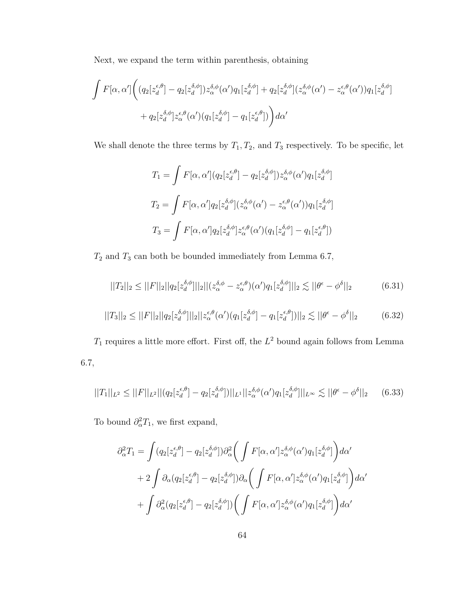Next, we expand the term within parenthesis, obtaining

$$
\int F[\alpha, \alpha'] \bigg( (q_2[z_d^{\epsilon,\theta}] - q_2[z_d^{\delta,\phi}]) z_\alpha^{\delta,\phi}(\alpha') q_1[z_d^{\delta,\phi}] + q_2[z_d^{\delta,\phi}](z_\alpha^{\delta,\phi}(\alpha') - z_\alpha^{\epsilon,\theta}(\alpha')) q_1[z_d^{\delta,\phi}] + q_2[z_d^{\delta,\phi}] z_\alpha^{\epsilon,\theta}(\alpha') (q_1[z_d^{\delta,\phi}] - q_1[z_d^{\epsilon,\theta}]) \bigg) d\alpha'
$$

We shall denote the three terms by  $T_1, T_2$ , and  $T_3$  respectively. To be specific, let

$$
T_1 = \int F[\alpha, \alpha'] (q_2[z_d^{\epsilon, \theta}] - q_2[z_d^{\delta, \phi}]) z_\alpha^{\delta, \phi}(\alpha') q_1[z_d^{\delta, \phi}]
$$
  
\n
$$
T_2 = \int F[\alpha, \alpha'] q_2[z_d^{\delta, \phi}] (z_\alpha^{\delta, \phi}(\alpha') - z_\alpha^{\epsilon, \theta}(\alpha')) q_1[z_d^{\delta, \phi}]
$$
  
\n
$$
T_3 = \int F[\alpha, \alpha'] q_2[z_d^{\delta, \phi}] z_\alpha^{\epsilon, \theta}(\alpha') (q_1[z_d^{\delta, \phi}] - q_1[z_d^{\epsilon, \theta}])
$$

 $T_{\rm 2}$  and  $T_{\rm 3}$  can both be bounded immediately from Lemma 6.7,

$$
||T_2||_2 \le ||F||_2||q_2[z_d^{\delta,\phi}]||_2||(z_\alpha^{\delta,\phi} - z_\alpha^{\epsilon,\theta})(\alpha')q_1[z_d^{\delta,\phi}]||_2 \lesssim ||\theta^\epsilon - \phi^\delta||_2
$$
(6.31)

$$
||T_3||_2 \le ||F||_2||q_2[z_d^{\delta,\phi}]||_2||z_\alpha^{\epsilon,\theta}(\alpha')(q_1[z_d^{\delta,\phi}] - q_1[z_d^{\epsilon,\theta}])||_2 \lesssim ||\theta^\epsilon - \phi^\delta||_2 \tag{6.32}
$$

 $T_1$  requires a little more effort. First off, the  $L^2$  bound again follows from Lemma 6.7,

$$
||T_1||_{L^2} \le ||F||_{L^2} ||(q_2[z_d^{\epsilon,\theta}] - q_2[z_d^{\delta,\phi}])||_{L^1} ||z_\alpha^{\delta,\phi}(\alpha')q_1[z_d^{\delta,\phi}]||_{L^\infty} \lesssim ||\theta^{\epsilon} - \phi^{\delta}||_2 \qquad (6.33)
$$

To bound  $\partial_{\alpha}^2 T_1$ , we first expand,

$$
\partial_{\alpha}^{2}T_{1} = \int (q_{2}[z_{d}^{\epsilon,\theta}] - q_{2}[z_{d}^{\delta,\phi}]) \partial_{\alpha}^{2} \bigg(\int F[\alpha,\alpha'] z_{\alpha}^{\delta,\phi}(\alpha') q_{1}[z_{d}^{\delta,\phi}]\bigg) d\alpha'
$$
  
+ 
$$
2 \int \partial_{\alpha} (q_{2}[z_{d}^{\epsilon,\theta}] - q_{2}[z_{d}^{\delta,\phi}]) \partial_{\alpha} \bigg(\int F[\alpha,\alpha'] z_{\alpha}^{\delta,\phi}(\alpha') q_{1}[z_{d}^{\delta,\phi}]\bigg) d\alpha'
$$
  
+ 
$$
\int \partial_{\alpha}^{2} (q_{2}[z_{d}^{\epsilon,\theta}] - q_{2}[z_{d}^{\delta,\phi}]) \bigg(\int F[\alpha,\alpha'] z_{\alpha}^{\delta,\phi}(\alpha') q_{1}[z_{d}^{\delta,\phi}]\bigg) d\alpha'
$$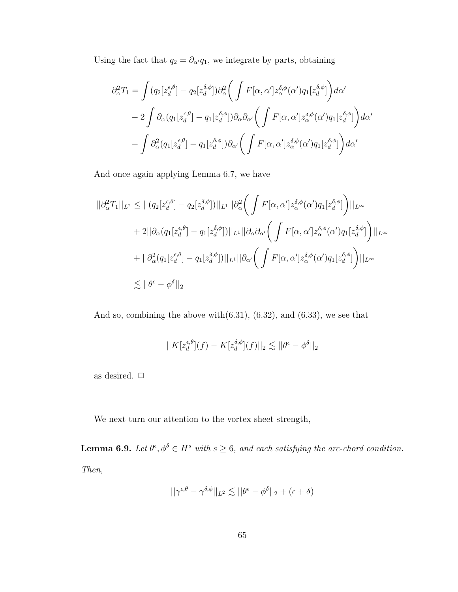Using the fact that  $q_2 = \partial_{\alpha'} q_1$ , we integrate by parts, obtaining

$$
\partial_{\alpha}^{2}T_{1} = \int (q_{2}[z_{d}^{\epsilon,\theta}] - q_{2}[z_{d}^{\delta,\phi}]) \partial_{\alpha}^{2} \bigg(\int F[\alpha,\alpha'] z_{\alpha}^{\delta,\phi}(\alpha') q_{1}[z_{d}^{\delta,\phi}]\bigg) d\alpha'
$$
  
- 
$$
2 \int \partial_{\alpha} (q_{1}[z_{d}^{\epsilon,\theta}] - q_{1}[z_{d}^{\delta,\phi}]) \partial_{\alpha} \partial_{\alpha'} \bigg(\int F[\alpha,\alpha'] z_{\alpha}^{\delta,\phi}(\alpha') q_{1}[z_{d}^{\delta,\phi}]\bigg) d\alpha'
$$
  
- 
$$
\int \partial_{\alpha}^{2} (q_{1}[z_{d}^{\epsilon,\theta}] - q_{1}[z_{d}^{\delta,\phi}]) \partial_{\alpha'} \bigg(\int F[\alpha,\alpha'] z_{\alpha}^{\delta,\phi}(\alpha') q_{1}[z_{d}^{\delta,\phi}]\bigg) d\alpha'
$$

And once again applying Lemma 6.7, we have

$$
||\partial_{\alpha}^{2}T_{1}||_{L^{2}} \leq ||(q_{2}[z_{d}^{\epsilon,\theta}]-q_{2}[z_{d}^{\delta,\phi}])||_{L^{1}}||\partial_{\alpha}^{2}\bigg(\int F[\alpha,\alpha']z_{\alpha}^{\delta,\phi}(\alpha')q_{1}[z_{d}^{\delta,\phi}]\bigg)||_{L^{\infty}}
$$
  
+2||\partial\_{\alpha}(q\_{1}[z\_{d}^{\epsilon,\theta}]-q\_{1}[z\_{d}^{\delta,\phi}])||\_{L^{1}}||\partial\_{\alpha}\partial\_{\alpha'}\bigg(\int F[\alpha,\alpha']z\_{\alpha}^{\delta,\phi}(\alpha')q\_{1}[z\_{d}^{\delta,\phi}]\bigg)||\_{L^{\infty}}  
+||\partial\_{\alpha}^{2}(q\_{1}[z\_{d}^{\epsilon,\theta}]-q\_{1}[z\_{d}^{\delta,\phi}])||\_{L^{1}}||\partial\_{\alpha'}\bigg(\int F[\alpha,\alpha']z\_{\alpha}^{\delta,\phi}(\alpha')q\_{1}[z\_{d}^{\delta,\phi}]\bigg)||\_{L^{\infty}}  

$$
\lesssim ||\theta^{\epsilon}-\phi^{\delta}||_{2}
$$

And so, combining the above with $(6.31)$ ,  $(6.32)$ , and  $(6.33)$ , we see that

$$
||K[z_d^{\epsilon,\theta}](f) - K[z_d^{\delta,\phi}](f)||_2 \lesssim ||\theta^{\epsilon} - \phi^{\delta}||_2
$$

as desired.  $\Box$ 

We next turn our attention to the vortex sheet strength,

**Lemma 6.9.** Let  $\theta^{\epsilon}, \phi^{\delta} \in H^s$  with  $s \geq 6$ , and each satisfying the arc-chord condition. Then,

$$
||\gamma^{\epsilon,\theta}-\gamma^{\delta,\phi}||_{L^2}\lesssim ||\theta^\epsilon-\phi^\delta||_2+(\epsilon+\delta)
$$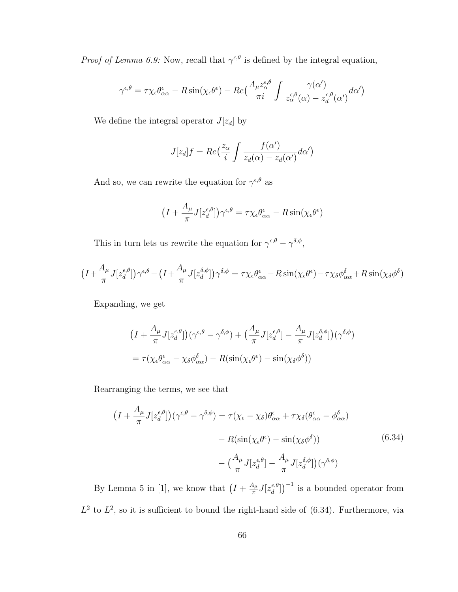*Proof of Lemma 6.9:* Now, recall that  $\gamma^{\epsilon,\theta}$  is defined by the integral equation,

$$
\gamma^{\epsilon,\theta} = \tau \chi_{\epsilon} \theta_{\alpha\alpha}^{\epsilon} - R \sin(\chi_{\epsilon} \theta^{\epsilon}) - Re\left(\frac{A_{\mu} z_{\alpha}^{\epsilon,\theta}}{\pi i} \int \frac{\gamma(\alpha')}{z_{\alpha}^{\epsilon,\theta}(\alpha) - z_{d}^{\epsilon,\theta}(\alpha')} d\alpha'\right)
$$

We define the integral operator  ${\cal J}[z_d]$  by

$$
J[z_d]f = Re\left(\frac{z_\alpha}{i} \int \frac{f(\alpha')}{z_d(\alpha) - z_d(\alpha')} d\alpha'\right)
$$

And so, we can rewrite the equation for  $\gamma^{\epsilon,\theta}$  as

$$
\left(I + \frac{A_{\mu}}{\pi} J[z_{d}^{\epsilon,\theta}]\right) \gamma^{\epsilon,\theta} = \tau \chi_{\epsilon} \theta_{\alpha\alpha}^{\epsilon} - R \sin(\chi_{\epsilon} \theta^{\epsilon})
$$

This in turn lets us rewrite the equation for  $\gamma^{\epsilon,\theta} - \gamma^{\delta,\phi}$ ,

$$
(I + \frac{A_{\mu}}{\pi}J[z_{d}^{\epsilon,\theta}])\gamma^{\epsilon,\theta} - (I + \frac{A_{\mu}}{\pi}J[z_{d}^{\delta,\phi}])\gamma^{\delta,\phi} = \tau\chi_{\epsilon}\theta_{\alpha\alpha}^{\epsilon} - R\sin(\chi_{\epsilon}\theta^{\epsilon}) - \tau\chi_{\delta}\phi_{\alpha\alpha}^{\delta} + R\sin(\chi_{\delta}\phi^{\delta})
$$

Expanding, we get

$$
\begin{split} & \left(I + \frac{A_{\mu}}{\pi} J[z_d^{\epsilon,\theta}]\right) (\gamma^{\epsilon,\theta} - \gamma^{\delta,\phi}) + \left(\frac{A_{\mu}}{\pi} J[z_d^{\epsilon,\theta}] - \frac{A_{\mu}}{\pi} J[z_d^{\delta,\phi}]\right) (\gamma^{\delta,\phi}) \\ &= \tau(\chi_{\epsilon} \theta_{\alpha\alpha}^{\epsilon} - \chi_{\delta} \phi_{\alpha\alpha}^{\delta}) - R(\sin(\chi_{\epsilon} \theta^{\epsilon}) - \sin(\chi_{\delta} \phi^{\delta})) \end{split}
$$

Rearranging the terms, we see that

$$
\left(I + \frac{A_{\mu}}{\pi} J[z_{d}^{\epsilon,\theta}]\right)(\gamma^{\epsilon,\theta} - \gamma^{\delta,\phi}) = \tau(\chi_{\epsilon} - \chi_{\delta})\theta_{\alpha\alpha}^{\epsilon} + \tau\chi_{\delta}(\theta_{\alpha\alpha}^{\epsilon} - \phi_{\alpha\alpha}^{\delta})
$$

$$
- R(\sin(\chi_{\epsilon}\theta^{\epsilon}) - \sin(\chi_{\delta}\phi^{\delta}))
$$

$$
- \left(\frac{A_{\mu}}{\pi} J[z_{d}^{\epsilon,\theta}] - \frac{A_{\mu}}{\pi} J[z_{d}^{\delta,\phi}]\right)(\gamma^{\delta,\phi})
$$
(6.34)

By Lemma 5 in [1], we know that  $(I + \frac{A_{\mu}}{\pi})$  $\frac{A_\mu}{\pi} J[z_d^{\epsilon,\theta}$  $\binom{\epsilon,\theta}{d}$  is a bounded operator from  $L^2$  to  $L^2$ , so it is sufficient to bound the right-hand side of (6.34). Furthermore, via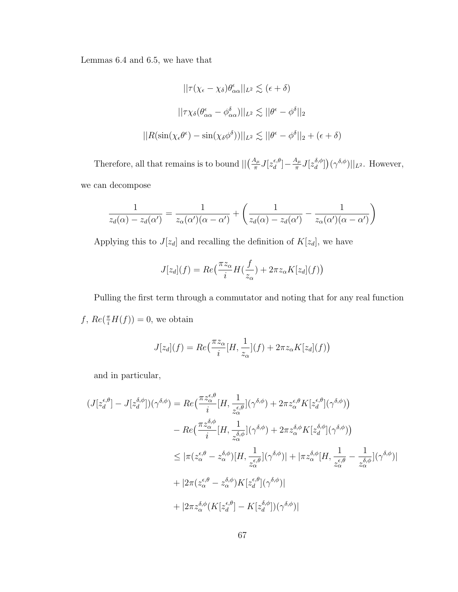Lemmas 6.4 and 6.5, we have that

$$
||\tau(\chi_{\epsilon} - \chi_{\delta})\theta_{\alpha\alpha}^{\epsilon}||_{L^{2}} \lesssim (\epsilon + \delta)
$$

$$
||\tau \chi_{\delta}(\theta_{\alpha\alpha}^{\epsilon} - \phi_{\alpha\alpha}^{\delta})||_{L^{2}} \lesssim ||\theta^{\epsilon} - \phi^{\delta}||_{2}
$$

$$
||R(\sin(\chi_{\epsilon}\theta^{\epsilon}) - \sin(\chi_{\delta}\phi^{\delta}))||_{L^{2}} \lesssim ||\theta^{\epsilon} - \phi^{\delta}||_{2} + (\epsilon + \delta)
$$

Therefore, all that remains is to bound  $\left\| \left( \frac{A_\mu}{\pi} J[z_d^{\epsilon, \theta}] \right) \right\|$  $\left[ \frac{\epsilon}{d} \right] - \frac{A_{\mu}}{\pi}$  $\frac{A_\mu}{\pi} J[z_d^{\delta,\phi}]$  $\binom{d}{d}(\gamma^{\delta,\phi})||_{L^2}$ . However, we can decompose

$$
\frac{1}{z_d(\alpha) - z_d(\alpha')} = \frac{1}{z_\alpha(\alpha')(\alpha - \alpha')} + \left(\frac{1}{z_d(\alpha) - z_d(\alpha')} - \frac{1}{z_\alpha(\alpha')(\alpha - \alpha')}\right)
$$

Applying this to  $J[z_d]$  and recalling the definition of  $K[z_d]$ , we have

$$
J[z_d](f) = Re\left(\frac{\pi z_\alpha}{i}H(\frac{f}{z_\alpha}) + 2\pi z_\alpha K[z_d](f)\right)
$$

Pulling the first term through a commutator and noting that for any real function  $f, Re(\frac{\pi}{i}H(f)) = 0$ , we obtain

$$
J[z_d](f) = Re\left(\frac{\pi z_\alpha}{i}[H, \frac{1}{z_\alpha}](f) + 2\pi z_\alpha K[z_d](f)\right)
$$

and in particular,

$$
(J[z_d^{\epsilon,\theta}] - J[z_d^{\delta,\phi}])(\gamma^{\delta,\phi}) = Re\left(\frac{\pi z_\alpha^{\epsilon,\theta}}{i}[H, \frac{1}{z_\alpha^{\epsilon,\theta}}](\gamma^{\delta,\phi}) + 2\pi z_\alpha^{\epsilon,\theta} K[z_d^{\epsilon,\theta}](\gamma^{\delta,\phi})\right)
$$
  

$$
- Re\left(\frac{\pi z_\alpha^{\delta,\phi}}{i}[H, \frac{1}{z_\alpha^{\delta,\phi}}](\gamma^{\delta,\phi}) + 2\pi z_\alpha^{\delta,\phi} K[z_d^{\delta,\phi}](\gamma^{\delta,\phi})\right)
$$
  

$$
\leq |\pi(z_\alpha^{\epsilon,\theta} - z_\alpha^{\delta,\phi})[H, \frac{1}{z_\alpha^{\epsilon,\theta}}](\gamma^{\delta,\phi})| + |\pi z_\alpha^{\delta,\phi}[H, \frac{1}{z_\alpha^{\epsilon,\theta}} - \frac{1}{z_\alpha^{\delta,\phi}}](\gamma^{\delta,\phi})|
$$
  

$$
+ |2\pi(z_\alpha^{\epsilon,\theta} - z_\alpha^{\delta,\phi})K[z_d^{\epsilon,\theta}](\gamma^{\delta,\phi})|
$$
  

$$
+ |2\pi z_\alpha^{\delta,\phi}(K[z_d^{\epsilon,\theta}] - K[z_d^{\delta,\phi}])(\gamma^{\delta,\phi})|
$$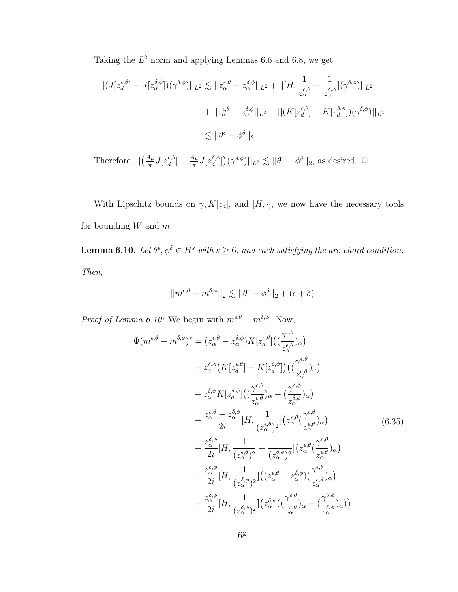Taking the  $L^2$  norm and applying Lemmas 6.6 and 6.8, we get

$$
\begin{aligned} ||(J[z_d^{\epsilon,\theta}] - J[z_d^{\delta,\phi}]) (\gamma^{\delta,\phi})||_{L^2} &\lesssim ||z_\alpha^{\epsilon,\theta} - z_\alpha^{\delta,\phi}||_{L^2} + ||[H, \frac{1}{z_\alpha^{\epsilon,\theta}} - \frac{1}{z_\alpha^{\delta,\phi}}] (\gamma^{\delta,\phi})||_{L^2} \\ &+ ||z_\alpha^{\epsilon,\theta} - z_\alpha^{\delta,\phi}||_{L^2} + ||(K[z_d^{\epsilon,\theta}] - K[z_d^{\delta,\phi}]) (\gamma^{\delta,\phi})||_{L^2} \\ &\lesssim ||\theta^\epsilon - \phi^\delta||_2 \end{aligned}
$$

Therefore,  $||\left(\frac{A_{\mu}}{\pi}J[z_d^{\epsilon,\theta}]$  $\frac{\epsilon}{d}$ ]  $-\frac{A_\mu}{\pi}$  $\frac{A_\mu}{\pi} J[z_d^{\delta,\phi}]$  $\frac{\delta \phi}{d}$ ) $(\gamma^{\delta,\phi})||_{L^2} \lesssim ||\theta^{\epsilon} - \phi^{\delta}||_2$ , as desired.  $\Box$ 

With Lipschitz bounds on  $\gamma$ ,  $K[z_d]$ , and  $[H, \cdot]$ , we now have the necessary tools for bounding  $W$  and  $m$ .

**Lemma 6.10.** Let  $\theta^{\epsilon}, \phi^{\delta} \in H^s$  with  $s \geq 6$ , and each satisfying the arc-chord condition. Then,

$$
||m^{\epsilon,\theta} - m^{\delta,\phi}||_2 \lesssim ||\theta^{\epsilon} - \phi^{\delta}||_2 + (\epsilon + \delta)
$$

*Proof of Lemma 6.10:* We begin with  $m^{\epsilon,\theta} - m^{\delta,\phi}$ . Now,

$$
\Phi(m^{\epsilon,\theta} - m^{\delta,\phi})^* = (z^{\epsilon,\theta}_{\alpha} - z^{\delta,\phi}_{\alpha})K[z^{\epsilon,\theta}_{d}](\frac{\gamma^{\epsilon,\theta}}{z^{\epsilon,\theta}_{\alpha}})_{\alpha}) \n+ z^{\delta,\phi}_{\alpha}(K[z^{\epsilon,\theta}_{d}] - K[z^{\delta,\phi}_{d}](\frac{\gamma^{\epsilon,\theta}}{z^{\epsilon,\theta}_{\alpha}})_{\alpha}) \n+ z^{\delta,\phi}_{\alpha}K[z^{\delta,\phi}_{d}](\frac{\gamma^{\epsilon,\theta}}{z^{\epsilon,\theta}_{\alpha}})_{\alpha} - (\frac{\gamma^{\delta,\phi}}{z^{\delta,\phi}_{\alpha}})_{\alpha}) \n+ \frac{z^{\epsilon,\theta}_{\alpha} - z^{\delta,\phi}_{\alpha}}{2i}[H, \frac{1}{(z^{\epsilon,\theta}_{\alpha})^{2}}](z^{\epsilon,\theta}_{\alpha}(\frac{\gamma^{\epsilon,\theta}}{z^{\epsilon,\theta}_{\alpha}})_{\alpha}) \n+ \frac{z^{\delta,\phi}_{\alpha}}{2i}[H, \frac{1}{(z^{\epsilon,\theta}_{\alpha})^{2}} - \frac{1}{(z^{\delta,\phi}_{\alpha})^{2}}](z^{\epsilon,\theta}_{\alpha}(\frac{\gamma^{\epsilon,\theta}}{z^{\epsilon,\theta}_{\alpha}})_{\alpha}) \n+ \frac{z^{\delta,\phi}_{\alpha}}{2i}[H, \frac{1}{(z^{\delta,\phi}_{\alpha})^{2}}]((z^{\epsilon,\theta}_{\alpha} - z^{\delta,\phi}_{\alpha})(\frac{\gamma^{\epsilon,\theta}}{z^{\epsilon,\theta}_{\alpha}})_{\alpha}) \n+ \frac{z^{\delta,\phi}_{\alpha}}{2i}[H, \frac{1}{(z^{\delta,\phi}_{\alpha})^{2}}](z^{\delta,\phi}_{\alpha}((\frac{\gamma^{\epsilon,\theta}}{z^{\epsilon,\theta}_{\alpha}})_{\alpha} - (\frac{\gamma^{\delta,\phi}}{z^{\delta,\phi}_{\alpha}})_{\alpha}))
$$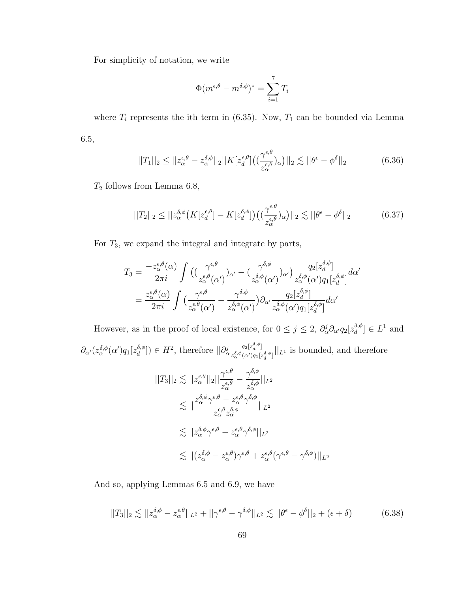For simplicity of notation, we write

$$
\Phi(m^{\epsilon,\theta} - m^{\delta,\phi})^* = \sum_{i=1}^7 T_i
$$

where  $T_i$  represents the ith term in (6.35). Now,  $T_1$  can be bounded via Lemma 6.5,

$$
||T_1||_2 \le ||z_\alpha^{\epsilon,\theta} - z_\alpha^{\delta,\phi}||_2 ||K[z_d^{\epsilon,\theta}] \left( (\frac{\gamma^{\epsilon,\theta}}{z_\alpha^{\epsilon,\theta}})_\alpha \right) ||_2 \lesssim ||\theta^{\epsilon} - \phi^\delta||_2 \tag{6.36}
$$

 $T_2$  follows from Lemma  $6.8, \,$ 

$$
||T_2||_2 \le ||z_\alpha^{\delta,\phi}\big(K[z_d^{\epsilon,\theta}] - K[z_d^{\delta,\phi}]\big) \big((\frac{\gamma^{\epsilon,\theta}}{z_\alpha^{\epsilon,\theta}})_\alpha\big) ||_2 \lesssim ||\theta^{\epsilon} - \phi^\delta||_2 \tag{6.37}
$$

For  $T_3$ , we expand the integral and integrate by parts,

$$
T_3 = \frac{-z^{\epsilon,\theta}_{\alpha}(\alpha)}{2\pi i} \int \left( \frac{\gamma^{\epsilon,\theta}}{z^{\epsilon,\theta}_{\alpha}(\alpha')} \right)_{\alpha'} - \left( \frac{\gamma^{\delta,\phi}}{z^{\delta,\phi}_{\alpha}(\alpha')} \right)_{\alpha'} \right) \frac{q_2[z^{\delta,\phi}_{d}]}{z^{\delta,\phi}_{\alpha}(\alpha')q_1[z^{\delta,\phi}_{d}]} d\alpha'
$$
  
= 
$$
\frac{z^{\epsilon,\theta}_{\alpha}(\alpha)}{2\pi i} \int \left( \frac{\gamma^{\epsilon,\theta}}{z^{\epsilon,\theta}_{\alpha}(\alpha')} - \frac{\gamma^{\delta,\phi}}{z^{\delta,\phi}_{\alpha}(\alpha')} \right) \partial_{\alpha'} \frac{q_2[z^{\delta,\phi}_{d}]}{z^{\delta,\phi}_{\alpha}(\alpha')q_1[z^{\delta,\phi}_{d}]} d\alpha'
$$

However, as in the proof of local existence, for  $0 \leq j \leq 2$ ,  $\partial_{\alpha}^{j} \partial_{\alpha'} q_2[z_{d}^{\delta,\phi}]$  $\binom{\delta,\phi}{d} \in L^1$  and  $\partial_{\alpha^\prime}(z_\alpha^{\delta,\phi}(\alpha^\prime)q_1[z_d^{\delta,\phi}% ]^{2}=\delta_{\alpha}^{\delta,\phi}(\alpha^\prime)q_1[z_d^{\delta,\phi}]^{2}$  $\binom{\delta,\phi}{d}$  =  $H^2$ , therefore  $||\partial_{\alpha}^{j}$  $q_2[z_d^{\delta,\phi}]$  $\frac{q_2[z_d^{\bar{\jmath}}]}{z_{\alpha}^{\delta,\phi}(\alpha')q_1[z_d^{\delta,\phi}]}||_{L^1}$  is bounded, and therefore

$$
||T_3||_2 \lesssim ||z_{\alpha}^{\epsilon,\theta}||_2||\frac{\gamma^{\epsilon,\theta}}{z_{\alpha}^{\epsilon,\theta}} - \frac{\gamma^{\delta,\phi}}{z_{\alpha}^{\delta,\phi}}||_{L^2}
$$
  

$$
\lesssim ||\frac{z_{\alpha}^{\delta,\phi}\gamma^{\epsilon,\theta} - z_{\alpha}^{\epsilon,\theta}\gamma^{\delta,\phi}}{z_{\alpha}^{\epsilon,\theta}z_{\alpha}^{\delta,\phi}}||_{L^2}
$$
  

$$
\lesssim ||z_{\alpha}^{\delta,\phi}\gamma^{\epsilon,\theta} - z_{\alpha}^{\epsilon,\theta}\gamma^{\delta,\phi}||_{L^2}
$$
  

$$
\lesssim ||(z_{\alpha}^{\delta,\phi} - z_{\alpha}^{\epsilon,\theta})\gamma^{\epsilon,\theta} + z_{\alpha}^{\epsilon,\theta}(\gamma^{\epsilon,\theta} - \gamma^{\delta,\phi})||_{L^2}
$$

And so, applying Lemmas 6.5 and 6.9, we have

$$
||T_3||_2 \lesssim ||z_\alpha^{\delta,\phi} - z_\alpha^{\epsilon,\theta}||_{L^2} + ||\gamma^{\epsilon,\theta} - \gamma^{\delta,\phi}||_{L^2} \lesssim ||\theta^\epsilon - \phi^\delta||_2 + (\epsilon + \delta)
$$
(6.38)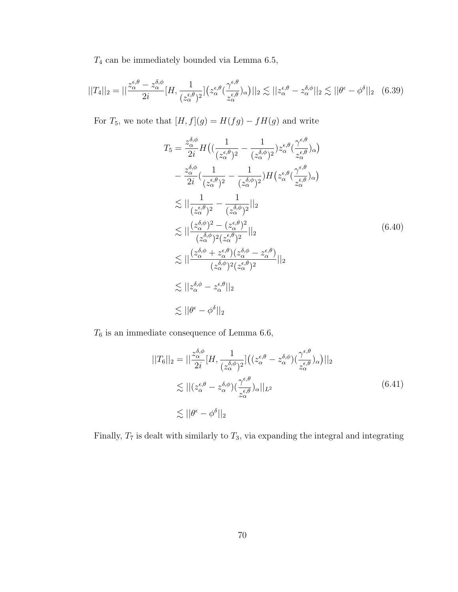$T_4$  can be immediately bounded via Lemma 6.5,

$$
||T_4||_2 = ||\frac{z_\alpha^{\epsilon,\theta} - z_\alpha^{\delta,\phi}}{2i} [H, \frac{1}{(z_\alpha^{\epsilon,\theta})^2}](z_\alpha^{\epsilon,\theta}(\frac{\gamma^{\epsilon,\theta}}{z_\alpha^{\epsilon,\theta}})_\alpha)||_2 \lesssim ||z_\alpha^{\epsilon,\theta} - z_\alpha^{\delta,\phi}||_2 \lesssim ||\theta^{\epsilon} - \phi^{\delta}||_2 \tag{6.39}
$$

For  $T_5$ , we note that  $[H, f](g) = H(fg) - fH(g)$  and write

$$
T_5 = \frac{z_{\alpha}^{\delta,\phi}}{2i} H\left((\frac{1}{(z_{\alpha}^{\epsilon,\theta})^2} - \frac{1}{(z_{\alpha}^{\delta,\phi})^2}) z_{\alpha}^{\epsilon,\theta} (\frac{\gamma^{\epsilon,\theta}}{z_{\alpha}^{\epsilon,\theta}})_{\alpha}\right)
$$
  
\n
$$
- \frac{z_{\alpha}^{\delta,\phi}}{2i} (\frac{1}{(z_{\alpha}^{\epsilon,\theta})^2} - \frac{1}{(z_{\alpha}^{\delta,\phi})^2}) H\left(z_{\alpha}^{\epsilon,\theta} (\frac{\gamma^{\epsilon,\theta}}{z_{\alpha}^{\epsilon,\theta}})_{\alpha}\right)
$$
  
\n
$$
\lesssim ||\frac{1}{(z_{\alpha}^{\epsilon,\theta})^2} - \frac{1}{(z_{\alpha}^{\delta,\phi})^2}||_2
$$
  
\n
$$
\lesssim ||\frac{(z_{\alpha}^{\delta,\phi})^2 - (z_{\alpha}^{\epsilon,\theta})^2}{(z_{\alpha}^{\delta,\phi})^2 (z_{\alpha}^{\epsilon,\theta})^2}||_2
$$
  
\n
$$
\lesssim ||\frac{(z_{\alpha}^{\delta,\phi} + z_{\alpha}^{\epsilon,\theta})(z_{\alpha}^{\delta,\phi} - z_{\alpha}^{\epsilon,\theta})}{(z_{\alpha}^{\delta,\phi})^2 (z_{\alpha}^{\epsilon,\theta})^2}||_2
$$
  
\n
$$
\lesssim ||z_{\alpha}^{\delta,\phi} - z_{\alpha}^{\epsilon,\theta}||_2
$$
  
\n
$$
\lesssim ||\theta^{\epsilon} - \phi^{\delta}||_2
$$

 $T_6$  is an immediate consequence of Lemma 6.6,  $\,$ 

$$
||T_6||_2 = ||\frac{z_{\alpha}^{\delta,\phi}}{2i} [H, \frac{1}{(z_{\alpha}^{\delta,\phi})^2}] \left( (z_{\alpha}^{\epsilon,\theta} - z_{\alpha}^{\delta,\phi}) (\frac{\gamma^{\epsilon,\theta}}{z_{\alpha}^{\epsilon,\theta}})_{\alpha} \right) ||_2
$$
  

$$
\lesssim ||(z_{\alpha}^{\epsilon,\theta} - z_{\alpha}^{\delta,\phi}) (\frac{\gamma^{\epsilon,\theta}}{z_{\alpha}^{\epsilon,\theta}})_{\alpha} ||_{L^2}
$$
  

$$
\lesssim ||\theta^{\epsilon} - \phi^{\delta}||_2
$$
 (6.41)

Finally,  $T_7$  is dealt with similarly to  $T_3$ , via expanding the integral and integrating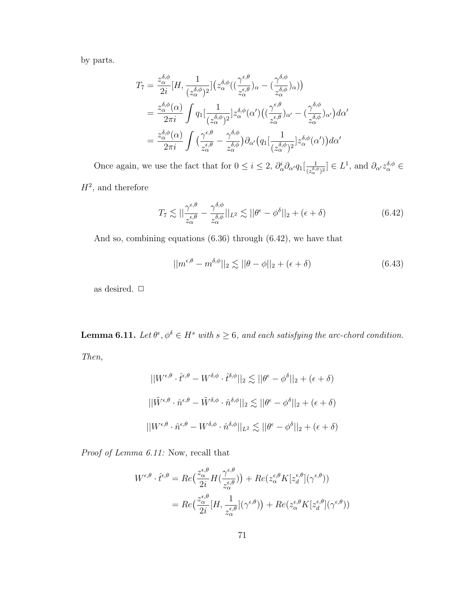by parts.

$$
T_7 = \frac{z_{\alpha}^{\delta,\phi}}{2i} [H, \frac{1}{(z_{\alpha}^{\delta,\phi})^2}] \left(z_{\alpha}^{\delta,\phi}((\frac{\gamma^{\epsilon,\theta}}{z_{\alpha}^{\epsilon,\theta}})_{\alpha} - (\frac{\gamma^{\delta,\phi}}{z_{\alpha}^{\delta,\phi}})_{\alpha})\right)
$$
  
\n
$$
= \frac{z_{\alpha}^{\delta,\phi}(\alpha)}{2\pi i} \int q_1 \left[\frac{1}{(z_{\alpha}^{\delta,\phi})^2}\right] z_{\alpha}^{\delta,\phi}(\alpha') \left((\frac{\gamma^{\epsilon,\theta}}{z_{\alpha}^{\epsilon,\theta}})_{\alpha'} - (\frac{\gamma^{\delta,\phi}}{z_{\alpha}^{\delta,\phi}})_{\alpha'}\right) d\alpha'
$$
  
\n
$$
= \frac{z_{\alpha}^{\delta,\phi}(\alpha)}{2\pi i} \int \left(\frac{\gamma^{\epsilon,\theta}}{z_{\alpha}^{\epsilon,\theta}} - \frac{\gamma^{\delta,\phi}}{z_{\alpha}^{\delta,\phi}}\right) \partial_{\alpha'}(q_1 \left[\frac{1}{(z_{\alpha}^{\delta,\phi})^2}\right] z_{\alpha}^{\delta,\phi}(\alpha')) d\alpha'
$$

Once again, we use the fact that for  $0 \leq i \leq 2$ ,  $\partial_{\alpha}^{i} \partial_{\alpha'} q_1 \left[ \frac{1}{\sigma \sqrt{\alpha'}} \right]$  $\frac{1}{(z_\alpha^{\delta,\phi})^2}] \in L^1$ , and  $\partial_{\alpha'} z_\alpha^{\delta,\phi} \in$  $H^2$ , and therefore

$$
T_7 \lesssim ||\frac{\gamma^{\epsilon,\theta}}{z_{\alpha}^{\epsilon,\theta}} - \frac{\gamma^{\delta,\phi}}{z_{\alpha}^{\delta,\phi}}||_{L^2} \lesssim ||\theta^{\epsilon} - \phi^{\delta}||_2 + (\epsilon + \delta)
$$
 (6.42)

And so, combining equations (6.36) through (6.42), we have that

$$
||m^{\epsilon,\theta} - m^{\delta,\phi}||_2 \lesssim ||\theta - \phi||_2 + (\epsilon + \delta)
$$
\n(6.43)

as desired.  $\Box$ 

**Lemma 6.11.** Let  $\theta^{\epsilon}, \phi^{\delta} \in H^s$  with  $s \geq 6$ , and each satisfying the arc-chord condition.

Then,

$$
||W^{\epsilon,\theta} \cdot \hat{t}^{\epsilon,\theta} - W^{\delta,\phi} \cdot \hat{t}^{\delta,\phi}||_2 \lesssim ||\theta^{\epsilon} - \phi^{\delta}||_2 + (\epsilon + \delta)
$$
  

$$
||\tilde{W}^{\epsilon,\theta} \cdot \hat{n}^{\epsilon,\theta} - \tilde{W}^{\delta,\phi} \cdot \hat{n}^{\delta,\phi}||_2 \lesssim ||\theta^{\epsilon} - \phi^{\delta}||_2 + (\epsilon + \delta)
$$
  

$$
||W^{\epsilon,\theta} \cdot \hat{n}^{\epsilon,\theta} - W^{\delta,\phi} \cdot \hat{n}^{\delta,\phi}||_{L^2} \lesssim ||\theta^{\epsilon} - \phi^{\delta}||_2 + (\epsilon + \delta)
$$

Proof of Lemma 6.11: Now, recall that

$$
W^{\epsilon,\theta} \cdot \hat{t}^{\epsilon,\theta} = Re\left(\frac{z^{\epsilon,\theta}_{\alpha}}{2i} H\left(\frac{\gamma^{\epsilon,\theta}}{z^{\epsilon,\theta}_{\alpha}}\right)\right) + Re(z^{\epsilon,\theta}_{\alpha} K[z^{\epsilon,\theta}_{d}](\gamma^{\epsilon,\theta})\right)
$$

$$
= Re\left(\frac{z^{\epsilon,\theta}_{\alpha}}{2i} [H, \frac{1}{z^{\epsilon,\theta}_{\alpha}}](\gamma^{\epsilon,\theta})\right) + Re(z^{\epsilon,\theta}_{\alpha} K[z^{\epsilon,\theta}_{d}](\gamma^{\epsilon,\theta})\right)
$$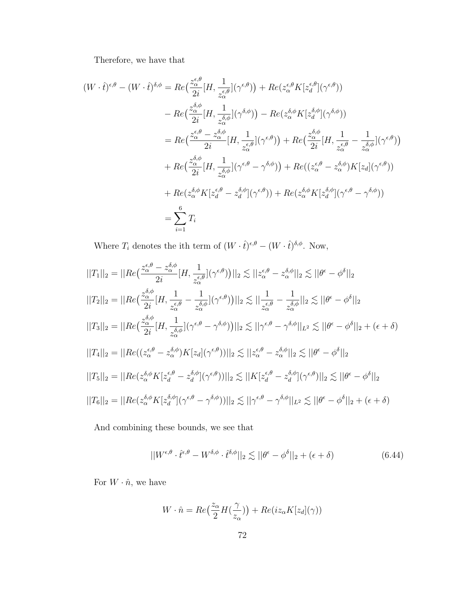Therefore, we have that

$$
(W \cdot \hat{t})^{\epsilon,\theta} - (W \cdot \hat{t})^{\delta,\phi} = Re\left(\frac{z_{\alpha}^{\epsilon,\theta}}{2i}[H, \frac{1}{z_{\alpha}^{\epsilon,\theta}}](\gamma^{\epsilon,\theta})\right) + Re\left(z_{\alpha}^{\epsilon,\theta}K[z_{d}^{\epsilon,\theta}](\gamma^{\epsilon,\theta})\right)
$$
  
\n
$$
- Re\left(\frac{z_{\alpha}^{\delta,\phi}}{2i}[H, \frac{1}{z_{\alpha}^{\delta,\phi}}](\gamma^{\delta,\phi})\right) - Re\left(z_{\alpha}^{\delta,\phi}K[z_{d}^{\delta,\phi}](\gamma^{\delta,\phi})\right)
$$
  
\n
$$
= Re\left(\frac{z_{\alpha}^{\epsilon,\theta} - z_{\alpha}^{\delta,\phi}}{2i}[H, \frac{1}{z_{\alpha}^{\epsilon,\theta}}](\gamma^{\epsilon,\theta})\right) + Re\left(\frac{z_{\alpha}^{\delta,\phi}}{2i}[H, \frac{1}{z_{\alpha}^{\epsilon,\theta}} - \frac{1}{z_{\alpha}^{\delta,\phi}}](\gamma^{\epsilon,\theta})\right)
$$
  
\n
$$
+ Re\left(\frac{z_{\alpha}^{\delta,\phi}}{2i}[H, \frac{1}{z_{\alpha}^{\delta,\phi}}](\gamma^{\epsilon,\theta} - \gamma^{\delta,\phi})\right) + Re\left((z_{\alpha}^{\epsilon,\theta} - z_{\alpha}^{\delta,\phi})K[z_{d}](\gamma^{\epsilon,\theta})\right)
$$
  
\n
$$
+ Re\left(z_{\alpha}^{\delta,\phi}K[z_{d}^{\epsilon,\theta} - z_{d}^{\delta,\phi}](\gamma^{\epsilon,\theta})\right) + Re\left(z_{\alpha}^{\delta,\phi}K[z_{d}^{\delta,\phi}](\gamma^{\epsilon,\theta} - \gamma^{\delta,\phi})\right)
$$
  
\n
$$
= \sum_{i=1}^{6} T_{i}
$$

Where  $T_i$  denotes the ith term of  $(W \cdot \hat{t})^{\epsilon,\theta} - (W \cdot \hat{t})^{\delta,\phi}$ . Now,

$$
||T_1||_2 = ||Re\left(\frac{z_{\alpha}^{\epsilon,\theta} - z_{\alpha}^{\delta,\phi}}{2i}[H, \frac{1}{z_{\alpha}^{\epsilon,\theta}}](\gamma^{\epsilon,\theta})\right)||_2 \lesssim ||z_{\alpha}^{\epsilon,\theta} - z_{\alpha}^{\delta,\phi}||_2 \lesssim ||\theta^{\epsilon} - \phi^{\delta}||_2
$$
  
\n
$$
||T_2||_2 = ||Re\left(\frac{z_{\alpha}^{\delta,\phi}}{2i}[H, \frac{1}{z_{\alpha}^{\epsilon,\theta}} - \frac{1}{z_{\alpha}^{\delta,\phi}}](\gamma^{\epsilon,\theta})\right)||_2 \lesssim ||\frac{1}{z_{\alpha}^{\epsilon,\theta}} - \frac{1}{z_{\alpha}^{\delta,\phi}}||_2 \lesssim ||\theta^{\epsilon} - \phi^{\delta}||_2
$$
  
\n
$$
||T_3||_2 = ||Re\left(\frac{z_{\alpha}^{\delta,\phi}}{2i}[H, \frac{1}{z_{\alpha}^{\delta,\phi}}](\gamma^{\epsilon,\theta} - \gamma^{\delta,\phi})\right)||_2 \lesssim ||\gamma^{\epsilon,\theta} - \gamma^{\delta,\phi}||_{L^2} \lesssim ||\theta^{\epsilon} - \phi^{\delta}||_2 + (\epsilon + \delta)
$$
  
\n
$$
||T_4||_2 = ||Re\left((z_{\alpha}^{\epsilon,\theta} - z_{\alpha}^{\delta,\phi})K[z_d](\gamma^{\epsilon,\theta})\right)||_2 \lesssim ||z_{\alpha}^{\epsilon,\theta} - z_{\alpha}^{\delta,\phi}||_2 \lesssim ||\theta^{\epsilon} - \phi^{\delta}||_2
$$
  
\n
$$
||T_5||_2 = ||Re\left(z_{\alpha}^{\delta,\phi}K[z_d^{\epsilon,\theta} - z_d^{\delta,\phi}](\gamma^{\epsilon,\theta})\right)||_2 \lesssim ||K[z_d^{\epsilon,\theta} - z_d^{\delta,\phi}](\gamma^{\epsilon,\theta})||_2 \lesssim ||\theta^{\epsilon} - \phi^{\delta}||_2 + (\epsilon + \delta)
$$
  
\n
$$
||T_6||_2 = ||Re\left(z_{\alpha}^{\delta,\phi}K[z_d^{\delta,\phi}](\gamma^{\epsilon,\theta} - \gamma^{\delta,\phi})\right)||_2 \lesssim ||\gamma^{\epsilon,\theta} - \gamma^{\delta,\phi}||_{L^2} \
$$

And combining these bounds, we see that

$$
||W^{\epsilon,\theta} \cdot \hat{t}^{\epsilon,\theta} - W^{\delta,\phi} \cdot \hat{t}^{\delta,\phi}||_2 \lesssim ||\theta^{\epsilon} - \phi^{\delta}||_2 + (\epsilon + \delta)
$$
 (6.44)

For  $W\cdot \hat n,$  we have

$$
W \cdot \hat{n} = Re\left(\frac{z_{\alpha}}{2}H\left(\frac{\gamma}{z_{\alpha}}\right)\right) + Re(iz_{\alpha}K[z_{d}](\gamma))
$$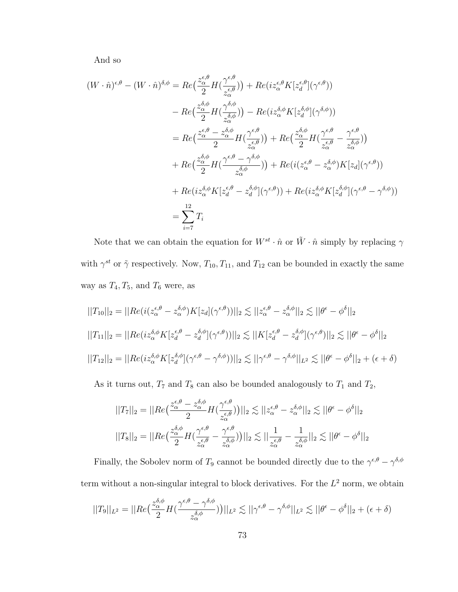And so

$$
(W \cdot \hat{n})^{\epsilon,\theta} - (W \cdot \hat{n})^{\delta,\phi} = Re\left(\frac{z_{\alpha}^{\epsilon,\theta}}{2} H\left(\frac{\gamma^{\epsilon,\theta}}{z_{\alpha}^{\epsilon,\theta}}\right)\right) + Re\left(iz_{\alpha}^{\epsilon,\theta} K[z_{d}^{\epsilon,\theta}](\gamma^{\epsilon,\theta})\right)
$$
  
\n
$$
- Re\left(\frac{z_{\alpha}^{\delta,\phi}}{2} H\left(\frac{\gamma^{\delta,\phi}}{z_{\alpha}^{\delta,\phi}}\right)\right) - Re\left(iz_{\alpha}^{\delta,\phi} K[z_{d}^{\delta,\phi}](\gamma^{\delta,\phi})\right)
$$
  
\n
$$
= Re\left(\frac{z_{\alpha}^{\epsilon,\theta} - z_{\alpha}^{\delta,\phi}}{2} H\left(\frac{\gamma^{\epsilon,\theta}}{z_{\alpha}^{\epsilon,\theta}}\right)\right) + Re\left(\frac{z_{\alpha}^{\delta,\phi}}{2} H\left(\frac{\gamma^{\epsilon,\theta}}{z_{\alpha}^{\epsilon,\phi}} - \frac{\gamma^{\epsilon,\theta}}{z_{\alpha}^{\delta,\phi}}\right)\right)
$$
  
\n
$$
+ Re\left(\frac{z_{\alpha}^{\delta,\phi}}{2} H\left(\frac{\gamma^{\epsilon,\theta} - \gamma^{\delta,\phi}}{z_{\alpha}^{\delta,\phi}}\right)\right) + Re\left(i(z_{\alpha}^{\epsilon,\theta} - z_{\alpha}^{\delta,\phi})K[z_d](\gamma^{\epsilon,\theta})\right)
$$
  
\n
$$
+ Re\left(iz_{\alpha}^{\delta,\phi} K[z_{d}^{\epsilon,\theta} - z_{d}^{\delta,\phi}](\gamma^{\epsilon,\theta})\right) + Re\left(iz_{\alpha}^{\delta,\phi} K[z_{d}^{\delta,\phi}](\gamma^{\epsilon,\theta} - \gamma^{\delta,\phi})\right)
$$
  
\n
$$
= \sum_{i=7}^{12} T_i
$$

Note that we can obtain the equation for  $W^{st} \cdot \hat{n}$  or  $\tilde{W} \cdot \hat{n}$  simply by replacing  $\gamma$ with  $\gamma^{st}$  or  $\tilde{\gamma}$  respectively. Now,  $T_{10}$ ,  $T_{11}$ , and  $T_{12}$  can be bounded in exactly the same way as  $T_4, T_5$ , and  $T_6$  were, as

$$
||T_{10}||_2 = ||Re(i(z_{\alpha}^{\epsilon,\theta} - z_{\alpha}^{\delta,\phi})K[z_d](\gamma^{\epsilon,\theta}))||_2 \lesssim ||z_{\alpha}^{\epsilon,\theta} - z_{\alpha}^{\delta,\phi}||_2 \lesssim ||\theta^{\epsilon} - \phi^{\delta}||_2
$$
  

$$
||T_{11}||_2 = ||Re(iz_{\alpha}^{\delta,\phi}K[z_d^{\epsilon,\theta} - z_d^{\delta,\phi}](\gamma^{\epsilon,\theta}))||_2 \lesssim ||K[z_d^{\epsilon,\theta} - z_d^{\delta,\phi}](\gamma^{\epsilon,\theta})||_2 \lesssim ||\theta^{\epsilon} - \phi^{\delta}||_2
$$
  

$$
||T_{12}||_2 = ||Re(iz_{\alpha}^{\delta,\phi}K[z_d^{\delta,\phi}](\gamma^{\epsilon,\theta} - \gamma^{\delta,\phi}))||_2 \lesssim ||\gamma^{\epsilon,\theta} - \gamma^{\delta,\phi}||_{L^2} \lesssim ||\theta^{\epsilon} - \phi^{\delta}||_2 + (\epsilon + \delta)
$$

As it turns out,  $T_7$  and  $T_8$  can also be bounded analogously to  $T_1$  and  $T_2,$ 

$$
||T_7||_2 = ||Re\left(\frac{z_\alpha^{\epsilon,\theta} - z_\alpha^{\delta,\phi}}{2} H(\frac{\gamma^{\epsilon,\theta}}{z_\alpha^{\epsilon,\theta}})\right)||_2 \lesssim ||z_\alpha^{\epsilon,\theta} - z_\alpha^{\delta,\phi}||_2 \lesssim ||\theta^{\epsilon} - \phi^{\delta}||_2
$$
  

$$
||T_8||_2 = ||Re\left(\frac{z_\alpha^{\delta,\phi}}{2} H(\frac{\gamma^{\epsilon,\theta}}{z_\alpha^{\epsilon,\theta}} - \frac{\gamma^{\epsilon,\theta}}{z_\alpha^{\delta,\phi}})\right)||_2 \lesssim ||\frac{1}{z_\alpha^{\epsilon,\theta}} - \frac{1}{z_\alpha^{\delta,\phi}}||_2 \lesssim ||\theta^{\epsilon} - \phi^{\delta}||_2
$$

Finally, the Sobolev norm of  $T_9$  cannot be bounded directly due to the  $\gamma^{\epsilon,\theta} - \gamma^{\delta,\phi}$ term without a non-singular integral to block derivatives. For the  $L^2$  norm, we obtain

$$
||T_9||_{L^2} = ||Re\left(\frac{z_{\alpha}^{\delta,\phi}}{2}H\left(\frac{\gamma^{\epsilon,\theta} - \gamma^{\delta,\phi}}{z_{\alpha}^{\delta,\phi}}\right)\right)||_{L^2} \lesssim ||\gamma^{\epsilon,\theta} - \gamma^{\delta,\phi}||_{L^2} \lesssim ||\theta^{\epsilon} - \phi^{\delta}||_2 + (\epsilon + \delta)
$$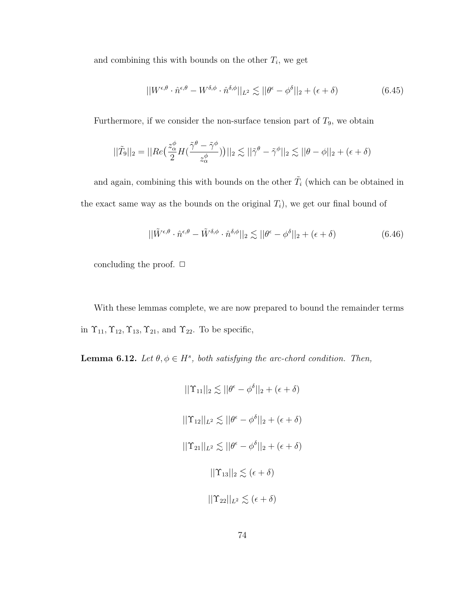and combining this with bounds on the other  $T_i$ , we get

$$
||W^{\epsilon,\theta} \cdot \hat{n}^{\epsilon,\theta} - W^{\delta,\phi} \cdot \hat{n}^{\delta,\phi}||_{L^2} \lesssim ||\theta^{\epsilon} - \phi^{\delta}||_2 + (\epsilon + \delta)
$$
 (6.45)

Furthermore, if we consider the non-surface tension part of  $T_9$ , we obtain

$$
||\tilde{T}_9||_2 = ||Re\left(\frac{z_\alpha^{\phi}}{2}H\left(\frac{\tilde{\gamma}^{\theta} - \tilde{\gamma}^{\phi}}{z_\alpha^{\phi}}\right)\right)||_2 \lesssim ||\tilde{\gamma}^{\theta} - \tilde{\gamma}^{\phi}||_2 \lesssim ||\theta - \phi||_2 + (\epsilon + \delta)
$$

and again, combining this with bounds on the other  $\tilde{T}_i$  (which can be obtained in the exact same way as the bounds on the original  $T_i$ ), we get our final bound of

$$
||\tilde{W}^{\epsilon,\theta} \cdot \hat{n}^{\epsilon,\theta} - \tilde{W}^{\delta,\phi} \cdot \hat{n}^{\delta,\phi}||_2 \lesssim ||\theta^{\epsilon} - \phi^{\delta}||_2 + (\epsilon + \delta)
$$
\n(6.46)

concluding the proof.  $\Box$ 

With these lemmas complete, we are now prepared to bound the remainder terms in  $\Upsilon_{11}$ ,  $\Upsilon_{12}$ ,  $\Upsilon_{13}$ ,  $\Upsilon_{21}$ , and  $\Upsilon_{22}$ . To be specific,

**Lemma 6.12.** Let  $\theta, \phi \in H^s$ , both satisfying the arc-chord condition. Then,

$$
||\Upsilon_{11}||_2 \lesssim ||\theta^{\epsilon} - \phi^{\delta}||_2 + (\epsilon + \delta)
$$
  

$$
||\Upsilon_{12}||_{L^2} \lesssim ||\theta^{\epsilon} - \phi^{\delta}||_2 + (\epsilon + \delta)
$$
  

$$
||\Upsilon_{21}||_{L^2} \lesssim ||\theta^{\epsilon} - \phi^{\delta}||_2 + (\epsilon + \delta)
$$
  

$$
||\Upsilon_{13}||_2 \lesssim (\epsilon + \delta)
$$
  

$$
||\Upsilon_{22}||_{L^2} \lesssim (\epsilon + \delta)
$$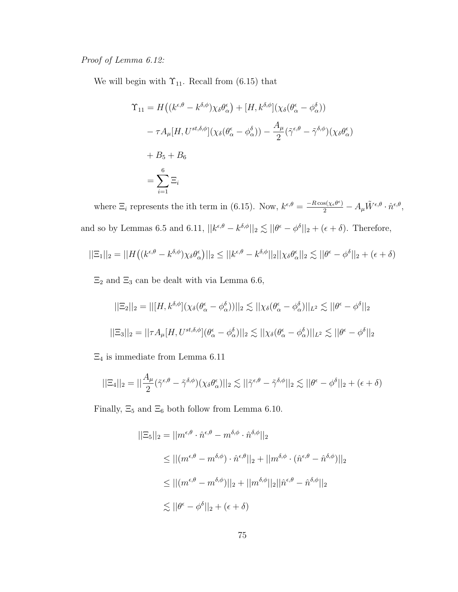Proof of Lemma 6.12:

We will begin with  $\Upsilon_{11}$ . Recall from (6.15) that

$$
\begin{split} \Upsilon_{11} &= H\big((k^{\epsilon,\theta} - k^{\delta,\phi})\chi_{\delta}\theta_{\alpha}^{\epsilon}\big) + [H, k^{\delta,\phi}](\chi_{\delta}(\theta_{\alpha}^{\epsilon} - \phi_{\alpha}^{\delta})) \\ &- \tau A_{\mu}[H, U^{st,\delta,\phi}](\chi_{\delta}(\theta_{\alpha}^{\epsilon} - \phi_{\alpha}^{\delta})) - \frac{A_{\mu}}{2}(\tilde{\gamma}^{\epsilon,\theta} - \tilde{\gamma}^{\delta,\phi})(\chi_{\delta}\theta_{\alpha}^{\epsilon}) \\ &+ B_{5} + B_{6} \\ &= \sum_{i=1}^{6} \Xi_{i} \end{split}
$$

where  $\Xi_i$  represents the ith term in (6.15). Now,  $k^{\epsilon,\theta} = \frac{-R\cos(\chi_{\epsilon}\theta^{\epsilon})}{2} - A_{\mu}\tilde{W}^{\epsilon,\theta} \cdot \hat{n}^{\epsilon,\theta}$ , and so by Lemmas 6.5 and 6.11,  $||k^{\epsilon,\theta} - k^{\delta,\phi}||_2 \lesssim ||\theta^{\epsilon} - \phi^{\delta}||_2 + (\epsilon + \delta)$ . Therefore,

$$
||\Xi_1||_2 = ||H((k^{\epsilon,\theta} - k^{\delta,\phi})\chi_\delta \theta_\alpha^\epsilon)||_2 \leq ||k^{\epsilon,\theta} - k^{\delta,\phi}||_2||\chi_\delta \theta_\alpha^\epsilon||_2 \lesssim ||\theta^\epsilon - \phi^\delta||_2 + (\epsilon + \delta)
$$

 $\Xi_2$  and  $\Xi_3$  can be dealt with via Lemma 6.6,

$$
||\Xi_2||_2 = ||[H, k^{\delta, \phi}](\chi_\delta(\theta_\alpha^\epsilon - \phi_\alpha^\delta))||_2 \lesssim ||\chi_\delta(\theta_\alpha^\epsilon - \phi_\alpha^\delta)||_{L^2} \lesssim ||\theta^\epsilon - \phi^\delta||_2
$$
  

$$
||\Xi_3||_2 = ||\tau A_\mu[H, U^{st, \delta, \phi}](\theta_\alpha^\epsilon - \phi_\alpha^\delta)||_2 \lesssim ||\chi_\delta(\theta_\alpha^\epsilon - \phi_\alpha^\delta)||_{L^2} \lesssim ||\theta^\epsilon - \phi^\delta||_2
$$

 $\Xi_4$  is immediate from Lemma  $6.11$ 

$$
||\Xi_4||_2 = ||\frac{A_\mu}{2}(\tilde{\gamma}^{\epsilon,\theta} - \tilde{\gamma}^{\delta,\phi})(\chi_\delta \theta_\alpha^\epsilon)||_2 \lesssim ||\tilde{\gamma}^{\epsilon,\theta} - \tilde{\gamma}^{\delta,\phi}||_2 \lesssim ||\theta^\epsilon - \phi^\delta||_2 + (\epsilon + \delta)
$$

Finally,  $\Xi_5$  and  $\Xi_6$  both follow from Lemma 6.10.

$$
||\Xi_5||_2 = ||m^{\epsilon,\theta} \cdot \hat{n}^{\epsilon,\theta} - m^{\delta,\phi} \cdot \hat{n}^{\delta,\phi}||_2
$$
  
\n
$$
\leq ||(m^{\epsilon,\theta} - m^{\delta,\phi}) \cdot \hat{n}^{\epsilon,\theta}||_2 + ||m^{\delta,\phi} \cdot (\hat{n}^{\epsilon,\theta} - \hat{n}^{\delta,\phi})||_2
$$
  
\n
$$
\leq ||(m^{\epsilon,\theta} - m^{\delta,\phi})||_2 + ||m^{\delta,\phi}||_2 ||\hat{n}^{\epsilon,\theta} - \hat{n}^{\delta,\phi}||_2
$$
  
\n
$$
\lesssim ||\theta^{\epsilon} - \phi^{\delta}||_2 + (\epsilon + \delta)
$$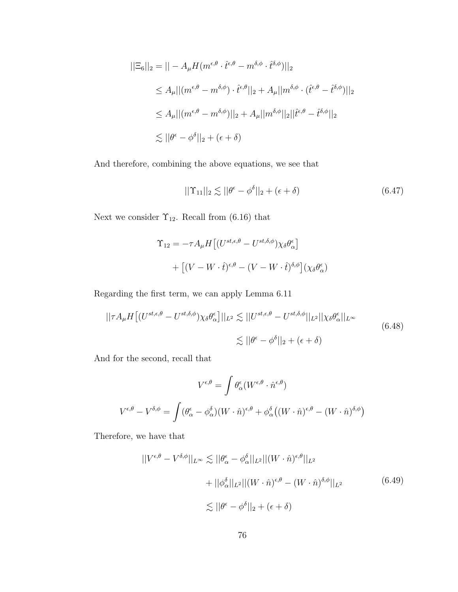$$
||\Xi_6||_2 = || - A_{\mu}H(m^{\epsilon,\theta} \cdot \hat{t}^{\epsilon,\theta} - m^{\delta,\phi} \cdot \hat{t}^{\delta,\phi})||_2
$$
  
\n
$$
\leq A_{\mu}||(m^{\epsilon,\theta} - m^{\delta,\phi}) \cdot \hat{t}^{\epsilon,\theta}||_2 + A_{\mu}||m^{\delta,\phi} \cdot (\hat{t}^{\epsilon,\theta} - \hat{t}^{\delta,\phi})||_2
$$
  
\n
$$
\leq A_{\mu}||(m^{\epsilon,\theta} - m^{\delta,\phi})||_2 + A_{\mu}||m^{\delta,\phi}||_2||\hat{t}^{\epsilon,\theta} - \hat{t}^{\delta,\phi}||_2
$$
  
\n
$$
\lesssim ||\theta^{\epsilon} - \phi^{\delta}||_2 + (\epsilon + \delta)
$$

And therefore, combining the above equations, we see that

$$
||\Upsilon_{11}||_2 \lesssim ||\theta^{\epsilon} - \phi^{\delta}||_2 + (\epsilon + \delta)
$$
\n(6.47)

Next we consider  $\Upsilon_{12}.$  Recall from (6.16) that

$$
\begin{aligned} \Upsilon_{12} &= -\tau A_{\mu} H \left[ (U^{st,\epsilon,\theta} - U^{st,\delta,\phi}) \chi_{\delta} \theta_{\alpha}^{\epsilon} \right] \\ &+ \left[ (V - W \cdot \hat{t})^{\epsilon,\theta} - (V - W \cdot \hat{t})^{\delta,\phi} \right] (\chi_{\delta} \theta_{\alpha}^{\epsilon}) \end{aligned}
$$

Regarding the first term, we can apply Lemma 6.11

$$
||\tau A_{\mu} H \left[ (U^{st,\epsilon,\theta} - U^{st,\delta,\phi}) \chi_{\delta} \theta_{\alpha}^{\epsilon} \right] ||_{L^{2}} \lesssim ||U^{st,\epsilon,\theta} - U^{st,\delta,\phi}||_{L^{2}} ||\chi_{\delta} \theta_{\alpha}^{\epsilon}||_{L^{\infty}}
$$
  

$$
\lesssim ||\theta^{\epsilon} - \phi^{\delta}||_{2} + (\epsilon + \delta)
$$
\n(6.48)

And for the second, recall that

$$
V^{\epsilon,\theta} = \int \theta^{\epsilon}_{\alpha}(W^{\epsilon,\theta} \cdot \hat{n}^{\epsilon,\theta})
$$

$$
V^{\epsilon,\theta} - V^{\delta,\phi} = \int (\theta^{\epsilon}_{\alpha} - \phi^{\delta}_{\alpha})(W \cdot \hat{n})^{\epsilon,\theta} + \phi^{\delta}_{\alpha}((W \cdot \hat{n})^{\epsilon,\theta} - (W \cdot \hat{n})^{\delta,\phi})
$$

Therefore, we have that

$$
||V^{\epsilon,\theta} - V^{\delta,\phi}||_{L^{\infty}} \lesssim ||\theta_{\alpha}^{\epsilon} - \phi_{\alpha}^{\delta}||_{L^{2}} ||(W \cdot \hat{n})^{\epsilon,\theta}||_{L^{2}} + ||\phi_{\alpha}^{\delta}||_{L^{2}} ||(W \cdot \hat{n})^{\epsilon,\theta} - (W \cdot \hat{n})^{\delta,\phi}||_{L^{2}} \lesssim ||\theta^{\epsilon} - \phi^{\delta}||_{2} + (\epsilon + \delta)
$$
 (6.49)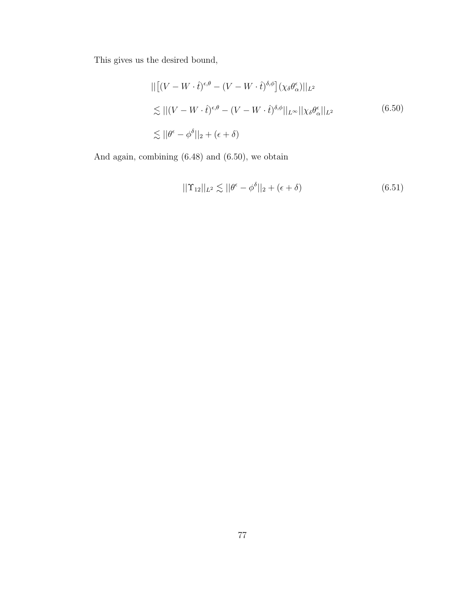This gives us the desired bound,

$$
\begin{aligned} &\| \left[ (V - W \cdot \hat{t})^{\epsilon,\theta} - (V - W \cdot \hat{t})^{\delta,\phi} \right] (\chi_{\delta} \theta_{\alpha}^{\epsilon}) \|_{L^2} \\ &\lesssim \| (V - W \cdot \hat{t})^{\epsilon,\theta} - (V - W \cdot \hat{t})^{\delta,\phi} \|_{L^{\infty}} \| \chi_{\delta} \theta_{\alpha}^{\epsilon} \|_{L^2} \\ &\lesssim \| \theta^{\epsilon} - \phi^{\delta} \|_{2} + (\epsilon + \delta) \end{aligned} \tag{6.50}
$$

And again, combining (6.48) and (6.50), we obtain

$$
||\Upsilon_{12}||_{L^2} \lesssim ||\theta^{\epsilon} - \phi^{\delta}||_2 + (\epsilon + \delta)
$$
\n(6.51)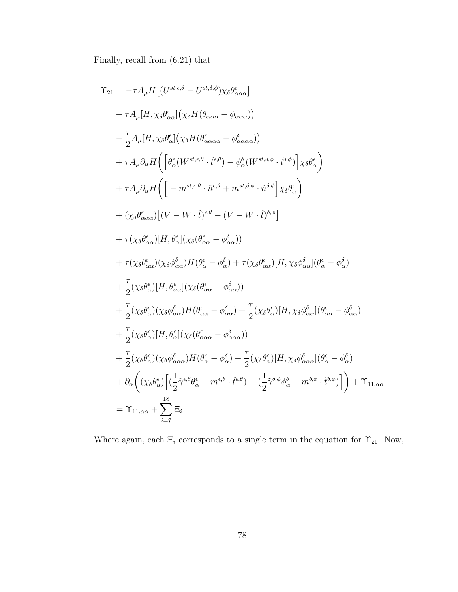Finally, recall from (6.21) that

$$
\begin{split} \Upsilon_{21} &= -\tau A_{\mu} H \big[ (U^{st,\epsilon,\theta} - U^{st,\delta,\phi}) \chi_{\delta} \theta_{\alpha\alpha}^{\epsilon} \big] \\ &- \tau A_{\mu} [H, \chi_{\delta} \theta_{\alpha\alpha}^{\epsilon}] \big( \chi_{\delta} H (\theta_{\alpha\alpha\alpha} - \phi_{\alpha\alpha\alpha}) \big) \\ &- \frac{\tau}{2} A_{\mu} [H, \chi_{\delta} \theta_{\alpha}^{\epsilon}] \big( \chi_{\delta} H (\theta_{\alpha\alpha\alpha}^{\epsilon} - \phi_{\alpha\alpha\alpha}^{\delta}) \big) \\ &+ \tau A_{\mu} \partial_{\alpha} H \bigg( \Big[ \theta_{\alpha}^{\epsilon} (W^{st,\epsilon,\theta} \cdot \hat{t}^{\epsilon,\theta}) - \phi_{\alpha}^{\delta} (W^{st,\delta,\phi} \cdot \hat{t}^{\delta,\phi}) \Big] \chi_{\delta} \theta_{\alpha}^{\epsilon} \bigg) \\ &+ \tau A_{\mu} \partial_{\alpha} H \bigg( \Big[ -m^{st,\epsilon,\theta} \cdot \hat{n}^{\epsilon,\theta} + m^{st,\delta,\phi} \cdot \hat{n}^{\delta,\phi} \Big] \chi_{\delta} \theta_{\alpha}^{\epsilon} \bigg) \\ &+ (\chi_{\delta} \theta_{\alpha\alpha}^{\epsilon}) \big[ (V - W \cdot \hat{t})^{\epsilon,\theta} - (V - W \cdot \hat{t})^{\delta,\phi} \big] \\ &+ \tau (\chi_{\delta} \theta_{\alpha\alpha}^{\epsilon}) [H, \theta_{\alpha}^{\epsilon}] \big( \chi_{\delta} (\theta_{\alpha\alpha}^{\epsilon} - \phi_{\alpha\alpha}^{\delta}) \big) \\ &+ \tau (\chi_{\delta} \theta_{\alpha\alpha}^{\epsilon}) [H, \theta_{\alpha}^{\epsilon}] \big( \chi_{\delta} (\theta_{\alpha\alpha}^{\epsilon} - \phi_{\alpha\alpha}^{\delta}) \big) \\ &+ \frac{\tau}{2} (\chi_{\delta} \theta_{\alpha}^{\epsilon}) [H, \theta_{\alpha\alpha}^{\epsilon}] \big( \chi_{\delta} (\theta_{\alpha\alpha}^{\epsilon} - \phi_{\alpha\alpha}^{\delta}) \big) \\ &+ \frac{\tau}{2} (\chi_{\delta} \theta_{\alpha}^{\epsilon}) [H, \theta_{\alpha\alpha}^{\epsilon}] \big( \chi_{\delta} (\theta_{\alpha\alpha}^{\epsilon} - \phi_{\alpha
$$

Where again, each  $\Xi_i$  corresponds to a single term in the equation for  $\Upsilon_{21}$ . Now,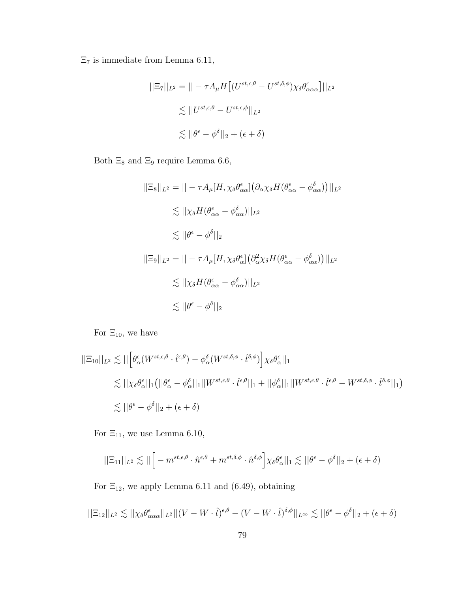$\Xi_7$  is immediate from Lemma 6.11,

$$
||\Xi_7||_{L^2} = || - \tau A_\mu H \left[ (U^{st,\epsilon,\theta} - U^{st,\delta,\phi}) \chi_\delta \theta^\epsilon_{\alpha\alpha\alpha} \right] ||_{L^2}
$$
  

$$
\lesssim ||U^{st,\epsilon,\theta} - U^{st,\epsilon,\phi}||_{L^2}
$$
  

$$
\lesssim ||\theta^\epsilon - \phi^\delta||_2 + (\epsilon + \delta)
$$

Both  $\Xi_8$  and  $\Xi_9$  require Lemma 6.6,

$$
||\Xi_8||_{L^2} = || - \tau A_\mu[H, \chi_\delta \theta_{\alpha\alpha}^\epsilon] \left(\partial_\alpha \chi_\delta H(\theta_{\alpha\alpha}^\epsilon - \phi_{\alpha\alpha}^\delta)\right)||_{L^2}
$$
  
\n
$$
\lesssim ||\chi_\delta H(\theta_{\alpha\alpha}^\epsilon - \phi_{\alpha\alpha}^\delta)||_{L^2}
$$
  
\n
$$
\lesssim ||\theta^\epsilon - \phi^\delta||_2
$$
  
\n
$$
||\Xi_9||_{L^2} = || - \tau A_\mu[H, \chi_\delta \theta_\alpha^\epsilon] \left(\partial_\alpha^2 \chi_\delta H(\theta_{\alpha\alpha}^\epsilon - \phi_{\alpha\alpha}^\delta)\right)||_{L^2}
$$
  
\n
$$
\lesssim ||\chi_\delta H(\theta_{\alpha\alpha}^\epsilon - \phi_{\alpha\alpha}^\delta)||_{L^2}
$$
  
\n
$$
\lesssim ||\theta^\epsilon - \phi^\delta||_2
$$

For  $\Xi_{10}$ , we have

$$
\begin{aligned} ||\Xi_{10}||_{L^2} &\lesssim ||\Big[\theta^{\epsilon}_{\alpha}(W^{st,\epsilon,\theta}\cdot\hat{t}^{\epsilon,\theta}) - \phi^{\delta}_{\alpha}(W^{st,\delta,\phi}\cdot\hat{t}^{\delta,\phi})\Big] \chi_{\delta}\theta^{\epsilon}_{\alpha}||_1 \\ &\lesssim ||\chi_{\delta}\theta^{\epsilon}_{\alpha}||_1 \big(||\theta^{\epsilon}_{\alpha} - \phi^{\delta}_{\alpha}||_1||W^{st,\epsilon,\theta}\cdot\hat{t}^{\epsilon,\theta}||_1 + ||\phi^{\delta}_{\alpha}||_1||W^{st,\epsilon,\theta}\cdot\hat{t}^{\epsilon,\theta} - W^{st,\delta,\phi}\cdot\hat{t}^{\delta,\phi}||_1 \big) \\ &\lesssim ||\theta^{\epsilon} - \phi^{\delta}||_2 + (\epsilon + \delta) \end{aligned}
$$

For  $\Xi_{11}$ , we use Lemma 6.10,

$$
||\Xi_{11}||_{L^2} \lesssim ||\Big[-m^{st,\epsilon,\theta} \cdot \hat{n}^{\epsilon,\theta} + m^{st,\delta,\phi} \cdot \hat{n}^{\delta,\phi}\Big] \chi_{\delta} \theta_{\alpha}^{\epsilon}||_1 \lesssim ||\theta^{\epsilon} - \phi^{\delta}||_2 + (\epsilon + \delta)
$$

For  $\Xi_{12}$ , we apply Lemma 6.11 and (6.49), obtaining

$$
||\Xi_{12}||_{L^2} \lesssim ||\chi_{\delta} \theta_{\alpha\alpha\alpha}^{\epsilon}||_{L^2} ||(V - W \cdot \hat{t})^{\epsilon,\theta} - (V - W \cdot \hat{t})^{\delta,\phi}||_{L^{\infty}} \lesssim ||\theta^{\epsilon} - \phi^{\delta}||_2 + (\epsilon + \delta)
$$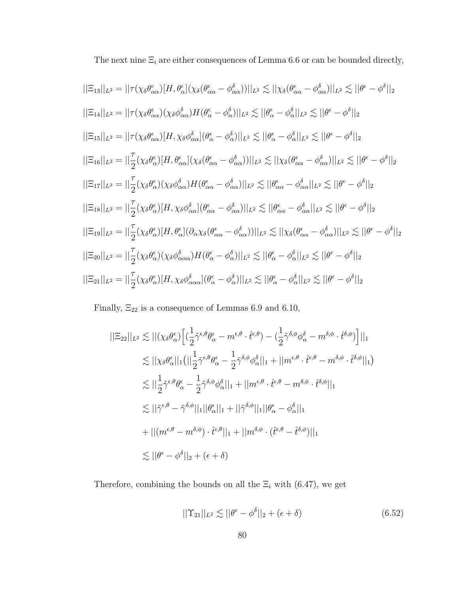The next nine  $\Xi_i$  are either consequences of Lemma 6.6 or can be bounded directly,

$$
||\Xi_{13}||_{L^{2}} = ||\tau(\chi_{\delta}\theta_{\alpha\alpha}^{\epsilon})[H, \theta_{\alpha}^{\epsilon}](\chi_{\delta}(\theta_{\alpha\alpha}^{\epsilon} - \phi_{\alpha\alpha}^{\delta}))||_{L^{2}} \lesssim ||\chi_{\delta}(\theta_{\alpha\alpha}^{\epsilon} - \phi_{\alpha\alpha}^{\delta})||_{L^{2}} \lesssim ||\theta^{\epsilon} - \phi^{\delta}||_{2}
$$
  
\n
$$
||\Xi_{14}||_{L^{2}} = ||\tau(\chi_{\delta}\theta_{\alpha\alpha}^{\epsilon})(\chi_{\delta}\phi_{\alpha\alpha}^{\delta})H(\theta_{\alpha}^{\epsilon} - \phi_{\alpha}^{\delta})||_{L^{2}} \lesssim ||\theta_{\alpha}^{\epsilon} - \phi_{\alpha}^{\delta}||_{L^{2}} \lesssim ||\theta^{\epsilon} - \phi^{\delta}||_{2}
$$
  
\n
$$
||\Xi_{15}||_{L^{2}} = ||\tau(\chi_{\delta}\theta_{\alpha\alpha}^{\epsilon})[H, \chi_{\delta}\phi_{\alpha\alpha}^{\delta}](\theta_{\alpha}^{\epsilon} - \phi_{\alpha}^{\delta})||_{L^{2}} \lesssim ||\theta_{\alpha}^{\epsilon} - \phi_{\alpha}^{\delta}||_{L^{2}} \lesssim ||\theta^{\epsilon} - \phi^{\delta}||_{2}
$$
  
\n
$$
||\Xi_{16}||_{L^{2}} = ||\frac{\tau}{2}(\chi_{\delta}\theta_{\alpha}^{\epsilon})[H, \theta_{\alpha\alpha}^{\epsilon}](\chi_{\delta}(\theta_{\alpha\alpha}^{\epsilon} - \phi_{\alpha\alpha}^{\delta}))||_{L^{2}} \lesssim ||\chi_{\delta}(\theta_{\alpha\alpha}^{\epsilon} - \phi_{\alpha\alpha}^{\delta})||_{L^{2}} \lesssim ||\theta^{\epsilon} - \phi^{\delta}||_{2}
$$
  
\n
$$
||\Xi_{17}||_{L^{2}} = ||\frac{\tau}{2}(\chi_{\delta}\theta_{\alpha}^{\epsilon})(\chi_{\delta}\phi_{\alpha\alpha}^{\delta})H(\theta_{\alpha\alpha}^{\epsilon} - \phi_{\alpha\alpha}^{\delta})||_{L^{2}} \lesssim ||\theta_{\alpha\alpha}^{\epsilon} - \phi_{\alpha\alpha}^{\delta}||_{L^{2}} \lesssim ||\theta^{\epsilon} - \phi^{\delta}||_{2
$$

Finally,  $\Xi_{22}$  is a consequence of Lemmas 6.9 and 6.10,

$$
||\Xi_{22}||_{L^{2}} \lesssim ||(\chi_{\delta}\theta_{\alpha}^{\epsilon})\Big[ (\frac{1}{2}\tilde{\gamma}^{\epsilon,\theta}\theta_{\alpha}^{\epsilon} - m^{\epsilon,\theta} \cdot \hat{t}^{\epsilon,\theta}) - (\frac{1}{2}\tilde{\gamma}^{\delta,\phi}\phi_{\alpha}^{\delta} - m^{\delta,\phi} \cdot \hat{t}^{\delta,\phi})\Big]||_{1}
$$
  
\n
$$
\lesssim ||\chi_{\delta}\theta_{\alpha}^{\epsilon}||_{1} (||\frac{1}{2}\tilde{\gamma}^{\epsilon,\theta}\theta_{\alpha}^{\epsilon} - \frac{1}{2}\tilde{\gamma}^{\delta,\phi}\phi_{\alpha}^{\delta}||_{1} + ||m^{\epsilon,\theta} \cdot \hat{t}^{\epsilon,\theta} - m^{\delta,\phi} \cdot \hat{t}^{\delta,\phi}||_{1})
$$
  
\n
$$
\lesssim ||\frac{1}{2}\tilde{\gamma}^{\epsilon,\theta}\theta_{\alpha}^{\epsilon} - \frac{1}{2}\tilde{\gamma}^{\delta,\phi}\phi_{\alpha}^{\delta}||_{1} + ||m^{\epsilon,\theta} \cdot \hat{t}^{\epsilon,\theta} - m^{\delta,\phi} \cdot \hat{t}^{\delta,\phi}||_{1}
$$
  
\n
$$
\lesssim ||\tilde{\gamma}^{\epsilon,\theta} - \tilde{\gamma}^{\delta,\phi}||_{1}||\theta_{\alpha}^{\epsilon}||_{1} + ||\tilde{\gamma}^{\delta,\phi}||_{1}||\theta_{\alpha}^{\epsilon} - \phi_{\alpha}^{\delta}||_{1}
$$
  
\n
$$
+ ||(m^{\epsilon,\theta} - m^{\delta,\phi}) \cdot \hat{t}^{\epsilon,\theta}||_{1} + ||m^{\delta,\phi} \cdot (\hat{t}^{\epsilon,\theta} - \hat{t}^{\delta,\phi})||_{1}
$$
  
\n
$$
\lesssim ||\theta^{\epsilon} - \phi^{\delta}||_{2} + (\epsilon + \delta)
$$

Therefore, combining the bounds on all the  $\Xi_i$  with (6.47), we get

$$
||\Upsilon_{21}||_{L^2} \lesssim ||\theta^{\epsilon} - \phi^{\delta}||_2 + (\epsilon + \delta)
$$
\n(6.52)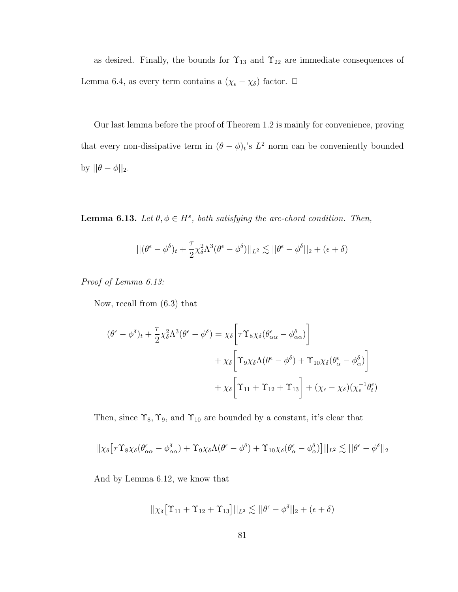as desired. Finally, the bounds for  $\Upsilon_{13}$  and  $\Upsilon_{22}$  are immediate consequences of Lemma 6.4, as every term contains a  $(\chi_{\epsilon} - \chi_{\delta})$  factor.  $\Box$ 

Our last lemma before the proof of Theorem 1.2 is mainly for convenience, proving that every non-dissipative term in  $(\theta - \phi)_t$ 's  $L^2$  norm can be conveniently bounded by  $||\theta - \phi||_2$ .

**Lemma 6.13.** Let  $\theta, \phi \in H^s$ , both satisfying the arc-chord condition. Then,

$$
||(\theta^{\epsilon} - \phi^{\delta})_{t} + \frac{\tau}{2} \chi_{\delta}^{2} \Lambda^{3} (\theta^{\epsilon} - \phi^{\delta})||_{L^{2}} \lesssim ||\theta^{\epsilon} - \phi^{\delta}||_{2} + (\epsilon + \delta)
$$

Proof of Lemma 6.13:

Now, recall from (6.3) that

$$
(\theta^{\epsilon} - \phi^{\delta})_{t} + \frac{\tau}{2} \chi_{\delta}^{2} \Lambda^{3} (\theta^{\epsilon} - \phi^{\delta}) = \chi_{\delta} \left[ \tau \Upsilon_{8} \chi_{\delta} (\theta^{\epsilon}_{\alpha\alpha} - \phi^{\delta}_{\alpha\alpha}) \right] + \chi_{\delta} \left[ \Upsilon_{9} \chi_{\delta} \Lambda (\theta^{\epsilon} - \phi^{\delta}) + \Upsilon_{10} \chi_{\delta} (\theta^{\epsilon}_{\alpha} - \phi^{\delta}_{\alpha}) \right] + \chi_{\delta} \left[ \Upsilon_{11} + \Upsilon_{12} + \Upsilon_{13} \right] + (\chi_{\epsilon} - \chi_{\delta}) (\chi_{\epsilon}^{-1} \theta^{\epsilon}_{t})
$$

Then, since  $\Upsilon_8$ ,  $\Upsilon_9$ , and  $\Upsilon_{10}$  are bounded by a constant, it's clear that

$$
||\chi_{\delta}[\tau \Upsilon_{8}\chi_{\delta}(\theta^{\epsilon}_{\alpha\alpha}-\phi^{\delta}_{\alpha\alpha})+\Upsilon_{9}\chi_{\delta}\Lambda(\theta^{\epsilon}-\phi^{\delta})+\Upsilon_{10}\chi_{\delta}(\theta^{\epsilon}_{\alpha}-\phi^{\delta}_{\alpha})]||_{L^{2}} \lesssim ||\theta^{\epsilon}-\phi^{\delta}||_{2}
$$

And by Lemma 6.12, we know that

$$
||\chi_\delta\big[\Upsilon_{11}+\Upsilon_{12}+\Upsilon_{13}\big]||_{L^2}\lesssim ||\theta^\epsilon-\phi^\delta||_2+(\epsilon+\delta)
$$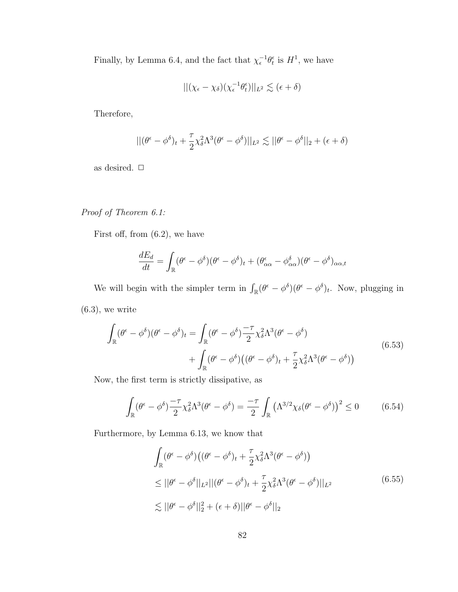Finally, by Lemma 6.4, and the fact that  $\chi_{\epsilon}^{-1}\theta_t^{\epsilon}$  is  $H^1$ , we have

$$
||(\chi_{\epsilon} - \chi_{\delta})(\chi_{\epsilon}^{-1}\theta_{t}^{\epsilon})||_{L^{2}} \lesssim (\epsilon + \delta)
$$

Therefore,

$$
||(\theta^{\epsilon} - \phi^{\delta})_{t} + \frac{\tau}{2} \chi_{\delta}^{2} \Lambda^{3} (\theta^{\epsilon} - \phi^{\delta})||_{L^{2}} \lesssim ||\theta^{\epsilon} - \phi^{\delta}||_{2} + (\epsilon + \delta)
$$

as desired.  $\Box$ 

## Proof of Theorem 6.1:

First off, from  $(6.2)$ , we have

$$
\frac{dE_d}{dt} = \int_{\mathbb{R}} (\theta^{\epsilon} - \phi^{\delta})(\theta^{\epsilon} - \phi^{\delta})_t + (\theta^{\epsilon}_{\alpha\alpha} - \phi^{\delta}_{\alpha\alpha})(\theta^{\epsilon} - \phi^{\delta})_{\alpha\alpha,t}
$$

We will begin with the simpler term in  $\int_{\mathbb{R}} (\theta^{\epsilon} - \phi^{\delta})(\theta^{\epsilon} - \phi^{\delta})_t$ . Now, plugging in  $(6.3)$ , we write

$$
\int_{\mathbb{R}} (\theta^{\epsilon} - \phi^{\delta})(\theta^{\epsilon} - \phi^{\delta})_{t} = \int_{\mathbb{R}} (\theta^{\epsilon} - \phi^{\delta}) \frac{-\tau}{2} \chi_{\delta}^{2} \Lambda^{3} (\theta^{\epsilon} - \phi^{\delta}) \n+ \int_{\mathbb{R}} (\theta^{\epsilon} - \phi^{\delta})((\theta^{\epsilon} - \phi^{\delta})_{t} + \frac{\tau}{2} \chi_{\delta}^{2} \Lambda^{3} (\theta^{\epsilon} - \phi^{\delta}))
$$
\n(6.53)

Now, the first term is strictly dissipative, as

$$
\int_{\mathbb{R}} (\theta^{\epsilon} - \phi^{\delta}) \frac{-\tau}{2} \chi_{\delta}^{2} \Lambda^{3} (\theta^{\epsilon} - \phi^{\delta}) = \frac{-\tau}{2} \int_{\mathbb{R}} (\Lambda^{3/2} \chi_{\delta} (\theta^{\epsilon} - \phi^{\delta}))^{2} \le 0 \quad (6.54)
$$

Furthermore, by Lemma 6.13, we know that

$$
\int_{\mathbb{R}} (\theta^{\epsilon} - \phi^{\delta}) \left( (\theta^{\epsilon} - \phi^{\delta})_t + \frac{\tau}{2} \chi_{\delta}^2 \Lambda^3 (\theta^{\epsilon} - \phi^{\delta}) \right)
$$
\n
$$
\leq ||\theta^{\epsilon} - \phi^{\delta}||_{L^2} ||(\theta^{\epsilon} - \phi^{\delta})_t + \frac{\tau}{2} \chi_{\delta}^2 \Lambda^3 (\theta^{\epsilon} - \phi^{\delta})||_{L^2}
$$
\n
$$
\lesssim ||\theta^{\epsilon} - \phi^{\delta}||_2^2 + (\epsilon + \delta) ||\theta^{\epsilon} - \phi^{\delta}||_2
$$
\n(6.55)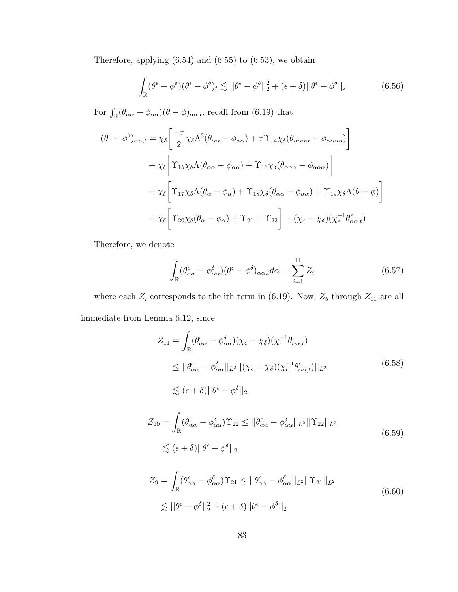Therefore, applying  $(6.54)$  and  $(6.55)$  to  $(6.53)$ , we obtain

$$
\int_{\mathbb{R}} (\theta^{\epsilon} - \phi^{\delta})(\theta^{\epsilon} - \phi^{\delta})_{t} \lesssim ||\theta^{\epsilon} - \phi^{\delta}||_{2}^{2} + (\epsilon + \delta)||\theta^{\epsilon} - \phi^{\delta}||_{2}
$$
(6.56)

For  $\int_{\mathbb{R}} (\theta_{\alpha\alpha} - \phi_{\alpha\alpha})(\theta - \phi)_{\alpha\alpha,t}$ , recall from (6.19) that

$$
(\theta^{\epsilon} - \phi^{\delta})_{\alpha\alpha,t} = \chi_{\delta} \left[ \frac{-\tau}{2} \chi_{\delta} \Lambda^{3} (\theta_{\alpha\alpha} - \phi_{\alpha\alpha}) + \tau \Upsilon_{14} \chi_{\delta} (\theta_{\alpha\alpha\alpha\alpha} - \phi_{\alpha\alpha\alpha}) \right]
$$
  
+  $\chi_{\delta} \left[ \Upsilon_{15} \chi_{\delta} \Lambda (\theta_{\alpha\alpha} - \phi_{\alpha\alpha}) + \Upsilon_{16} \chi_{\delta} (\theta_{\alpha\alpha\alpha} - \phi_{\alpha\alpha\alpha}) \right]$   
+  $\chi_{\delta} \left[ \Upsilon_{17} \chi_{\delta} \Lambda (\theta_{\alpha} - \phi_{\alpha}) + \Upsilon_{18} \chi_{\delta} (\theta_{\alpha\alpha} - \phi_{\alpha\alpha}) + \Upsilon_{19} \chi_{\delta} \Lambda (\theta - \phi) \right]$   
+  $\chi_{\delta} \left[ \Upsilon_{20} \chi_{\delta} (\theta_{\alpha} - \phi_{\alpha}) + \Upsilon_{21} + \Upsilon_{22} \right] + (\chi_{\epsilon} - \chi_{\delta}) (\chi_{\epsilon}^{-1} \theta_{\alpha\alpha,t}^{\epsilon})$ 

Therefore, we denote

$$
\int_{\mathbb{R}} (\theta_{\alpha\alpha}^{\epsilon} - \phi_{\alpha\alpha}^{\delta})(\theta^{\epsilon} - \phi^{\delta})_{\alpha\alpha,t} d\alpha = \sum_{i=1}^{11} Z_i
$$
\n(6.57)

where each  $Z_i$  corresponds to the ith term in (6.19). Now,  $Z_5$  through  $Z_{11}$  are all immediate from Lemma 6.12, since

$$
Z_{11} = \int_{\mathbb{R}} (\theta_{\alpha\alpha}^{\epsilon} - \phi_{\alpha\alpha}^{\delta})(\chi_{\epsilon} - \chi_{\delta})(\chi_{\epsilon}^{-1}\theta_{\alpha\alpha,t}^{\epsilon})
$$
  
\n
$$
\leq ||\theta_{\alpha\alpha}^{\epsilon} - \phi_{\alpha\alpha}^{\delta}||_{L^{2}}||(\chi_{\epsilon} - \chi_{\delta})(\chi_{\epsilon}^{-1}\theta_{\alpha\alpha,t}^{\epsilon})||_{L^{2}}
$$
  
\n
$$
\leq (\epsilon + \delta)||\theta^{\epsilon} - \phi^{\delta}||_{2}
$$
  
\n
$$
Z_{10} = \int_{\mathbb{R}} (\theta_{\alpha\alpha}^{\epsilon} - \phi_{\alpha\alpha}^{\delta}) \Upsilon_{22} \leq ||\theta_{\alpha\alpha}^{\epsilon} - \phi_{\alpha\alpha}^{\delta}||_{L^{2}}||\Upsilon_{22}||_{L^{2}}
$$
  
\n
$$
\leq (\epsilon + \delta)||\theta^{\epsilon} - \phi^{\delta}||_{2}
$$
  
\n
$$
\int_{\mathbb{R}} |\zeta_{\alpha} - \phi_{\alpha}^{\delta} - \phi_{\alpha}^{\delta}||_{2}
$$
  
\n
$$
\leq (\epsilon + \delta)||\theta^{\epsilon} - \phi^{\delta}||_{2}
$$
  
\n
$$
\leq (\epsilon + \delta)||\theta^{\epsilon} - \phi^{\delta}||_{2}
$$

$$
Z_9 = \int_{\mathbb{R}} (\theta_{\alpha\alpha}^{\epsilon} - \phi_{\alpha\alpha}^{\delta}) \Upsilon_{21} \le ||\theta_{\alpha\alpha}^{\epsilon} - \phi_{\alpha\alpha}^{\delta}||_{L^2} ||\Upsilon_{21}||_{L^2}
$$
  

$$
\lesssim ||\theta^{\epsilon} - \phi^{\delta}||_2^2 + (\epsilon + \delta) ||\theta^{\epsilon} - \phi^{\delta}||_2
$$
 (6.60)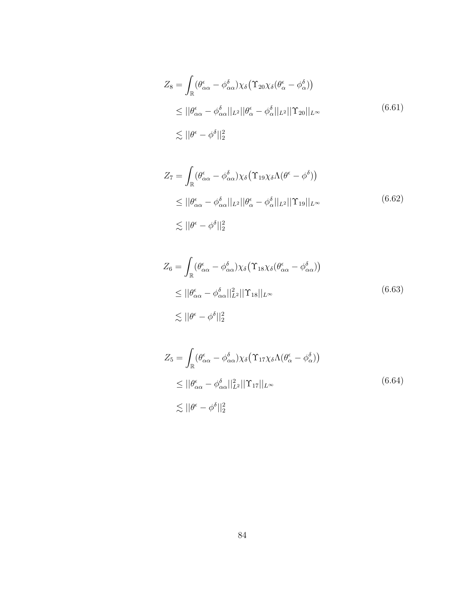$$
Z_8 = \int_{\mathbb{R}} (\theta_{\alpha\alpha}^{\epsilon} - \phi_{\alpha\alpha}^{\delta}) \chi_{\delta} (\Upsilon_{20} \chi_{\delta} (\theta_{\alpha}^{\epsilon} - \phi_{\alpha}^{\delta}))
$$
  
\n
$$
\leq ||\theta_{\alpha\alpha}^{\epsilon} - \phi_{\alpha\alpha}^{\delta}||_{L^2} ||\theta_{\alpha}^{\epsilon} - \phi_{\alpha}^{\delta}||_{L^2} ||\Upsilon_{20}||_{L^{\infty}}
$$
  
\n
$$
\lesssim ||\theta^{\epsilon} - \phi^{\delta}||_2^2
$$
\n(6.61)

$$
Z_7 = \int_{\mathbb{R}} (\theta_{\alpha\alpha}^{\epsilon} - \phi_{\alpha\alpha}^{\delta}) \chi_{\delta} (\Upsilon_{19} \chi_{\delta} \Lambda (\theta^{\epsilon} - \phi^{\delta}))
$$
  
\n
$$
\leq ||\theta_{\alpha\alpha}^{\epsilon} - \phi_{\alpha\alpha}^{\delta}||_{L^2} ||\theta_{\alpha}^{\epsilon} - \phi_{\alpha}^{\delta}||_{L^2} ||\Upsilon_{19}||_{L^{\infty}}
$$
  
\n
$$
\lesssim ||\theta^{\epsilon} - \phi^{\delta}||_2^2
$$
\n(6.62)

$$
Z_6 = \int_{\mathbb{R}} (\theta^{\epsilon}_{\alpha\alpha} - \phi^{\delta}_{\alpha\alpha}) \chi_{\delta} (\Upsilon_{18} \chi_{\delta} (\theta^{\epsilon}_{\alpha\alpha} - \phi^{\delta}_{\alpha\alpha}))
$$
  
\n
$$
\leq ||\theta^{\epsilon}_{\alpha\alpha} - \phi^{\delta}_{\alpha\alpha}||_{L^2}^2 ||\Upsilon_{18}||_{L^{\infty}}
$$
  
\n
$$
\lesssim ||\theta^{\epsilon} - \phi^{\delta}||_2^2
$$
\n(6.63)

$$
Z_5 = \int_{\mathbb{R}} (\theta_{\alpha\alpha}^{\epsilon} - \phi_{\alpha\alpha}^{\delta}) \chi_{\delta} (\Upsilon_{17} \chi_{\delta} \Lambda (\theta_{\alpha}^{\epsilon} - \phi_{\alpha}^{\delta}))
$$
  
\n
$$
\leq ||\theta_{\alpha\alpha}^{\epsilon} - \phi_{\alpha\alpha}^{\delta}||_{L^2}^2 ||\Upsilon_{17}||_{L^{\infty}}
$$
  
\n
$$
\lesssim ||\theta^{\epsilon} - \phi^{\delta}||_2^2
$$
\n(6.64)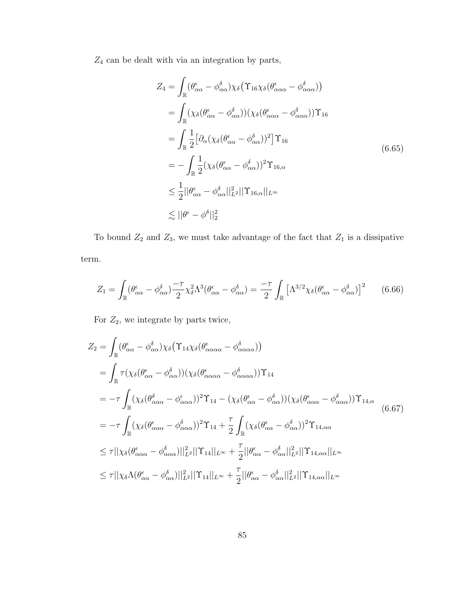$Z_4$  can be dealt with via an integration by parts,

$$
Z_4 = \int_{\mathbb{R}} (\theta_{\alpha\alpha}^{\epsilon} - \phi_{\alpha\alpha}^{\delta}) \chi_{\delta} (\Upsilon_{16} \chi_{\delta} (\theta_{\alpha\alpha}^{\epsilon} - \phi_{\alpha\alpha}^{\delta}))
$$
  
\n
$$
= \int_{\mathbb{R}} (\chi_{\delta} (\theta_{\alpha\alpha}^{\epsilon} - \phi_{\alpha\alpha}^{\delta})) (\chi_{\delta} (\theta_{\alpha\alpha}^{\epsilon} - \phi_{\alpha\alpha}^{\delta})) \Upsilon_{16}
$$
  
\n
$$
= \int_{\mathbb{R}} \frac{1}{2} [\partial_{\alpha} (\chi_{\delta} (\theta_{\alpha\alpha}^{\epsilon} - \phi_{\alpha\alpha}^{\delta}))^{2}] \Upsilon_{16}
$$
  
\n
$$
= - \int_{\mathbb{R}} \frac{1}{2} (\chi_{\delta} (\theta_{\alpha\alpha}^{\epsilon} - \phi_{\alpha\alpha}^{\delta}))^{2} \Upsilon_{16,\alpha}
$$
  
\n
$$
\leq \frac{1}{2} ||\theta_{\alpha\alpha}^{\epsilon} - \phi_{\alpha\alpha}^{\delta}||_{L^{2}}^{2} ||\Upsilon_{16,\alpha}||_{L^{\infty}}
$$
  
\n
$$
\lesssim ||\theta^{\epsilon} - \phi^{\delta}||_{2}^{2}
$$
  
\n(6.65)

To bound  $Z_2$  and  $Z_3$ , we must take advantage of the fact that  $Z_1$  is a dissipative term.

$$
Z_1 = \int_{\mathbb{R}} (\theta_{\alpha\alpha}^{\epsilon} - \phi_{\alpha\alpha}^{\delta}) \frac{-\tau}{2} \chi_{\delta}^2 \Lambda^3 (\theta_{\alpha\alpha}^{\epsilon} - \phi_{\alpha\alpha}^{\delta}) = \frac{-\tau}{2} \int_{\mathbb{R}} \left[ \Lambda^{3/2} \chi_{\delta} (\theta_{\alpha\alpha}^{\epsilon} - \phi_{\alpha\alpha}^{\delta}) \right]^2 \tag{6.66}
$$

For  $Z_2$ , we integrate by parts twice,

$$
Z_{2} = \int_{\mathbb{R}} (\theta_{\alpha\alpha}^{\epsilon} - \phi_{\alpha\alpha}^{\delta}) \chi_{\delta} (\Upsilon_{14} \chi_{\delta} (\theta_{\alpha\alpha\alpha}^{\epsilon} - \phi_{\alpha\alpha\alpha}^{\delta}))
$$
  
\n
$$
= \int_{\mathbb{R}} \tau (\chi_{\delta} (\theta_{\alpha\alpha}^{\epsilon} - \phi_{\alpha\alpha}^{\delta})) (\chi_{\delta} (\theta_{\alpha\alpha\alpha}^{\epsilon} - \phi_{\alpha\alpha\alpha}^{\delta})) \Upsilon_{14}
$$
  
\n
$$
= -\tau \int_{\mathbb{R}} (\chi_{\delta} (\theta_{\alpha\alpha}^{\delta} - \phi_{\alpha\alpha\alpha}^{\epsilon}))^{2} \Upsilon_{14} - (\chi_{\delta} (\theta_{\alpha\alpha}^{\epsilon} - \phi_{\alpha\alpha}^{\delta})) (\chi_{\delta} (\theta_{\alpha\alpha}^{\epsilon} - \phi_{\alpha\alpha}^{\delta})) \Upsilon_{14,\alpha}
$$
  
\n
$$
= -\tau \int_{\mathbb{R}} (\chi_{\delta} (\theta_{\alpha\alpha}^{\epsilon} - \phi_{\alpha\alpha}^{\delta}))^{2} \Upsilon_{14} + \frac{\tau}{2} \int_{\mathbb{R}} (\chi_{\delta} (\theta_{\alpha\alpha}^{\epsilon} - \phi_{\alpha\alpha}^{\delta}))^{2} \Upsilon_{14,\alpha\alpha}
$$
  
\n
$$
\leq \tau || \chi_{\delta} (\theta_{\alpha\alpha}^{\epsilon} - \phi_{\alpha\alpha}^{\delta}) ||_{L^{2}}^{2} || \Upsilon_{14} ||_{L^{\infty}} + \frac{\tau}{2} || \theta_{\alpha\alpha}^{\epsilon} - \phi_{\alpha\alpha}^{\delta} ||_{L^{2}}^{2} || \Upsilon_{14,\alpha\alpha} ||_{L^{\infty}}
$$
  
\n
$$
\leq \tau || \chi_{\delta} \Lambda (\theta_{\alpha\alpha}^{\epsilon} - \phi_{\alpha\alpha}^{\delta}) ||_{L^{2}}^{2} || \Upsilon_{14} ||_{L^{\infty}} + \frac{\tau}{2} || \theta_{\alpha\alpha}^{\epsilon} - \phi_{\alpha\alpha}^{\delta} ||_{L^{2}}^{2} || \Upsilon_{14,\alpha\alpha} ||_{L^{\infty}}
$$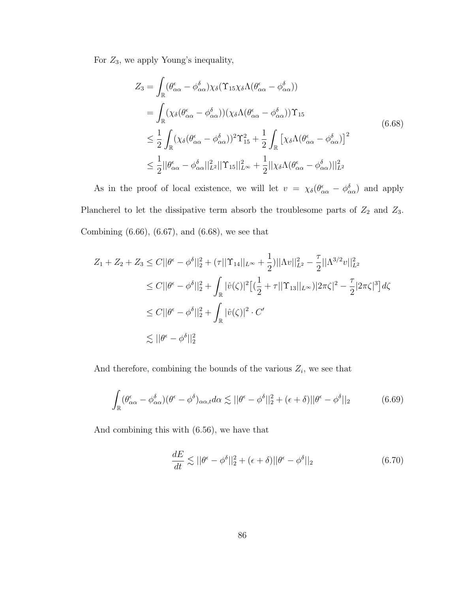For  $Z_3$ , we apply Young's inequality,

$$
Z_{3} = \int_{\mathbb{R}} (\theta_{\alpha\alpha}^{\epsilon} - \phi_{\alpha\alpha}^{\delta}) \chi_{\delta} (\Upsilon_{15} \chi_{\delta} \Lambda (\theta_{\alpha\alpha}^{\epsilon} - \phi_{\alpha\alpha}^{\delta}))
$$
  
\n
$$
= \int_{\mathbb{R}} (\chi_{\delta} (\theta_{\alpha\alpha}^{\epsilon} - \phi_{\alpha\alpha}^{\delta})) (\chi_{\delta} \Lambda (\theta_{\alpha\alpha}^{\epsilon} - \phi_{\alpha\alpha}^{\delta})) \Upsilon_{15}
$$
  
\n
$$
\leq \frac{1}{2} \int_{\mathbb{R}} (\chi_{\delta} (\theta_{\alpha\alpha}^{\epsilon} - \phi_{\alpha\alpha}^{\delta}))^{2} \Upsilon_{15}^{2} + \frac{1}{2} \int_{\mathbb{R}} [\chi_{\delta} \Lambda (\theta_{\alpha\alpha}^{\epsilon} - \phi_{\alpha\alpha}^{\delta})]^{2}
$$
  
\n
$$
\leq \frac{1}{2} ||\theta_{\alpha\alpha}^{\epsilon} - \phi_{\alpha\alpha}^{\delta} ||_{L^{2}}^{2} || \Upsilon_{15} ||_{L^{\infty}}^{2} + \frac{1}{2} || \chi_{\delta} \Lambda (\theta_{\alpha\alpha}^{\epsilon} - \phi_{\alpha\alpha}^{\delta}) ||_{L^{2}}^{2}
$$
  
\n(6.68)

As in the proof of local existence, we will let  $v = \chi_{\delta}(\theta^{\epsilon}_{\alpha\alpha} - \phi^{\delta}_{\alpha\alpha})$  and apply Plancherel to let the dissipative term absorb the troublesome parts of  $Z_2$  and  $Z_3$ . Combining (6.66), (6.67), and (6.68), we see that

$$
Z_1 + Z_2 + Z_3 \le C ||\theta^{\epsilon} - \phi^{\delta}||_2^2 + (\tau ||\Upsilon_{14}||_{L^{\infty}} + \frac{1}{2}) ||\Lambda v||_{L^2}^2 - \frac{\tau}{2} ||\Lambda^{3/2} v||_{L^2}^2
$$
  
\n
$$
\le C ||\theta^{\epsilon} - \phi^{\delta}||_2^2 + \int_{\mathbb{R}} |\hat{v}(\zeta)|^2 [(\frac{1}{2} + \tau ||\Upsilon_{13}||_{L^{\infty}}) |2\pi\zeta|^2 - \frac{\tau}{2} |2\pi\zeta|^3] d\zeta
$$
  
\n
$$
\le C ||\theta^{\epsilon} - \phi^{\delta}||_2^2 + \int_{\mathbb{R}} |\hat{v}(\zeta)|^2 \cdot C'
$$
  
\n
$$
\lesssim ||\theta^{\epsilon} - \phi^{\delta}||_2^2
$$

And therefore, combining the bounds of the various  $Z_i$ , we see that

$$
\int_{\mathbb{R}} (\theta_{\alpha\alpha}^{\epsilon} - \phi_{\alpha\alpha}^{\delta})(\theta^{\epsilon} - \phi^{\delta})_{\alpha\alpha,t} d\alpha \lesssim ||\theta^{\epsilon} - \phi^{\delta}||_2^2 + (\epsilon + \delta)||\theta^{\epsilon} - \phi^{\delta}||_2 \tag{6.69}
$$

And combining this with (6.56), we have that

$$
\frac{dE}{dt} \lesssim ||\theta^{\epsilon} - \phi^{\delta}||_2^2 + (\epsilon + \delta) ||\theta^{\epsilon} - \phi^{\delta}||_2 \tag{6.70}
$$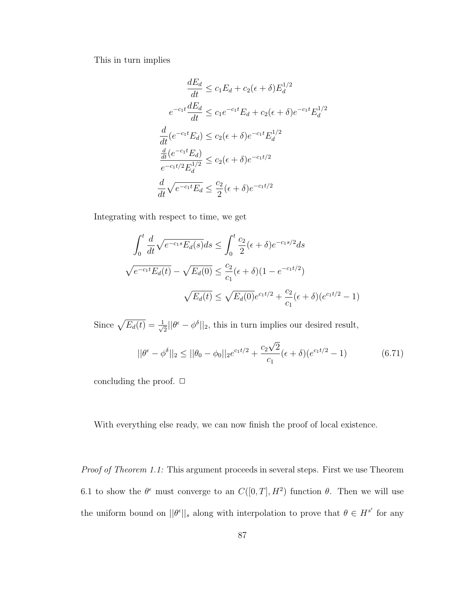This in turn implies

$$
\frac{dE_d}{dt} \le c_1 E_d + c_2(\epsilon + \delta) E_d^{1/2}
$$

$$
e^{-c_1 t} \frac{dE_d}{dt} \le c_1 e^{-c_1 t} E_d + c_2(\epsilon + \delta) e^{-c_1 t} E_d^{1/2}
$$

$$
\frac{d}{dt} (e^{-c_1 t} E_d) \le c_2(\epsilon + \delta) e^{-c_1 t} E_d^{1/2}
$$

$$
\frac{\frac{d}{dt} (e^{-c_1 t} E_d)}{e^{-c_1 t/2} E_d^{1/2}} \le c_2(\epsilon + \delta) e^{-c_1 t/2}
$$

$$
\frac{d}{dt} \sqrt{e^{-c_1 t} E_d} \le \frac{c_2}{2} (\epsilon + \delta) e^{-c_1 t/2}
$$

Integrating with respect to time, we get

$$
\int_0^t \frac{d}{dt} \sqrt{e^{-c_1 s} E_d(s)} ds \le \int_0^t \frac{c_2}{2} (\epsilon + \delta) e^{-c_1 s/2} ds
$$
  

$$
\sqrt{e^{-c_1 t} E_d(t)} - \sqrt{E_d(0)} \le \frac{c_2}{c_1} (\epsilon + \delta) (1 - e^{-c_1 t/2})
$$
  

$$
\sqrt{E_d(t)} \le \sqrt{E_d(0)} e^{c_1 t/2} + \frac{c_2}{c_1} (\epsilon + \delta) (e^{c_1 t/2} - 1)
$$

Since  $\sqrt{E_d(t)} = \frac{1}{\sqrt{2}}$  $\frac{1}{2} ||\theta^{\epsilon} - \phi^{\delta}||_2$ , this in turn implies our desired result,

$$
||\theta^{\epsilon} - \phi^{\delta}||_2 \le ||\theta_0 - \phi_0||_2 e^{c_1 t/2} + \frac{c_2 \sqrt{2}}{c_1} (\epsilon + \delta)(e^{c_1 t/2} - 1)
$$
 (6.71)

concluding the proof.  $\Box$ 

With everything else ready, we can now finish the proof of local existence.

Proof of Theorem 1.1: This argument proceeds in several steps. First we use Theorem 6.1 to show the  $\theta^{\epsilon}$  must converge to an  $C([0,T], H^2)$  function  $\theta$ . Then we will use the uniform bound on  $||\theta^{\epsilon}||_s$  along with interpolation to prove that  $\theta \in H^{s'}$  for any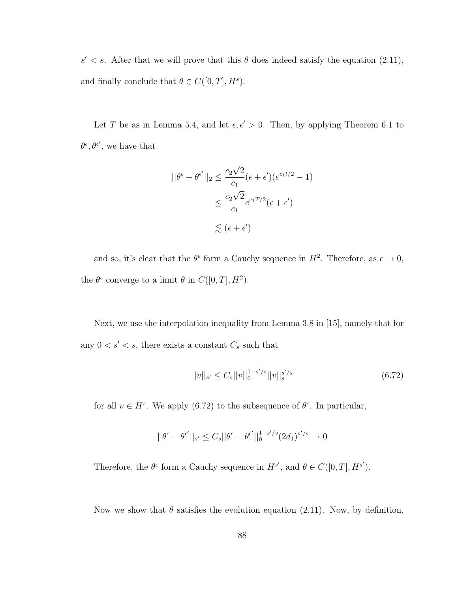$s' < s$ . After that we will prove that this  $\theta$  does indeed satisfy the equation (2.11), and finally conclude that  $\theta \in C([0, T], H^s)$ .

Let T be as in Lemma 5.4, and let  $\epsilon, \epsilon' > 0$ . Then, by applying Theorem 6.1 to  $\theta^{\epsilon}, \theta^{\epsilon'}$ , we have that

$$
||\theta^{\epsilon} - \theta^{\epsilon'}||_2 \le \frac{c_2\sqrt{2}}{c_1}(\epsilon + \epsilon')(e^{c_1t/2} - 1)
$$
  

$$
\le \frac{c_2\sqrt{2}}{c_1}e^{c_1T/2}(\epsilon + \epsilon')
$$
  

$$
\lesssim (\epsilon + \epsilon')
$$

and so, it's clear that the  $\theta^{\epsilon}$  form a Cauchy sequence in  $H^2$ . Therefore, as  $\epsilon \to 0$ , the  $\theta^{\epsilon}$  converge to a limit  $\theta$  in  $C([0,T], H^2)$ .

Next, we use the interpolation inequality from Lemma 3.8 in [15], namely that for any  $0 < s' < s$ , there exists a constant  $C_s$  such that

$$
||v||_{s'} \le C_s ||v||_0^{1-s'/s} ||v||_s^{s'/s}
$$
\n(6.72)

for all  $v \in H^s$ . We apply (6.72) to the subsequence of  $\theta^{\epsilon}$ . In particular,

$$
||\theta^\epsilon-\theta^{\epsilon'}||_{s'}\leq C_s||\theta^\epsilon-\theta^{\epsilon'}||_0^{1-s'/s}(2d_1)^{s'/s}\rightarrow 0
$$

Therefore, the  $\theta^{\epsilon}$  form a Cauchy sequence in  $H^{s'}$ , and  $\theta \in C([0, T], H^{s'})$ .

Now we show that  $\theta$  satisfies the evolution equation (2.11). Now, by definition,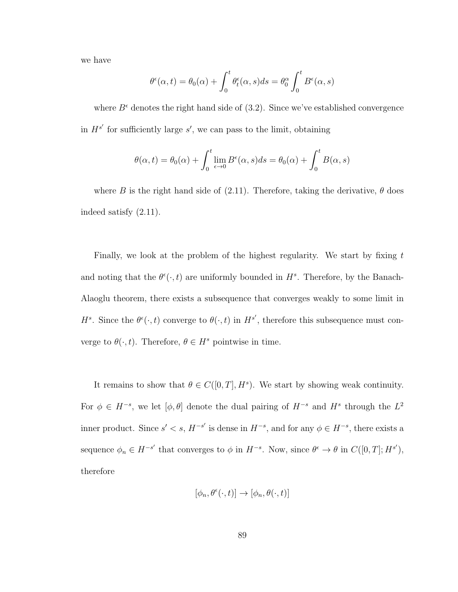we have

$$
\theta^{\epsilon}(\alpha, t) = \theta_0(\alpha) + \int_0^t \theta^{\epsilon}_t(\alpha, s) ds = \theta_0^{\alpha} \int_0^t B^{\epsilon}(\alpha, s)
$$

where  $B^{\epsilon}$  denotes the right hand side of (3.2). Since we've established convergence in  $H^{s'}$  for sufficiently large  $s'$ , we can pass to the limit, obtaining

$$
\theta(\alpha, t) = \theta_0(\alpha) + \int_0^t \lim_{\epsilon \to 0} B^{\epsilon}(\alpha, s) ds = \theta_0(\alpha) + \int_0^t B(\alpha, s)
$$

where B is the right hand side of (2.11). Therefore, taking the derivative,  $\theta$  does indeed satisfy (2.11).

Finally, we look at the problem of the highest regularity. We start by fixing  $t$ and noting that the  $\theta^{\epsilon}(\cdot,t)$  are uniformly bounded in  $H^s$ . Therefore, by the Banach-Alaoglu theorem, there exists a subsequence that converges weakly to some limit in  $H^s$ . Since the  $\theta^{\epsilon}(\cdot,t)$  converge to  $\theta(\cdot,t)$  in  $H^{s'}$ , therefore this subsequence must converge to  $\theta(\cdot, t)$ . Therefore,  $\theta \in H^s$  pointwise in time.

It remains to show that  $\theta \in C([0,T], H^s)$ . We start by showing weak continuity. For  $\phi \in H^{-s}$ , we let  $[\phi, \theta]$  denote the dual pairing of  $H^{-s}$  and  $H^s$  through the  $L^2$ inner product. Since  $s' < s$ ,  $H^{-s'}$  is dense in  $H^{-s}$ , and for any  $\phi \in H^{-s}$ , there exists a sequence  $\phi_n \in H^{-s'}$  that converges to  $\phi$  in  $H^{-s}$ . Now, since  $\theta^{\epsilon} \to \theta$  in  $C([0,T]; H^{s'}),$ therefore

$$
[\phi_n, \theta^{\epsilon}(\cdot, t)] \to [\phi_n, \theta(\cdot, t)]
$$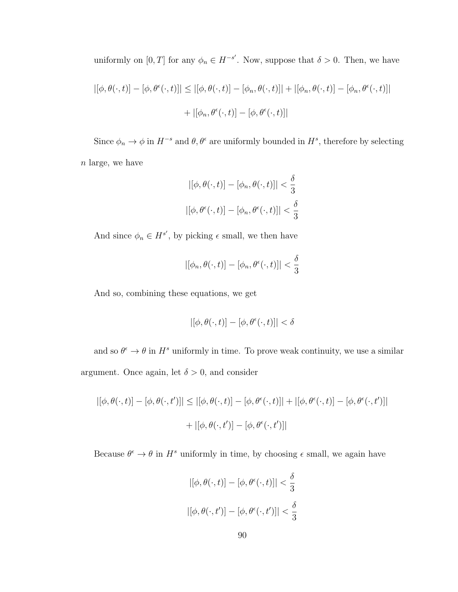uniformly on  $[0, T]$  for any  $\phi_n \in H^{-s'}$ . Now, suppose that  $\delta > 0$ . Then, we have

$$
\left| [\phi, \theta(\cdot, t)] - [\phi, \theta^{\epsilon}(\cdot, t)] \right| \leq |[\phi, \theta(\cdot, t)] - [\phi_n, \theta(\cdot, t)]| + |[\phi_n, \theta(\cdot, t)] - [\phi_n, \theta^{\epsilon}(\cdot, t)]|
$$

$$
+ |[\phi_n, \theta^{\epsilon}(\cdot, t)] - [\phi, \theta^{\epsilon}(\cdot, t)]|
$$

Since  $\phi_n \to \phi$  in  $H^{-s}$  and  $\theta, \theta^{\epsilon}$  are uniformly bounded in  $H^s$ , therefore by selecting n large, we have

$$
|[\phi, \theta(\cdot, t)] - [\phi_n, \theta(\cdot, t)]| < \frac{\delta}{3}
$$
\n
$$
|[\phi, \theta^{\epsilon}(\cdot, t)] - [\phi_n, \theta^{\epsilon}(\cdot, t)]| < \frac{\delta}{3}
$$

And since  $\phi_n \in H^{s'}$ , by picking  $\epsilon$  small, we then have

$$
|[\phi_n, \theta(\cdot, t)] - [\phi_n, \theta^{\epsilon}(\cdot, t)]| < \frac{\delta}{3}
$$

And so, combining these equations, we get

$$
|[\phi,\theta(\cdot,t)]-[\phi,\theta^\epsilon(\cdot,t)]|<\delta
$$

and so  $\theta^{\epsilon} \to \theta$  in  $H^s$  uniformly in time. To prove weak continuity, we use a similar argument. Once again, let  $\delta > 0$ , and consider

$$
|[\phi, \theta(\cdot, t)] - [\phi, \theta(\cdot, t')]| \le |[\phi, \theta(\cdot, t)] - [\phi, \theta^{\epsilon}(\cdot, t)]| + |[\phi, \theta^{\epsilon}(\cdot, t)] - [\phi, \theta^{\epsilon}(\cdot, t')]|
$$

$$
+ |[\phi, \theta(\cdot, t')] - [\phi, \theta^{\epsilon}(\cdot, t')]|
$$

Because  $\theta^{\epsilon} \to \theta$  in  $H^s$  uniformly in time, by choosing  $\epsilon$  small, we again have

$$
\begin{aligned} \left| [\phi, \theta(\cdot, t)] - [\phi, \theta^\epsilon(\cdot, t)] \right| &< \frac{\delta}{3} \\ \left| [\phi, \theta(\cdot, t')] - [\phi, \theta^\epsilon(\cdot, t')] \right| &< \frac{\delta}{3} \end{aligned}
$$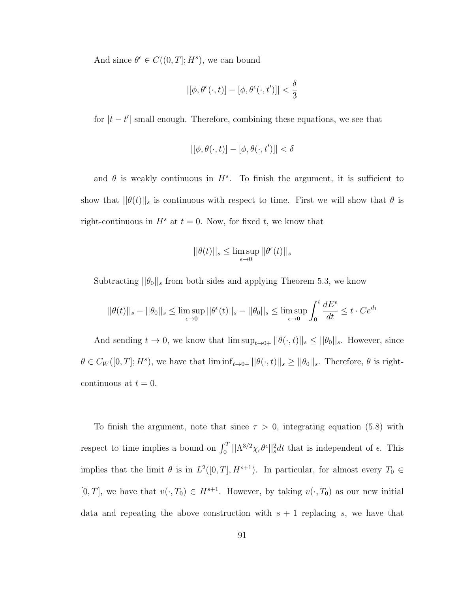And since  $\theta^{\epsilon} \in C((0,T]; H^s)$ , we can bound

$$
|[\phi, \theta^{\epsilon}(\cdot, t)] - [\phi, \theta^{\epsilon}(\cdot, t')]| < \frac{\delta}{3}
$$

for  $|t - t'|$  small enough. Therefore, combining these equations, we see that

$$
|[\phi, \theta(\cdot, t)] - [\phi, \theta(\cdot, t')]| < \delta
$$

and  $\theta$  is weakly continuous in  $H^s$ . To finish the argument, it is sufficient to show that  $||\theta(t)||_s$  is continuous with respect to time. First we will show that  $\theta$  is right-continuous in  $H^s$  at  $t = 0$ . Now, for fixed t, we know that

$$
||\theta(t)||_s \le \limsup_{\epsilon \to 0} ||\theta^{\epsilon}(t)||_s
$$

Subtracting  $||\theta_0||_s$  from both sides and applying Theorem 5.3, we know

$$
||\theta(t)||_s - ||\theta_0||_s \le \limsup_{\epsilon \to 0} ||\theta^{\epsilon}(t)||_s - ||\theta_0||_s \le \limsup_{\epsilon \to 0} \int_0^t \frac{dE^{\epsilon}}{dt} \le t \cdot Ce^{d_1}
$$

And sending  $t \to 0$ , we know that  $\limsup_{t \to 0+} ||\theta(\cdot, t)||_s \leq ||\theta_0||_s$ . However, since  $\theta \in C_W([0,T]; H^s)$ , we have that  $\liminf_{t \to 0+} ||\theta(\cdot, t)||_s \ge ||\theta_0||_s$ . Therefore,  $\theta$  is rightcontinuous at  $t = 0$ .

To finish the argument, note that since  $\tau > 0$ , integrating equation (5.8) with respect to time implies a bound on  $\int_0^T ||\Lambda^{3/2} \chi_\epsilon \theta^\epsilon||_s^2 dt$  that is independent of  $\epsilon$ . This implies that the limit  $\theta$  is in  $L^2([0,T], H^{s+1})$ . In particular, for almost every  $T_0 \in$ [0, T], we have that  $v(\cdot, T_0) \in H^{s+1}$ . However, by taking  $v(\cdot, T_0)$  as our new initial data and repeating the above construction with  $s + 1$  replacing s, we have that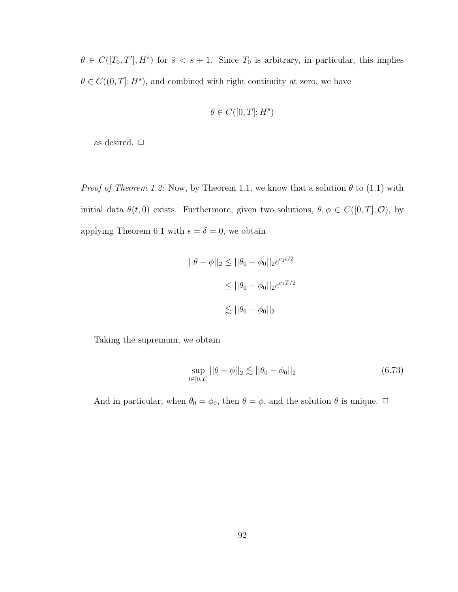$\theta \in C([T_0, T'], H^{\overline{s}})$  for  $\overline{s} < s + 1$ . Since  $T_0$  is arbitrary, in particular, this implies  $\theta \in C((0,T]; H^s)$ , and combined with right continuity at zero, we have

$$
\theta \in C([0,T];H^s)
$$

as desired.  $\Box$ 

*Proof of Theorem 1.2:* Now, by Theorem 1.1, we know that a solution  $\theta$  to (1.1) with initial data  $\theta(t,0)$  exists. Furthermore, given two solutions,  $\theta, \phi \in C([0,T]; \mathcal{O})$ , by applying Theorem 6.1 with  $\epsilon = \delta = 0$ , we obtain

$$
||\theta - \phi||_2 \le ||\theta_0 - \phi_0||_2 e^{c_1 t/2}
$$
  
\n
$$
\le ||\theta_0 - \phi_0||_2 e^{c_1 T/2}
$$
  
\n
$$
\lesssim ||\theta_0 - \phi_0||_2
$$

Taking the supremum, we obtain

$$
\sup_{t \in [0,T]} ||\theta - \phi||_2 \lesssim ||\theta_0 - \phi_0||_2 \tag{6.73}
$$

And in particular, when  $\theta_0 = \phi_0$ , then  $\theta = \phi$ , and the solution  $\theta$  is unique.  $\Box$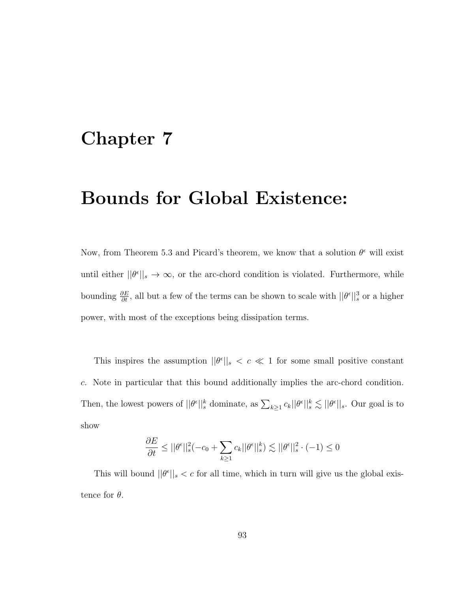## Chapter 7

## Bounds for Global Existence:

Now, from Theorem 5.3 and Picard's theorem, we know that a solution  $\theta^{\epsilon}$  will exist until either  $||\theta^{\epsilon}||_{s} \to \infty$ , or the arc-chord condition is violated. Furthermore, while bounding  $\frac{\partial E}{\partial t}$ , all but a few of the terms can be shown to scale with  $||\theta^{\epsilon}||_s^3$  or a higher power, with most of the exceptions being dissipation terms.

This inspires the assumption  $||\theta^{\epsilon}||_{s} < c \ll 1$  for some small positive constant c. Note in particular that this bound additionally implies the arc-chord condition. Then, the lowest powers of  $||\theta^{\epsilon}||_s^k$  dominate, as  $\sum_{k\geq 1} c_k ||\theta^{\epsilon}||_s^k \lesssim ||\theta^{\epsilon}||_s$ . Our goal is to show

$$
\frac{\partial E}{\partial t} \le ||\theta^{\epsilon}||_s^2(-c_0 + \sum_{k \ge 1} c_k ||\theta^{\epsilon}||_s^k) \lesssim ||\theta^{\epsilon}||_s^2 \cdot (-1) \le 0
$$

This will bound  $||\theta^{\epsilon}||_{s} < c$  for all time, which in turn will give us the global existence for  $\theta$ .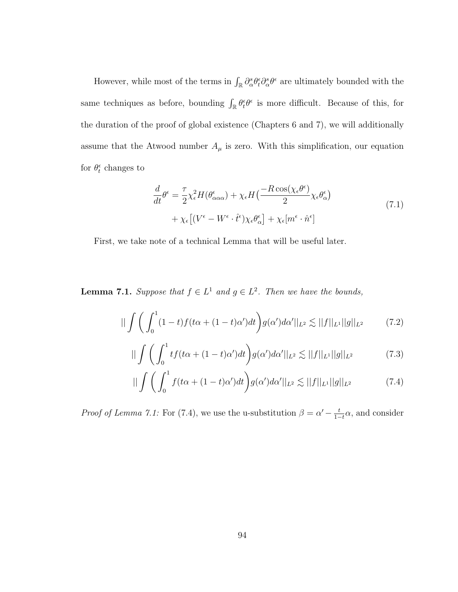However, while most of the terms in  $\int_{\mathbb{R}} \partial_{\alpha}^{s} \theta_{t}^{\epsilon} \partial_{\alpha}^{s} \theta_{t}^{\epsilon}$  are ultimately bounded with the same techniques as before, bounding  $\int_{\mathbb{R}} \theta_t^{\epsilon} \theta^{\epsilon}$  is more difficult. Because of this, for the duration of the proof of global existence (Chapters 6 and 7), we will additionally assume that the Atwood number  $A_{\mu}$  is zero. With this simplification, our equation for  $\theta_t^{\epsilon}$  changes to

$$
\frac{d}{dt}\theta^{\epsilon} = \frac{\tau}{2}\chi_{\epsilon}^{2}H(\theta_{\alpha\alpha\alpha}^{\epsilon}) + \chi_{\epsilon}H(\frac{-R\cos(\chi_{\epsilon}\theta^{\epsilon})}{2}\chi_{\epsilon}\theta_{\alpha}^{\epsilon}) \n+ \chi_{\epsilon}[(V^{\epsilon} - W^{\epsilon} \cdot \hat{t}^{\epsilon})\chi_{\epsilon}\theta_{\alpha}^{\epsilon}] + \chi_{\epsilon}[m^{\epsilon} \cdot \hat{n}^{\epsilon}]
$$
\n(7.1)

First, we take note of a technical Lemma that will be useful later.

**Lemma 7.1.** Suppose that  $f \in L^1$  and  $g \in L^2$ . Then we have the bounds,

$$
\| \int \left( \int_0^1 (1-t) f(t\alpha + (1-t)\alpha') dt \right) g(\alpha') d\alpha' \|_{L^2} \lesssim \|f\|_{L^1} \|g\|_{L^2}
$$
 (7.2)

$$
\| \int \left( \int_0^1 t f(t\alpha + (1-t)\alpha') dt \right) g(\alpha') d\alpha' \|_{L^2} \lesssim \|f\|_{L^1} \|g\|_{L^2}
$$
 (7.3)

$$
\| \int \left( \int_0^1 f(t\alpha + (1-t)\alpha')dt \right) g(\alpha')d\alpha' \|_{L^2} \lesssim \|f\|_{L^1} \|g\|_{L^2}
$$
 (7.4)

*Proof of Lemma 7.1:* For (7.4), we use the u-substitution  $\beta = \alpha' - \frac{t}{1-t}$  $\frac{t}{1-t}\alpha$ , and consider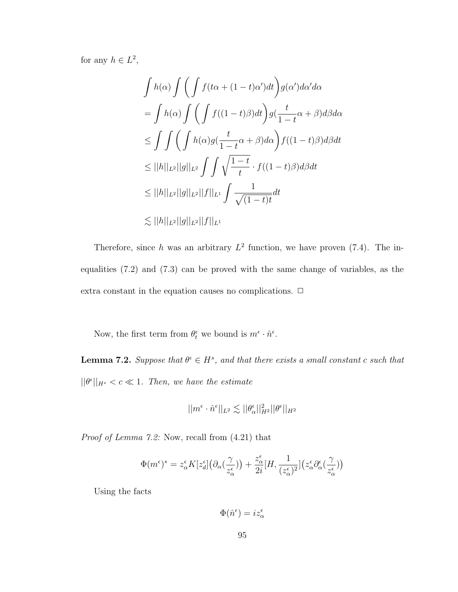for any  $h \in L^2$ ,

$$
\int h(\alpha) \int \left( \int f(t\alpha + (1-t)\alpha')dt \right) g(\alpha')d\alpha' d\alpha
$$
  
\n
$$
= \int h(\alpha) \int \left( \int f((1-t)\beta)dt \right) g(\frac{t}{1-t}\alpha + \beta) d\beta d\alpha
$$
  
\n
$$
\leq \int \int \left( \int h(\alpha)g(\frac{t}{1-t}\alpha + \beta) d\alpha \right) f((1-t)\beta) d\beta dt
$$
  
\n
$$
\leq ||h||_{L^2} ||g||_{L^2} \int \int \sqrt{\frac{1-t}{t}} \cdot f((1-t)\beta) d\beta dt
$$
  
\n
$$
\leq ||h||_{L^2} ||g||_{L^2} ||f||_{L^1} \int \frac{1}{\sqrt{(1-t)t}} dt
$$
  
\n
$$
\lesssim ||h||_{L^2} ||g||_{L^2} ||f||_{L^1}
$$

Therefore, since h was an arbitrary  $L^2$  function, we have proven (7.4). The inequalities (7.2) and (7.3) can be proved with the same change of variables, as the extra constant in the equation causes no complications.  $\Box$ 

Now, the first term from  $\theta_t^{\epsilon}$  we bound is  $m^{\epsilon} \cdot \hat{n}^{\epsilon}$ .

**Lemma 7.2.** Suppose that  $\theta^{\epsilon} \in H^s$ , and that there exists a small constant c such that  $||\theta^{\epsilon}||_{H^{s}} < c \ll 1$ . Then, we have the estimate

$$
||m^{\epsilon} \cdot \hat{n}^{\epsilon}||_{L^2} \lesssim ||\theta_{\alpha}^{\epsilon}||_{H^2}^2 ||\theta^{\epsilon}||_{H^2}
$$

Proof of Lemma 7.2: Now, recall from  $(4.21)$  that

$$
\Phi(m^{\epsilon})^* = z_{\alpha}^{\epsilon} K[z_{d}^{\epsilon}] \big( \partial_{\alpha} \left( \frac{\gamma}{z_{\alpha}^{\epsilon}} \right) \big) + \frac{z_{\alpha}^{\epsilon}}{2i} [H, \frac{1}{(z_{\alpha}^{\epsilon})^2}] \big( z_{\alpha}^{\epsilon} \partial_{\alpha}^{\epsilon} \left( \frac{\gamma}{z_{\alpha}^{\epsilon}} \right) \big)
$$

Using the facts

 $\Phi(\hat{n}^{\epsilon}) = iz_{\alpha}^{\epsilon}$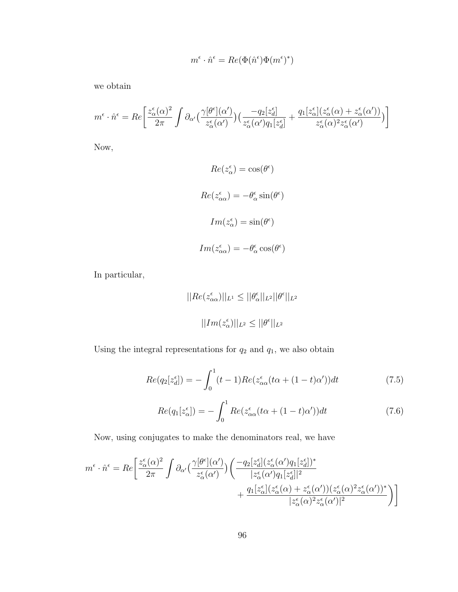$$
m^{\epsilon} \cdot \hat{n}^{\epsilon} = Re(\Phi(\hat{n}^{\epsilon})\Phi(m^{\epsilon})^*)
$$

we obtain

$$
m^{\epsilon} \cdot \hat{n}^{\epsilon} = Re \left[ \frac{z_{\alpha}^{\epsilon}(\alpha)^{2}}{2\pi} \int \partial_{\alpha'} \left( \frac{\gamma[\theta^{\epsilon}](\alpha')}{z_{\alpha}^{\epsilon}(\alpha')}\right) \left( \frac{-q_{2}[z_{d}^{\epsilon}]}{z_{\alpha}^{\epsilon}(\alpha')q_{1}[z_{d}^{\epsilon}]} + \frac{q_{1}[z_{\alpha}^{\epsilon}](z_{\alpha}^{\epsilon}(\alpha) + z_{\alpha}^{\epsilon}(\alpha'))}{z_{\alpha}^{\epsilon}(\alpha)^{2}z_{\alpha}^{\epsilon}(\alpha')} \right) \right]
$$

Now,

$$
Re(z_{\alpha}^{\epsilon}) = \cos(\theta^{\epsilon})
$$
  

$$
Re(z_{\alpha\alpha}^{\epsilon}) = -\theta_{\alpha}^{\epsilon} \sin(\theta^{\epsilon})
$$
  

$$
Im(z_{\alpha}^{\epsilon}) = \sin(\theta^{\epsilon})
$$
  

$$
Im(z_{\alpha\alpha}^{\epsilon}) = -\theta_{\alpha}^{\epsilon} \cos(\theta^{\epsilon})
$$

In particular,

$$
||Re(z_{\alpha\alpha}^{\epsilon})||_{L^{1}} \leq ||\theta_{\alpha}^{\epsilon}||_{L^{2}}||\theta^{\epsilon}||_{L^{2}}
$$

$$
||Im(z_{\alpha}^{\epsilon})||_{L^{2}} \leq ||\theta^{\epsilon}||_{L^{2}}
$$

Using the integral representations for  $q_2$  and  $q_1,$  we also obtain

$$
Re(q_2[z_d^{\epsilon}]) = -\int_0^1 (t-1)Re(z_{\alpha\alpha}^{\epsilon}(t\alpha + (1-t)\alpha'))dt
$$
\n(7.5)

$$
Re(q_1[z^{\epsilon}_{\alpha}]) = -\int_0^1 Re(z^{\epsilon}_{\alpha\alpha}(t\alpha + (1-t)\alpha'))dt \qquad (7.6)
$$

Now, using conjugates to make the denominators real, we have

$$
m^{\epsilon} \cdot \hat{n}^{\epsilon} = Re \left[ \frac{z_{\alpha}^{\epsilon}(\alpha)^{2}}{2\pi} \int \partial_{\alpha'} \left( \frac{\gamma[\theta^{\epsilon}](\alpha')}{z_{\alpha}^{\epsilon}(\alpha')}\right) \left( \frac{-q_{2}[z_{d}^{\epsilon}](z_{\alpha}^{\epsilon}(\alpha')q_{1}[z_{d}^{\epsilon}])^{*}}{|z_{\alpha}^{\epsilon}(\alpha')q_{1}[z_{d}^{\epsilon}]|^{2}} + \frac{q_{1}[z_{\alpha}^{\epsilon}](z_{\alpha}^{\epsilon}(\alpha) + z_{\alpha}^{\epsilon}(\alpha'))(z_{\alpha}^{\epsilon}(\alpha)^{2}z_{\alpha}^{\epsilon}(\alpha'))^{*}}{|z_{\alpha}^{\epsilon}(\alpha)^{2}z_{\alpha}^{\epsilon}(\alpha')|^{2}} \right) \right]
$$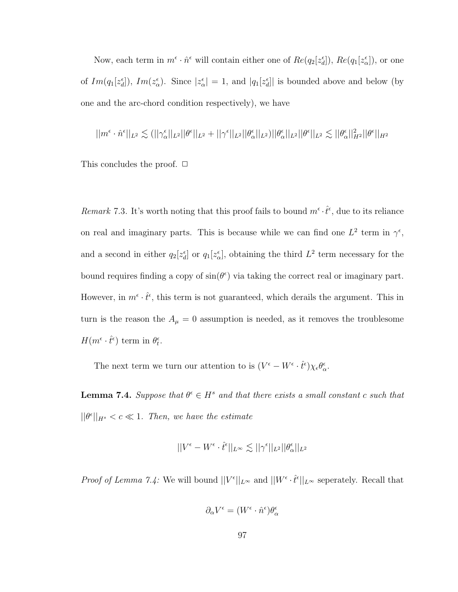Now, each term in  $m^{\epsilon} \cdot \hat{n}^{\epsilon}$  will contain either one of  $Re(q_2[z_d^{\epsilon}]), Re(q_1[z_\alpha^{\epsilon}]),$  or one of  $Im(q_1[z_d^{\epsilon}]), Im(z_{\alpha}^{\epsilon})$ . Since  $|z_{\alpha}^{\epsilon}| = 1$ , and  $|q_1[z_d^{\epsilon}]|$  is bounded above and below (by one and the arc-chord condition respectively), we have

$$
||m^{\epsilon}\cdot \hat{n}^{\epsilon}||_{L^{2}}\lesssim(||\gamma_{\alpha}^{\epsilon}||_{L^{2}}||\theta^{\epsilon}||_{L^{2}}+||\gamma^{\epsilon}||_{L^{2}}||\theta_{\alpha}^{\epsilon}||_{L^{2}})||\theta_{\alpha}^{\epsilon}||_{L^{2}}||\theta^{\epsilon}||_{L^{2}}\lesssim ||\theta_{\alpha}^{\epsilon}||_{H^{2}}^{2}||\theta^{\epsilon}||_{H^{2}}
$$

This concludes the proof.  $\Box$ 

Remark 7.3. It's worth noting that this proof fails to bound  $m^{\epsilon} \cdot \hat{t}^{\epsilon}$ , due to its reliance on real and imaginary parts. This is because while we can find one  $L^2$  term in  $\gamma^{\epsilon}$ , and a second in either  $q_2[z_d^{\epsilon}]$  or  $q_1[z_\alpha^{\epsilon}]$ , obtaining the third  $L^2$  term necessary for the bound requires finding a copy of  $sin(\theta^{\epsilon})$  via taking the correct real or imaginary part. However, in  $m^{\epsilon} \cdot \hat{t}^{\epsilon}$ , this term is not guaranteed, which derails the argument. This in turn is the reason the  $A_{\mu} = 0$  assumption is needed, as it removes the troublesome  $H(m^{\epsilon} \cdot \hat{t}^{\epsilon})$  term in  $\theta_t^{\epsilon}$ .

The next term we turn our attention to is  $(V^{\epsilon} - W^{\epsilon} \cdot \hat{t}^{\epsilon}) \chi_{\epsilon} \theta_{\alpha}^{\epsilon}$ .

**Lemma 7.4.** Suppose that  $\theta^{\epsilon} \in H^s$  and that there exists a small constant c such that  $||\theta^{\epsilon}||_{H^{s}} < c \ll 1$ . Then, we have the estimate

$$
||V^\epsilon - W^\epsilon \cdot \widehat{t}^\epsilon||_{L^\infty} \lesssim ||\gamma^\epsilon||_{L^2} ||\theta_\alpha^\epsilon||_{L^2}
$$

*Proof of Lemma 7.4:* We will bound  $||V^{\epsilon}||_{L^{\infty}}$  and  $||W^{\epsilon} \cdot \hat{t}^{\epsilon}||_{L^{\infty}}$  seperately. Recall that

$$
\partial_\alpha V^\epsilon = (W^\epsilon \cdot \hat n^\epsilon) \theta_\alpha^\epsilon
$$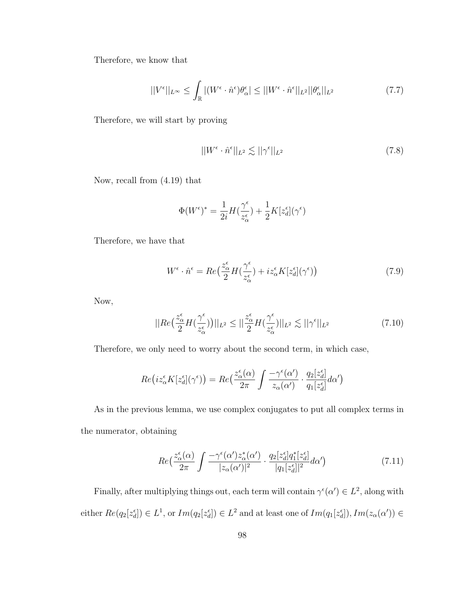Therefore, we know that

$$
||V^{\epsilon}||_{L^{\infty}} \leq \int_{\mathbb{R}} |(W^{\epsilon} \cdot \hat{n}^{\epsilon}) \theta_{\alpha}^{\epsilon}| \leq ||W^{\epsilon} \cdot \hat{n}^{\epsilon}||_{L^{2}} ||\theta_{\alpha}^{\epsilon}||_{L^{2}} \qquad (7.7)
$$

Therefore, we will start by proving

$$
||W^{\epsilon} \cdot \hat{n}^{\epsilon}||_{L^{2}} \lesssim ||\gamma^{\epsilon}||_{L^{2}} \tag{7.8}
$$

Now, recall from (4.19) that

$$
\Phi(W^{\epsilon})^* = \frac{1}{2i} H(\frac{\gamma^{\epsilon}}{z_{\alpha}^{\epsilon}}) + \frac{1}{2} K[z_{d}^{\epsilon}](\gamma^{\epsilon})
$$

Therefore, we have that

$$
W^{\epsilon} \cdot \hat{n}^{\epsilon} = Re\left(\frac{z_{\alpha}^{\epsilon}}{2}H\left(\frac{\gamma^{\epsilon}}{z_{\alpha}^{\epsilon}}\right) + iz_{\alpha}^{\epsilon}K[z_{d}^{\epsilon}](\gamma^{\epsilon})\right)
$$
(7.9)

Now,

$$
||Re\left(\frac{z_{\alpha}^{\epsilon}}{2}H\left(\frac{\gamma^{\epsilon}}{z_{\alpha}^{\epsilon}}\right)\right)||_{L^{2}} \leq ||\frac{z_{\alpha}^{\epsilon}}{2}H\left(\frac{\gamma^{\epsilon}}{z_{\alpha}^{\epsilon}}\right)||_{L^{2}} \lesssim ||\gamma^{\epsilon}||_{L^{2}}
$$
\n(7.10)

Therefore, we only need to worry about the second term, in which case,

$$
Re\left(iz_{\alpha}^{\epsilon}K[z_{d}^{\epsilon}](\gamma^{\epsilon})\right) = Re\left(\frac{z_{\alpha}^{\epsilon}(\alpha)}{2\pi}\int \frac{-\gamma^{\epsilon}(\alpha')}{z_{\alpha}(\alpha')}\cdot \frac{q_{2}[z_{d}^{\epsilon}]}{q_{1}[z_{d}^{\epsilon}]}d\alpha'\right)
$$

As in the previous lemma, we use complex conjugates to put all complex terms in the numerator, obtaining

$$
Re\left(\frac{z_{\alpha}^{\epsilon}(\alpha)}{2\pi} \int \frac{-\gamma^{\epsilon}(\alpha')z_{\alpha}^{*}(\alpha')}{|z_{\alpha}(\alpha')|^{2}} \cdot \frac{q_{2}[z_{d}^{\epsilon}]q_{1}^{*}[z_{d}^{\epsilon}]}{|q_{1}[z_{d}^{\epsilon}]|^{2}}d\alpha'\right)
$$
(7.11)

Finally, after multiplying things out, each term will contain  $\gamma^{\epsilon}(\alpha') \in L^2$ , along with either  $Re(q_2[z_d^{\epsilon}]) \in L^1$ , or  $Im(q_2[z_d^{\epsilon}]) \in L^2$  and at least one of  $Im(q_1[z_d^{\epsilon}]), Im(z_{\alpha}(\alpha')) \in$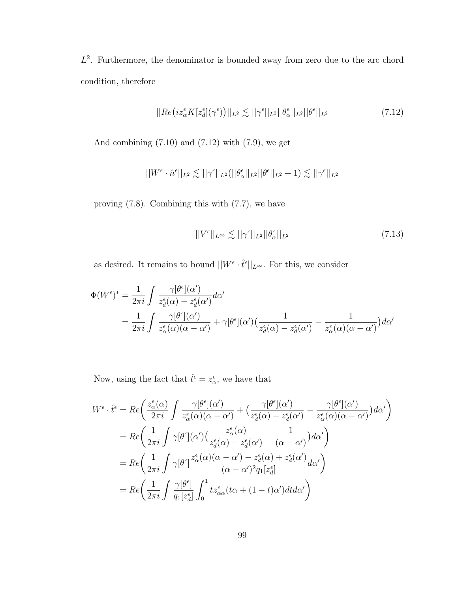$L^2$ . Furthermore, the denominator is bounded away from zero due to the arc chord condition, therefore

$$
||Re\left(iz_{\alpha}^{\epsilon}K[z_{d}^{\epsilon}](\gamma^{\epsilon})\right)||_{L^{2}} \lesssim ||\gamma^{\epsilon}||_{L^{2}}||\theta_{\alpha}^{\epsilon}||_{L^{2}}||\theta^{\epsilon}||_{L^{2}}
$$
\n(7.12)

And combining  $(7.10)$  and  $(7.12)$  with  $(7.9)$ , we get

$$
||W^{\epsilon}\cdot \hat{n}^{\epsilon}||_{L^{2}}\lesssim ||\gamma^{\epsilon}||_{L^{2}}(||\theta^{\epsilon}_{\alpha}||_{L^{2}}||\theta^{\epsilon}||_{L^{2}}+1)\lesssim ||\gamma^{\epsilon}||_{L^{2}}
$$

proving (7.8). Combining this with (7.7), we have

$$
||V^{\epsilon}||_{L^{\infty}} \lesssim ||\gamma^{\epsilon}||_{L^{2}} ||\theta^{\epsilon}_{\alpha}||_{L^{2}}
$$
\n(7.13)

as desired. It remains to bound  $||W^{\epsilon} \cdot \hat{t}^{\epsilon}||_{L^{\infty}}$ . For this, we consider

$$
\Phi(W^{\epsilon})^* = \frac{1}{2\pi i} \int \frac{\gamma[\theta^{\epsilon}](\alpha')}{z^{\epsilon}_d(\alpha) - z^{\epsilon}_d(\alpha')} d\alpha'
$$
  
= 
$$
\frac{1}{2\pi i} \int \frac{\gamma[\theta^{\epsilon}](\alpha')}{z^{\epsilon}_{\alpha}(\alpha)(\alpha - \alpha')} + \gamma[\theta^{\epsilon}](\alpha') \Big(\frac{1}{z^{\epsilon}_d(\alpha) - z^{\epsilon}_d(\alpha')} - \frac{1}{z^{\epsilon}_{\alpha}(\alpha)(\alpha - \alpha')} \Big) d\alpha'
$$

Now, using the fact that  $\hat{t}^{\epsilon} = z_{\alpha}^{\epsilon}$ , we have that

$$
W^{\epsilon} \cdot \hat{t}^{\epsilon} = Re \left( \frac{z_{\alpha}^{\epsilon}(\alpha)}{2\pi i} \int \frac{\gamma[\theta^{\epsilon}](\alpha')}{z_{\alpha}^{\epsilon}(\alpha)(\alpha - \alpha')} + \left( \frac{\gamma[\theta^{\epsilon}](\alpha')}{z_{d}^{\epsilon}(\alpha) - z_{d}^{\epsilon}(\alpha')} - \frac{\gamma[\theta^{\epsilon}](\alpha')}{z_{\alpha}^{\epsilon}(\alpha)(\alpha - \alpha')} \right) d\alpha' \right)
$$
  
\n
$$
= Re \left( \frac{1}{2\pi i} \int \gamma[\theta^{\epsilon}](\alpha') \left( \frac{z_{\alpha}^{\epsilon}(\alpha)}{z_{d}^{\epsilon}(\alpha) - z_{d}^{\epsilon}(\alpha')} - \frac{1}{(\alpha - \alpha')}\right) d\alpha' \right)
$$
  
\n
$$
= Re \left( \frac{1}{2\pi i} \int \gamma[\theta^{\epsilon}] \frac{z_{\alpha}^{\epsilon}(\alpha)(\alpha - \alpha') - z_{d}^{\epsilon}(\alpha) + z_{d}^{\epsilon}(\alpha')}{(\alpha - \alpha')^{2} q_{1} [z_{d}^{\epsilon}]} d\alpha' \right)
$$
  
\n
$$
= Re \left( \frac{1}{2\pi i} \int \frac{\gamma[\theta^{\epsilon}]}{q_{1} [z_{d}^{\epsilon}]} \int_{0}^{1} t z_{\alpha\alpha}^{\epsilon}(t\alpha + (1 - t)\alpha') dt d\alpha' \right)
$$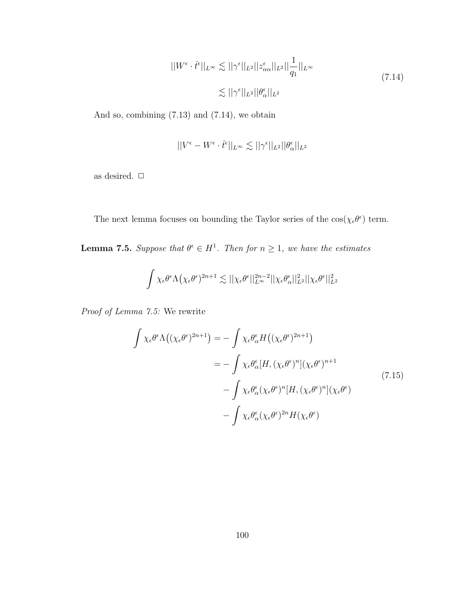$$
||W^{\epsilon} \cdot \hat{t}^{\epsilon}||_{L^{\infty}} \lesssim ||\gamma^{\epsilon}||_{L^{2}}||z^{\epsilon}_{\alpha\alpha}||_{L^{2}}||\frac{1}{q_{1}}||_{L^{\infty}}
$$
  

$$
\lesssim ||\gamma^{\epsilon}||_{L^{2}}||\theta^{\epsilon}_{\alpha}||_{L^{2}}
$$
\n(7.14)

And so, combining (7.13) and (7.14), we obtain

$$
||V^\epsilon - W^\epsilon \cdot \widehat{t}^\epsilon||_{L^\infty} \lesssim ||\gamma^\epsilon||_{L^2} ||\theta^\epsilon_\alpha||_{L^2}
$$

as desired.  $\Box$ 

The next lemma focuses on bounding the Taylor series of the  $cos(\chi_e \theta^{\epsilon})$  term.

**Lemma 7.5.** Suppose that  $\theta^{\epsilon} \in H^{1}$ . Then for  $n \geq 1$ , we have the estimates

$$
\int \chi_{\epsilon} \theta^{\epsilon} \Lambda(\chi_{\epsilon} \theta^{\epsilon})^{2n+1} \lesssim ||\chi_{\epsilon} \theta^{\epsilon}||_{L^{\infty}}^{2n-2} ||\chi_{\epsilon} \theta^{\epsilon}_{\alpha}||_{L^{2}}^{2} ||\chi_{\epsilon} \theta^{\epsilon}||_{L^{2}}^{2}
$$

Proof of Lemma 7.5: We rewrite

$$
\int \chi_{\epsilon} \theta^{\epsilon} \Lambda((\chi_{\epsilon} \theta^{\epsilon})^{2n+1}) = -\int \chi_{\epsilon} \theta^{\epsilon}_{\alpha} H((\chi_{\epsilon} \theta^{\epsilon})^{2n+1})
$$
\n
$$
= -\int \chi_{\epsilon} \theta^{\epsilon}_{\alpha} [H, (\chi_{\epsilon} \theta^{\epsilon})^{n}] (\chi_{\epsilon} \theta^{\epsilon})^{n+1}
$$
\n
$$
- \int \chi_{\epsilon} \theta^{\epsilon}_{\alpha} (\chi_{\epsilon} \theta^{\epsilon})^{n} [H, (\chi_{\epsilon} \theta^{\epsilon})^{n}] (\chi_{\epsilon} \theta^{\epsilon})
$$
\n
$$
- \int \chi_{\epsilon} \theta^{\epsilon}_{\alpha} (\chi_{\epsilon} \theta^{\epsilon})^{2n} H(\chi_{\epsilon} \theta^{\epsilon})
$$
\n(7.15)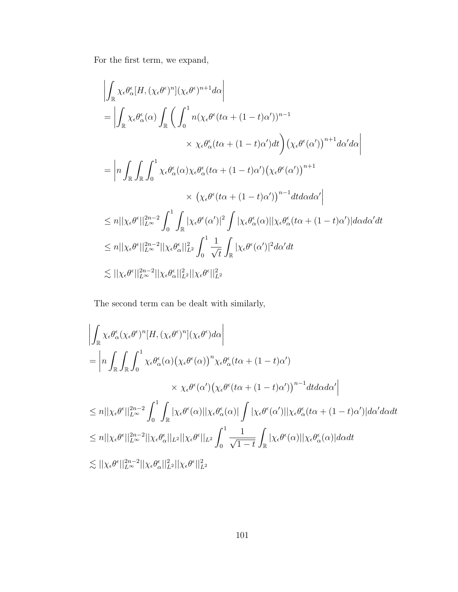For the first term, we expand,

$$
\begin{split}\n&\left|\int_{\mathbb{R}} \chi_{\epsilon} \theta_{\alpha}^{\epsilon}[H, (\chi_{\epsilon} \theta^{\epsilon})^{n}] (\chi_{\epsilon} \theta^{\epsilon})^{n+1} d\alpha\right| \\
&= \left|\int_{\mathbb{R}} \chi_{\epsilon} \theta_{\alpha}^{\epsilon}(\alpha) \int_{\mathbb{R}} \left(\int_{0}^{1} n(\chi_{\epsilon} \theta^{\epsilon}(t\alpha + (1-t)\alpha'))^{n-1} \right. \\
&\times \chi_{\epsilon} \theta_{\alpha}^{\epsilon}(t\alpha + (1-t)\alpha') dt\right) (\chi_{\epsilon} \theta^{\epsilon}(\alpha'))^{n+1} d\alpha' d\alpha\right| \\
&= \left|n \int_{\mathbb{R}} \int_{\mathbb{R}} \int_{0}^{1} \chi_{\epsilon} \theta_{\alpha}^{\epsilon}(\alpha) \chi_{\epsilon} \theta_{\alpha}^{\epsilon}(t\alpha + (1-t)\alpha') (\chi_{\epsilon} \theta^{\epsilon}(\alpha'))^{n+1} \right. \\
&\times (\chi_{\epsilon} \theta^{\epsilon}(t\alpha + (1-t)\alpha'))^{n-1} dt d\alpha d\alpha'\right| \\
&\leq n || \chi_{\epsilon} \theta^{\epsilon} ||_{L^{\infty}}^{2n-2} \int_{0}^{1} \int_{\mathbb{R}} |\chi_{\epsilon} \theta^{\epsilon}(\alpha')|^{2} \int |\chi_{\epsilon} \theta_{\alpha}^{\epsilon}(\alpha)|| \chi_{\epsilon} \theta_{\alpha}^{\epsilon}(t\alpha + (1-t)\alpha')| d\alpha d\alpha' dt \\
&\leq n || \chi_{\epsilon} \theta^{\epsilon} ||_{L^{\infty}}^{2n-2} || \chi_{\epsilon} \theta_{\alpha}^{\epsilon} ||_{L^{2}}^{2} \int_{0}^{1} \frac{1}{\sqrt{t}} \int_{\mathbb{R}} |\chi_{\epsilon} \theta^{\epsilon}(\alpha')|^{2} d\alpha' dt \\
&\lesssim || \chi_{\epsilon} \theta^{\epsilon} ||_{L^{\infty}}^{2n-2} || \chi_{\epsilon} \theta_{\alpha}^{\epsilon} ||_{L^{2}}^{2} || \chi_{\epsilon} \theta^{\epsilon} ||_{L^{2}}^{2}\n\end{split}
$$

The second term can be dealt with similarly,

$$
\begin{split}\n&\left|\int_{\mathbb{R}} \chi_{\epsilon} \theta_{\alpha}^{\epsilon} (\chi_{\epsilon} \theta^{\epsilon})^{n} [H, (\chi_{\epsilon} \theta^{\epsilon})^{n}] (\chi_{\epsilon} \theta^{\epsilon}) d\alpha \right| \\
&= \left| n \int_{\mathbb{R}} \int_{\mathbb{R}} \int_{0}^{1} \chi_{\epsilon} \theta_{\alpha}^{\epsilon} (\alpha) (\chi_{\epsilon} \theta^{\epsilon} (\alpha))^{n} \chi_{\epsilon} \theta_{\alpha}^{\epsilon} (t\alpha + (1-t)\alpha') \\
&\times \chi_{\epsilon} \theta^{\epsilon} (\alpha') (\chi_{\epsilon} \theta^{\epsilon} (t\alpha + (1-t)\alpha'))^{n-1} dt d\alpha d\alpha' \right| \\
&\leq n || \chi_{\epsilon} \theta^{\epsilon} ||_{L^{\infty}}^{2n-2} \int_{0}^{1} \int_{\mathbb{R}} |\chi_{\epsilon} \theta^{\epsilon} (\alpha) || \chi_{\epsilon} \theta_{\alpha}^{\epsilon} (\alpha) | \int |\chi_{\epsilon} \theta^{\epsilon} (\alpha') || \chi_{\epsilon} \theta_{\alpha}^{\epsilon} (t\alpha + (1-t)\alpha') | d\alpha' d\alpha dt \\
&\leq n || \chi_{\epsilon} \theta^{\epsilon} ||_{L^{\infty}}^{2n-2} || \chi_{\epsilon} \theta_{\alpha}^{\epsilon} ||_{L^{2}} || \chi_{\epsilon} \theta^{\epsilon} ||_{L^{2}} \int_{0}^{1} \frac{1}{\sqrt{1-t}} \int_{\mathbb{R}} |\chi_{\epsilon} \theta^{\epsilon} (\alpha) || \chi_{\epsilon} \theta_{\alpha}^{\epsilon} (\alpha) | d\alpha dt \\
&\lesssim || \chi_{\epsilon} \theta^{\epsilon} ||_{L^{\infty}}^{2n-2} || \chi_{\epsilon} \theta_{\alpha}^{\epsilon} ||_{L^{2}}^{2} || \chi_{\epsilon} \theta^{\epsilon} ||_{L^{2}}^{2}\n\end{split}
$$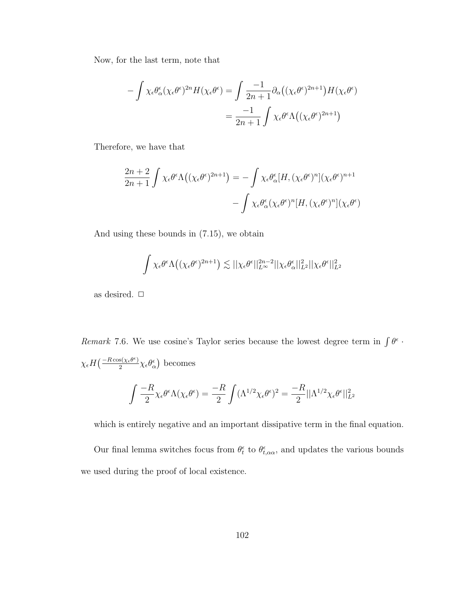Now, for the last term, note that

$$
-\int \chi_{\epsilon} \theta_{\alpha}^{\epsilon} (\chi_{\epsilon} \theta^{\epsilon})^{2n} H(\chi_{\epsilon} \theta^{\epsilon}) = \int \frac{-1}{2n+1} \partial_{\alpha} ((\chi_{\epsilon} \theta^{\epsilon})^{2n+1}) H(\chi_{\epsilon} \theta^{\epsilon})
$$

$$
= \frac{-1}{2n+1} \int \chi_{\epsilon} \theta^{\epsilon} \Lambda ((\chi_{\epsilon} \theta^{\epsilon})^{2n+1})
$$

Therefore, we have that

$$
\frac{2n+2}{2n+1} \int \chi_{\epsilon} \theta^{\epsilon} \Lambda\big( (\chi_{\epsilon} \theta^{\epsilon})^{2n+1} \big) = - \int \chi_{\epsilon} \theta^{\epsilon}_{\alpha} [H, (\chi_{\epsilon} \theta^{\epsilon})^{n}] (\chi_{\epsilon} \theta^{\epsilon})^{n+1} - \int \chi_{\epsilon} \theta^{\epsilon}_{\alpha} (\chi_{\epsilon} \theta^{\epsilon})^{n} [H, (\chi_{\epsilon} \theta^{\epsilon})^{n}] (\chi_{\epsilon} \theta^{\epsilon})
$$

And using these bounds in (7.15), we obtain

$$
\int \chi_{\epsilon} \theta^{\epsilon} \Lambda\big( (\chi_{\epsilon} \theta^{\epsilon})^{2n+1} \big) \lesssim ||\chi_{\epsilon} \theta^{\epsilon}||_{L^{\infty}}^{2n-2} ||\chi_{\epsilon} \theta^{\epsilon}_{\alpha}||_{L^{2}}^{2} ||\chi_{\epsilon} \theta^{\epsilon}||_{L^{2}}^{2}
$$

as desired.  $\Box$ 

Remark 7.6. We use cosine's Taylor series because the lowest degree term in  $\int \theta^{\epsilon}$ .  $\chi_{\epsilon} H\left(\frac{-R\cos(\chi_{\epsilon}\theta^{\epsilon})}{2}\right)$  $\frac{s(\chi_{\epsilon}θ^{\epsilon})}{2} \chi_{\epsilon}θ^{\epsilon}_{\alpha}$ ) becomes

$$
\int \frac{-R}{2} \chi_{\epsilon} \theta^{\epsilon} \Lambda(\chi_{\epsilon} \theta^{\epsilon}) = \frac{-R}{2} \int (\Lambda^{1/2} \chi_{\epsilon} \theta^{\epsilon})^2 = \frac{-R}{2} ||\Lambda^{1/2} \chi_{\epsilon} \theta^{\epsilon}||_{L^2}^2
$$

which is entirely negative and an important dissipative term in the final equation.

Our final lemma switches focus from  $\theta_t^{\epsilon}$  to  $\theta_{t,\alpha\alpha}^{\epsilon}$ , and updates the various bounds we used during the proof of local existence.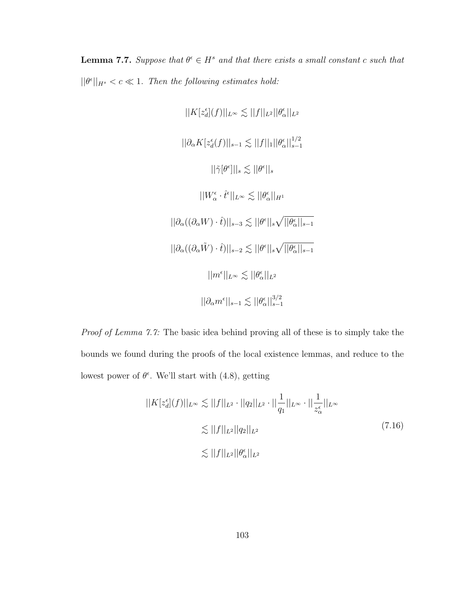**Lemma 7.7.** Suppose that  $\theta^{\epsilon} \in H^s$  and that there exists a small constant c such that  $||\theta^{\epsilon}||_{H^{s}} < c \ll 1$ . Then the following estimates hold:

$$
||K[z_d^{\epsilon}](f)||_{L^{\infty}} \lesssim ||f||_{L^2} ||\theta_{\alpha}^{\epsilon}||_{L^2}
$$
  

$$
||\partial_{\alpha} K[z_d^{\epsilon}(f)||_{s-1} \lesssim ||f||_1 ||\theta_{\alpha}^{\epsilon}||_{s-1}^{1/2}
$$
  

$$
||\tilde{\gamma}[\theta^{\epsilon}]||_s \lesssim ||\theta^{\epsilon}||_s
$$
  

$$
||W_{\alpha}^{\epsilon} \cdot \hat{t}^{\epsilon}||_{L^{\infty}} \lesssim ||\theta_{\alpha}^{\epsilon}||_{H^1}
$$
  

$$
||\partial_{\alpha}((\partial_{\alpha} W) \cdot \hat{t})||_{s-3} \lesssim ||\theta^{\epsilon}||_s \sqrt{||\theta_{\alpha}^{\epsilon}||_{s-1}}
$$
  

$$
||\partial_{\alpha}((\partial_{\alpha} \tilde{W}) \cdot \hat{t})||_{s-2} \lesssim ||\theta^{\epsilon}||_s \sqrt{||\theta_{\alpha}^{\epsilon}||_{s-1}}
$$
  

$$
||m^{\epsilon}||_{L^{\infty}} \lesssim ||\theta_{\alpha}^{\epsilon}||_{L^2}
$$
  

$$
||\partial_{\alpha} m^{\epsilon}||_{s-1} \lesssim ||\theta_{\alpha}^{\epsilon}||_{s-1}^{3/2}
$$

Proof of Lemma 7.7: The basic idea behind proving all of these is to simply take the bounds we found during the proofs of the local existence lemmas, and reduce to the lowest power of  $\theta^{\epsilon}$ . We'll start with (4.8), getting

$$
||K[z_d^{\epsilon}](f)||_{L^{\infty}} \lesssim ||f||_{L^2} \cdot ||q_2||_{L^2} \cdot ||\frac{1}{q_1}||_{L^{\infty}} \cdot ||\frac{1}{z_{\alpha}^{\epsilon}}||_{L^{\infty}}
$$
  

$$
\lesssim ||f||_{L^2} ||q_2||_{L^2}
$$
  

$$
\lesssim ||f||_{L^2} ||\theta_{\alpha}^{\epsilon}||_{L^2}
$$
\n(7.16)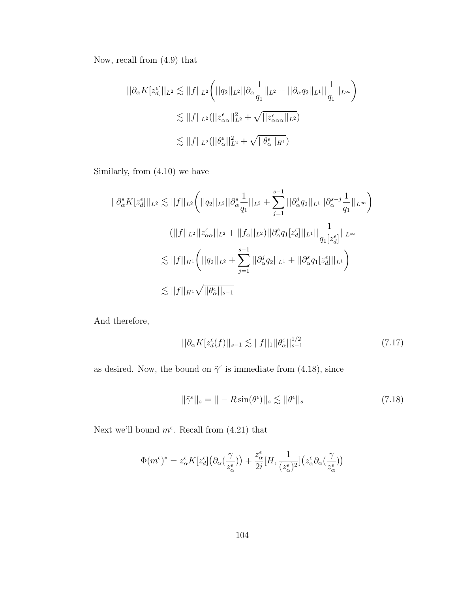Now, recall from (4.9) that

$$
||\partial_{\alpha} K[z_{d}^{\epsilon}]||_{L^{2}} \lesssim ||f||_{L^{2}} \left( ||q_{2}||_{L^{2}} ||\partial_{\alpha} \frac{1}{q_{1}}||_{L^{2}} + ||\partial_{\alpha} q_{2}||_{L^{1}} ||\frac{1}{q_{1}}||_{L^{\infty}} \right)
$$
  

$$
\lesssim ||f||_{L^{2}} (||z_{\alpha\alpha}^{\epsilon}||_{L^{2}}^{2} + \sqrt{||z_{\alpha\alpha}^{\epsilon}||_{L^{2}}})
$$
  

$$
\lesssim ||f||_{L^{2}} (||\theta_{\alpha}^{\epsilon}||_{L^{2}}^{2} + \sqrt{||\theta_{\alpha}^{\epsilon}||_{H^{1}}})
$$

Similarly, from (4.10) we have

$$
||\partial_{\alpha}^{s} K[z_{d}^{\epsilon}|||_{L^{2}} \lesssim ||f||_{L^{2}} \Big( ||q_{2}||_{L^{2}} ||\partial_{\alpha}^{s} \frac{1}{q_{1}}||_{L^{2}} + \sum_{j=1}^{s-1} ||\partial_{\alpha}^{j} q_{2}||_{L^{1}} ||\partial_{\alpha}^{s-j} \frac{1}{q_{1}}||_{L^{\infty}} \Big)
$$
  
+ (||f||\_{L^{2}} ||z\_{\alpha\alpha}^{ \epsilon}||\_{L^{2}} + ||f\_{\alpha}||\_{L^{2}}) ||\partial\_{\alpha}^{s} q\_{1}[z\_{d}^{\epsilon}|||\_{L^{1}} ||\frac{1}{q\_{1}[z\_{d}^{\epsilon}]}||\_{L^{\infty}}  

$$
\lesssim ||f||_{H^{1}} \Big( ||q_{2}||_{L^{2}} + \sum_{j=1}^{s-1} ||\partial_{\alpha}^{j} q_{2}||_{L^{1}} + ||\partial_{\alpha}^{s} q_{1}[z_{d}^{ \epsilon}|||_{L^{1}} \Big)
$$
  

$$
\lesssim ||f||_{H^{1}} \sqrt{||\theta_{\alpha}^{\epsilon}||_{s-1}}
$$

And therefore,

$$
||\partial_{\alpha} K[z_d^{\epsilon}(f)||_{s-1} \lesssim ||f||_1 ||\theta_{\alpha}^{\epsilon}||_{s-1}^{1/2}
$$
\n(7.17)

as desired. Now, the bound on  $\tilde{\gamma}^{\epsilon}$  is immediate from (4.18), since

$$
||\tilde{\gamma}^{\epsilon}||_{s} = || - R\sin(\theta^{\epsilon})||_{s} \lesssim ||\theta^{\epsilon}||_{s}
$$
\n(7.18)

Next we'll bound  $m^{\epsilon}$ . Recall from (4.21) that

$$
\Phi(m^\epsilon)^* = z_\alpha^\epsilon K[z_d^\epsilon]\big(\partial_\alpha(\frac{\gamma}{z_\alpha^\epsilon})\big) + \frac{z_\alpha^\epsilon}{2i}[H,\frac{1}{(z_\alpha^\epsilon)^2}]\big(z_\alpha^\epsilon\partial_\alpha(\frac{\gamma}{z_\alpha^\epsilon})\big)
$$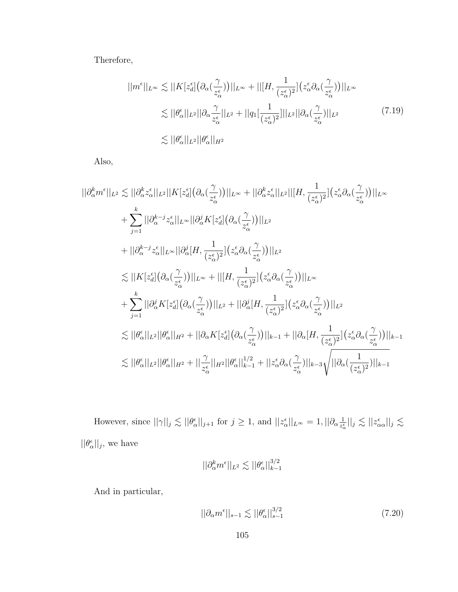Therefore,

$$
||m^{\epsilon}||_{L^{\infty}} \lesssim ||K[z_{d}^{\epsilon}](\partial_{\alpha}(\frac{\gamma}{z_{\alpha}^{\epsilon}}))||_{L^{\infty}} + ||[H, \frac{1}{(z_{\alpha}^{\epsilon})^{2}}](z_{\alpha}^{\epsilon}\partial_{\alpha}(\frac{\gamma}{z_{\alpha}^{\epsilon}}))||_{L^{\infty}}
$$
  

$$
\lesssim ||\theta_{\alpha}^{\epsilon}||_{L^{2}}||\partial_{\alpha}\frac{\gamma}{z_{\alpha}^{\epsilon}}||_{L^{2}} + ||q_{1}[\frac{1}{(z_{\alpha}^{\epsilon})^{2}}]||_{L^{2}}||\partial_{\alpha}(\frac{\gamma}{z_{\alpha}^{\epsilon}})||_{L^{2}}
$$
  

$$
\lesssim ||\theta_{\alpha}^{\epsilon}||_{L^{2}}||\theta_{\alpha}^{\epsilon}||_{H^{2}}
$$
(7.19)

Also,

$$
\begin{split} ||\partial_{\alpha}^{k}m^{\epsilon}||_{L^{2}} &\lesssim ||\partial_{\alpha}^{k}z_{\alpha}^{\epsilon}||_{L^{2}}||K[z_{d}^{\epsilon}](\partial_{\alpha}(\frac{\gamma}{z_{\alpha}^{\epsilon}}))||_{L^{\infty}}+||\partial_{\alpha}^{k}z_{\alpha}^{\epsilon}||_{L^{2}}||[H,\frac{1}{(z_{\alpha}^{\epsilon})^{2}}](z_{\alpha}^{\epsilon}\partial_{\alpha}(\frac{\gamma}{z_{\alpha}^{\epsilon}}))||_{L^{\infty}} \\ &+\sum_{j=1}^{k}||\partial_{\alpha}^{k-j}z_{\alpha}^{\epsilon}||_{L^{\infty}}||\partial_{\alpha}^{j}K[z_{d}^{\epsilon}](\partial_{\alpha}(\frac{\gamma}{z_{\alpha}^{\epsilon}}))||_{L^{2}} \\ &+||\partial_{\alpha}^{k-j}z_{\alpha}^{\epsilon}||_{L^{\infty}}||\partial_{\alpha}^{j}[H,\frac{1}{(z_{\alpha}^{\epsilon})^{2}}](z_{\alpha}^{\epsilon}\partial_{\alpha}(\frac{\gamma}{z_{\alpha}^{\epsilon}}))||_{L^{2}} \\ &\lesssim ||K[z_{d}^{\epsilon}](\partial_{\alpha}(\frac{\gamma}{z_{\alpha}^{\epsilon}}))||_{L^{\infty}}+||[H,\frac{1}{(z_{\alpha}^{\epsilon})^{2}}](z_{\alpha}^{\epsilon}\partial_{\alpha}(\frac{\gamma}{z_{\alpha}^{\epsilon}}))||_{L^{\infty}} \\ &+\sum_{j=1}^{k}||\partial_{\alpha}^{j}K[z_{d}^{\epsilon}](\partial_{\alpha}(\frac{\gamma}{z_{\alpha}^{\epsilon}}))||_{L^{2}}+||\partial_{\alpha}^{j}[H,\frac{1}{(z_{\alpha}^{\epsilon})^{2}}](z_{\alpha}^{\epsilon}\partial_{\alpha}(\frac{\gamma}{z_{\alpha}^{\epsilon}}))||_{L^{2}} \\ &\lesssim ||\theta_{\alpha}^{\epsilon}||_{L^{2}}||\theta_{\alpha}^{\epsilon}||_{H^{2}}+||\partial_{\alpha}K[z_{d}^{\epsilon}](\partial_{\alpha}(\frac{\gamma}{z_{\alpha}^{\epsilon}}))||_{k-1}+||\partial_{\alpha}[H,\frac{1}{(z_{\alpha}^{\epsilon})^{2}}](z_{\alpha}^{\epsilon}\partial_{\alpha}(\frac{\gamma}{z_{\alpha}^{\epsilon}}))||_{k-1} \\ &\lesssim ||\theta_{\alpha}^{\epsilon}
$$

However, since  $||\gamma||_j \lesssim ||\theta_\alpha^{\epsilon}||_{j+1}$  for  $j \ge 1$ , and  $||z_\alpha^{\epsilon}||_{L^\infty} = 1$ ,  $||\partial_\alpha \frac{1}{z_\alpha^{\epsilon}}||_2$  $\frac{1}{z_\alpha^\epsilon}$ || $j \lesssim$  || $z_{\alpha\alpha}^\epsilon$ || $j \lesssim$  $||\theta_{\alpha}^{\epsilon}||_{j}$ , we have

$$
||\partial_{\alpha}^{k} m^{\epsilon}||_{L^{2}} \lesssim ||\theta_{\alpha}^{\epsilon}||_{k-1}^{3/2}
$$

And in particular,

$$
||\partial_{\alpha}m^{\epsilon}||_{s-1} \lesssim ||\theta_{\alpha}^{\epsilon}||_{s-1}^{3/2}
$$
\n(7.20)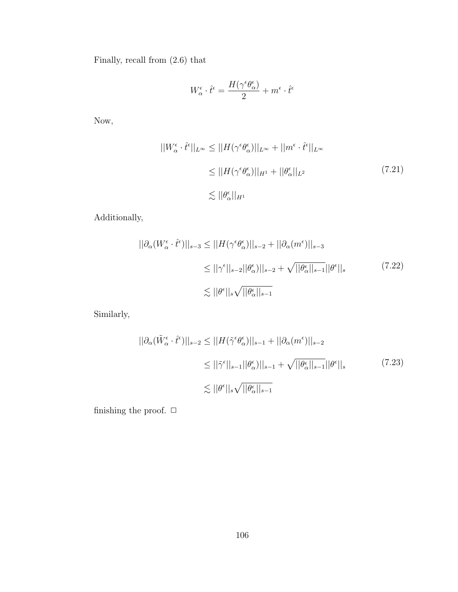Finally, recall from (2.6) that

$$
W_\alpha^\epsilon \cdot \widehat{t}^\epsilon = \frac{H(\gamma^\epsilon \theta_\alpha^\epsilon)}{2} + m^\epsilon \cdot \widehat{t}^\epsilon
$$

Now,

$$
||W_{\alpha}^{\epsilon} \cdot \hat{t}^{\epsilon}||_{L^{\infty}} \le ||H(\gamma^{\epsilon} \theta_{\alpha}^{\epsilon})||_{L^{\infty}} + ||m^{\epsilon} \cdot \hat{t}^{\epsilon}||_{L^{\infty}}
$$
  
\n
$$
\le ||H(\gamma^{\epsilon} \theta_{\alpha}^{\epsilon})||_{H^{1}} + ||\theta_{\alpha}^{\epsilon}||_{L^{2}}
$$
  
\n
$$
\lesssim ||\theta_{\alpha}^{\epsilon}||_{H^{1}}
$$
\n(7.21)

Additionally,

$$
||\partial_{\alpha}(W_{\alpha}^{\epsilon} \cdot \hat{t}^{\epsilon})||_{s-3} \leq ||H(\gamma^{\epsilon}\theta_{\alpha}^{\epsilon})||_{s-2} + ||\partial_{\alpha}(m^{\epsilon})||_{s-3}
$$
  
\n
$$
\leq ||\gamma^{\epsilon}||_{s-2}||\theta_{\alpha}^{\epsilon})||_{s-2} + \sqrt{||\theta_{\alpha}^{\epsilon}||_{s-1}}||\theta^{\epsilon}||_{s}
$$
(7.22)  
\n
$$
\lesssim ||\theta^{\epsilon}||_{s}\sqrt{||\theta_{\alpha}^{\epsilon}||_{s-1}}
$$

Similarly,

$$
||\partial_{\alpha}(\tilde{W}_{\alpha}^{\epsilon} \cdot \hat{t}^{\epsilon})||_{s-2} \leq ||H(\tilde{\gamma}^{\epsilon}\theta_{\alpha}^{\epsilon})||_{s-1} + ||\partial_{\alpha}(m^{\epsilon})||_{s-2}
$$
  

$$
\leq ||\tilde{\gamma}^{\epsilon}||_{s-1} ||\theta_{\alpha}^{\epsilon})||_{s-1} + \sqrt{||\theta_{\alpha}^{\epsilon}||_{s-1}} ||\theta^{\epsilon}||_{s}
$$
(7.23)  

$$
\lesssim ||\theta^{\epsilon}||_{s}\sqrt{||\theta_{\alpha}^{\epsilon}||_{s-1}}
$$

finishing the proof.  $\Box$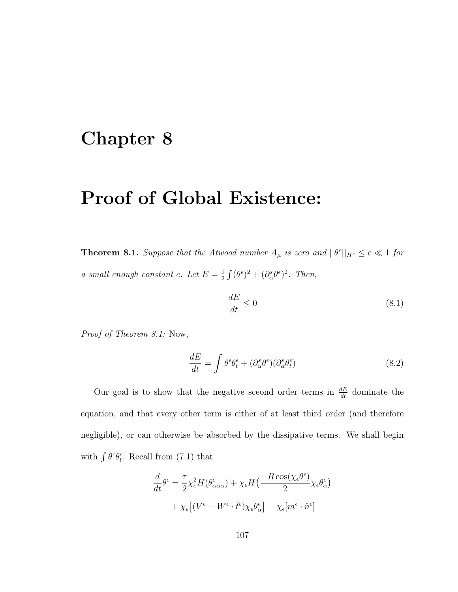## Chapter 8

## Proof of Global Existence:

**Theorem 8.1.** Suppose that the Atwood number  $A_{\mu}$  is zero and  $||\theta^{\epsilon}||_{H^{s}} \leq c \ll 1$  for a small enough constant c. Let  $E = \frac{1}{2}$  $\frac{1}{2}\int (\theta^{\epsilon})^2 + (\partial_{\alpha}^s \theta^{\epsilon})^2$ . Then,

$$
\frac{dE}{dt} \le 0\tag{8.1}
$$

Proof of Theorem 8.1: Now,

$$
\frac{dE}{dt} = \int \theta^{\epsilon} \theta_t^{\epsilon} + (\partial_{\alpha}^s \theta^{\epsilon})(\partial_{\alpha}^s \theta_t^{\epsilon}) \tag{8.2}
$$

Our goal is to show that the negative sceond order terms in  $\frac{dE}{dt}$  dominate the equation, and that every other term is either of at least third order (and therefore negligible), or can otherwise be absorbed by the dissipative terms. We shall begin with  $\int \theta^{\epsilon} \theta_t^{\epsilon}$ . Recall from (7.1) that

$$
\frac{d}{dt}\theta^{\epsilon} = \frac{\tau}{2}\chi_{\epsilon}^{2}H(\theta_{\alpha\alpha\alpha}^{\epsilon}) + \chi_{\epsilon}H(\frac{-R\cos(\chi_{\epsilon}\theta^{\epsilon})}{2}\chi_{\epsilon}\theta_{\alpha}^{\epsilon})
$$

$$
+ \chi_{\epsilon}[(V^{\epsilon} - W^{\epsilon} \cdot \hat{t}^{\epsilon})\chi_{\epsilon}\theta_{\alpha}^{\epsilon}] + \chi_{\epsilon}[m^{\epsilon} \cdot \hat{n}^{\epsilon}]
$$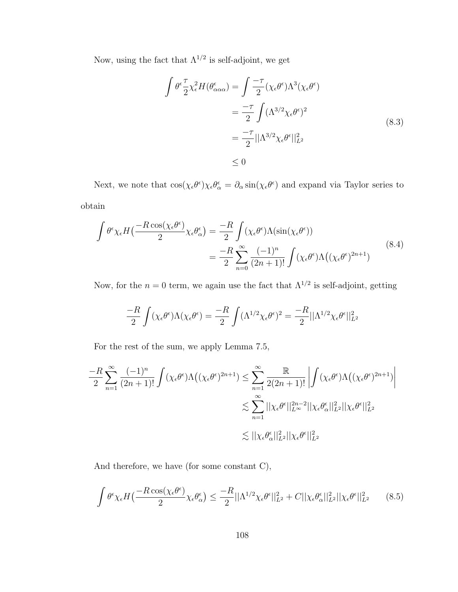Now, using the fact that  $\Lambda^{1/2}$  is self-adjoint, we get

$$
\int \theta^{\epsilon} \frac{\tau}{2} \chi_{\epsilon}^{2} H(\theta_{\alpha\alpha\alpha}^{\epsilon}) = \int \frac{-\tau}{2} (\chi_{\epsilon} \theta^{\epsilon}) \Lambda^{3} (\chi_{\epsilon} \theta^{\epsilon})
$$

$$
= \frac{-\tau}{2} \int (\Lambda^{3/2} \chi_{\epsilon} \theta^{\epsilon})^{2}
$$

$$
= \frac{-\tau}{2} ||\Lambda^{3/2} \chi_{\epsilon} \theta^{\epsilon}||_{L^{2}}^{2}
$$

$$
\leq 0
$$
(8.3)

Next, we note that  $\cos(\chi_{\epsilon} \theta^{\epsilon}) \chi_{\epsilon} \theta^{\epsilon}_{\alpha} = \partial_{\alpha} \sin(\chi_{\epsilon} \theta^{\epsilon})$  and expand via Taylor series to obtain

$$
\int \theta^{\epsilon} \chi_{\epsilon} H\left(\frac{-R \cos(\chi_{\epsilon} \theta^{\epsilon})}{2} \chi_{\epsilon} \theta^{\epsilon}_{\alpha}\right) = \frac{-R}{2} \int (\chi_{\epsilon} \theta^{\epsilon}) \Lambda(\sin(\chi_{\epsilon} \theta^{\epsilon}))
$$
\n
$$
= \frac{-R}{2} \sum_{n=0}^{\infty} \frac{(-1)^n}{(2n+1)!} \int (\chi_{\epsilon} \theta^{\epsilon}) \Lambda\left((\chi_{\epsilon} \theta^{\epsilon})^{2n+1}\right)
$$
\n(8.4)

Now, for the  $n = 0$  term, we again use the fact that  $\Lambda^{1/2}$  is self-adjoint, getting

$$
\frac{-R}{2} \int (\chi_{\epsilon} \theta^{\epsilon}) \Lambda(\chi_{\epsilon} \theta^{\epsilon}) = \frac{-R}{2} \int (\Lambda^{1/2} \chi_{\epsilon} \theta^{\epsilon})^2 = \frac{-R}{2} ||\Lambda^{1/2} \chi_{\epsilon} \theta^{\epsilon}||_{L^2}^2
$$

For the rest of the sum, we apply Lemma 7.5,

$$
\frac{-R}{2} \sum_{n=1}^{\infty} \frac{(-1)^n}{(2n+1)!} \int (\chi_{\epsilon} \theta^{\epsilon}) \Lambda\left( (\chi_{\epsilon} \theta^{\epsilon})^{2n+1} \right) \leq \sum_{n=1}^{\infty} \frac{\mathbb{R}}{2(2n+1)!} \left| \int (\chi_{\epsilon} \theta^{\epsilon}) \Lambda\left( (\chi_{\epsilon} \theta^{\epsilon})^{2n+1} \right) \right|
$$
  

$$
\lesssim \sum_{n=1}^{\infty} ||\chi_{\epsilon} \theta^{\epsilon}||_{L^{\infty}}^{2n-2} ||\chi_{\epsilon} \theta^{\epsilon}||_{L^2}^{2} ||\chi_{\epsilon} \theta^{\epsilon}||_{L^2}^{2}
$$
  

$$
\lesssim ||\chi_{\epsilon} \theta^{\epsilon}_{\alpha}||_{L^2}^{2} ||\chi_{\epsilon} \theta^{\epsilon}||_{L^2}^{2}
$$

And therefore, we have (for some constant C),

$$
\int \theta^{\epsilon} \chi_{\epsilon} H\left(\frac{-R\cos(\chi_{\epsilon}\theta^{\epsilon})}{2}\chi_{\epsilon}\theta^{\epsilon}_{\alpha}\right) \leq \frac{-R}{2}||\Lambda^{1/2}\chi_{\epsilon}\theta^{\epsilon}||_{L^{2}}^{2} + C||\chi_{\epsilon}\theta^{\epsilon}_{\alpha}||_{L^{2}}^{2}||\chi_{\epsilon}\theta^{\epsilon}||_{L^{2}}^{2} \qquad (8.5)
$$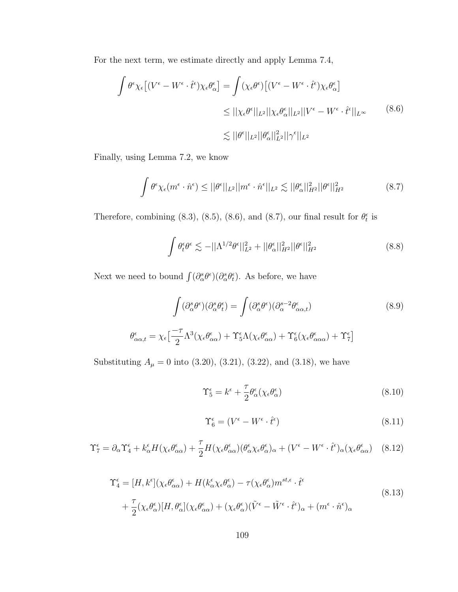For the next term, we estimate directly and apply Lemma 7.4,

$$
\int \theta^{\epsilon} \chi_{\epsilon} \left[ (V^{\epsilon} - W^{\epsilon} \cdot \hat{t}^{\epsilon}) \chi_{\epsilon} \theta_{\alpha}^{\epsilon} \right] = \int (\chi_{\epsilon} \theta^{\epsilon}) \left[ (V^{\epsilon} - W^{\epsilon} \cdot \hat{t}^{\epsilon}) \chi_{\epsilon} \theta_{\alpha}^{\epsilon} \right]
$$

$$
\leq ||\chi_{\epsilon} \theta^{\epsilon}||_{L^{2}} ||\chi_{\epsilon} \theta_{\alpha}^{\epsilon}||_{L^{2}} ||V^{\epsilon} - W^{\epsilon} \cdot \hat{t}^{\epsilon}||_{L^{\infty}}
$$
(8.6)
$$
\lesssim ||\theta^{\epsilon}||_{L^{2}} ||\theta_{\alpha}^{\epsilon}||_{L^{2}}^{2} ||\gamma^{\epsilon}||_{L^{2}}
$$

Finally, using Lemma 7.2, we know

$$
\int \theta^{\epsilon} \chi_{\epsilon}(m^{\epsilon} \cdot \hat{n}^{\epsilon}) \le ||\theta^{\epsilon}||_{L^{2}} ||m^{\epsilon} \cdot \hat{n}^{\epsilon}||_{L^{2}} \lesssim ||\theta^{\epsilon}_{\alpha}||_{H^{2}}^{2} ||\theta^{\epsilon}||_{H^{2}}^{2}
$$
(8.7)

Therefore, combining (8.3), (8.5), (8.6), and (8.7), our final result for  $\theta_t^{\epsilon}$  is

$$
\int \theta_t^{\epsilon} \theta^{\epsilon} \lesssim -||\Lambda^{1/2} \theta^{\epsilon}||_{L^2}^2 + ||\theta_{\alpha}^{\epsilon}||_{H^2}^2 ||\theta^{\epsilon}||_{H^2}^2 \tag{8.8}
$$

Next we need to bound  $\int (\partial_{\alpha}^s \theta^{\epsilon})(\partial_{\alpha}^s \theta_t^{\epsilon})$ . As before, we have

$$
\int (\partial_{\alpha}^{s} \theta^{\epsilon}) (\partial_{\alpha}^{s} \theta^{\epsilon}) = \int (\partial_{\alpha}^{s} \theta^{\epsilon}) (\partial_{\alpha}^{s-2} \theta^{\epsilon}_{\alpha \alpha, t})
$$
\n
$$
\theta^{\epsilon}_{\alpha \alpha, t} = \chi_{\epsilon} \left[ \frac{-\tau}{2} \Lambda^{3} (\chi_{\epsilon} \theta^{\epsilon}_{\alpha \alpha}) + \Upsilon^{\epsilon}_{5} \Lambda (\chi_{\epsilon} \theta^{\epsilon}_{\alpha \alpha}) + \Upsilon^{\epsilon}_{6} (\chi_{\epsilon} \theta^{\epsilon}_{\alpha \alpha \alpha}) + \Upsilon^{\epsilon}_{7} \right]
$$
\n(8.9)

Substituting  $A_{\mu} = 0$  into (3.20), (3.21), (3.22), and (3.18), we have

$$
\Upsilon_5^{\epsilon} = k^{\epsilon} + \frac{\tau}{2} \theta_{\alpha}^{\epsilon} (\chi_{\epsilon} \theta_{\alpha}^{\epsilon})
$$
\n(8.10)

$$
\Upsilon_6^\epsilon = (V^\epsilon - W^\epsilon \cdot \hat{t}^\epsilon) \tag{8.11}
$$

$$
\Upsilon_7^{\epsilon} = \partial_{\alpha} \Upsilon_4^{\epsilon} + k_{\alpha}^{\epsilon} H(\chi_{\epsilon} \theta_{\alpha \alpha}^{\epsilon}) + \frac{\tau}{2} H(\chi_{\epsilon} \theta_{\alpha \alpha}^{\epsilon}) (\theta_{\alpha}^{\epsilon} \chi_{\epsilon} \theta_{\alpha}^{\epsilon})_{\alpha} + (V^{\epsilon} - W^{\epsilon} \cdot \hat{t}^{\epsilon})_{\alpha} (\chi_{\epsilon} \theta_{\alpha \alpha}^{\epsilon}) \tag{8.12}
$$

$$
\begin{split} \Upsilon_4^{\epsilon} &= [H, k^{\epsilon}](\chi_{\epsilon} \theta_{\alpha\alpha}^{\epsilon}) + H(k_{\alpha}^{\epsilon} \chi_{\epsilon} \theta_{\alpha}^{\epsilon}) - \tau(\chi_{\epsilon} \theta_{\alpha}^{\epsilon}) m^{st,\epsilon} \cdot \hat{t}^{\epsilon} \\ &+ \frac{\tau}{2} (\chi_{\epsilon} \theta_{\alpha}^{\epsilon}) [H, \theta_{\alpha}^{\epsilon}] (\chi_{\epsilon} \theta_{\alpha\alpha}^{\epsilon}) + (\chi_{\epsilon} \theta_{\alpha}^{\epsilon}) (\tilde{V}^{\epsilon} - \tilde{W}^{\epsilon} \cdot \hat{t}^{\epsilon})_{\alpha} + (m^{\epsilon} \cdot \hat{n}^{\epsilon})_{\alpha} \end{split} \tag{8.13}
$$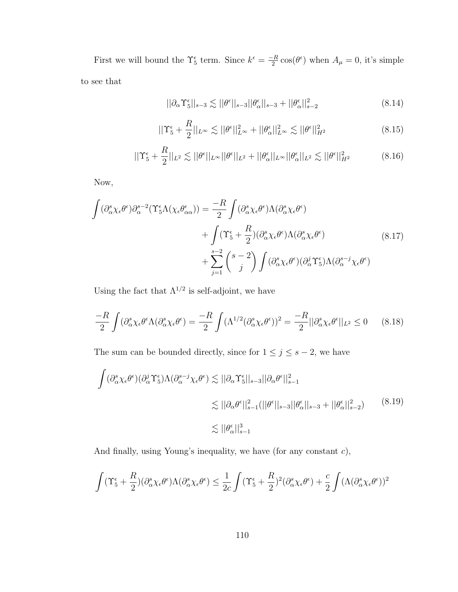First we will bound the  $\Upsilon_5^{\epsilon}$  term. Since  $k^{\epsilon} = \frac{-R}{2}$  $\frac{1}{2}$ cos( $\theta^{\epsilon}$ ) when  $A_{\mu} = 0$ , it's simple to see that

$$
||\partial_{\alpha} \Upsilon_{5}^{\epsilon}||_{s-3} \lesssim ||\theta^{\epsilon}||_{s-3} ||\theta^{\epsilon}_{\alpha}||_{s-3} + ||\theta^{\epsilon}_{\alpha}||_{s-2}^{2}
$$
\n(8.14)

$$
||\Upsilon_5^{\epsilon} + \frac{R}{2}||_{L^{\infty}} \lesssim ||\theta^{\epsilon}||_{L^{\infty}}^2 + ||\theta^{\epsilon}_{\alpha}||_{L^{\infty}}^2 \lesssim ||\theta^{\epsilon}||_{H^2}^2
$$
\n(8.15)

$$
||\Upsilon_5^{\epsilon} + \frac{R}{2}||_{L^2} \lesssim ||\theta^{\epsilon}||_{L^{\infty}} ||\theta^{\epsilon}||_{L^2} + ||\theta^{\epsilon}_{\alpha}||_{L^{\infty}} ||\theta^{\epsilon}_{\alpha}||_{L^2} \lesssim ||\theta^{\epsilon}||_{H^2}^2
$$
 (8.16)

Now,

$$
\int (\partial_{\alpha}^{s} \chi_{\epsilon} \theta^{\epsilon}) \partial_{\alpha}^{s-2} (\Upsilon_{5}^{\epsilon} \Lambda(\chi_{\epsilon} \theta_{\alpha \alpha}^{\epsilon})) = \frac{-R}{2} \int (\partial_{\alpha}^{s} \chi_{\epsilon} \theta^{\epsilon}) \Lambda(\partial_{\alpha}^{s} \chi_{\epsilon} \theta^{\epsilon}) \n+ \int (\Upsilon_{5}^{\epsilon} + \frac{R}{2}) (\partial_{\alpha}^{s} \chi_{\epsilon} \theta^{\epsilon}) \Lambda(\partial_{\alpha}^{s} \chi_{\epsilon} \theta^{\epsilon}) \n+ \sum_{j=1}^{s-2} {s-2 \choose j} \int (\partial_{\alpha}^{s} \chi_{\epsilon} \theta^{\epsilon}) (\partial_{\alpha}^{j} \Upsilon_{5}^{\epsilon}) \Lambda(\partial_{\alpha}^{s-j} \chi_{\epsilon} \theta^{\epsilon})
$$
\n(8.17)

Using the fact that  $\Lambda^{1/2}$  is self-adjoint, we have

$$
\frac{-R}{2} \int (\partial_{\alpha}^{s} \chi_{\epsilon} \theta^{\epsilon} \Lambda (\partial_{\alpha}^{s} \chi_{\epsilon} \theta^{\epsilon}) = \frac{-R}{2} \int (\Lambda^{1/2} (\partial_{\alpha}^{s} \chi_{\epsilon} \theta^{\epsilon}))^{2} = \frac{-R}{2} ||\partial_{\alpha}^{s} \chi_{\epsilon} \theta^{\epsilon}||_{L^{2}} \le 0 \quad (8.18)
$$

The sum can be bounded directly, since for  $1 \leq j \leq s - 2$ , we have

$$
\int (\partial_{\alpha}^{s} \chi_{\epsilon} \theta^{\epsilon}) (\partial_{\alpha}^{j} \Upsilon_{5}^{\epsilon}) \Lambda (\partial_{\alpha}^{s-j} \chi_{\epsilon} \theta^{\epsilon}) \lesssim ||\partial_{\alpha} \Upsilon_{5}^{\epsilon}||_{s-3} ||\partial_{\alpha} \theta^{\epsilon}||_{s-1}^{2}
$$
  

$$
\lesssim ||\partial_{\alpha} \theta^{\epsilon}||_{s-1}^{2} (||\theta^{\epsilon}||_{s-3} ||\theta^{\epsilon}_{\alpha}||_{s-3} + ||\theta^{\epsilon}_{\alpha}||_{s-2}^{2}) \qquad (8.19)
$$
  

$$
\lesssim ||\theta^{\epsilon}_{\alpha}||_{s-1}^{3}
$$

And finally, using Young's inequality, we have (for any constant c),

$$
\int (\Upsilon_5^{\epsilon} + \frac{R}{2}) (\partial_{\alpha}^s \chi_{\epsilon} \theta^{\epsilon}) \Lambda (\partial_{\alpha}^s \chi_{\epsilon} \theta^{\epsilon}) \le \frac{1}{2c} \int (\Upsilon_5^{\epsilon} + \frac{R}{2})^2 (\partial_{\alpha}^s \chi_{\epsilon} \theta^{\epsilon}) + \frac{c}{2} \int (\Lambda (\partial_{\alpha}^s \chi_{\epsilon} \theta^{\epsilon}))^2
$$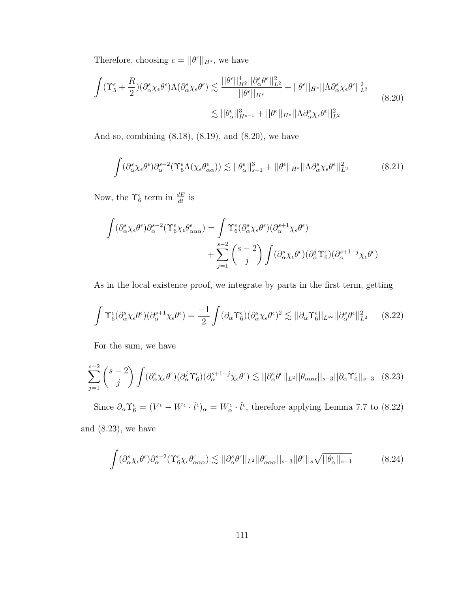Therefore, choosing  $c = ||\theta^{\epsilon}||_{H^{s}}$ , we have

$$
\int (\Upsilon_5^{\epsilon} + \frac{R}{2}) (\partial_{\alpha}^s \chi_{\epsilon} \theta^{\epsilon}) \Lambda (\partial_{\alpha}^s \chi_{\epsilon} \theta^{\epsilon}) \lesssim \frac{||\theta^{\epsilon}||_{H^2}^4 ||\partial_{\alpha}^s \theta^{\epsilon}||_{L^2}^2}{||\theta^{\epsilon}||_{H^s}} + ||\theta^{\epsilon}||_{H^s} ||\Lambda \partial_{\alpha}^s \chi_{\epsilon} \theta^{\epsilon}||_{L^2}^2
$$
\n
$$
\lesssim ||\theta_{\alpha}^{\epsilon}||_{H^{s-1}}^3 + ||\theta^{\epsilon}||_{H^s} ||\Lambda \partial_{\alpha}^s \chi_{\epsilon} \theta^{\epsilon}||_{L^2}^2
$$
\n(8.20)

And so, combining (8.18), (8.19), and (8.20), we have

$$
\int (\partial_{\alpha}^s \chi_{\epsilon} \theta^{\epsilon}) \partial_{\alpha}^{s-2} (\Upsilon_{5}^{\epsilon} \Lambda(\chi_{\epsilon} \theta^{\epsilon}_{\alpha \alpha})) \lesssim ||\theta_{\alpha}^{\epsilon}||_{s-1}^{3} + ||\theta^{\epsilon}||_{H^{s}} ||\Lambda \partial_{\alpha}^{s} \chi_{\epsilon} \theta^{\epsilon}||_{L^{2}}^{2}
$$
(8.21)

Now, the  $\Upsilon_6^{\epsilon}$  term in  $\frac{dE}{dt}$  is

$$
\begin{split} \int (\partial_{\alpha}^s \chi_\epsilon \theta^\epsilon) \partial_{\alpha}^{s-2} (\Upsilon^\epsilon_6 \chi_\epsilon \theta^\epsilon_{\alpha \alpha \alpha}) &= \int \Upsilon^\epsilon_6 (\partial_{\alpha}^s \chi_\epsilon \theta^\epsilon) (\partial_{\alpha}^{s+1} \chi_\epsilon \theta^\epsilon) \\ &+ \sum_{j=1}^{s-2} \binom{s-2}{j} \int (\partial_{\alpha}^s \chi_\epsilon \theta^\epsilon) (\partial_{\alpha}^j \Upsilon^\epsilon_6) (\partial_{\alpha}^{s+1-j} \chi_\epsilon \theta^\epsilon) \end{split}
$$

As in the local existence proof, we integrate by parts in the first term, getting

$$
\int \Upsilon_6^{\epsilon} (\partial_{\alpha}^s \chi_{\epsilon} \theta^{\epsilon}) (\partial_{\alpha}^{s+1} \chi_{\epsilon} \theta^{\epsilon}) = \frac{-1}{2} \int (\partial_{\alpha} \Upsilon_6^{\epsilon}) (\partial_{\alpha}^s \chi_{\epsilon} \theta^{\epsilon})^2 \lesssim ||\partial_{\alpha} \Upsilon_6^{\epsilon}||_{L^{\infty}} ||\partial_{\alpha}^s \theta^{\epsilon}||_{L^2}^2 \qquad (8.22)
$$

For the sum, we have

$$
\sum_{j=1}^{s-2} \binom{s-2}{j} \int (\partial_{\alpha}^s \chi_{\epsilon} \theta^{\epsilon}) (\partial_{\alpha}^j \Upsilon_6^{\epsilon}) (\partial_{\alpha}^{s+1-j} \chi_{\epsilon} \theta^{\epsilon}) \lesssim ||\partial_{\alpha}^s \theta^{\epsilon}||_{L^2} ||\theta_{\alpha\alpha\alpha}||_{s-3} ||\partial_{\alpha} \Upsilon_6^{\epsilon}||_{s-3} \tag{8.23}
$$

Since  $\partial_{\alpha} \Upsilon_6^{\epsilon} = (V^{\epsilon} - W^{\epsilon} \cdot \hat{t}^{\epsilon})_{\alpha} = W^{\epsilon}_{\alpha} \cdot \hat{t}^{\epsilon}$ , therefore applying Lemma 7.7 to (8.22) and  $(8.23)$ , we have

$$
\int (\partial_{\alpha}^{s} \chi_{\epsilon} \theta^{\epsilon}) \partial_{\alpha}^{s-2} (\Upsilon_{6}^{\epsilon} \chi_{\epsilon} \theta_{\alpha \alpha}^{\epsilon}) \lesssim ||\partial_{\alpha}^{s} \theta^{\epsilon}||_{L^{2}} ||\theta_{\alpha \alpha}^{\epsilon}||_{s-3} ||\theta^{\epsilon}||_{s} \sqrt{||\theta_{\alpha}^{\epsilon}||_{s-1}} \tag{8.24}
$$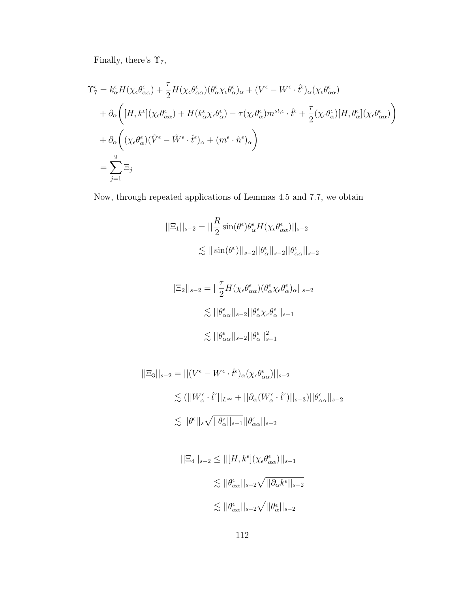Finally, there's  $\Upsilon_7,$ 

$$
\begin{split} \Upsilon_{7}^{\epsilon} &= k_{\alpha}^{\epsilon} H(\chi_{\epsilon}\theta_{\alpha\alpha}^{\epsilon}) + \frac{\tau}{2} H(\chi_{\epsilon}\theta_{\alpha\alpha}^{\epsilon}) (\theta_{\alpha}^{\epsilon}\chi_{\epsilon}\theta_{\alpha}^{\epsilon})_{\alpha} + (V^{\epsilon} - W^{\epsilon} \cdot \hat{t}^{\epsilon})_{\alpha}(\chi_{\epsilon}\theta_{\alpha\alpha}^{\epsilon}) \\ &+ \partial_{\alpha} \bigg( [H, k^{\epsilon}] (\chi_{\epsilon}\theta_{\alpha\alpha}^{\epsilon}) + H(k_{\alpha}^{\epsilon}\chi_{\epsilon}\theta_{\alpha}^{\epsilon}) - \tau (\chi_{\epsilon}\theta_{\alpha}^{\epsilon}) m^{st,\epsilon} \cdot \hat{t}^{\epsilon} + \frac{\tau}{2} (\chi_{\epsilon}\theta_{\alpha}^{\epsilon}) [H, \theta_{\alpha}^{\epsilon}] (\chi_{\epsilon}\theta_{\alpha\alpha}^{\epsilon}) \bigg) \\ &+ \partial_{\alpha} \bigg( (\chi_{\epsilon}\theta_{\alpha}^{\epsilon}) (\tilde{V}^{\epsilon} - \tilde{W}^{\epsilon} \cdot \hat{t}^{\epsilon})_{\alpha} + (m^{\epsilon} \cdot \hat{n}^{\epsilon})_{\alpha} \bigg) \\ &= \sum_{j=1}^{9} \Xi_{j} \end{split}
$$

Now, through repeated applications of Lemmas 4.5 and 7.7, we obtain

$$
||\Xi_1||_{s-2} = ||\frac{R}{2}\sin(\theta^{\epsilon})\theta^{\epsilon}_{\alpha}H(\chi_{\epsilon}\theta^{\epsilon}_{\alpha\alpha})||_{s-2}
$$

$$
\lesssim ||\sin(\theta^{\epsilon})||_{s-2}||\theta^{\epsilon}_{\alpha}||_{s-2}||\theta^{\epsilon}_{\alpha\alpha}||_{s-2}
$$

$$
\begin{aligned} ||\Xi_2||_{s-2} &= ||\frac{\tau}{2}H(\chi_{\epsilon}\theta_{\alpha\alpha}^{\epsilon})(\theta_{\alpha}^{\epsilon}\chi_{\epsilon}\theta_{\alpha}^{\epsilon})_{\alpha}||_{s-2} \\ &\lesssim ||\theta_{\alpha\alpha}^{\epsilon}||_{s-2}||\theta_{\alpha}^{\epsilon}\chi_{\epsilon}\theta_{\alpha}^{\epsilon}||_{s-1} \\ &\lesssim ||\theta_{\alpha\alpha}^{\epsilon}||_{s-2}||\theta_{\alpha}^{\epsilon}||_{s-1}^{2} \end{aligned}
$$

$$
||\Xi_3||_{s-2} = ||(V^{\epsilon} - W^{\epsilon} \cdot \hat{t}^{\epsilon})_{\alpha}(\chi_{\epsilon}\theta^{\epsilon}_{\alpha\alpha})||_{s-2}
$$
  

$$
\lesssim (||W^{\epsilon}_{\alpha} \cdot \hat{t}^{\epsilon}||_{L^{\infty}} + ||\partial_{\alpha}(W^{\epsilon}_{\alpha} \cdot \hat{t}^{\epsilon})||_{s-3})||\theta^{\epsilon}_{\alpha\alpha}||_{s-2}
$$
  

$$
\lesssim ||\theta^{\epsilon}||_{s}\sqrt{||\theta^{\epsilon}_{\alpha}||_{s-1}}||\theta^{\epsilon}_{\alpha\alpha}||_{s-2}
$$

$$
||\Xi_4||_{s-2} \le ||[H, k^{\epsilon}](\chi_{\epsilon} \theta_{\alpha\alpha}^{\epsilon})||_{s-1}
$$
  

$$
\lesssim ||\theta_{\alpha\alpha}^{\epsilon}||_{s-2} \sqrt{||\partial_{\alpha}k^{\epsilon}||_{s-2}}
$$
  

$$
\lesssim ||\theta_{\alpha\alpha}^{\epsilon}||_{s-2} \sqrt{||\theta_{\alpha}^{\epsilon}||_{s-2}}
$$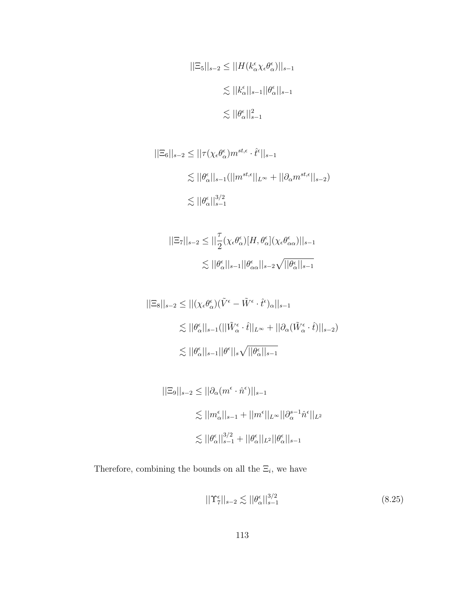$$
||\Xi_5||_{s-2} \le ||H(k_\alpha^\epsilon \chi_\epsilon \theta_\alpha^\epsilon)||_{s-1}
$$
  

$$
\lesssim ||k_\alpha^\epsilon||_{s-1} ||\theta_\alpha^\epsilon||_{s-1}
$$
  

$$
\lesssim ||\theta_\alpha^\epsilon||_{s-1}^2
$$

$$
||\Xi_6||_{s-2} \le ||\tau(\chi_{\epsilon}\theta_{\alpha}^{\epsilon})m^{st,\epsilon} \cdot \hat{t}^{\epsilon}||_{s-1}
$$
  

$$
\lesssim ||\theta_{\alpha}^{\epsilon}||_{s-1}(||m^{st,\epsilon}||_{L^{\infty}} + ||\partial_{\alpha}m^{st,\epsilon}||_{s-2})
$$
  

$$
\lesssim ||\theta_{\alpha}^{\epsilon}||_{s-1}^{3/2}
$$

$$
\begin{aligned} ||\Xi_7||_{s-2} &\leq ||\frac{\tau}{2}(\chi_{\epsilon}\theta_{\alpha}^{\epsilon})[H,\theta_{\alpha}^{\epsilon}](\chi_{\epsilon}\theta_{\alpha\alpha}^{\epsilon})||_{s-1} \\ &\lesssim ||\theta_{\alpha}^{\epsilon}||_{s-1}||\theta_{\alpha\alpha}^{\epsilon}||_{s-2}\sqrt{||\theta_{\alpha}^{\epsilon}||_{s-1}} \end{aligned}
$$

$$
\begin{aligned} ||\Xi_8||_{s-2} &\le ||(\chi_\epsilon \theta_\alpha^\epsilon)(\tilde{V}^\epsilon - \tilde{W}^\epsilon \cdot \hat{t}^\epsilon)_\alpha||_{s-1} \\ &\lesssim ||\theta_\alpha^\epsilon||_{s-1}(||\tilde{W}_\alpha^\epsilon \cdot \hat{t}||_{L^\infty} + ||\partial_\alpha(\tilde{W}_\alpha^\epsilon \cdot \hat{t})||_{s-2}) \\ &\lesssim ||\theta_\alpha^\epsilon||_{s-1} ||\theta^\epsilon||_s \sqrt{||\theta_\alpha^\epsilon||_{s-1}} \end{aligned}
$$

$$
||\Xi_9||_{s-2} \le ||\partial_\alpha (m^\epsilon \cdot \hat{n}^\epsilon)||_{s-1}
$$
  

$$
\lesssim ||m_\alpha^\epsilon||_{s-1} + ||m^\epsilon||_{L^\infty} ||\partial_\alpha^{s-1} \hat{n}^\epsilon||_{L^2}
$$
  

$$
\lesssim ||\theta_\alpha^\epsilon||_{s-1}^{3/2} + ||\theta_\alpha^\epsilon||_{L^2} ||\theta_\alpha^\epsilon||_{s-1}
$$

Therefore, combining the bounds on all the  $\Xi_i$ , we have

$$
||\Upsilon_7^{\epsilon}||_{s-2} \lesssim ||\theta_\alpha^{\epsilon}||_{s-1}^{3/2}
$$
\n(8.25)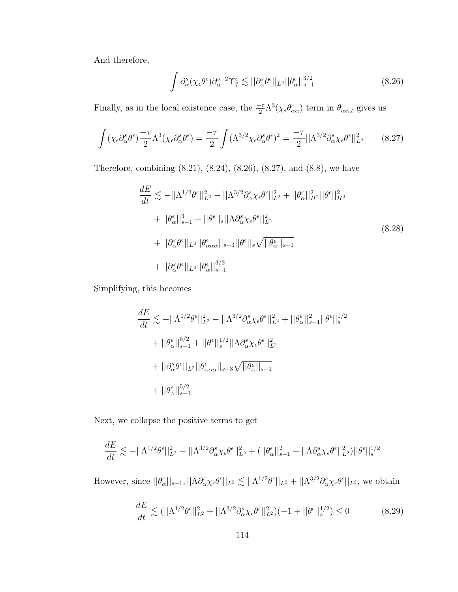And therefore,

$$
\int \partial_{\alpha}^{s} (\chi_{\epsilon} \theta^{\epsilon}) \partial_{\alpha}^{s-2} \Upsilon_{7}^{\epsilon} \lesssim ||\partial_{\alpha}^{s} \theta^{\epsilon}||_{L^{2}} ||\theta_{\alpha}^{\epsilon}||_{s-1}^{3/2}
$$
\n(8.26)

Finally, as in the local existence case, the  $-\frac{\tau}{2} \Lambda^3(\chi_e \theta_{\alpha\alpha}^{\epsilon})$  term in  $\theta_{\alpha\alpha,t}^{\epsilon}$  gives us

$$
\int (\chi_{\epsilon} \partial_{\alpha}^{s} \theta^{\epsilon}) \frac{-\tau}{2} \Lambda^{3} (\chi_{\epsilon} \partial_{\alpha}^{s} \theta^{\epsilon}) = \frac{-\tau}{2} \int (\Lambda^{3/2} \chi_{\epsilon} \partial_{\alpha}^{s} \theta^{\epsilon})^{2} = \frac{-\tau}{2} ||\Lambda^{3/2} \partial_{\alpha}^{s} \chi_{\epsilon} \theta^{\epsilon}||_{L^{2}}^{2}
$$
(8.27)

Therefore, combining (8.21), (8.24), (8.26), (8.27), and (8.8), we have

$$
\frac{dE}{dt} \lesssim -||\Lambda^{1/2}\theta^{\epsilon}||_{L^{2}}^{2} - ||\Lambda^{3/2}\partial_{\alpha}^{s}\chi_{\epsilon}\theta^{\epsilon}||_{L^{2}}^{2} + ||\theta^{\epsilon}_{\alpha}||_{H^{2}}^{2}||\theta^{\epsilon}||_{H^{2}}^{2}
$$
\n
$$
+ ||\theta^{\epsilon}_{\alpha}||_{s-1}^{3} + ||\theta^{\epsilon}||_{s}||\Lambda\partial_{\alpha}^{s}\chi_{\epsilon}\theta^{\epsilon}||_{L^{2}}^{2}
$$
\n
$$
+ ||\partial_{\alpha}^{s}\theta^{\epsilon}||_{L^{2}}||\theta^{\epsilon}_{\alpha\alpha}||_{s-3}||\theta^{\epsilon}||_{s}\sqrt{||\theta^{\epsilon}_{\alpha}||_{s-1}}
$$
\n
$$
+ ||\partial_{\alpha}^{s}\theta^{\epsilon}||_{L^{2}}||\theta^{\epsilon}_{\alpha}||_{s-1}^{3/2}
$$
\n(8.28)

Simplifying, this becomes

$$
\frac{dE}{dt} \lesssim -||\Lambda^{1/2}\theta^{\epsilon}||_{L^{2}}^{2} - ||\Lambda^{3/2}\partial_{\alpha}^{s}\chi_{\epsilon}\theta^{\epsilon}||_{L^{2}}^{2} + ||\theta^{\epsilon}_{\alpha}||_{s-1}^{2}||\theta^{\epsilon}||_{s}^{1/2} \n+ ||\theta^{\epsilon}_{\alpha}||_{s-1}^{5/2} + ||\theta^{\epsilon}||_{s}^{1/2}||\Lambda\partial_{\alpha}^{s}\chi_{\epsilon}\theta^{\epsilon}||_{L^{2}}^{2} \n+ ||\partial_{\alpha}^{s}\theta^{\epsilon}||_{L^{2}}||\theta^{\epsilon}_{\alpha\alpha}||_{s-3}\sqrt{||\theta^{\epsilon}_{\alpha}||_{s-1}} \n+ ||\theta^{\epsilon}_{\alpha}||_{s-1}^{5/2}
$$

Next, we collapse the positive terms to get

$$
\frac{dE}{dt} \lesssim -||\Lambda^{1/2} \theta^{\epsilon}||_{L^2}^2 - ||\Lambda^{3/2} \partial_{\alpha}^s \chi_{\epsilon} \theta^{\epsilon}||_{L^2}^2 + (||\theta^{\epsilon}_{\alpha}||_{s-1}^2 + ||\Lambda \partial_{\alpha}^s \chi_{\epsilon} \theta^{\epsilon}||_{L^2}^2)||\theta^{\epsilon}||_s^{1/2}
$$

However, since  $||\theta_{\alpha}^{\epsilon}||_{s-1}, ||\Lambda \partial_{\alpha}^s \chi_{\epsilon} \theta^{\epsilon}||_{L^2} \lesssim ||\Lambda^{1/2} \theta^{\epsilon}||_{L^2} + ||\Lambda^{3/2} \partial_{\alpha}^s \chi_{\epsilon} \theta^{\epsilon}||_{L^2}$ , we obtain

$$
\frac{dE}{dt} \lesssim (||\Lambda^{1/2} \theta^{\epsilon}||_{L^{2}}^{2} + ||\Lambda^{3/2} \partial_{\alpha}^{s} \chi_{\epsilon} \theta^{\epsilon}||_{L^{2}}^{2})(-1 + ||\theta^{\epsilon}||_{s}^{1/2}) \leq 0 \tag{8.29}
$$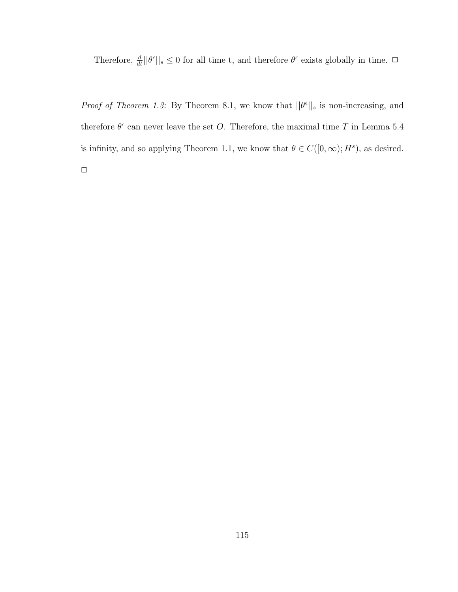Therefore,  $\frac{d}{dt} ||\theta^{\epsilon}||_s \leq 0$  for all time t, and therefore  $\theta^{\epsilon}$  exists globally in time.  $\Box$ 

*Proof of Theorem 1.3:* By Theorem 8.1, we know that  $||\theta^{\epsilon}||_s$  is non-increasing, and therefore  $\theta^{\epsilon}$  can never leave the set O. Therefore, the maximal time T in Lemma 5.4 is infinity, and so applying Theorem 1.1, we know that  $\theta \in C([0,\infty); H^s)$ , as desired.  $\Box$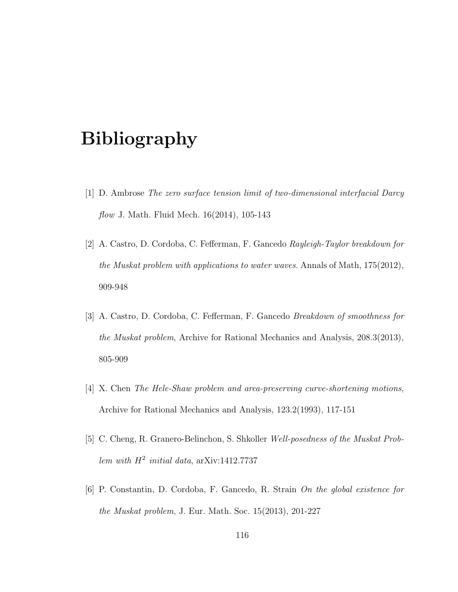## Bibliography

- [1] D. Ambrose The zero surface tension limit of two-dimensional interfacial Darcy *flow J.* Math. Fluid Mech.  $16(2014)$ ,  $105-143$
- [2] A. Castro, D. Cordoba, C. Fefferman, F. Gancedo Rayleigh-Taylor breakdown for the Muskat problem with applications to water waves. Annals of Math, 175(2012), 909-948
- [3] A. Castro, D. Cordoba, C. Fefferman, F. Gancedo Breakdown of smoothness for the Muskat problem, Archive for Rational Mechanics and Analysis, 208.3(2013), 805-909
- [4] X. Chen The Hele-Shaw problem and area-preserving curve-shortening motions, Archive for Rational Mechanics and Analysis, 123.2(1993), 117-151
- [5] C. Cheng, R. Granero-Belinchon, S. Shkoller Well-posedness of the Muskat Problem with  $H^2$  initial data, arXiv:1412.7737
- [6] P. Constantin, D. Cordoba, F. Gancedo, R. Strain On the global existence for the Muskat problem, J. Eur. Math. Soc. 15(2013), 201-227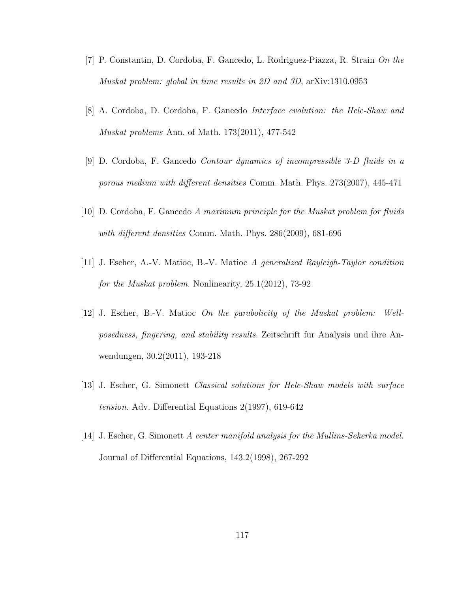- [7] P. Constantin, D. Cordoba, F. Gancedo, L. Rodriguez-Piazza, R. Strain On the Muskat problem: global in time results in 2D and 3D, arXiv:1310.0953
- [8] A. Cordoba, D. Cordoba, F. Gancedo Interface evolution: the Hele-Shaw and Muskat problems Ann. of Math. 173(2011), 477-542
- [9] D. Cordoba, F. Gancedo Contour dynamics of incompressible 3-D fluids in a porous medium with different densities Comm. Math. Phys. 273(2007), 445-471
- [10] D. Cordoba, F. Gancedo A maximum principle for the Muskat problem for fluids with different densities Comm. Math. Phys. 286(2009), 681-696
- [11] J. Escher, A.-V. Matioc, B.-V. Matioc A generalized Rayleigh-Taylor condition for the Muskat problem. Nonlinearity, 25.1(2012), 73-92
- [12] J. Escher, B.-V. Matioc On the parabolicity of the Muskat problem: Wellposedness, fingering, and stability results. Zeitschrift fur Analysis und ihre Anwendungen, 30.2(2011), 193-218
- [13] J. Escher, G. Simonett Classical solutions for Hele-Shaw models with surface tension. Adv. Differential Equations 2(1997), 619-642
- [14] J. Escher, G. Simonett A center manifold analysis for the Mullins-Sekerka model. Journal of Differential Equations, 143.2(1998), 267-292